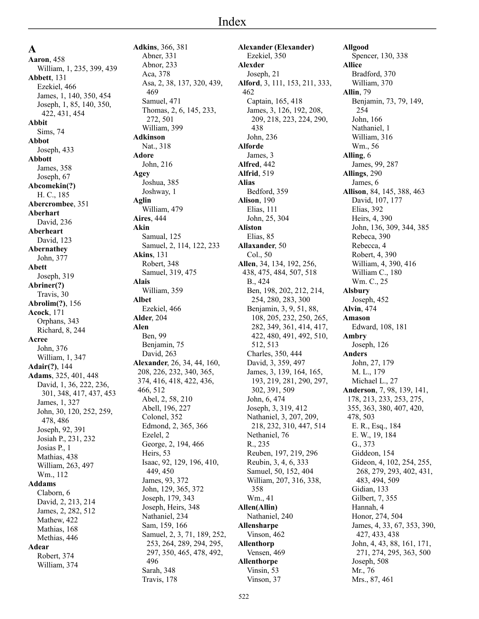**A Aaron**, 458 William, 1, 235, 399, 439 **Abbett**, 131 Ezekiel, 466 James, 1, 140, 350, 454 Joseph, 1, 85, 140, 350, 422, 431, 454 **Abbit** Sims, 74 **Abbot** Joseph, 433 **Abbott** James, 358 Joseph, 67 **Abcomekin(?)** H. C., 185 **Abercrombee**, 351 **Aberhart** David, 236 **Aberheart** David, 123 **Abernathey** John, 377 **Abett** Joseph, 319 **Abriner(?)** Travis, 30 **Abrolim(?)**, 156 **Acock**, 171 Orphans, 343 Richard, 8, 244 **Acree** John, 376 William, 1, 347 **Adair(?)**, 144 **Adams**, 325, 401, 448 David, 1, 36, 222, 236, 301, 348, 417, 437, 453 James, 1, 327 John, 30, 120, 252, 259, 478, 486 Joseph, 92, 391 Josiah P., 231, 232 Josias P., 1 Mathias, 438 William, 263, 497 Wm., 112 **Addams** Claborn, 6 David, 2, 213, 214 James, 2, 282, 512 Mathew, 422 Mathias, 168 Methias, 446 **Adear** Robert, 374 William, 374

**Adkins**, 366, 381 Abner, 331 Abnor, 233 Aca, 378 Asa, 2, 38, 137, 320, 439, 469 Samuel, 471 Thomas, 2, 6, 145, 233, 272, 501 William, 399 **Adkinson** Nat., 318 **Adore** John, 216 **Agey** Joshua, 385 Joshway, 1 **Aglin** William, 479 **Aires**, 444 **Akin** Samual, 125 Samuel, 2, 114, 122, 233 **Akins**, 131 Robert, 348 Samuel, 319, 475 **Alais** William, 359 **Albet** Ezekiel, 466 **Alder**, 204 **Alen** Ben, 99 Benjamin, 75 David, 263 **Alexander**, 26, 34, 44, 160, 208, 226, 232, 340, 365, 374, 416, 418, 422, 436, 466, 512 Abel, 2, 58, 210 Abell, 196, 227 Colonel, 352 Edmond, 2, 365, 366 Ezelel, 2 George, 2, 194, 466 Heirs, 53 Isaac, 92, 129, 196, 410, 449, 450 James, 93, 372 John, 129, 365, 372 Joseph, 179, 343 Joseph, Heirs, 348 Nathaniel, 234 Sam, 159, 166 Samuel, 2, 3, 71, 189, 252, 253, 264, 289, 294, 295, 297, 350, 465, 478, 492, 496 Sarah, 348 Travis, 178

**Alexander (Elexander)** Ezekiel, 350 **Alexder** Joseph, 21 **Alford**, 3, 111, 153, 211, 333, 462 Captain, 165, 418 James, 3, 126, 192, 208, 209, 218, 223, 224, 290, 438 John, 236 **Alforde** James, 3 **Alfred**, 442 **Alfrid**, 519 **Alias** Bedford, 359 **Alison**, 190 Elias, 111 John, 25, 304 **Aliston** Elias, 85 **Allaxander**, 50 Col., 50 **Allen**, 34, 134, 192, 256, 438, 475, 484, 507, 518 B., 424 Ben, 198, 202, 212, 214, 254, 280, 283, 300 Benjamin, 3, 9, 51, 88, 108, 205, 232, 250, 265, 282, 349, 361, 414, 417, 422, 480, 491, 492, 510, 512, 513 Charles, 350, 444 David, 3, 359, 497 James, 3, 139, 164, 165, 193, 219, 281, 290, 297, 302, 391, 509 John, 6, 474 Joseph, 3, 319, 412 Nathaniel, 3, 207, 209, 218, 232, 310, 447, 514 Nethaniel, 76 R., 235 Reuben, 197, 219, 296 Reubin, 3, 4, 6, 333 Samuel, 50, 152, 404 William, 207, 316, 338, 358 Wm., 41 **Allen(Allin)** Nathaniel, 240 **Allensharpe** Vinson, 462 **Allenthorp** Vensen, 469 **Allenthorpe** Vinsin, 53 Vinson, 37

**Allgood** Spencer, 130, 338 **Allice** Bradford, 370 William, 370 **Allin**, 79 Benjamin, 73, 79, 149, 254 John, 166 Nathaniel, 1 William, 316 Wm., 56 **Alling**, 6 James, 99, 287 **Allings**, 290 James, 6 **Allison**, 84, 145, 388, 463 David, 107, 177 Elias, 392 Heirs, 4, 390 John, 136, 309, 344, 385 Rebeca, 390 Rebecca, 4 Robert, 4, 390 William, 4, 390, 416 William C., 180 Wm. C., 25 **Alsbury** Joseph, 452 **Alvin**, 474 **Amason** Edward, 108, 181 **Ambry** Joseph, 126 **Anders** John, 27, 179 M. L., 179 Michael L., 27 **Anderson**, 7, 98, 139, 141, 178, 213, 233, 253, 275, 355, 363, 380, 407, 420, 478, 503 E. R., Esq., 184 E. W., 19, 184 G., 373 Giddeon, 154 Gideon, 4, 102, 254, 255, 268, 279, 293, 402, 431, 483, 494, 509 Gidian, 133 Gilbert, 7, 355 Hannah, 4 Honor, 274, 504 James, 4, 33, 67, 353, 390, 427, 433, 438 John, 4, 43, 88, 161, 171, 271, 274, 295, 363, 500 Joseph, 508 Mr., 76 Mrs., 87, 461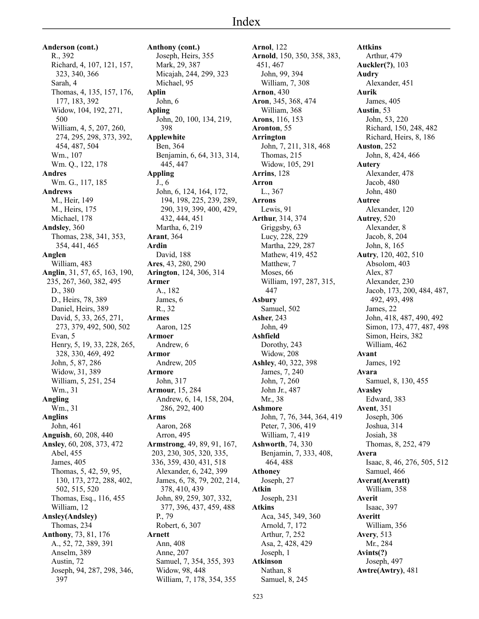**Anderson (cont.)** R., 392 Richard, 4, 107, 121, 157, 323, 340, 366 Sarah, 4 Thomas, 4, 135, 157, 176, 177, 183, 392 Widow, 104, 192, 271, 500 William, 4, 5, 207, 260, 274, 295, 298, 373, 392, 454, 487, 504 Wm., 107 Wm. Q., 122, 178 **Andres** Wm. G., 117, 185 **Andrews** M., Heir, 149 M., Heirs, 175 Michael, 178 **Andsley**, 360 Thomas, 238, 341, 353, 354, 441, 465 **Anglen** William, 483 **Anglin**, 31, 57, 65, 163, 190, 235, 267, 360, 382, 495 D., 380 D., Heirs, 78, 389 Daniel, Heirs, 389 David, 5, 33, 265, 271, 273, 379, 492, 500, 502 Evan, 5 Henry, 5, 19, 33, 228, 265, 328, 330, 469, 492 John, 5, 87, 286 Widow, 31, 389 William, 5, 251, 254 Wm., 31 **Angling** Wm., 31 **Anglins** John, 461 **Anguish**, 60, 208, 440 **Ansley**, 60, 208, 373, 472 Abel, 455 James, 405 Thomas, 5, 42, 59, 95, 130, 173, 272, 288, 402, 502, 515, 520 Thomas, Esq., 116, 455 William, 12 **Ansley(Andsley)** Thomas, 234 **Anthony**, 73, 81, 176 A., 52, 72, 389, 391 Anselm, 389 Austin, 72 Joseph, 94, 287, 298, 346, 397

**Anthony (cont.)** Joseph, Heirs, 355 Mark, 29, 387 Micajah, 244, 299, 323 Michael, 95 **Aplin** John, 6 **Apling** John, 20, 100, 134, 219, 398 **Applewhite** Ben, 364 Benjamin, 6, 64, 313, 314, 445, 447 **Appling** J., 6 John, 6, 124, 164, 172, 194, 198, 225, 239, 289, 290, 319, 399, 400, 429, 432, 444, 451 Martha, 6, 219 **Arant**, 364 **Ardin** David, 188 **Ares**, 43, 280, 290 **Arington**, 124, 306, 314 **Armer** A., 182 James, 6 R., 32 **Armes** Aaron, 125 **Armoer** Andrew, 6 **Armor** Andrew, 205 **Armore** John, 317 **Armour**, 15, 284 Andrew, 6, 14, 158, 204, 286, 292, 400 **Arms** Aaron, 268 Arron, 495 **Armstrong**, 49, 89, 91, 167, 203, 230, 305, 320, 335, 336, 359, 430, 431, 518 Alexander, 6, 242, 399 James, 6, 78, 79, 202, 214, 378, 410, 439 John, 89, 259, 307, 332, 377, 396, 437, 459, 488 P., 79 Robert, 6, 307 **Arnett** Ann, 408 Anne, 207 Samuel, 7, 354, 355, 393 Widow, 98, 448 William, 7, 178, 354, 355

**Arnol**, 122 **Arnold**, 150, 350, 358, 383, 451, 467 John, 99, 394 William, 7, 308 **Arnon**, 430 **Aron**, 345, 368, 474 William, 368 **Arons**, 116, 153 **Aronton**, 55 **Arrington** John, 7, 211, 318, 468 Thomas, 215 Widow, 105, 291 **Arrins**, 128 **Arron** L., 367 **Arrons** Lewis, 91 **Arthur**, 314, 374 Griggsby, 63 Lucy, 228, 229 Martha, 229, 287 Mathew, 419, 452 Matthew, 7 Moses, 66 William, 197, 287, 315, 447 **Asbury** Samuel, 502 **Asher**, 243 John, 49 **Ashfield** Dorothy, 243 Widow, 208 **Ashley**, 40, 322, 398 James, 7, 240 John, 7, 260 John Jr., 487 Mr., 38 **Ashmore** John, 7, 76, 344, 364, 419 Peter, 7, 306, 419 William, 7, 419 **Ashworth**, 74, 330 Benjamin, 7, 333, 408, 464, 488 **Athoney** Joseph, 27 **Atkin** Joseph, 231 **Atkins** Aca, 345, 349, 360 Arnold, 7, 172 Arthur, 7, 252 Asa, 2, 428, 429 Joseph, 1 **Atkinson** Nathan, 8 Samuel, 8, 245

**Attkins** Arthur, 479 **Auckler(?)**, 103 **Audry** Alexander, 451 **Aurik** James, 405 **Austin**, 53 John, 53, 220 Richard, 150, 248, 482 Richard, Heirs, 8, 186 **Auston**, 252 John, 8, 424, 466 **Autery** Alexander, 478 Jacob, 480 John, 480 **Autree** Alexander, 120 **Autrey**, 520 Alexander, 8 Jacob, 8, 204 John, 8, 165 **Autry**, 120, 402, 510 Absolom, 403 Alex, 87 Alexander, 230 Jacob, 173, 200, 484, 487, 492, 493, 498 James, 22 John, 418, 487, 490, 492 Simon, 173, 477, 487, 498 Simon, Heirs, 382 William, 462 **Avant** James, 192 **Avara** Samuel, 8, 130, 455 **Avasley** Edward, 383 **Avent**, 351 Joseph, 306 Joshua, 314 Josiah, 38 Thomas, 8, 252, 479 **Avera** Isaac, 8, 46, 276, 505, 512 Samuel, 466 **Averat(Averatt)** William, 358 **Averit** Isaac, 397 **Averitt** William, 356 **Avery**, 513 Mr., 284 **Avints(?)** Joseph, 497 **Awtre(Awtry)**, 481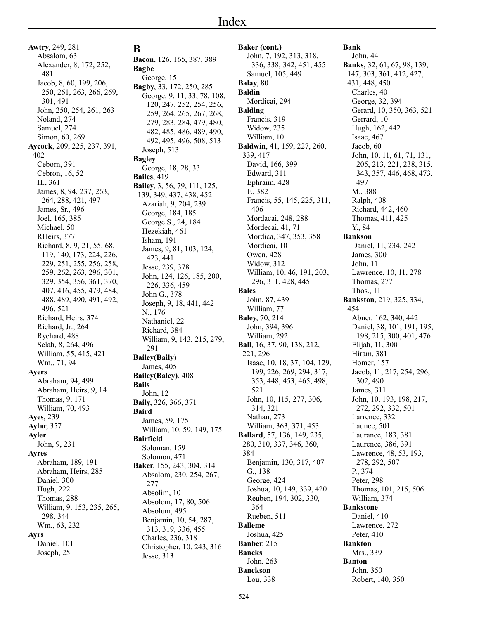**Awtry**, 249, 281 Absalom, 63 Alexander, 8, 172, 252, 481 Jacob, 8, 60, 199, 206, 250, 261, 263, 266, 269, 301, 491 John, 250, 254, 261, 263 Noland, 274 Samuel, 274 Simon, 60, 269 **Aycock**, 209, 225, 237, 391, 402 Ceborn, 391 Cebron, 16, 52 H., 361 James, 8, 94, 237, 263, 264, 288, 421, 497 James, Sr., 496 Joel, 165, 385 Michael, 50 RHeirs, 377 Richard, 8, 9, 21, 55, 68, 119, 140, 173, 224, 226, 229, 251, 255, 256, 258, 259, 262, 263, 296, 301, 329, 354, 356, 361, 370, 407, 416, 455, 479, 484, 488, 489, 490, 491, 492, 496, 521 Richard, Heirs, 374 Richard, Jr., 264 Rychard, 488 Selah, 8, 264, 496 William, 55, 415, 421 Wm., 71, 94 **Ayers** Abraham, 94, 499 Abraham, Heirs, 9, 14 Thomas, 9, 171 William, 70, 493 **Ayes**, 239 **Aylar**, 357 **Ayler** John, 9, 231 **Ayres** Abraham, 189, 191 Abraham, Heirs, 285 Daniel, 300 Hugh, 222 Thomas, 288 William, 9, 153, 235, 265, 298, 344 Wm., 63, 232 **Ayrs** Daniel, 101 Joseph, 25

**B Bacon**, 126, 165, 387, 389 **Bagbe** George, 15 **Bagby**, 33, 172, 250, 285 George, 9, 11, 33, 78, 108, 120, 247, 252, 254, 256, 259, 264, 265, 267, 268, 279, 283, 284, 479, 480, 482, 485, 486, 489, 490, 492, 495, 496, 508, 513 Joseph, 513 **Bagley** George, 18, 28, 33 **Bailes**, 419 **Bailey**, 3, 56, 79, 111, 125, 139, 349, 437, 438, 452 Azariah, 9, 204, 239 George, 184, 185 George S., 24, 184 Hezekiah, 461 Isham, 191 James, 9, 81, 103, 124, 423, 441 Jesse, 239, 378 John, 124, 126, 185, 200, 226, 336, 459 John G., 378 Joseph, 9, 18, 441, 442 N., 176 Nathaniel, 22 Richard, 384 William, 9, 143, 215, 279, 291 **Bailey(Baily)** James, 405 **Bailey(Baley)**, 408 **Bails** John, 12 **Baily**, 326, 366, 371 **Baird** James, 59, 175 William, 10, 59, 149, 175 **Bairfield** Soloman, 159 Solomon, 471 **Baker**, 155, 243, 304, 314 Absalom, 230, 254, 267, 277 Absolim, 10 Absolom, 17, 80, 506 Absolum, 495 Benjamin, 10, 54, 287, 313, 319, 336, 455 Charles, 236, 318 Christopher, 10, 243, 316 Jesse, 313

**Baker (cont.)** John, 7, 192, 313, 318, 336, 338, 342, 451, 455 Samuel, 105, 449 **Balay**, 80 **Baldin** Mordicai, 294 **Balding** Francis, 319 Widow, 235 William, 10 **Baldwin**, 41, 159, 227, 260, 339, 417 David, 166, 399 Edward, 311 Ephraim, 428 F., 382 Francis, 55, 145, 225, 311, 406 Mordacai, 248, 288 Mordecai, 41, 71 Mordica, 347, 353, 358 Mordicai, 10 Owen, 428 Widow, 312 William, 10, 46, 191, 203, 296, 311, 428, 445 **Bales** John, 87, 439 William, 77 **Baley**, 70, 214 John, 394, 396 William, 292 **Ball**, 16, 37, 90, 138, 212, 221, 296 Isaac, 10, 18, 37, 104, 129, 199, 226, 269, 294, 317, 353, 448, 453, 465, 498, 521 John, 10, 115, 277, 306, 314, 321 Nathan, 273 William, 363, 371, 453 **Ballard**, 57, 136, 149, 235, 280, 310, 337, 346, 360, 384 Benjamin, 130, 317, 407 G., 138 George, 424 Joshua, 10, 149, 339, 420 Reuben, 194, 302, 330, 364 Rueben, 511 **Balleme** Joshua, 425 **Banber**, 215 **Bancks** John, 263 **Banckson** Lou, 338

**Bank**

John, 44 **Banks**, 32, 61, 67, 98, 139, 147, 303, 361, 412, 427, 431, 448, 450 Charles, 40 George, 32, 394 Gerard, 10, 350, 363, 521 Gerrard, 10 Hugh, 162, 442 Isaac, 467 Jacob, 60 John, 10, 11, 61, 71, 131, 205, 213, 221, 238, 315, 343, 357, 446, 468, 473, 497 M., 388 Ralph, 408 Richard, 442, 460 Thomas, 411, 425 Y., 84 **Bankson** Daniel, 11, 234, 242 James, 300 John, 11 Lawrence, 10, 11, 278 Thomas, 277 Thos., 11 **Bankston**, 219, 325, 334, 454 Abner, 162, 340, 442 Daniel, 38, 101, 191, 195, 198, 215, 300, 401, 476 Elijah, 11, 300 Hiram, 381 Homer, 157 Jacob, 11, 217, 254, 296, 302, 490 James, 311 John, 10, 193, 198, 217, 272, 292, 332, 501 Larrence, 332 Launce, 501 Laurance, 183, 381 Laurence, 386, 391 Lawrence, 48, 53, 193, 278, 292, 507 P., 374 Peter, 298 Thomas, 101, 215, 506 William, 374 **Bankstone** Daniel, 410 Lawrence, 272 Peter, 410 **Bankton** Mrs., 339 **Banton** John, 350 Robert, 140, 350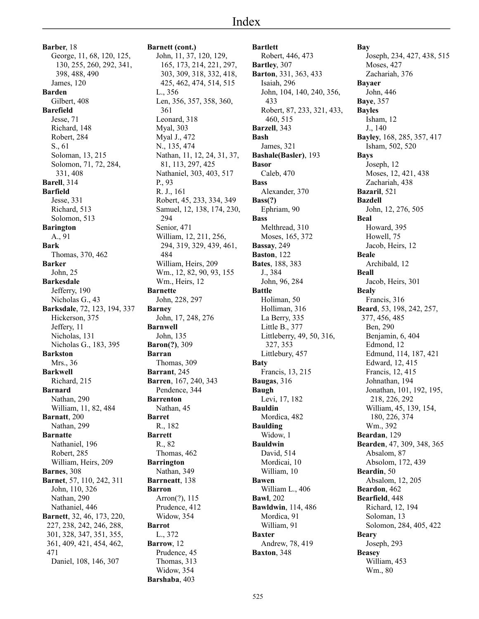**Barber**, 18 George, 11, 68, 120, 125, 130, 255, 260, 292, 341, 398, 488, 490 James, 120 **Barden** Gilbert, 408 **Barefield** Jesse, 71 Richard, 148 Robert, 284 S., 61 Soloman, 13, 215 Solomon, 71, 72, 284, 331, 408 **Barell**, 314 **Barfield** Jesse, 331 Richard, 513 Solomon, 513 **Barington** A., 91 **Bark** Thomas, 370, 462 **Barker** John, 25 **Barkesdale** Jefferry, 190 Nicholas G., 43 **Barksdale**, 72, 123, 194, 337 Hickerson, 375 Jeffery, 11 Nicholas, 131 Nicholas G., 183, 395 **Barkston** Mrs., 36 **Barkwell** Richard, 215 **Barnard** Nathan, 290 William, 11, 82, 484 **Barnatt**, 200 Nathan, 299 **Barnatte** Nathaniel, 196 Robert, 285 William, Heirs, 209 **Barnes**, 308 **Barnet**, 57, 110, 242, 311 John, 110, 326 Nathan, 290 Nathaniel, 446 **Barnett**, 32, 46, 173, 220, 227, 238, 242, 246, 288, 301, 328, 347, 351, 355, 361, 409, 421, 454, 462, 471 Daniel, 108, 146, 307

**Barnett (cont.)** John, 11, 37, 120, 129, 165, 173, 214, 221, 297, 303, 309, 318, 332, 418, 425, 462, 474, 514, 515 L., 356 Len, 356, 357, 358, 360, 361 Leonard, 318 Myal, 303 Myal J., 472 N., 135, 474 Nathan, 11, 12, 24, 31, 37, 81, 113, 297, 425 Nathaniel, 303, 403, 517 P., 93 R. J., 161 Robert, 45, 233, 334, 349 Samuel, 12, 138, 174, 230, 294 Senior, 471 William, 12, 211, 256, 294, 319, 329, 439, 461, 484 William, Heirs, 209 Wm., 12, 82, 90, 93, 155 Wm., Heirs, 12 **Barnette** John, 228, 297 **Barney** John, 17, 248, 276 **Barnwell** John, 135 **Baron(?)**, 309 **Barran** Thomas, 309 **Barrant**, 245 **Barren**, 167, 240, 343 Pendence, 344 **Barrenton** Nathan, 45 **Barret** R., 182 **Barrett** R., 82 Thomas, 462 **Barrington** Nathan, 349 **Barrneatt**, 138 **Barron** Arron(?), 115 Prudence, 412 Widow, 354 **Barrot** L., 372 **Barrow**, 12 Prudence, 45 Thomas, 313 Widow, 354 **Barshaba**, 403

**Bartlett** Robert, 446, 473 **Bartley**, 307 **Barton**, 331, 363, 433 Isaiah, 296 John, 104, 140, 240, 356, 433 Robert, 87, 233, 321, 433, 460, 515 **Barzell**, 343 **Bash** James, 321 **Bashale(Basler)**, 193 **Basor** Caleb, 470 **Bass** Alexander, 370 **Bass(?)** Ephriam, 90 **Bass** Melthread, 310 Moses, 165, 372 **Bassay**, 249 **Baston**, 122 **Bates**, 188, 383 J., 384 John, 96, 284 **Battle** Holiman, 50 Holliman, 316 La Berry, 335 Little B., 377 Littleberry, 49, 50, 316, 327, 353 Littlebury, 457 **Baty** Francis, 13, 215 **Baugas**, 316 **Baugh** Levi, 17, 182 **Bauldin** Mordica, 482 **Baulding** Widow, 1 **Bauldwin** David, 514 Mordicai, 10 William, 10 **Bawen** William L., 406 **Bawl**, 202 **Bawldwin**, 114, 486 Mordica, 91 William, 91 **Baxter** Andrew, 78, 419 **Baxton**, 348

**Bay** Joseph, 234, 427, 438, 515 Moses, 427 Zachariah, 376 **Bayaer** John, 446 **Baye**, 357 **Bayles** Isham, 12 J., 140 **Bayley**, 168, 285, 357, 417 Isham, 502, 520 **Bays** Joseph, 12 Moses, 12, 421, 438 Zachariah, 438 **Bazaril**, 521 **Bazdell** John, 12, 276, 505 **Beal** Howard, 395 Howell, 75 Jacob, Heirs, 12 **Beale** Archibald, 12 **Beall** Jacob, Heirs, 301 **Bealy** Francis, 316 **Beard**, 53, 198, 242, 257, 377, 456, 485 Ben, 290 Benjamin, 6, 404 Edmond, 12 Edmund, 114, 187, 421 Edward, 12, 415 Francis, 12, 415 Johnathan, 194 Jonathan, 101, 192, 195, 218, 226, 292 William, 45, 139, 154, 180, 226, 374 Wm., 392 **Beardan**, 129 **Bearden**, 47, 309, 348, 365 Absalom, 87 Absolom, 172, 439 **Beardin**, 50 Absalom, 12, 205 **Beardon**, 462 **Bearfield**, 448 Richard, 12, 194 Soloman, 13 Solomon, 284, 405, 422 **Beary** Joseph, 293 **Beasey** William, 453 Wm., 80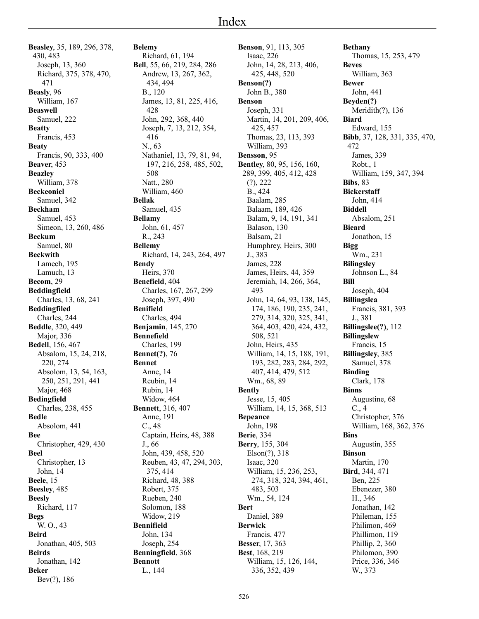**Beasley**, 35, 189, 296, 378, 430, 483 Joseph, 13, 360 Richard, 375, 378, 470, 471 **Beasly**, 96 William, 167 **Beaswell** Samuel, 222 **Beatty** Francis, 453 **Beaty** Francis, 90, 333, 400 **Beaver**, 453 **Beazley** William, 378 **Beckeoniel** Samuel, 342 **Beckham** Samuel, 453 Simeon, 13, 260, 486 **Beckum** Samuel, 80 **Beckwith** Lamech, 195 Lamuch, 13 **Becom**, 29 **Beddingfield** Charles, 13, 68, 241 **Beddingfiled** Charles, 244 **Beddle**, 320, 449 Major, 336 **Bedell**, 156, 467 Absalom, 15, 24, 218, 220, 274 Absolom, 13, 54, 163, 250, 251, 291, 441 Major, 468 **Bedingfield** Charles, 238, 455 **Bedle** Absolom, 441 **Bee** Christopher, 429, 430 **Beel** Christopher, 13 John, 14 **Beele**, 15 **Beesley**, 485 **Beesly** Richard, 117 **Begs** W. O., 43 **Beird** Jonathan, 405, 503 **Beirds** Jonathan, 142 **Beker**

Bev(?), 186

**Belemy** Richard, 61, 194 **Bell**, 55, 66, 219, 284, 286 Andrew, 13, 267, 362, 434, 494 B., 120 James, 13, 81, 225, 416, 428 John, 292, 368, 440 Joseph, 7, 13, 212, 354, 416 N., 63 Nathaniel, 13, 79, 81, 94, 197, 216, 258, 485, 502, 508 Natt., 280 William, 460 **Bellak** Samuel, 435 **Bellamy** John, 61, 457 R., 243 **Bellemy** Richard, 14, 243, 264, 497 **Bendy** Heirs, 370 **Benefield**, 404 Charles, 167, 267, 299 Joseph, 397, 490 **Benifield** Charles, 494 **Benjamin**, 145, 270 **Bennefield** Charles, 199 **Bennet(?)**, 76 **Bennet** Anne, 14 Reubin, 14 Rubin, 14 Widow, 464 **Bennett**, 316, 407 Anne, 191 C., 48 Captain, Heirs, 48, 388 J., 66 John, 439, 458, 520 Reuben, 43, 47, 294, 303, 375, 414 Richard, 48, 388 Robert, 375 Rueben, 240 Solomon, 188 Widow, 219 **Bennifield** John, 134 Joseph, 254 **Benningfield**, 368 **Bennott**

L., 144

**Benson**, 91, 113, 305 Isaac, 226 John, 14, 28, 213, 406, 425, 448, 520 **Benson(?)** John B., 380 **Benson** Joseph, 331 Martin, 14, 201, 209, 406, 425, 457 Thomas, 23, 113, 393 William, 393 **Bensson**, 95 **Bentley**, 80, 95, 156, 160, 289, 399, 405, 412, 428 (?), 222 B., 424 Baalam, 285 Balaam, 189, 426 Balam, 9, 14, 191, 341 Balason, 130 Balsam, 21 Humphrey, Heirs, 300 J., 383 James, 228 James, Heirs, 44, 359 Jeremiah, 14, 266, 364, 493 John, 14, 64, 93, 138, 145, 174, 186, 190, 235, 241, 279, 314, 320, 325, 341, 364, 403, 420, 424, 432, 508, 521 John, Heirs, 435 William, 14, 15, 188, 191, 193, 282, 283, 284, 292, 407, 414, 479, 512 Wm., 68, 89 **Bently** Jesse, 15, 405 William, 14, 15, 368, 513 **Bepeance** John, 198 **Berie**, 334 **Berry**, 155, 304 Elson(?), 318 Isaac, 320 William, 15, 236, 253, 274, 318, 324, 394, 461, 483, 503 Wm., 54, 124 **Bert** Daniel, 389 **Berwick** Francis, 477 **Besser**, 17, 363 **Best**, 168, 219 William, 15, 126, 144, 336, 352, 439

**Bethany** Thomas, 15, 253, 479 **Beves** William, 363 **Bewer** John, 441 **Beyden(?)** Meridith(?), 136 **Biard** Edward, 155 **Bibb**, 37, 128, 331, 335, 470, 472 James, 339 Robt., 1 William, 159, 347, 394 **Bibs**, 83 **Bickerstaff** John, 414 **Biddell** Absalom, 251 **Bieard** Jonathon, 15 **Bigg** Wm., 231 **Bilingsley** Johnson L., 84 **Bill** Joseph, 404 **Billingslea** Francis, 381, 393 J., 381 **Billingslee(?)**, 112 **Billingslew** Francis, 15 **Billingsley**, 385 Samuel, 378 **Binding** Clark, 178 **Binns** Augustine, 68 C., 4 Christopher, 376 William, 168, 362, 376 **Bins** Augustin, 355 **Binson** Martin, 170 **Bird**, 344, 471 Ben, 225 Ebenezer, 380 H., 346 Jonathan, 142 Phileman, 155 Philimon, 469 Phillimon, 119 Phillip, 2, 360 Philomon, 390 Price, 336, 346 W., 373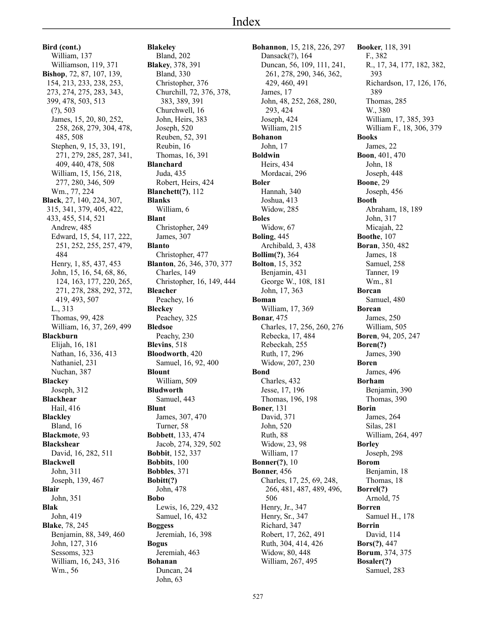**Bird (cont.)** William, 137 Williamson, 119, 371 **Bishop**, 72, 87, 107, 139, 154, 213, 233, 238, 253, 273, 274, 275, 283, 343, 399, 478, 503, 513 (?), 503 James, 15, 20, 80, 252, 258, 268, 279, 304, 478, 485, 508 Stephen, 9, 15, 33, 191, 271, 279, 285, 287, 341, 409, 440, 478, 508 William, 15, 156, 218, 277, 280, 346, 509 Wm., 77, 224 **Black**, 27, 140, 224, 307, 315, 341, 379, 405, 422, 433, 455, 514, 521 Andrew, 485 Edward, 15, 54, 117, 222, 251, 252, 255, 257, 479, 484 Henry, 1, 85, 437, 453 John, 15, 16, 54, 68, 86, 124, 163, 177, 220, 265, 271, 278, 288, 292, 372, 419, 493, 507 L., 313 Thomas, 99, 428 William, 16, 37, 269, 499 **Blackburn** Elijah, 16, 181 Nathan, 16, 336, 413 Nathaniel, 231 Nuchan, 387 **Blackey** Joseph, 312 **Blackhear** Hail, 416 **Blackley** Bland, 16 **Blackmote**, 93 **Blackshear** David, 16, 282, 511 **Blackwell** John, 311 Joseph, 139, 467 **Blair** John, 351 **Blak** John, 419 **Blake**, 78, 245 Benjamin, 88, 349, 460 John, 127, 316 Sessoms, 323 William, 16, 243, 316 Wm., 56

**Blakeley** Bland, 202 **Blakey**, 378, 391 Bland, 330 Christopher, 376 Churchill, 72, 376, 378, 383, 389, 391 Churchwell, 16 John, Heirs, 383 Joseph, 520 Reuben, 52, 391 Reubin, 16 Thomas, 16, 391 **Blanchard** Juda, 435 Robert, Heirs, 424 **Blanchett(?)**, 112 **Blanks** William, 6 **Blant** Christopher, 249 James, 307 **Blanto** Christopher, 477 **Blanton**, 26, 346, 370, 377 Charles, 149 Christopher, 16, 149, 444 **Bleacher** Peachey, 16 **Bleckey** Peachey, 325 **Bledsoe** Peachy, 230 **Blevins**, 518 **Bloodworth**, 420 Samuel, 16, 92, 400 **Blount** William, 509 **Bludworth** Samuel, 443 **Blunt** James, 307, 470 Turner, 58 **Bobbett**, 133, 474 Jacob, 274, 329, 502 **Bobbit**, 152, 337 **Bobbits**, 100 **Bobbles**, 371 **Bobitt(?)** John, 478 **Bobo** Lewis, 16, 229, 432 Samuel, 16, 432 **Boggess** Jeremiah, 16, 398 **Bogus** Jeremiah, 463 **Bohanan** Duncan, 24 John, 63

**Bohannon**, 15, 218, 226, 297 Dansack(?), 164 Duncan, 56, 109, 111, 241, 261, 278, 290, 346, 362, 429, 460, 491 James, 17 John, 48, 252, 268, 280, 293, 424 Joseph, 424 William, 215 **Bohanon** John, 17 **Boldwin** Heirs, 434 Mordacai, 296 **Boler** Hannah, 340 Joshua, 413 Widow, 285 **Boles** Widow, 67 **Boling**, 445 Archibald, 3, 438 **Bollim(?)**, 364 **Bolton**, 15, 352 Benjamin, 431 George W., 108, 181 John, 17, 363 **Boman** William, 17, 369 **Bonar**, 475 Charles, 17, 256, 260, 276 Rebecka, 17, 484 Rebeckah, 255 Ruth, 17, 296 Widow, 207, 230 **Bond** Charles, 432 Jesse, 17, 196 Thomas, 196, 198 **Boner**, 131 David, 371 John, 520 Ruth, 88 Widow, 23, 98 William, 17 **Bonner(?)**, 10 **Bonner**, 456 Charles, 17, 25, 69, 248, 266, 481, 487, 489, 496, 506 Henry, Jr., 347 Henry, Sr., 347 Richard, 347 Robert, 17, 262, 491 Ruth, 304, 414, 426 Widow, 80, 448 William, 267, 495

**Booker**, 118, 391 F., 382 R., 17, 34, 177, 182, 382, 393 Richardson, 17, 126, 176, 389 Thomas, 285 W., 380 William, 17, 385, 393 William F., 18, 306, 379 **Books** James, 22 **Boon**, 401, 470 John, 18 Joseph, 448 **Boone**, 29 Joseph, 456 **Booth** Abraham, 18, 189 John, 317 Micajah, 22 **Boothe**, 107 **Boran**, 350, 482 James, 18 Samuel, 258 Tanner, 19 Wm., 81 **Borcan** Samuel, 480 **Borean** James, 250 William, 505 **Boren**, 94, 205, 247 **Boren(?)** James, 390 **Boren** James, 496 **Borham** Benjamin, 390 Thomas, 390 **Borin** James, 264 Silas, 281 William, 264, 497 **Borley** Joseph, 298 **Borom** Benjamin, 18 Thomas, 18 **Borrel(?)** Arnold, 75 **Borren** Samuel H., 178 **Borrin** David, 114 **Bors(?)**, 447 **Borum**, 374, 375 **Bosaler(?)** Samuel, 283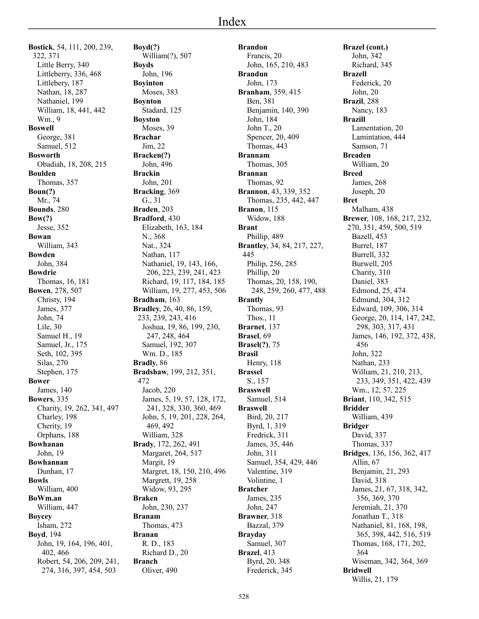**Bostick**, 54, 111, 200, 239, 322, 371 Little Berry, 340 Littleberry, 336, 468 Littlebery, 187 Nathan, 18, 287 Nathaniel, 199 William, 18, 441, 442 Wm., 9 **Boswell** George, 381 Samuel, 512 **Bosworth** Obadiah, 18, 208, 215 **Boulden** Thomas, 357 **Boun(?)** Mr., 74 **Bounds**, 280 **Bow(?)** Jesse, 352 **Bowan** William, 343 **Bowden** John, 384 **Bowdrie** Thomas, 16, 181 **Bowen**, 278, 507 Christy, 194 James, 377 John, 74 Lile, 30 Samuel H., 19 Samuel, Jr., 175 Seth, 102, 395 Silas, 270 Stephen, 175 **Bower** James, 140 **Bowers**, 335 Charity, 19, 262, 341, 497 Charley, 198 Cherity, 19 Orphans, 188 **Bowhanan** John, 19 **Bowhannan** Dunhan, 17 **Bowls** William, 400 **BoWm.an** William, 447 **Boycey** Isham, 272 **Boyd**, 194 John, 19, 164, 196, 401, 402, 466 Robert, 54, 206, 209, 241, 274, 316, 397, 454, 503

**Boyd(?)** William(?), 507 **Boyds** John, 196 **Boyinton** Moses, 383 **Boynton** Stadard, 125 **Boyston** Moses, 39 **Brachar** Jim, 22 **Bracken(?)** John, 496 **Brackin** John, 201 **Bracking**, 369 G., 31 **Braden**, 203 **Bradford**, 430 Elizabeth, 163, 184 N., 368 Nat., 324 Nathan, 117 Nathaniel, 19, 143, 166, 206, 223, 239, 241, 423 Richard, 19, 117, 184, 185 William, 19, 277, 453, 506 **Bradham**, 163 **Bradley**, 26, 40, 86, 159, 233, 239, 243, 416 Joshua, 19, 86, 199, 230, 247, 248, 464 Samuel, 192, 307 Wm. D., 185 **Bradly**, 86 **Bradshaw**, 199, 212, 351, 472 Jacob, 220 James, 5, 19, 57, 128, 172, 241, 328, 330, 360, 469 John, 5, 19, 201, 228, 264, 469, 492 William, 328 **Brady**, 172, 262, 491 Margaret, 264, 517 Margit, 19 Margret, 18, 150, 210, 496 Margrett, 19, 258 Widow, 93, 295 **Braken** John, 230, 237 **Branam** Thomas, 473 **Branan** R. D., 183 Richard D., 20 **Branch** Oliver, 490

**Brandon** Francis, 20 John, 165, 210, 483 **Brandun** John, 173 **Branham**, 359, 415 Ben, 381 Benjamin, 140, 390 John, 184 John T., 20 Spencer, 20, 409 Thomas, 443 **Brannam** Thomas, 305 **Brannan** Thomas, 92 **Brannon**, 43, 339, 352 Thomas, 235, 442, 447 **Branon**, 115 Widow, 188 **Brant** Phillip, 489 **Brantley**, 34, 84, 217, 227, 445 Philip, 256, 285 Phillip, 20 Thomas, 20, 158, 190, 248, 259, 260, 477, 488 **Brantly** Thomas, 93 Thos., 11 **Brarnet**, 137 **Brasel**, 69 **Brasel(?)**, 75 **Brasil** Henry, 118 **Brassel** S., 157 **Brasswell** Samuel, 514 **Braswell** Bird, 20, 217 Byrd, 1, 319 Fredrick, 311 James, 35, 446 John, 311 Samuel, 354, 429, 446 Valentine, 319 Volintine, 1 **Bratcher** James, 235 John, 247 **Brawner**, 318 Bazzal, 379 **Brayday** Samuel, 307 **Brazel**, 413 Byrd, 20, 348 Frederick, 345

**Brazel (cont.)** John, 342 Richard, 345 **Brazell** Federick, 20 John, 20 **Brazil**, 288 Nancy, 183 **Brazill** Lamentation, 20 Lamintation, 444 Samson, 71 **Breaden** William, 20 **Breed** James, 268 Joseph, 20 **Bret** Malham, 438 **Brewer**, 108, 168, 217, 232, 270, 351, 459, 500, 519 Bazell, 453 Burrel, 187 Burrell, 332 Burwell, 205 Charity, 310 Daniel, 383 Edmond, 25, 474 Edmund, 304, 312 Edward, 109, 306, 314 George, 20, 114, 147, 242, 298, 303, 317, 431 James, 146, 192, 372, 438, 456 John, 322 Nathan, 233 William, 21, 210, 213, 233, 349, 351, 422, 439 Wm., 12, 57, 225 **Briant**, 110, 342, 515 **Bridder** William, 439 **Bridger** David, 337 Thomas, 337 **Bridges**, 136, 156, 362, 417 Allin, 67 Benjamin, 21, 293 David, 318 James, 21, 67, 318, 342, 356, 369, 370 Jeremiah, 21, 370 Jonathan T., 318 Nathaniel, 81, 168, 198, 365, 398, 442, 516, 519 Thomas, 168, 171, 202, 364 Wiseman, 342, 364, 369 **Bridwell** Willis, 21, 179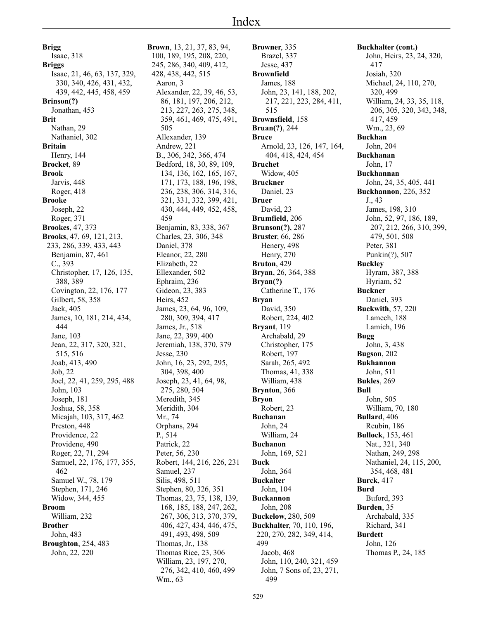**Brigg** Isaac, 318 **Briggs** Isaac, 21, 46, 63, 137, 329, 330, 340, 426, 431, 432, 439, 442, 445, 458, 459 **Brinson(?)** Jonathan, 453 **Brit** Nathan, 29 Nathaniel, 302 **Britain** Henry, 144 **Brocket**, 89 **Brook** Jarvis, 448 Roger, 418 **Brooke** Joseph, 22 Roger, 371 **Brookes**, 47, 373 **Brooks**, 47, 69, 121, 213, 233, 286, 339, 433, 443 Benjamin, 87, 461 C., 393 Christopher, 17, 126, 135, 388, 389 Covington, 22, 176, 177 Gilbert, 58, 358 Jack, 405 James, 10, 181, 214, 434, 444 Jane, 103 Jean, 22, 317, 320, 321, 515, 516 Joab, 413, 490 Job, 22 Joel, 22, 41, 259, 295, 488 John, 103 Joseph, 181 Joshua, 58, 358 Micajah, 103, 317, 462 Preston, 448 Providence, 22 Providene, 490 Roger, 22, 71, 294 Samuel, 22, 176, 177, 355, 462 Samuel W., 78, 179 Stephen, 171, 246 Widow, 344, 455 **Broom** William, 232 **Brother** John, 483 **Broughton**, 254, 483 John, 22, 220

**Brown**, 13, 21, 37, 83, 94, 100, 189, 195, 208, 220, 245, 286, 340, 409, 412, 428, 438, 442, 515 Aaron, 3 Alexander, 22, 39, 46, 53, 86, 181, 197, 206, 212, 213, 227, 263, 275, 348, 359, 461, 469, 475, 491, 505 Allexander, 139 Andrew, 221 B., 306, 342, 366, 474 Bedford, 18, 30, 89, 109, 134, 136, 162, 165, 167, 171, 173, 188, 196, 198, 236, 238, 306, 314, 316, 321, 331, 332, 399, 421, 430, 444, 449, 452, 458, 459 Benjamin, 83, 338, 367 Charles, 23, 306, 348 Daniel, 378 Eleanor, 22, 280 Elizabeth, 22 Ellexander, 502 Ephraim, 236 Gideon, 23, 383 Heirs, 452 James, 23, 64, 96, 109, 280, 309, 394, 417 James, Jr., 518 Jane, 22, 399, 400 Jeremiah, 138, 370, 379 Jesse, 230 John, 16, 23, 292, 295, 304, 398, 400 Joseph, 23, 41, 64, 98, 275, 280, 504 Meredith, 345 Meridith, 304 Mr., 74 Orphans, 294 P., 514 Patrick, 22 Peter, 56, 230 Robert, 144, 216, 226, 231 Samuel, 237 Silis, 498, 511 Stephen, 80, 326, 351 Thomas, 23, 75, 138, 139, 168, 185, 188, 247, 262, 267, 306, 313, 370, 379, 406, 427, 434, 446, 475, 491, 493, 498, 509 Thomas, Jr., 138 Thomas Rice, 23, 306 William, 23, 197, 270, 276, 342, 410, 460, 499 Wm., 63

**Browner**, 335 Brazel, 337 Jesse, 437 **Brownfield** James, 188 John, 23, 141, 188, 202, 217, 221, 223, 284, 411, 515 **Brownsfield**, 158 **Bruan(?)**, 244 **Bruce** Arnold, 23, 126, 147, 164, 404, 418, 424, 454 **Bruchet** Widow, 405 **Bruckner** Daniel, 23 **Bruer** David, 23 **Brumfield**, 206 **Brunson(?)**, 287 **Bruster**, 66, 286 Henery, 498 Henry, 270 **Bruton**, 429 **Bryan**, 26, 364, 388 **Bryan(?)** Catherine T., 176 **Bryan** David, 350 Robert, 224, 402 **Bryant**, 119 Archabald, 29 Christopher, 175 Robert, 197 Sarah, 265, 492 Thomas, 41, 338 William, 438 **Brynton**, 366 **Bryon** Robert, 23 **Buchanan** John, 24 William, 24 **Buchanon** John, 169, 521 **Buck** John, 364 **Buckalter** John, 104 **Buckannon** John, 208 **Buckelow**, 280, 509 **Buckhalter**, 70, 110, 196, 220, 270, 282, 349, 414, 499 Jacob, 468 John, 110, 240, 321, 459 John, 7 Sons of, 23, 271, 499

**Buckhalter (cont.)** John, Heirs, 23, 24, 320, 417 Josiah, 320 Michael, 24, 110, 270, 320, 499 William, 24, 33, 35, 118, 206, 305, 320, 343, 348, 417, 459 Wm., 23, 69 **Buckhan** John, 204 **Buckhanan** John, 17 **Buckhannan** John, 24, 35, 405, 441 **Buckhannon**, 226, 352 J., 43 James, 198, 310 John, 52, 97, 186, 189, 207, 212, 266, 310, 399, 479, 501, 508 Peter, 381 Punkin(?), 507 **Buckley** Hyram, 387, 388 Hyriam, 52 **Buckner** Daniel, 393 **Buckwith**, 57, 220 Lamech, 188 Lamich, 196 **Bugg** John, 3, 438 **Bugson**, 202 **Bukhannon** John, 511 **Bukles**, 269 **Bull** John, 505 William, 70, 180 **Bullard**, 406 Reubin, 186 **Bullock**, 153, 461 Nat., 321, 340 Nathan, 249, 298 Nathaniel, 24, 115, 200, 354, 468, 481 **Burck**, 417 **Burd** Buford, 393 **Burden**, 35 Archabald, 335 Richard, 341 **Burdett** John, 126 Thomas P., 24, 185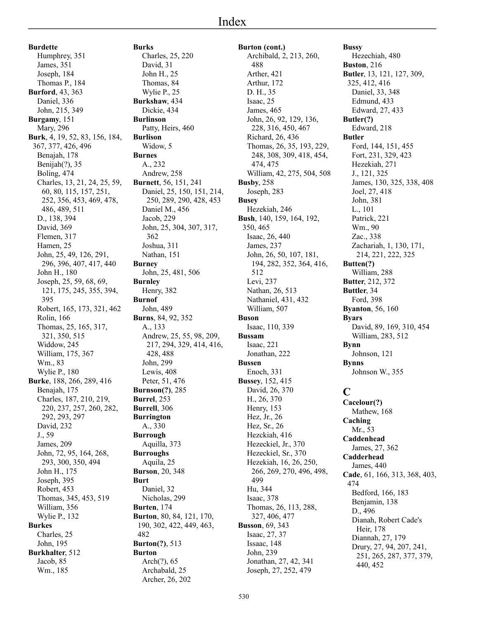**Burdette** Humphrey, 351 James, 351 Joseph, 184 Thomas P., 184 **Burford**, 43, 363 Daniel, 336 John, 215, 349 **Burgamy**, 151 Mary, 296 **Burk**, 4, 19, 52, 83, 156, 184, 367, 377, 426, 496 Benajah, 178 Benijah(?), 35 Boling, 474 Charles, 13, 21, 24, 25, 59, 60, 80, 115, 157, 251, 252, 356, 453, 469, 478, 486, 489, 511 D., 138, 394 David, 369 Flemen, 317 Hamen, 25 John, 25, 49, 126, 291, 296, 396, 407, 417, 440 John H., 180 Joseph, 25, 59, 68, 69, 121, 175, 245, 355, 394, 395 Robert, 165, 173, 321, 462 Rolin, 166 Thomas, 25, 165, 317, 321, 350, 515 Widdow, 245 William, 175, 367 Wm., 83 Wylie P., 180 **Burke**, 188, 266, 289, 416 Benajah, 175 Charles, 187, 210, 219, 220, 237, 257, 260, 282, 292, 293, 297 David, 232 J., 59 James, 209 John, 72, 95, 164, 268, 293, 300, 350, 494 John H., 175 Joseph, 395 Robert, 453 Thomas, 345, 453, 519 William, 356 Wylie P., 132 **Burkes** Charles, 25 John, 195 **Burkhalter**, 512 Jacob, 85 Wm., 185

**Burks** Charles, 25, 220 David, 31 John H., 25 Thomas, 84 Wylie P., 25 **Burkshaw**, 434 Dickie, 434 **Burlinson** Patty, Heirs, 460 **Burlison** Widow, 5 **Burnes** A., 232 Andrew, 258 **Burnett**, 56, 151, 241 Daniel, 25, 150, 151, 214, 250, 289, 290, 428, 453 Daniel M., 456 Jacob, 229 John, 25, 304, 307, 317, 362 Joshua, 311 Nathan, 151 **Burney** John, 25, 481, 506 **Burnley** Henry, 382 **Burnof** John, 489 **Burns**, 84, 92, 352 A., 133 Andrew, 25, 55, 98, 209, 217, 294, 329, 414, 416, 428, 488 John, 299 Lewis, 408 Peter, 51, 476 **Burnson(?)**, 285 **Burrel**, 253 **Burrell**, 306 **Burrington** A., 330 **Burrough** Aquilla, 373 **Burroughs** Aquila, 25 **Burson**, 20, 348 **Burt** Daniel, 32 Nicholas, 299 **Burten**, 174 **Burton**, 80, 84, 121, 170, 190, 302, 422, 449, 463, 482 **Burton(?)**, 513 **Burton** Arch(?), 65 Archabald, 25 Archer, 26, 202

**Burton (cont.)** Archibald, 2, 213, 260, 488 Arther, 421 Arthur, 172 D. H., 35 Isaac, 25 James, 465 John, 26, 92, 129, 136, 228, 316, 450, 467 Richard, 26, 436 Thomas, 26, 35, 193, 229, 248, 308, 309, 418, 454, 474, 475 William, 42, 275, 504, 508 **Busby**, 258 Joseph, 283 **Busey** Hezekiah, 246 **Bush**, 140, 159, 164, 192, 350, 465 Isaac, 26, 440 James, 237 John, 26, 50, 107, 181, 194, 282, 352, 364, 416, 512 Levi, 237 Nathan, 26, 513 Nathaniel, 431, 432 William, 507 **Buson** Isaac, 110, 339 **Bussam** Isaac, 221 Jonathan, 222 **Bussen** Enoch, 331 **Bussey**, 152, 415 David, 26, 370 H., 26, 370 Henry, 153 Hez, Jr., 26 Hez, Sr., 26 Hezckiah, 416 Hezeckiel, Jr., 370 Hezeckiel, Sr., 370 Hezekiah, 16, 26, 250, 266, 269, 270, 496, 498, 499 Hu, 344 Isaac, 378 Thomas, 26, 113, 288, 327, 406, 477 **Busson**, 69, 343 Isaac, 27, 37 Issaac, 148 John, 239 Jonathan, 27, 42, 341 Joseph, 27, 252, 479

**Bussy** Hezechiah, 480 **Buston**, 216 **Butler**, 13, 121, 127, 309, 325, 412, 416 Daniel, 33, 348 Edmund, 433 Edward, 27, 433 **Butler(?)** Edward, 218 **Butler** Ford, 144, 151, 455 Fort, 231, 329, 423 Hezekiah, 271 J., 121, 325 James, 130, 325, 338, 408 Joel, 27, 418 John, 381 L., 101 Patrick, 221 Wm., 90 Zac., 338 Zachariah, 1, 130, 171, 214, 221, 222, 325 **Butten(?)** William, 288 **Butter**, 212, 372 **Buttler**, 34 Ford, 398 **Byanton**, 56, 160 **Byars** David, 89, 169, 310, 454 William, 283, 512 **Bynn** Johnson, 121 **Bynns** Johnson W., 355 **C** Mathew, 168 Mr., 53 James, 27, 362

**Cacelour(?) Caching Caddenhead Cadderhead** James, 440 **Cade**, 61, 166, 313, 368, 403, 474 Bedford, 166, 183 Benjamin, 138 D., 496 Dianah, Robert Cade's Heir, 178 Diannah, 27, 179 Drury, 27, 94, 207, 241, 251, 265, 287, 377, 379, 440, 452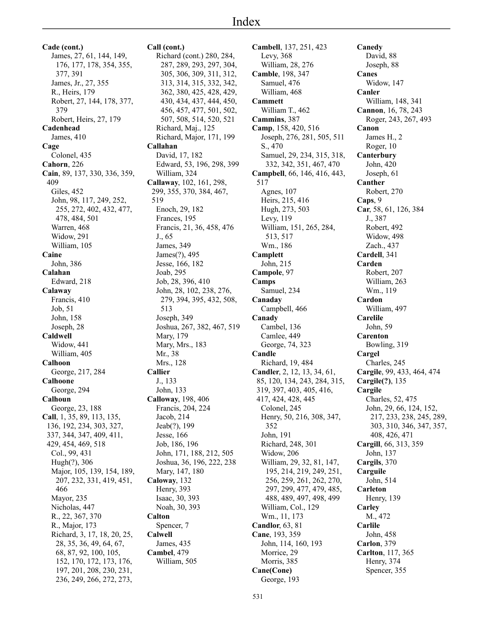**Cade (cont.)** James, 27, 61, 144, 149, 176, 177, 178, 354, 355, 377, 391 James, Jr., 27, 355 R., Heirs, 179 Robert, 27, 144, 178, 377, 379 Robert, Heirs, 27, 179 **Cadenhead** James, 410 **Cage** Colonel, 435 **Cahorn**, 226 **Cain**, 89, 137, 330, 336, 359, 409 Giles, 452 John, 98, 117, 249, 252, 255, 272, 402, 432, 477, 478, 484, 501 Warren, 468 Widow, 291 William, 105 **Caine** John, 386 **Calahan** Edward, 218 **Calaway** Francis, 410 Job, 51 John, 158 Joseph, 28 **Caldwell** Widow, 441 William, 405 **Calhoon** George, 217, 284 **Calhoone** George, 294 **Calhoun** George, 23, 188 **Call**, 1, 35, 89, 113, 135, 136, 192, 234, 303, 327, 337, 344, 347, 409, 411, 429, 454, 469, 518 Col., 99, 431 Hugh(?), 306 Major, 105, 139, 154, 189, 207, 232, 331, 419, 451, 466 Mayor, 235 Nicholas, 447 R., 22, 367, 370 R., Major, 173 Richard, 3, 17, 18, 20, 25, 28, 35, 36, 49, 64, 67, 68, 87, 92, 100, 105, 152, 170, 172, 173, 176, 197, 201, 208, 230, 231, 236, 249, 266, 272, 273,

**Call (cont.)** Richard (cont.) 280, 284, 287, 289, 293, 297, 304, 305, 306, 309, 311, 312, 313, 314, 315, 332, 342, 362, 380, 425, 428, 429, 430, 434, 437, 444, 450, 456, 457, 477, 501, 502, 507, 508, 514, 520, 521 Richard, Maj., 125 Richard, Major, 171, 199 **Callahan** David, 17, 182 Edward, 53, 196, 298, 399 William, 324 **Callaway**, 102, 161, 298, 299, 355, 370, 384, 467, 519 Enoch, 29, 182 Frances, 195 Francis, 21, 36, 458, 476 J., 65 James, 349 James(?), 495 Jesse, 166, 182 Joab, 295 Job, 28, 396, 410 John, 28, 102, 238, 276, 279, 394, 395, 432, 508, 513 Joseph, 349 Joshua, 267, 382, 467, 519 Mary, 179 Mary, Mrs., 183 Mr., 38 Mrs., 128 **Callier** J., 133 John, 133 **Calloway**, 198, 406 Francis, 204, 224 Jacob, 214 Jeab(?), 199 Jesse, 166 Job, 186, 196 John, 171, 188, 212, 505 Joshua, 36, 196, 222, 238 Mary, 147, 180 **Caloway**, 132 Henry, 393 Isaac, 30, 393 Noah, 30, 393 **Calton** Spencer, 7 **Calwell** James, 435 **Cambel**, 479 William, 505

**Cambell**, 137, 251, 423 Levy, 368 William, 28, 276 **Camble**, 198, 347 Samuel, 476 William, 468 **Cammett** William T., 462 **Cammins**, 387 **Camp**, 158, 420, 516 Joseph, 276, 281, 505, 511 S., 470 Samuel, 29, 234, 315, 318, 332, 342, 351, 467, 470 **Campbell**, 66, 146, 416, 443, 517 Agnes, 107 Heirs, 215, 416 Hugh, 273, 503 Levy, 119 William, 151, 265, 284, 513, 517 Wm., 186 **Camplett** John, 215 **Campole**, 97 **Camps** Samuel, 234 **Canaday** Campbell, 466 **Canady** Cambel, 136 Camlee, 449 George, 74, 323 **Candle** Richard, 19, 484 **Candler**, 2, 12, 13, 34, 61, 85, 120, 134, 243, 284, 315, 319, 397, 403, 405, 416, 417, 424, 428, 445 Colonel, 245 Henry, 50, 216, 308, 347, 352 John, 191 Richard, 248, 301 Widow, 206 William, 29, 32, 81, 147, 195, 214, 219, 249, 251, 256, 259, 261, 262, 270, 297, 299, 477, 479, 485, 488, 489, 497, 498, 499 William, Col., 129 Wm., 11, 173 **Candlor**, 63, 81 **Cane**, 193, 359 John, 114, 160, 193 Morrice, 29 Morris, 385 **Cane(Cone)** George, 193

**Canedy** David, 88 Joseph, 88 **Canes** Widow, 147 **Canler** William, 148, 341 **Cannon**, 16, 78, 243 Roger, 243, 267, 493 **Canon** James H., 2 Roger, 10 **Canterbury** John, 420 Joseph, 61 **Canther** Robert, 270 **Caps**, 9 **Car**, 58, 61, 126, 384 J., 387 Robert, 492 Widow, 498 Zach., 437 **Cardell**, 341 **Carden** Robert, 207 William, 263 Wm., 119 **Cardon** William, 497 **Carelile** John, 59 **Carenton** Bowling, 319 **Cargel** Charles, 245 **Cargile**, 99, 433, 464, 474 **Cargile(?)**, 135 **Cargile** Charles, 52, 475 John, 29, 66, 124, 152, 217, 233, 238, 245, 289, 303, 310, 346, 347, 357, 408, 426, 471 **Cargill**, 66, 313, 359 John, 137 **Cargils**, 370 **Carguile** John, 514 **Carleton** Henry, 139 **Carley** M., 472 **Carlile** John, 458 **Carlon**, 379 **Carlton**, 117, 365 Henry, 374 Spencer, 355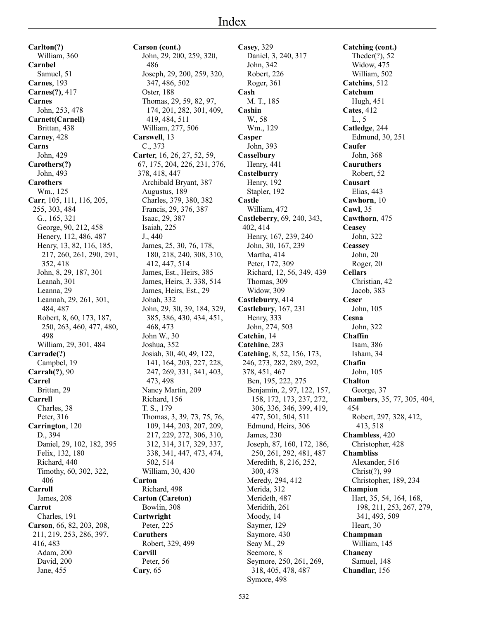**Carlton(?)** William, 360 **Carnbel** Samuel, 51 **Carnes**, 193 **Carnes(?)**, 417 **Carnes** John, 253, 478 **Carnett(Carnell)** Brittan, 438 **Carney**, 428 **Carns** John, 429 **Carothers(?)** John, 493 **Carothers** Wm., 125 **Carr**, 105, 111, 116, 205, 255, 303, 484 G., 165, 321 George, 90, 212, 458 Henery, 112, 486, 487 Henry, 13, 82, 116, 185, 217, 260, 261, 290, 291, 352, 418 John, 8, 29, 187, 301 Leanah, 301 Leanna, 29 Leannah, 29, 261, 301, 484, 487 Robert, 8, 60, 173, 187, 250, 263, 460, 477, 480, 498 William, 29, 301, 484 **Carrade(?)** Campbel, 19 **Carrah(?)**, 90 **Carrel** Brittan, 29 **Carrell** Charles, 38 Peter, 316 **Carrington**, 120 D., 394 Daniel, 29, 102, 182, 395 Felix, 132, 180 Richard, 440 Timothy, 60, 302, 322, 406 **Carroll** James, 208 **Carrot** Charles, 191 **Carson**, 66, 82, 203, 208, 211, 219, 253, 286, 397, 416, 483 Adam, 200 David, 200 Jane, 455

**Carson (cont.)** John, 29, 200, 259, 320, 486 Joseph, 29, 200, 259, 320, 347, 486, 502 Oster, 188 Thomas, 29, 59, 82, 97, 174, 201, 282, 301, 409, 419, 484, 511 William, 277, 506 **Carswell**, 13 C., 373 **Carter**, 16, 26, 27, 52, 59, 67, 175, 204, 226, 231, 376, 378, 418, 447 Archibald Bryant, 387 Augustus, 189 Charles, 379, 380, 382 Francis, 29, 376, 387 Isaac, 29, 387 Isaiah, 225 J., 440 James, 25, 30, 76, 178, 180, 218, 240, 308, 310, 412, 447, 514 James, Est., Heirs, 385 James, Heirs, 3, 338, 514 James, Heirs, Est., 29 Johah, 332 John, 29, 30, 39, 184, 329, 385, 386, 430, 434, 451, 468, 473 John W., 30 Joshua, 352 Josiah, 30, 40, 49, 122, 141, 164, 203, 227, 228, 247, 269, 331, 341, 403, 473, 498 Nancy Martin, 209 Richard, 156 T. S., 179 Thomas, 3, 39, 73, 75, 76, 109, 144, 203, 207, 209, 217, 229, 272, 306, 310, 312, 314, 317, 329, 337, 338, 341, 447, 473, 474, 502, 514 William, 30, 430 **Carton** Richard, 498 **Carton (Careton)** Bowlin, 308 **Cartwright** Peter, 225 **Caruthers** Robert, 329, 499 **Carvill** Peter, 56 **Cary**, 65

**Casey**, 329 Daniel, 3, 240, 317 John, 342 Robert, 226 Roger, 361 **Cash** M. T., 185 **Cashin** W., 58 Wm., 129 **Casper** John, 393 **Casselbury** Henry, 441 **Castelburry** Henry, 192 Stapler, 192 **Castle** William, 472 **Castleberry**, 69, 240, 343, 402, 414 Henry, 167, 239, 240 John, 30, 167, 239 Martha, 414 Peter, 172, 309 Richard, 12, 56, 349, 439 Thomas, 309 Widow, 309 **Castleburry**, 414 **Castlebury**, 167, 231 Henry, 333 John, 274, 503 **Catchin**, 14 **Catchine**, 283 **Catching**, 8, 52, 156, 173, 246, 273, 282, 289, 292, 378, 451, 467 Ben, 195, 222, 275 Benjamin, 2, 97, 122, 157, 158, 172, 173, 237, 272, 306, 336, 346, 399, 419, 477, 501, 504, 511 Edmund, Heirs, 306 James, 230 Joseph, 87, 160, 172, 186, 250, 261, 292, 481, 487 Meredith, 8, 216, 252, 300, 478 Meredy, 294, 412 Merida, 312 Merideth, 487 Meridith, 261 Moody, 14 Saymer, 129 Saymore, 430 Seay M., 29 Seemore, 8 Seymore, 250, 261, 269, 318, 405, 478, 487

**Catching (cont.)** Theder(?), 52 Widow, 475 William, 502 **Catchins**, 512 **Catchum** Hugh, 451 **Cates**, 412 L., 5 **Catledge**, 244 Edmund, 30, 251 **Caufer** John, 368 **Cauruthers** Robert, 52 **Causart** Elias, 443 **Cawhorn**, 10 **Cawl**, 35 **Cawthorn**, 475 **Ceasey** John, 322 **Ceassey** John, 20 Roger, 20 **Cellars** Christian, 42 Jacob, 383 **Ceser** John, 105 **Cesna** John, 322 **Chaffin** Isam, 386 Isham, 34 **Chafin** John, 105 **Chalton** George, 37 **Chambers**, 35, 77, 305, 404, 454 Robert, 297, 328, 412, 413, 518 **Chambless**, 420 Christopher, 428 **Chambliss** Alexander, 516 Christ(?), 99 Christopher, 189, 234 **Champion** Hart, 35, 54, 164, 168, 198, 211, 253, 267, 279, 341, 493, 509 Heart, 30 **Champman** William, 145 **Chancay** Samuel, 148 **Chandlar**, 156

Symore, 498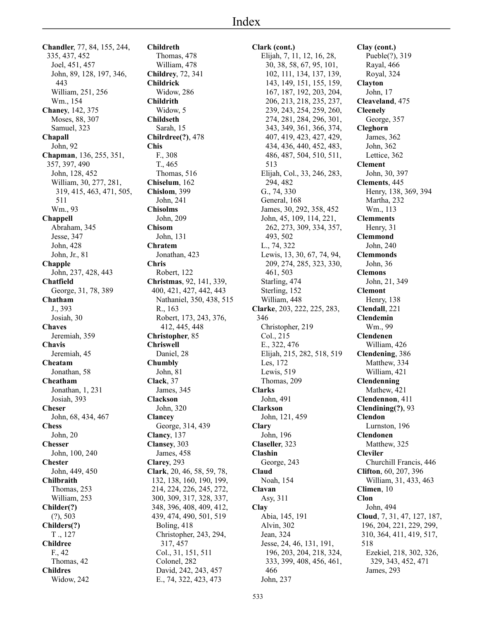**Chandler**, 77, 84, 155, 244, 335, 437, 452 Joel, 451, 457 John, 89, 128, 197, 346, 443 William, 251, 256 Wm., 154 **Chaney**, 142, 375 Moses, 88, 307 Samuel, 323 **Chapall** John, 92 **Chapman**, 136, 255, 351, 357, 397, 490 John, 128, 452 William, 30, 277, 281, 319, 415, 463, 471, 505, 511 Wm., 93 **Chappell** Abraham, 345 Jesse, 347 John, 428 John, Jr., 81 **Chapple** John, 237, 428, 443 **Chatfield** George, 31, 78, 389 **Chatham** J., 393 Josiah, 30 **Chaves** Jeremiah, 359 **Chavis** Jeremiah, 45 **Cheatam** Jonathan, 58 **Cheatham** Jonathan, 1, 231 Josiah, 393 **Cheser** John, 68, 434, 467 **Chess** John, 20 **Chesser** John, 100, 240 **Chester** John, 449, 450 **Chilbraith** Thomas, 253 William, 253 **Childer(?)** (?), 503 **Childers(?)** T ., 127 **Childree** F., 42 Thomas, 42 **Childres**

Widow, 242

**Childreth** Thomas, 478 William, 478 **Childrey**, 72, 341 **Childrick** Widow, 286 **Childrith** Widow, 5 **Childseth** Sarah, 15 **Chilrdree(?)**, 478 **Chis** F., 308 T., 465 Thomas, 516 **Chiselum**, 162 **Chislom**, 399 John, 241 **Chisolms** John, 209 **Chisom** John, 131 **Chratem** Jonathan, 423 **Chris** Robert, 122 **Christmas**, 92, 141, 339, 400, 421, 427, 442, 443 Nathaniel, 350, 438, 515 R., 163 Robert, 173, 243, 376, 412, 445, 448 **Christopher**, 85 **Chriswell** Daniel, 28 **Chumbly** John, 81 **Clack**, 37 James, 345 **Clackson** John, 320 **Clancey** George, 314, 439 **Clancy**, 137 **Clansey**, 303 James, 458 **Clarey**, 293 **Clark**, 20, 46, 58, 59, 78, 132, 138, 160, 190, 199, 214, 224, 226, 245, 272, 300, 309, 317, 328, 337, 348, 396, 408, 409, 412, 439, 474, 490, 501, 519 Boling, 418 Christopher, 243, 294, 317, 457 Col., 31, 151, 511 Colonel, 282 David, 242, 243, 457 E., 74, 322, 423, 473

## **Clark (cont.)** Elijah, 7, 11, 12, 16, 28, 30, 38, 58, 67, 95, 101, 102, 111, 134, 137, 139, 143, 149, 151, 155, 159, 167, 187, 192, 203, 204, 206, 213, 218, 235, 237, 239, 243, 254, 259, 260, 274, 281, 284, 296, 301, 343, 349, 361, 366, 374, 407, 419, 423, 427, 429, 434, 436, 440, 452, 483, 486, 487, 504, 510, 511, 513 Elijah, Col., 33, 246, 283, 294, 482 G., 74, 330 General, 168 James, 30, 292, 358, 452 John, 45, 109, 114, 221, 262, 273, 309, 334, 357, 493, 502 L., 74, 322 Lewis, 13, 30, 67, 74, 94, 209, 274, 285, 323, 330, 461, 503 Starling, 474 Sterling, 152 William, 448 **Clarke**, 203, 222, 225, 283, 346 Christopher, 219 Col., 215 E., 322, 476 Elijah, 215, 282, 518, 519 Les, 172 Lewis, 519 Thomas, 209 **Clarks** John, 491 **Clarkson** John, 121, 459 **Clary** John, 196 **Claseller**, 323 **Clashin** George, 243 **Claud** Noah, 154 **Clavan** Asy, 311 **Clay** Abia, 145, 191 Alvin, 302 Jean, 324 Jesse, 24, 46, 131, 191, 196, 203, 204, 218, 324, 333, 399, 408, 456, 461, 466 John, 237

**Clay (cont.)** Pueble(?), 319 Rayal, 466 Royal, 324 **Clayton** John, 17 **Cleaveland**, 475 **Cleenely** George, 357 **Cleghorn** James, 362 John, 362 Lettice, 362 **Clement** John, 30, 397 **Clements**, 445 Henry, 138, 369, 394 Martha, 232 Wm., 113 **Clemments** Henry, 31 **Clemmond** John, 240 **Clemmonds** John, 36 **Clemons** John, 21, 349 **Clemont** Henry, 138 **Clendall**, 221 **Clendemin** Wm., 99 **Clendenen** William, 426 **Clendening**, 386 Matthew, 334 William, 421 **Clendenning** Mathew, 421 **Clendennon**, 411 **Clendining(?)**, 93 **Clendon** Lurnston, 196 **Clendonen** Matthew, 325 **Cleviler** Churchill Francis, 446 **Clifton**, 60, 207, 396 William, 31, 433, 463 **Climen**, 10 **Clon** John, 494 **Cloud**, 7, 31, 47, 127, 187, 196, 204, 221, 229, 299, 310, 364, 411, 419, 517, 518 Ezekiel, 218, 302, 326, 329, 343, 452, 471 James, 293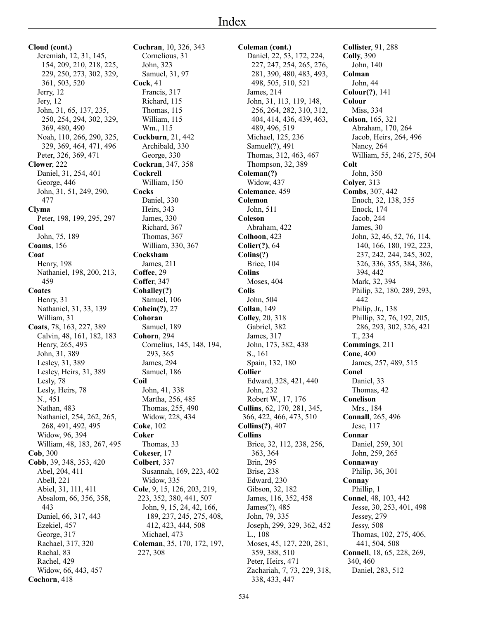**Cloud (cont.)** Jeremiah, 12, 31, 145, 154, 209, 210, 218, 225, 229, 250, 273, 302, 329, 361, 503, 520 Jerry, 12 Jery, 12 John, 31, 65, 137, 235, 250, 254, 294, 302, 329, 369, 480, 490 Noah, 110, 266, 290, 325, 329, 369, 464, 471, 496 Peter, 326, 369, 471 **Clower**, 222 Daniel, 31, 254, 401 George, 446 John, 31, 51, 249, 290, 477 **Clyma** Peter, 198, 199, 295, 297 **Coal** John, 75, 189 **Coams**, 156 **Coat** Henry, 198 Nathaniel, 198, 200, 213, 459 **Coates** Henry, 31 Nathaniel, 31, 33, 139 William, 31 **Coats**, 78, 163, 227, 389 Calvin, 48, 161, 182, 183 Henry, 265, 493 John, 31, 389 Lesley, 31, 389 Lesley, Heirs, 31, 389 Lesly, 78 Lesly, Heirs, 78 N., 451 Nathan, 483 Nathaniel, 254, 262, 265, 268, 491, 492, 495 Widow, 96, 394 William, 48, 183, 267, 495 **Cob**, 300 **Cobb**, 39, 348, 353, 420 Abel, 204, 411 Abell, 221 Abiel, 31, 111, 411 Absalom, 66, 356, 358, 443 Daniel, 66, 317, 443 Ezekiel, 457 George, 317 Rachael, 317, 320 Rachal, 83 Rachel, 429 Widow, 66, 443, 457 **Cochran**, 10, 326, 343 **Cock**, 41 **Cockburn**, 21, 442 **Cockran**, 347, 358

**Cochorn**, 418

**Cockrell** William, 150 **Cocks** Daniel, 330 Heirs, 343 James, 330 Richard, 367 Thomas, 367 William, 330, 367 **Cocksham** James, 211 **Coffee**, 29 **Coffer**, 347 **Cohalley(?)** Samuel, 106 **Cohein(?)**, 27 **Cohoran** Samuel, 189 **Cohorn**, 294 Cornelius, 145, 148, 194, 293, 365 James, 294 Samuel, 186 **Coil** John, 41, 338 Martha, 256, 485 Thomas, 255, 490 Widow, 228, 434 **Coke**, 102 **Coker** Thomas, 33 **Cokeser**, 17 **Colbert**, 337 Susannah, 169, 223, 402 Widow, 335 **Cole**, 9, 15, 126, 203, 219, 223, 352, 380, 441, 507 John, 9, 15, 24, 42, 166, 189, 237, 245, 275, 408, 412, 423, 444, 508 Michael, 473 **Coleman**, 35, 170, 172, 197, 227, 308

Cornelious, 31 John, 323 Samuel, 31, 97

Francis, 317 Richard, 115 Thomas, 115 William, 115 Wm., 115

Archibald, 330 George, 330

**Coleman (cont.)** Daniel, 22, 53, 172, 224, 227, 247, 254, 265, 276, 281, 390, 480, 483, 493, 498, 505, 510, 521 James, 214 John, 31, 113, 119, 148, 256, 264, 282, 310, 312, 404, 414, 436, 439, 463, 489, 496, 519 Michael, 125, 236 Samuel(?), 491 Thomas, 312, 463, 467 Thompson, 32, 389 **Coleman(?)** Widow, 437 **Colemance**, 459 **Colemon** John, 511 **Coleson** Abraham, 422 **Colhoon**, 423 **Colier(?)**, 64 **Colins(?)** Brice, 104 **Colins** Moses, 404 **Colis** John, 504 **Collan**, 149 **Colley**, 20, 318 Gabriel, 382 James, 317 John, 173, 382, 438 S., 161 Spain, 132, 180 **Collier** Edward, 328, 421, 440 John, 232 Robert W., 17, 176 **Collins**, 62, 170, 281, 345, 366, 422, 466, 473, 510 **Collins(?)**, 407 **Collins** Brice, 32, 112, 238, 256, 363, 364 Brin, 295 Brise, 238 Edward, 230 Gibson, 32, 182 James, 116, 352, 458 James(?), 485 John, 79, 335 Joseph, 299, 329, 362, 452 L., 108 Moses, 45, 127, 220, 281, 359, 388, 510 Peter, Heirs, 471 Zachariah, 7, 73, 229, 318, 338, 433, 447

**Collister**, 91, 288 **Colly**, 390 John, 140 **Colman** John, 44 **Colour(?)**, 141 **Colour** Miss, 334 **Colson**, 165, 321 Abraham, 170, 264 Jacob, Heirs, 264, 496 Nancy, 264 William, 55, 246, 275, 504 **Colt** John, 350 **Colyer**, 313 **Combs**, 307, 442 Enoch, 32, 138, 355 Enock, 174 Jacob, 244 James, 30 John, 32, 46, 52, 76, 114, 140, 166, 180, 192, 223, 237, 242, 244, 245, 302, 326, 336, 355, 384, 386, 394, 442 Mark, 32, 394 Philip, 32, 180, 289, 293, 442 Philip, Jr., 138 Phillip, 32, 76, 192, 205, 286, 293, 302, 326, 421 T., 234 **Commings**, 211 **Cone**, 400 James, 257, 489, 515 **Conel** Daniel, 33 Thomas, 42 **Conelison** Mrs., 184 **Connall**, 265, 496 Jese, 117 **Connar** Daniel, 259, 301 John, 259, 265 **Connaway** Philip, 36, 301 **Connay** Phillip, 1 **Connel**, 48, 103, 442 Jesse, 30, 253, 401, 498 Jessey, 279 Jessy, 508 Thomas, 102, 275, 406, 441, 504, 508 **Connell**, 18, 65, 228, 269, 340, 460 Daniel, 283, 512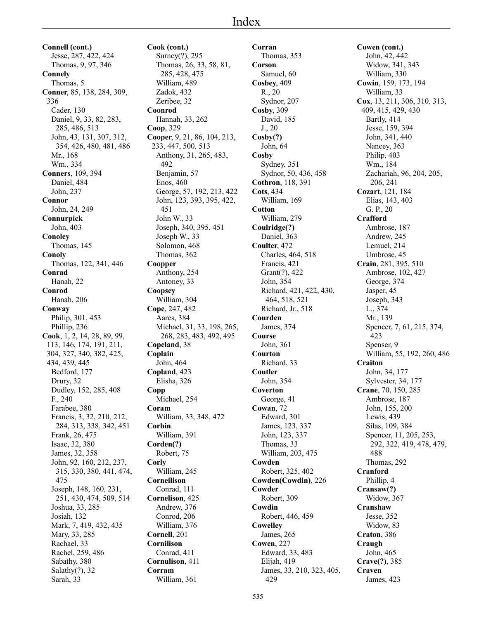**Connell (cont.)** Jesse, 287, 422, 424 Thomas, 9, 97, 346 **Connely** Thomas, 5 **Conner**, 85, 138, 284, 309, 336 Cader, 130 Daniel, 9, 33, 82, 283, 285, 486, 513 John, 43, 131, 307, 312, 354, 426, 480, 481, 486 Mr., 168 Wm., 334 **Conners**, 109, 394 Daniel, 484 John, 237 **Connor** John, 24, 249 **Connurpick** John, 403 **Conoley** Thomas, 145 **Conoly** Thomas, 122, 341, 446 **Conrad** Hanah, 22 **Conrod** Hanah, 206 **Conway** Philip, 301, 453 Phillip, 236 **Cook**, 1, 2, 14, 28, 89, 99, 113, 146, 174, 191, 211, 304, 327, 340, 382, 425, 434, 439, 445 Bedford, 177 Drury, 32 Dudley, 152, 285, 408 F., 240 Farabee, 380 Francis, 3, 32, 210, 212, 284, 313, 338, 342, 451 Frank, 26, 475 Isaac, 32, 380 James, 32, 358 John, 92, 160, 212, 237, 315, 330, 380, 441, 474, 475 Joseph, 148, 160, 231, 251, 430, 474, 509, 514 Joshua, 33, 285 Josiah, 132 Mark, 7, 419, 432, 435 Mary, 33, 285 Rachael, 33 Rachel, 259, 486 Sabathy, 380 Salathy(?), 32 Sarah, 33

**Cook (cont.)** Surney(?), 295 Thomas, 26, 33, 58, 81, 285, 428, 475 William, 489 Zadok, 432 Zeribee, 32 **Coonrod** Hannah, 33, 262 **Coop**, 329 **Cooper**, 9, 21, 86, 104, 213, 233, 447, 500, 513 Anthony, 31, 265, 483, 492 Benjamin, 57 Enos, 460 George, 57, 192, 213, 422 John, 123, 393, 395, 422, 451 John W., 33 Joseph, 340, 395, 451 Joseph W., 33 Solomon, 468 Thomas, 362 **Coopper** Anthony, 254 Antoney, 33 **Coopsey** William, 304 **Cope**, 247, 482 Aares, 384 Michael, 31, 33, 198, 265, 268, 283, 483, 492, 495 **Copeland**, 38 **Coplain** John, 464 **Copland**, 423 Elisha, 326 **Copp** Michael, 254 **Coram** William, 33, 348, 472 **Corbin** William, 391 **Corden(?)** Robert, 75 **Corly** William, 245 **Corneilison** Conrad, 111 **Cornelison**, 425 Andrew, 376 Conrod, 206 William, 376 **Cornell**, 201 **Cornilison** Conrad, 411 **Cornulison**, 411 **Corram** William, 361

**Corran** Thomas, 353 **Corson** Samuel, 60 **Cosbey**, 409 R., 20 Sydnor, 207 **Cosby**, 309 David, 185 J., 20 **Cosby(?)** John, 64 **Cosby** Sydney, 351 Sydnor, 50, 436, 458 **Cothron**, 118, 391 **Cots**, 434 William, 169 **Cotton** William, 279 **Coulridge(?)** Daniel, 363 **Coulter**, 472 Charles, 464, 518 Francis, 421 Grant(?), 422 John, 354 Richard, 421, 422, 430, 464, 518, 521 Richard, Jr., 518 **Courden** James, 374 **Course** John, 361 **Courton** Richard, 33 **Coutler** John, 354 **Coverton** George, 41 **Cowan**, 72 Edward, 301 James, 123, 337 John, 123, 337 Thomas, 33 William, 203, 475 **Cowden** Robert, 325, 402 **Cowden(Cowdin)**, 226 **Cowder** Robert, 309 **Cowdin** Robert, 446, 459 **Cowelley** James, 265 **Cowen**, 227 Edward, 33, 483 Elijah, 419 James, 33, 210, 323, 405, 429

**Cowen (cont.)** John, 42, 442 Widow, 341, 343 William, 330 **Cowin**, 159, 173, 194 William, 33 **Cox**, 13, 211, 306, 310, 313, 409, 415, 429, 430 Bartly, 414 Jesse, 159, 394 John, 341, 440 Nancey, 363 Philip, 403 Wm., 184 Zachariah, 96, 204, 205, 206, 241 **Cozart**, 121, 184 Elias, 143, 403 G. P., 20 **Crafford** Ambrose, 187 Andrew, 245 Lemuel, 214 Umbrose, 45 **Crain**, 281, 395, 510 Ambrose, 102, 427 George, 374 Jasper, 45 Joseph, 343 L., 374 Mr., 139 Spencer, 7, 61, 215, 374, 423 Spenser, 9 William, 55, 192, 260, 486 **Craiton** John, 34, 177 Sylvester, 34, 177 **Crane**, 70, 150, 285 Ambrose, 187 John, 155, 200 Lewis, 439 Silas, 109, 384 Spencer, 11, 205, 253, 292, 322, 419, 478, 479, 488 Thomas, 292 **Cranford** Phillip, 4 **Cransaw(?)** Widow, 367 **Cranshaw** Jesse, 352 Widow, 83 **Craton**, 386 **Craugh** John, 465 **Crave(?)**, 385 **Craven** James, 423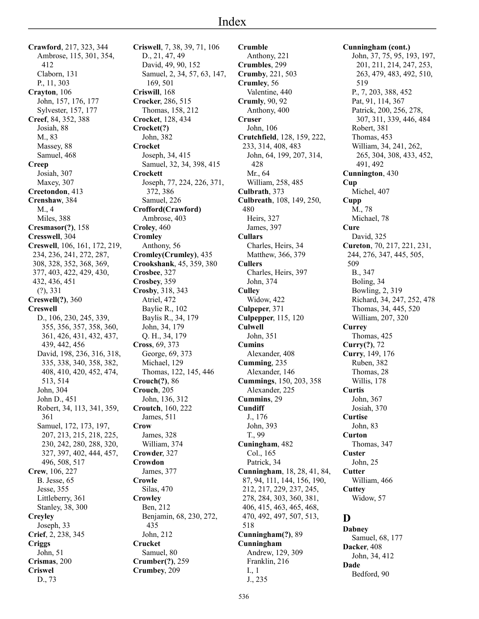**Crawford**, 217, 323, 344 Ambrose, 115, 301, 354, 412 Claborn, 131 P., 11, 303 **Crayton**, 106 John, 157, 176, 177 Sylvester, 157, 177 **Creef**, 84, 352, 388 Josiah, 88 M., 83 Massey, 88 Samuel, 468 **Creep** Josiah, 307 Maxey, 307 **Creetondon**, 413 **Crenshaw**, 384 M., 4 Miles, 388 **Cresmasor(?)**, 158 **Cresswell**, 304 **Creswell**, 106, 161, 172, 219, 234, 236, 241, 272, 287, 308, 328, 352, 368, 369, 377, 403, 422, 429, 430, 432, 436, 451 (?), 331 **Creswell(?)**, 360 **Creswell** D., 106, 230, 245, 339, 355, 356, 357, 358, 360, 361, 426, 431, 432, 437, 439, 442, 456 David, 198, 236, 316, 318, 335, 338, 340, 358, 382, 408, 410, 420, 452, 474, 513, 514 John, 304 John D., 451 Robert, 34, 113, 341, 359, 361 Samuel, 172, 173, 197, 207, 213, 215, 218, 225, 230, 242, 280, 288, 320, 327, 397, 402, 444, 457, 496, 508, 517 **Crew**, 106, 227 B. Jesse, 65 Jesse, 355 Littleberry, 361 Stanley, 38, 300 **Creyley** Joseph, 33 **Crief**, 2, 238, 345 **Criggs** John, 51 **Crismas**, 200 **Criswel**

D., 73

**Criswell**, 7, 38, 39, 71, 106 D., 21, 47, 49 David, 49, 90, 152 Samuel, 2, 34, 57, 63, 147, 169, 501 **Criswill**, 168 **Crocker**, 286, 515 Thomas, 158, 212 **Crocket**, 128, 434 **Crocket(?)** John, 382 **Crocket** Joseph, 34, 415 Samuel, 32, 34, 398, 415 **Crockett** Joseph, 77, 224, 226, 371, 372, 386 Samuel, 226 **Crofford(Crawford)** Ambrose, 403 **Croley**, 460 **Cromley** Anthony, 56 **Cromley(Crumley)**, 435 **Crookshank**, 45, 359, 380 **Crosbee**, 327 **Crosbey**, 359 **Crosby**, 318, 343 Atriel, 472 Baylie R., 102 Baylis R., 34, 179 John, 34, 179 Q. H., 34, 179 **Cross**, 69, 373 George, 69, 373 Michael, 129 Thomas, 122, 145, 446 **Crouch(?)**, 86 **Crouch**, 205 John, 136, 312 **Croutch**, 160, 222 James, 511 **Crow** James, 328 William, 374 **Crowder**, 327 **Crowdon** James, 377 **Crowle** Silas, 470 **Crowley** Ben, 212 Benjamin, 68, 230, 272, 435 John, 212 **Crucket** Samuel, 80 **Crumber(?)**, 259 **Crumbey**, 209

**Crumble** Anthony, 221 **Crumbles**, 299 **Crumby**, 221, 503 **Crumley**, 56 Valentine, 440 **Crumly**, 90, 92 Anthony, 400 **Cruser** John, 106 **Crutchfield**, 128, 159, 222, 233, 314, 408, 483 John, 64, 199, 207, 314, 428 Mr., 64 William, 258, 485 **Culbrath**, 373 **Culbreath**, 108, 149, 250, 480 Heirs, 327 James, 397 **Cullars** Charles, Heirs, 34 Matthew, 366, 379 **Cullers** Charles, Heirs, 397 John, 374 **Culley** Widow, 422 **Culpeper**, 371 **Culpepper**, 115, 120 **Culwell** John, 351 **Cumins** Alexander, 408 **Cumming**, 235 Alexander, 146 **Cummings**, 150, 203, 358 Alexander, 225 **Cummins**, 29 **Cundiff** J., 176 John, 393 T., 99 **Cuningham**, 482 Col., 165 Patrick, 34 **Cunningham**, 18, 28, 41, 84, 87, 94, 111, 144, 156, 190, 212, 217, 229, 237, 245, 278, 284, 303, 360, 381, 406, 415, 463, 465, 468, 470, 492, 497, 507, 513, 518 **Cunningham(?)**, 89 **Cunningham** Andrew, 129, 309 Franklin, 216 I., 1 J., 235

**Cunningham (cont.)** John, 37, 75, 95, 193, 197, 201, 211, 214, 247, 253, 263, 479, 483, 492, 510, 519 P., 7, 203, 388, 452 Pat, 91, 114, 367 Patrick, 200, 256, 278, 307, 311, 339, 446, 484 Robert, 381 Thomas, 453 William, 34, 241, 262, 265, 304, 308, 433, 452, 491, 492 **Cunnington**, 430 **Cup** Michel, 407 **Cupp** M., 78 Michael, 78 **Cure** David, 325 **Cureton**, 70, 217, 221, 231, 244, 276, 347, 445, 505, 509 B., 347 Boling, 34 Bowling, 2, 319 Richard, 34, 247, 252, 478 Thomas, 34, 445, 520 William, 207, 320 **Currey** Thomas, 425 **Curry(?)**, 72 **Curry**, 149, 176 Ruben, 382 Thomas, 28 Willis, 178 **Curtis** John, 367 Josiah, 370 **Curtise** John, 83 **Curton** Thomas, 347 **Custer** John, 25 **Cutter** William, 466 **Cuttey** Widow, 57 **D Dabney** Samuel, 68, 177 **Dacker**, 408

John, 34, 412 **Dade** Bedford, 90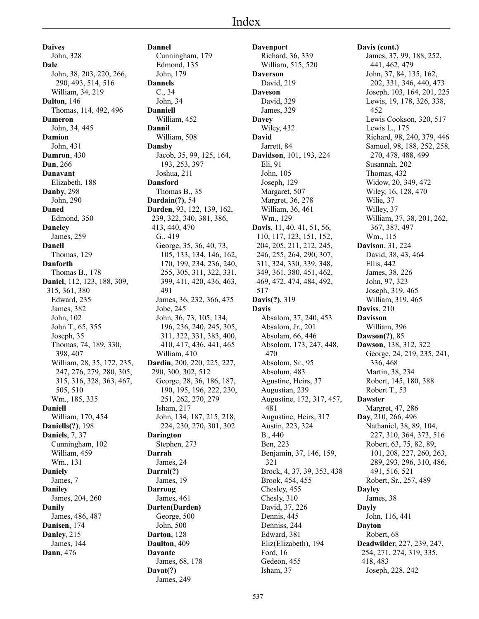**Daives** John, 328 **Dale** John, 38, 203, 220, 266, 290, 493, 514, 516 William, 34, 219 **Dalton**, 146 Thomas, 114, 492, 496 **Dameron** John, 34, 445 **Damion** John, 431 **Damron**, 430 **Dan**, 266 **Danavant** Elizabeth, 188 **Danby**, 298 John, 290 **Daned** Edmond, 350 **Daneley** James, 259 **Danell** Thomas, 129 **Danforth** Thomas B., 178 **Daniel**, 112, 123, 188, 309, 315, 361, 380 Edward, 235 James, 382 John, 102 John T., 65, 355 Joseph, 35 Thomas, 74, 189, 330, 398, 407 William, 28, 35, 172, 235, 247, 276, 279, 280, 305, 315, 316, 328, 363, 467, 505, 510 Wm., 185, 335 **Daniell** William, 170, 454 **Daniells(?)**, 198 **Daniels**, 7, 37 Cunningham, 102 William, 459 Wm., 131 **Daniely** James, 7 **Daniley** James, 204, 260 **Danily** James, 486, 487 **Danisen**, 174 **Danley**, 215 James, 144 **Dann**, 476

**Dannel** Cunningham, 179 Edmond, 135 John, 179 **Dannels** C., 34 John, 34 **Danniell** William, 452 **Dannil** William, 508 **Dansby** Jacob, 35, 99, 125, 164, 193, 253, 397 Joshua, 211 **Dansford** Thomas B., 35 **Dardain(?)**, 54 **Darden**, 93, 122, 139, 162, 239, 322, 340, 381, 386, 413, 440, 470 G., 419 George, 35, 36, 40, 73, 105, 133, 134, 146, 162, 170, 199, 234, 236, 240, 255, 305, 311, 322, 331, 399, 411, 420, 436, 463, 491 James, 36, 232, 366, 475 Jobe, 245 John, 36, 73, 105, 134, 196, 236, 240, 245, 305, 311, 322, 331, 383, 400, 410, 417, 436, 441, 465 William, 410 **Dardin**, 200, 220, 225, 227, 290, 300, 302, 512 George, 28, 36, 186, 187, 190, 195, 196, 222, 230, 251, 262, 270, 279 Isham, 217 John, 134, 187, 215, 218, 224, 230, 270, 301, 302 **Darington** Stephen, 273 **Darrah** James, 24 **Darral(?)** James, 19 **Darroug** James, 461 **Darten(Darden)** George, 500 John, 500 **Darton**, 128 **Daulton**, 409 **Davante** James, 68, 178 **Davat(?)** James, 249

**Davenport** Richard, 36, 339 William, 515, 520 **Daverson** David, 219 **Daveson** David, 329 James, 329 **Davey** Wiley, 432 **David** Jarrett, 84 **Davidson**, 101, 193, 224 Eli, 91 John, 105 Joseph, 129 Margaret, 507 Margret, 36, 278 William, 36, 461 Wm., 129 **Davis**, 11, 40, 41, 51, 56, 110, 117, 123, 151, 152, 204, 205, 211, 212, 245, 246, 255, 264, 290, 307, 311, 324, 330, 339, 348, 349, 361, 380, 451, 462, 469, 472, 474, 484, 492, 517 **Davis(?)**, 319 **Davis** Absalom, 37, 240, 453 Absalom, Jr., 201 Absolam, 66, 446 Absolom, 173, 247, 448, 470 Absolom, Sr., 95 Absolum, 483 Agustine, Heirs, 37 Augustian, 239 Augustine, 172, 317, 457, 481 Augustine, Heirs, 317 Austin, 223, 324 B., 440 Ben, 223 Benjamin, 37, 146, 159, 321 Brock, 4, 37, 39, 353, 438 Brook, 454, 455 Chesley, 455 Chesly, 310 David, 37, 226 Dennis, 445 Denniss, 244 Edward, 381 Eliz(Elizabeth), 194 Ford, 16 Gedeon, 455 Isham, 37

## **Davis (cont.)** James, 37, 99, 188, 252, 441, 462, 479 John, 37, 84, 135, 162, 202, 331, 346, 440, 473 Joseph, 103, 164, 201, 225 Lewis, 19, 178, 326, 338, 452 Lewis Cookson, 320, 517 Lewis L., 175 Richard, 98, 240, 379, 446 Samuel, 98, 188, 252, 258, 270, 478, 488, 499 Susannah, 202 Thomas, 432 Widow, 20, 349, 472 Wiley, 16, 128, 470 Wilie, 37 Willey, 37 William, 37, 38, 201, 262, 367, 387, 497 Wm., 115 **Davison**, 31, 224 David, 38, 43, 464 Ellis, 442 James, 38, 226 John, 97, 323 Joseph, 319, 465 William, 319, 465 **Daviss**, 210 **Davisson** William, 396 **Dawson(?)**, 85 **Dawson**, 138, 312, 322 George, 24, 219, 235, 241, 336, 468 Martin, 38, 234 Robert, 145, 180, 388 Robert T., 53 **Dawster** Margret, 47, 286 **Day**, 210, 266, 496 Nathaniel, 38, 89, 104, 227, 310, 364, 373, 516 Robert, 63, 75, 82, 89, 101, 208, 227, 260, 263, 289, 293, 296, 310, 486, 491, 516, 521 Robert, Sr., 257, 489 **Dayley** James, 38 **Dayly** John, 116, 441 **Dayton** Robert, 68 **Deadwilder**, 227, 239, 247, 254, 271, 274, 319, 335, 418, 483

Joseph, 228, 242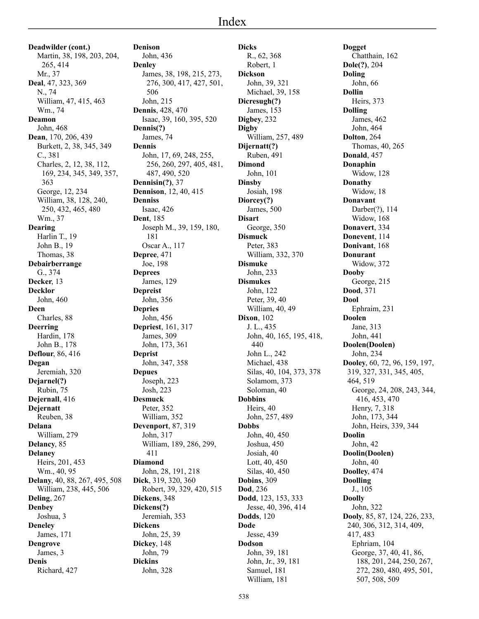**Deadwilder (cont.)** Martin, 38, 198, 203, 204, 265, 414 Mr., 37 **Deal**, 47, 323, 369 N., 74 William, 47, 415, 463 Wm., 74 **Deamon** John, 468 **Dean**, 170, 206, 439 Burkett, 2, 38, 345, 349 C., 381 Charles, 2, 12, 38, 112, 169, 234, 345, 349, 357, 363 George, 12, 234 William, 38, 128, 240, 250, 432, 465, 480 Wm., 37 **Dearing** Harlin T., 19 John B., 19 Thomas, 38 **Debairberrange** G., 374 **Decker**, 13 **Decklor** John, 460 **Deen** Charles, 88 **Deerring** Hardin, 178 John B., 178 **Deflour**, 86, 416 **Degan** Jeremiah, 320 **Dejarnel(?)** Rubin, 75 **Dejernall**, 416 **Dejernatt** Reuben, 38 **Delana** William, 279 **Delancy**, 85 **Delaney** Heirs, 201, 453 Wm., 40, 95 **Delany**, 40, 88, 267, 495, 508 William, 238, 445, 506 **Deling**, 267 **Denbey** Joshua, 3 **Deneley** James, 171 **Dengrove** James, 3 **Denis**

Richard, 427

**Denison** John, 436 **Denley** James, 38, 198, 215, 273, 276, 300, 417, 427, 501, 506 John, 215 **Dennis**, 428, 470 Isaac, 39, 160, 395, 520 **Dennis(?)** James, 74 **Dennis** John, 17, 69, 248, 255, 256, 260, 297, 405, 481, 487, 490, 520 **Dennisin(?)**, 37 **Dennison**, 12, 40, 415 **Denniss** Isaac, 426 **Dent**, 185 Joseph M., 39, 159, 180, 181 Oscar A., 117 **Depree**, 471 Joe, 198 **Deprees** James, 129 **Depreist** John, 356 **Depries** John, 456 **Depriest**, 161, 317 James, 309 John, 173, 361 **Deprist** John, 347, 358 **Depues** Joseph, 223 Josh, 223 **Desmuck** Peter, 352 William, 352 **Devenport**, 87, 319 John, 317 William, 189, 286, 299, 411 **Diamond** John, 28, 191, 218 **Dick**, 319, 320, 360 Robert, 39, 329, 420, 515 **Dickens**, 348 **Dickens(?)** Jeremiah, 353 **Dickens** John, 25, 39 **Dickey**, 148 John, 79 **Dickins** John, 328

**Dicks** R., 62, 368 Robert, 1 **Dickson** John, 39, 321 Michael, 39, 158 **Dicresugh(?)** James, 153 **Digbey**, 232 **Digby** William, 257, 489 **Dijernatt(?)** Ruben, 491 **Dimond** John, 101 **Dinsby** Josiah, 198 **Diorcey(?)** James, 500 **Disart** George, 350 **Dismuck** Peter, 383 William, 332, 370 **Dismuke** John, 233 **Dismukes** John, 122 Peter, 39, 40 William, 40, 49 **Dixon**, 102 J. L., 435 John, 40, 165, 195, 418, 440 John L., 242 Michael, 438 Silas, 40, 104, 373, 378 Solamom, 373 Soloman, 40 **Dobbins** Heirs, 40 John, 257, 489 **Dobbs** John, 40, 450 Joshua, 450 Josiah, 40 Lott, 40, 450 Silas, 40, 450 **Dobins**, 309 **Dod**, 236 **Dodd**, 123, 153, 333 Jesse, 40, 396, 414 **Dodds**, 120 **Dode** Jesse, 439 **Dodson** John, 39, 181 John, Jr., 39, 181 Samuel, 181

**Dogget** Chatthain, 162 **Dole(?)**, 204 **Doling** John, 66 **Dollin** Heirs, 373 **Dolling** James, 462 John, 464 **Dolton**, 264 Thomas, 40, 265 **Donald**, 457 **Donaphin** Widow, 128 **Donathy** Widow, 18 **Donavant** Darber(?), 114 Widow, 168 **Donavert**, 334 **Donevent**, 114 **Donivant**, 168 **Donurant** Widow, 372 **Dooby** George, 215 **Dood**, 371 **Dool** Ephraim, 231 **Doolen** Jane, 313 John, 441 **Doolen(Doolen)** John, 234 **Dooley**, 60, 72, 96, 159, 197, 319, 327, 331, 345, 405, 464, 519 George, 24, 208, 243, 344, 416, 453, 470 Henry, 7, 318 John, 173, 344 John, Heirs, 339, 344 **Doolin** John, 42 **Doolin(Doolen)** John, 40 **Doolley**, 474 **Doolling** J., 105 **Doolly** John, 322 **Dooly**, 85, 87, 124, 226, 233, 240, 306, 312, 314, 409, 417, 483 Ephriam, 104 George, 37, 40, 41, 86, 188, 201, 244, 250, 267, 272, 280, 480, 495, 501, 507, 508, 509

William, 181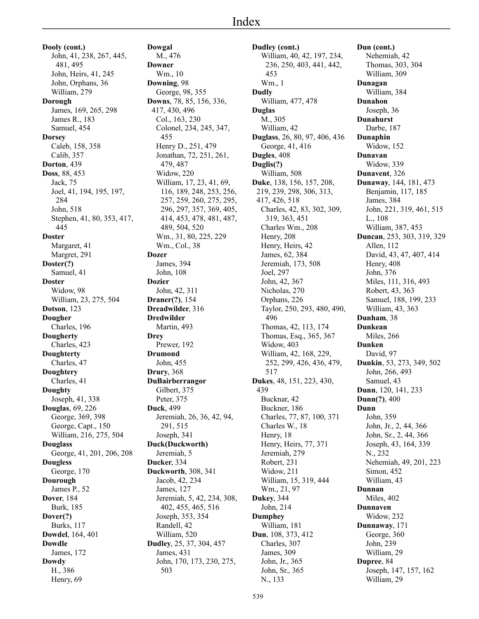**Dooly (cont.)** John, 41, 238, 267, 445, 481, 495 John, Heirs, 41, 245 John, Orphans, 36 William, 279 **Dorough** James, 169, 265, 298 James R., 183 Samuel, 454 **Dorsey** Caleb, 158, 358 Calib, 357 **Dorton**, 439 **Doss**, 88, 453 Jack, 75 Joel, 41, 194, 195, 197, 284 John, 518 Stephen, 41, 80, 353, 417, 445 **Doster** Margaret, 41 Margret, 291 **Doster(?)** Samuel, 41 **Doster** Widow, 98 William, 23, 275, 504 **Dotson**, 123 **Dougher** Charles, 196 **Dougherty** Charles, 423 **Doughterty** Charles, 47 **Doughtery** Charles, 41 **Doughty** Joseph, 41, 338 **Douglas**, 69, 226 George, 369, 398 George, Capt., 150 William, 216, 275, 504 **Douglass** George, 41, 201, 206, 208 **Dougless** George, 170 **Dourough** James P., 52 **Dover**, 184 Burk, 185 **Dover(?)** Burks, 117 **Dowdel**, 164, 401 **Dowdle** James, 172 **Dowdy** H., 386 Henry, 69

**Dowgal** M., 476 **Downer** Wm., 10 **Downing**, 98 George, 98, 355 **Downs**, 78, 85, 156, 336, 417, 430, 496 Col., 163, 230 Colonel, 234, 245, 347, 455 Henry D., 251, 479 Jonathan, 72, 251, 261, 479, 487 Widow, 220 William, 17, 23, 41, 69, 116, 189, 248, 253, 256, 257, 259, 260, 275, 295, 296, 297, 357, 369, 405, 414, 453, 478, 481, 487, 489, 504, 520 Wm., 31, 80, 225, 229 Wm., Col., 38 **Dozer** James, 394 John, 108 **Dozier** John, 42, 311 **Draner(?)**, 154 **Dreadwilder**, 316 **Dredwilder** Martin, 493 **Drey** Prewer, 192 **Drumond** John, 455 **Drury**, 368 **DuBairberrangor** Gilbert, 375 Peter, 375 **Duck**, 499 Jeremiah, 26, 36, 42, 94, 291, 515 Joseph, 341 **Duck(Duckworth)** Jeremiah, 5 **Ducker**, 334 **Duckworth**, 308, 341 Jacob, 42, 234 James, 127 Jeremiah, 5, 42, 234, 308, 402, 455, 465, 516 Joseph, 353, 354 Randell, 42 William, 520 **Dudley**, 25, 37, 304, 457 James, 431 John, 170, 173, 230, 275, 503

**Dudley (cont.)** William, 40, 42, 197, 234, 236, 250, 403, 441, 442, 453 Wm., 1 **Dudly** William, 477, 478 **Duglas** M., 305 William, 42 **Duglass**, 26, 80, 97, 406, 436 George, 41, 416 **Dugles**, 408 **Duglis(?)** William, 508 **Duke**, 138, 156, 157, 208, 219, 239, 298, 306, 313, 417, 426, 518 Charles, 42, 83, 302, 309, 319, 363, 451 Charles Wm., 208 Henry, 208 Henry, Heirs, 42 James, 62, 384 Jeremiah, 173, 508 Joel, 297 John, 42, 367 Nicholas, 270 Orphans, 226 Taylor, 250, 293, 480, 490, 496 Thomas, 42, 113, 174 Thomas, Esq., 365, 367 Widow, 403 William, 42, 168, 229, 252, 299, 426, 436, 479, 517 **Dukes**, 48, 151, 223, 430, 439 Bucknar, 42 Buckner, 186 Charles, 77, 87, 100, 371 Charles W., 18 Henry, 18 Henry, Heirs, 77, 371 Jeremiah, 279 Robert, 231 Widow, 211 William, 15, 319, 444 Wm., 21, 97 **Dukey**, 344 John, 214 **Dumphey** William, 181 **Dun**, 108, 373, 412 Charles, 307 James, 309 John, Jr., 365 John, Sr., 365 N., 133

**Dun (cont.)** Nehemiah, 42 Thomas, 303, 304 William, 309 **Dunagan** William, 384 **Dunahon** Joseph, 36 **Dunahurst** Darbe, 187 **Dunaphin** Widow, 152 **Dunavan** Widow, 339 **Dunavent**, 326 **Dunaway**, 144, 181, 473 Benjamin, 117, 185 James, 384 John, 221, 319, 461, 515 L., 108 William, 387, 453 **Duncan**, 253, 303, 319, 329 Allen, 112 David, 43, 47, 407, 414 Henry, 408 John, 376 Miles, 111, 316, 493 Robert, 43, 363 Samuel, 188, 199, 233 William, 43, 363 **Dunham**, 38 **Dunkean** Miles, 266 **Dunken** David, 97 **Dunkin**, 53, 273, 349, 502 John, 266, 493 Samuel, 43 **Dunn**, 120, 141, 233 **Dunn(?)**, 400 **Dunn** John, 359 John, Jr., 2, 44, 366 John, Sr., 2, 44, 366 Joseph, 43, 164, 339 N., 232 Nehemiah, 49, 201, 223 Simon, 452 William, 43 **Dunnan** Miles, 402 **Dunnaven** Widow, 232 **Dunnaway**, 171 George, 360 John, 239 William, 29 **Dupree**, 84 Joseph, 147, 157, 162 William, 29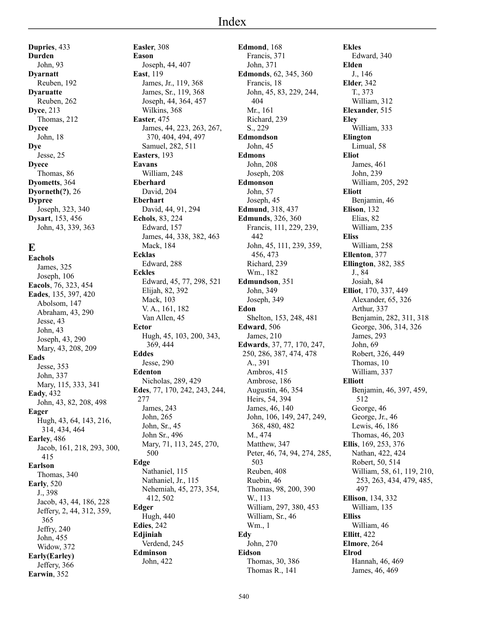**Dupries**, 433 **Durden** John, 93 **Dyarnatt** Reuben, 192 **Dyaruatte** Reuben, 262 **Dyce**, 213 Thomas, 212 **Dycee** John, 18 **Dye** Jesse, 25 **Dyece** Thomas, 86 **Dyometts**, 364 **Dyorneth(?)**, 26 **Dypree** Joseph, 323, 340 **Dysart**, 153, 456 John, 43, 339, 363

## **E**

**Eachols** James, 325 Joseph, 106 **Eacols**, 76, 323, 454 **Eades**, 135, 397, 420 Abolsom, 147 Abraham, 43, 290 Jesse, 43 John, 43 Joseph, 43, 290 Mary, 43, 208, 209 **Eads** Jesse, 353 John, 337 Mary, 115, 333, 341 **Eady**, 432 John, 43, 82, 208, 498 **Eager** Hugh, 43, 64, 143, 216, 314, 434, 464 **Earley**, 486 Jacob, 161, 218, 293, 300, 415 **Earlson** Thomas, 340 **Early**, 520 J., 398 Jacob, 43, 44, 186, 228 Jeffery, 2, 44, 312, 359, 365 Jeffry, 240 John, 455 Widow, 372 **Early(Earley)** Jeffery, 366 **Earwin**, 352

**Easler**, 308 **Eason** Joseph, 44, 407 **East**, 119 James, Jr., 119, 368 James, Sr., 119, 368 Joseph, 44, 364, 457 Wilkins, 368 **Easter**, 475 James, 44, 223, 263, 267, 370, 404, 494, 497 Samuel, 282, 511 **Easters**, 193 **Eavans** William, 248 **Eberhard** David, 204 **Eberhart** David, 44, 91, 294 **Echols**, 83, 224 Edward, 157 James, 44, 338, 382, 463 Mack, 184 **Ecklas** Edward, 288 **Eckles** Edward, 45, 77, 298, 521 Elijah, 82, 392 Mack, 103 V. A., 161, 182 Van Allen, 45 **Ector** Hugh, 45, 103, 200, 343, 369, 444 **Eddes** Jesse, 290 **Edenton** Nicholas, 289, 429 **Edes**, 77, 170, 242, 243, 244, 277 James, 243 John, 265 John, Sr., 45 John Sr., 496 Mary, 71, 113, 245, 270, 500 **Edge** Nathaniel, 115 Nathaniel, Jr., 115 Nehemiah, 45, 273, 354, 412, 502 **Edger** Hugh, 440 **Edies**, 242 **Edjiniah** Verdend, 245 **Edminson** John, 422

**Edmond**, 168 Francis, 371 John, 371 **Edmonds**, 62, 345, 360 Francis, 18 John, 45, 83, 229, 244, 404 Mr., 161 Richard, 239 S., 229 **Edmondson** John, 45 **Edmons** John, 208 Joseph, 208 **Edmonson** John, 57 Joseph, 45 **Edmund**, 318, 437 **Edmunds**, 326, 360 Francis, 111, 229, 239, 442 John, 45, 111, 239, 359, 456, 473 Richard, 239 Wm., 182 **Edmundson**, 351 John, 349 Joseph, 349 **Edon** Shelton, 153, 248, 481 **Edward**, 506 James, 210 **Edwards**, 37, 77, 170, 247, 250, 286, 387, 474, 478 A., 391 Ambros, 415 Ambrose, 186 Augustin, 46, 354 Heirs, 54, 394 James, 46, 140 John, 106, 149, 247, 249, 368, 480, 482 M., 474 Matthew, 347 Peter, 46, 74, 94, 274, 285, 503 Reuben, 408 Ruebin, 46 Thomas, 98, 200, 390 W., 113 William, 297, 380, 453 William, Sr., 46 Wm., 1 **Edy** John, 270 **Eidson** Thomas, 30, 386 Thomas R., 141

**Ekles** Edward, 340 **Elden** J., 146 **Elder**, 342 T., 373 William, 312 **Elexander**, 515 **Eley** William, 333 **Elington** Limual, 58 **Eliot** James, 461 John, 239 William, 205, 292 **Eliott** Benjamin, 46 **Elison**, 132 Elias, 82 William, 235 **Eliss** William, 258 **Ellenton**, 377 **Ellington**, 382, 385 J., 84 Josiah, 84 **Elliot**, 170, 337, 449 Alexander, 65, 326 Arthur, 337 Benjamin, 282, 311, 318 George, 306, 314, 326 James, 293 John, 69 Robert, 326, 449 Thomas, 10 William, 337 **Elliott** Benjamin, 46, 397, 459, 512 George, 46 George, Jr., 46 Lewis, 46, 186 Thomas, 46, 203 **Ellis**, 169, 253, 376 Nathan, 422, 424 Robert, 50, 514 William, 58, 61, 119, 210, 253, 263, 434, 479, 485, 497 **Ellison**, 134, 332 William, 135 **Elliss** William, 46 **Ellitt**, 422 **Elmore**, 264 **Elrod** Hannah, 46, 469 James, 46, 469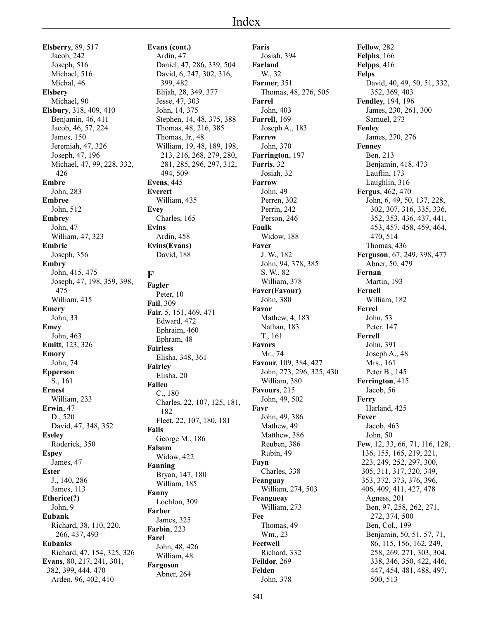**Elsberry**, 89, 517 Jacob, 242 Joseph, 516 Michael, 516 Michal, 46 **Elsbery** Michael, 90 **Elsbury**, 318, 409, 410 Benjamin, 46, 411 Jacob, 46, 57, 224 James, 150 Jeremiah, 47, 326 Joseph, 47, 196 Michael, 47, 99, 228, 332, 426 **Embre** John, 283 **Embree** John, 512 **Embrey** John, 47 William, 47, 323 **Embrie** Joseph, 356 **Embry** John, 415, 475 Joseph, 47, 198, 359, 398, 475 William, 415 **Emery** John, 33 **Emey** John, 463 **Emitt**, 123, 326 **Emory** John, 74 **Epperson** S., 161 **Ernest** William, 233 **Erwin**, 47 D., 520 David, 47, 348, 352 **Eseley** Roderick, 350 **Espey** James, 47 **Ester** J., 140, 286 James, 113 **Etherice(?)** John, 9 **Eubank** Richard, 38, 110, 220, 266, 437, 493 **Eubanks** Richard, 47, 154, 325, 326 **Evans**, 80, 217, 241, 301, 382, 399, 444, 470 Arden, 96, 402, 410

**Evans (cont.)** Ardin, 47 Daniel, 47, 286, 339, 504 David, 6, 247, 302, 316, 399, 482 Elijah, 28, 349, 377 Jesse, 47, 303 John, 14, 375 Stephen, 14, 48, 375, 388 Thomas, 48, 216, 385 Thomas, Jr., 48 William, 19, 48, 189, 198, 213, 216, 268, 279, 280, 281, 285, 296, 297, 312, 494, 509 **Evens**, 445 **Everett** William, 435 **Evey** Charles, 165 **Evins** Ardin, 458 **Evins(Evans)** David, 188 **F** Peter, 10 **Fail**, 309 Edward, 472 Ephraim, 460 Ephram, 48

# **Fagler**

**Fair**, 5, 151, 469, 471 **Fairless** Elisha, 348, 361 **Fairley** Elisha, 20 **Fallen** C., 180 Charles, 22, 107, 125, 181, 182 Fleet, 22, 107, 180, 181 **Falls** George M., 186 **Falsom** Widow, 422 **Fanning** Bryan, 147, 180 William, 185 **Fanny** Lochlon, 309 **Farber** James, 325 **Farbin**, 223 **Farel** John, 48, 426 William, 48 **Farguson** Abner, 264

**Faris** Josiah, 394 **Farland** W., 32 **Farmer**, 351 Thomas, 48, 276, 505 **Farrel** John, 403 **Farrell**, 169 Joseph A., 183 **Farrew** John, 370 **Farrington**, 197 **Farris**, 32 Josiah, 32 **Farrow** John, 49 Perren, 302 Perrin, 242 Person, 246 **Faulk** Widow, 188 **Faver** J. W., 182 John, 94, 378, 385 S. W., 82 William, 378 **Faver(Favour)** John, 380 **Favor** Mathew, 4, 183 Nathan, 183 T., 161 **Favors** Mr., 74 **Favour**, 109, 384, 427 John, 273, 296, 325, 430 William, 380 **Favours**, 215 John, 49, 502 **Favr** John, 49, 386 Mathew, 49 Matthew, 386 Reuben, 386 Rubin, 49 **Fayn** Charles, 338 **Feanguay** William, 274, 503 **Feangueay** William, 273 **Fee** Thomas, 49 Wm., 23 **Feetwell** Richard, 332 **Feildor**, 269 **Felden** John, 378

**Fellow**, 282 **Felphs**, 166 **Felpps**, 416 **Felps** David, 40, 49, 50, 51, 332, 352, 369, 403 **Fendley**, 194, 196 James, 230, 261, 300 Samuel, 273 **Fenley** James, 270, 276 **Fenney** Ben, 213 Benjamin, 418, 473 Lauflin, 173 Laughlin, 316 **Fergus**, 462, 470 John, 6, 49, 50, 137, 228, 302, 307, 316, 335, 336, 352, 353, 436, 437, 441, 453, 457, 458, 459, 464, 470, 514 Thomas, 436 **Ferguson**, 67, 249, 398, 477 Abner, 50, 479 **Fernan** Martin, 193 **Fernell** William, 182 **Ferrel** John, 53 Peter, 147 **Ferrell** John, 391 Joseph A., 48 Mrs., 161 Peter B., 145 **Ferrington**, 415 Jacob, 56 **Ferry** Harland, 425 **Fever** Jacob, 463 John, 50 **Few**, 12, 33, 66, 71, 116, 128, 136, 155, 165, 219, 221, 223, 249, 252, 297, 300, 305, 311, 317, 320, 349, 353, 372, 373, 376, 396, 406, 409, 411, 427, 478 Agness, 201 Ben, 97, 258, 262, 271, 272, 374, 500 Ben, Col., 199 Benjamin, 50, 51, 57, 71, 86, 115, 156, 162, 249, 258, 269, 271, 303, 304, 338, 346, 350, 422, 446, 447, 454, 481, 488, 497, 500, 513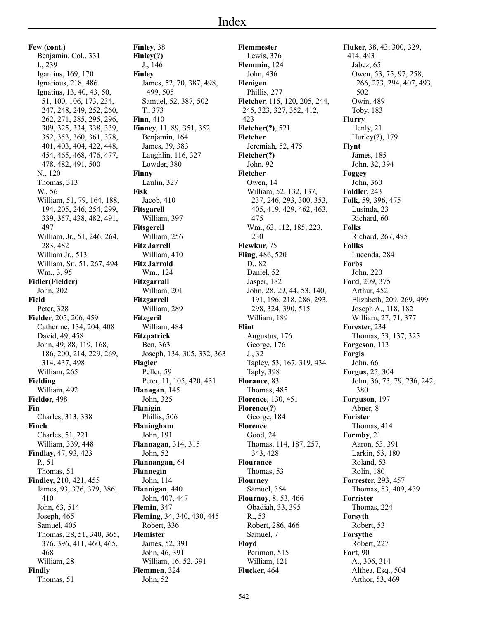**Few (cont.)** Benjamin, Col., 331 I., 239 Igantius, 169, 170 Ignatious, 218, 486 Ignatius, 13, 40, 43, 50, 51, 100, 106, 173, 234, 247, 248, 249, 252, 260, 262, 271, 285, 295, 296, 309, 325, 334, 338, 339, 352, 353, 360, 361, 378, 401, 403, 404, 422, 448, 454, 465, 468, 476, 477, 478, 482, 491, 500 N., 120 Thomas, 313 W., 56 William, 51, 79, 164, 188, 194, 205, 246, 254, 299, 339, 357, 438, 482, 491, 497 William, Jr., 51, 246, 264, 283, 482 William Jr., 513 William, Sr., 51, 267, 494 Wm., 3, 95 **Fidler(Fielder)** John, 202 **Field** Peter, 328 **Fielder**, 205, 206, 459 Catherine, 134, 204, 408 David, 49, 458 John, 49, 88, 119, 168, 186, 200, 214, 229, 269, 314, 437, 498 William, 265 **Fielding** William, 492 **Fieldor**, 498 **Fin** Charles, 313, 338 **Finch** Charles, 51, 221 William, 339, 448 **Findlay**, 47, 93, 423 P., 51 Thomas, 51 **Findley**, 210, 421, 455 James, 93, 376, 379, 386, 410 John, 63, 514 Joseph, 465 Samuel, 405 Thomas, 28, 51, 340, 365, 376, 396, 411, 460, 465, 468 William, 28 **Findly** Thomas, 51

**Finley**, 38 **Finley(?)** J., 146 **Finley** James, 52, 70, 387, 498, 499, 505 Samuel, 52, 387, 502 T., 373 **Finn**, 410 **Finney**, 11, 89, 351, 352 Benjamin, 164 James, 39, 383 Laughlin, 116, 327 Lowder, 380 **Finny** Laulin, 327 **Fisk** Jacob, 410 **Fitsgarell** William, 397 **Fitsgerell** William, 256 **Fitz Jarrell** William, 410 **Fitz Jarrold** Wm., 124 **Fitzgarrall** William, 201 **Fitzgarrell** William, 289 **Fitzgeril** William, 484 **Fitzpatrick** Ben, 363 Joseph, 134, 305, 332, 363 **Flagler** Peller, 59 Peter, 11, 105, 420, 431 **Flanagan**, 145 John, 325 **Flanigin** Phillis, 506 **Flaningham** John, 191 **Flannagan**, 314, 315 John, 52 **Flannangan**, 64 **Flannegin** John, 114 **Flannigan**, 440 John, 407, 447 **Flemin**, 347 **Fleming**, 34, 340, 430, 445 Robert, 336 **Flemister** James, 52, 391 John, 46, 391 William, 16, 52, 391 **Flemmen**, 324 John, 52

**Flemmester** Lewis, 376 **Flemmin**, 124 John, 436 **Flenigen** Phillis, 277 **Fletcher**, 115, 120, 205, 244, 245, 323, 327, 352, 412, 423 **Fletcher(?)**, 521 **Fletcher** Jeremiah, 52, 475 **Fletcher(?)** John, 92 **Fletcher** Owen, 14 William, 52, 132, 137, 237, 246, 293, 300, 353, 405, 419, 429, 462, 463, 475 Wm., 63, 112, 185, 223, 230 **Flewkur**, 75 **Fling**, 486, 520 D., 82 Daniel, 52 Jasper, 182 John, 28, 29, 44, 53, 140, 191, 196, 218, 286, 293, 298, 324, 390, 515 William, 189 **Flint** Augustus, 176 George, 176 J., 32 Tapley, 53, 167, 319, 434 Taply, 398 **Florance**, 83 Thomas, 485 **Florence**, 130, 451 **Florence(?)** George, 184 **Florence** Good, 24 Thomas, 114, 187, 257, 343, 428 **Flourance** Thomas, 53 **Flourney** Samuel, 354 **Flournoy**, 8, 53, 466 Obadiah, 33, 395 R., 53 Robert, 286, 466 Samuel, 7 **Floyd** Perimon, 515 William, 121 **Flucker**, 464

**Fluker**, 38, 43, 300, 329, 414, 493 Jabez, 65 Owen, 53, 75, 97, 258, 266, 273, 294, 407, 493, 502 Owin, 489 Toby, 183 **Flurry** Henly, 21 Hurley(?), 179 **Flynt** James, 185 John, 32, 394 **Foggey** John, 360 **Foldler**, 243 **Folk**, 59, 396, 475 Lusinda, 23 Richard, 60 **Folks** Richard, 267, 495 **Follks** Lucenda, 284 **Forbs** John, 220 **Ford**, 209, 375 Arthur, 452 Elizabeth, 209, 269, 499 Joseph A., 118, 182 William, 27, 71, 377 **Forester**, 234 Thomas, 53, 137, 325 **Forgeson**, 113 **Forgis** John, 66 **Forgus**, 25, 304 John, 36, 73, 79, 236, 242, 380 **Forguson**, 197 Abner, 8 **Forister** Thomas, 414 **Formby**, 21 Aaron, 53, 391 Larkin, 53, 180 Roland, 53 Rolin, 180 **Forrester**, 293, 457 Thomas, 53, 409, 439 **Forrister** Thomas, 224 **Forsyth** Robert, 53 **Forsythe** Robert, 227 **Fort**, 90 A., 306, 314 Althea, Esq., 504 Arthor, 53, 469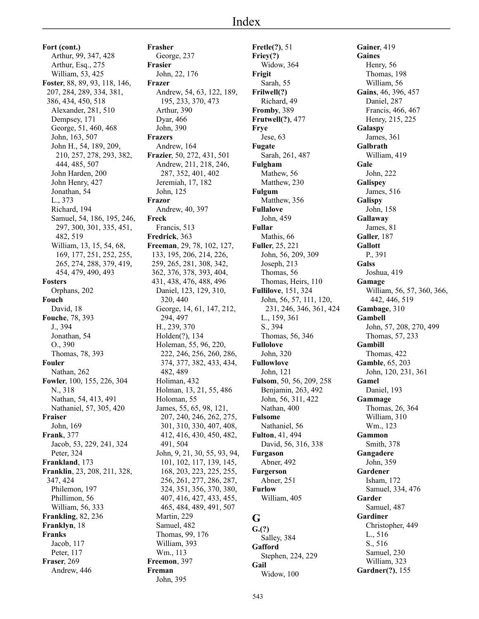**Fort (cont.)** Arthur, 99, 347, 428 Arthur, Esq., 275 William, 53, 425 **Foster**, 88, 89, 93, 118, 146, 207, 284, 289, 334, 381, 386, 434, 450, 518 Alexander, 281, 510 Dempsey, 171 George, 51, 460, 468 John, 163, 507 John H., 54, 189, 209, 210, 257, 278, 293, 382, 444, 485, 507 John Harden, 200 John Henry, 427 Jonathan, 54 L., 373 Richard, 194 Samuel, 54, 186, 195, 246, 297, 300, 301, 335, 451, 482, 519 William, 13, 15, 54, 68, 169, 177, 251, 252, 255, 265, 274, 288, 379, 419, 454, 479, 490, 493 **Fosters** Orphans, 202 **Fouch** David, 18 **Fouche**, 78, 393 J., 394 Jonathan, 54 O., 390 Thomas, 78, 393 **Fouler** Nathan, 262 **Fowler**, 100, 155, 226, 304 N., 318 Nathan, 54, 413, 491 Nathaniel, 57, 305, 420 **Fraiser** John, 169 **Frank**, 377 Jacob, 53, 229, 241, 324 Peter, 324 **Frankland**, 173 **Franklin**, 23, 208, 211, 328, 347, 424 Philemon, 197 Phillimon, 56 William, 56, 333 **Frankling**, 82, 236 **Franklyn**, 18 **Franks** Jacob, 117 Peter, 117 **Fraser**, 269 Andrew, 446

**Frasher** George, 237 **Frasier** John, 22, 176 **Frazer** Andrew, 54, 63, 122, 189, 195, 233, 370, 473 Arthur, 390 Dyar, 466 John, 390 **Frazers** Andrew, 164 **Frazier**, 50, 272, 431, 501 Andrew, 211, 218, 246, 287, 352, 401, 402 Jeremiah, 17, 182 John, 125 **Frazor** Andrew, 40, 397 **Freck** Francis, 513 **Fredrick**, 363 **Freeman**, 29, 78, 102, 127, 133, 195, 206, 214, 226, 259, 265, 281, 308, 342, 362, 376, 378, 393, 404, 431, 438, 476, 488, 496 Daniel, 123, 129, 310, 320, 440 George, 14, 61, 147, 212, 294, 497 H., 239, 370 Holden(?), 134 Holeman, 55, 96, 220, 222, 246, 256, 260, 286, 374, 377, 382, 433, 434, 482, 489 Holiman, 432 Holman, 13, 21, 55, 486 Holoman, 55 James, 55, 65, 98, 121, 207, 240, 246, 262, 275, 301, 310, 330, 407, 408, 412, 416, 430, 450, 482, 491, 504 John, 9, 21, 30, 55, 93, 94, 101, 102, 117, 139, 145, 168, 203, 223, 225, 255, 256, 261, 277, 286, 287, 324, 351, 356, 370, 380, 407, 416, 427, 433, 455, 465, 484, 489, 491, 507 Martin, 229 Samuel, 482 Thomas, 99, 176 William, 393 Wm., 113 **Freemon**, 397 **Freman**

John, 395

**Fretle(?)**, 51 **Friey(?)** Widow, 364 **Frigit** Sarah, 55 **Frilwell(?)** Richard, 49 **Fromby**, 389 **Frutwell(?)**, 477 **Frye** Jese, 63 **Fugate** Sarah, 261, 487 **Fulgham** Mathew, 56 Matthew, 230 **Fulgum** Matthew, 356 **Fullalove** John, 459 **Fullar** Mathis, 66 **Fuller**, 25, 221 John, 56, 209, 309 Joseph, 213 Thomas, 56 Thomas, Heirs, 110 **Fullilove**, 151, 324 John, 56, 57, 111, 120, 231, 246, 346, 361, 424 L., 159, 361 S., 394 Thomas, 56, 346 **Fullolove** John, 320 **Fullowlove** John, 121 **Fulsom**, 50, 56, 209, 258 Benjamin, 263, 492 John, 56, 311, 422 Nathan, 400 **Fulsome** Nathaniel, 56 **Fulton**, 41, 494 David, 56, 316, 338 **Furgason** Abner, 492 **Furgerson** Abner, 251 **Furlow** William, 405 **G**

**G.(?)** Salley, 384 **Gafford** Stephen, 224, 229 **Gail** Widow, 100

**Gainer**, 419 **Gaines** Henry, 56 Thomas, 198 William, 56 **Gains**, 46, 396, 457 Daniel, 287 Francis, 466, 467 Henry, 215, 225 **Galaspy** James, 361 **Galbrath** William, 419 **Gale** John, 222 **Galispey** James, 516 **Galispy** John, 158 **Gallaway** James, 81 **Galler**, 187 **Gallott** P., 391 **Galss** Joshua, 419 **Gamage** William, 56, 57, 360, 366, 442, 446, 519 **Gambage**, 310 **Gambell** John, 57, 208, 270, 499 Thomas, 57, 233 **Gambill** Thomas, 422 **Gamble**, 65, 203 John, 120, 231, 361 **Gamel** Daniel, 193 **Gammage** Thomas, 26, 364 William, 310 Wm., 123 **Gammon** Smith, 378 **Gangadere** John, 359 **Gardener** Isham, 172 Samuel, 334, 476 **Garder** Samuel, 487 **Gardiner** Christopher, 449 L., 516 S., 516 Samuel, 230 William, 323

**Gardner(?)**, 155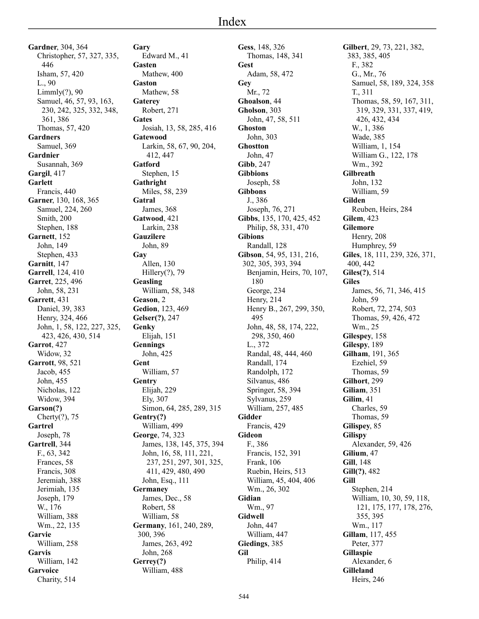**Gardner**, 304, 364 Christopher, 57, 327, 335, 446 Isham, 57, 420 L., 90 Limmly(?), 90 Samuel, 46, 57, 93, 163, 230, 242, 325, 332, 348, 361, 386 Thomas, 57, 420 **Gardners** Samuel, 369 **Gardnier** Susannah, 369 **Gargil**, 417 **Garlett** Francis, 440 **Garner**, 130, 168, 365 Samuel, 224, 260 Smith, 200 Stephen, 188 **Garnett**, 152 John, 149 Stephen, 433 **Garnitt**, 147 **Garrell**, 124, 410 **Garret**, 225, 496 John, 58, 231 **Garrett**, 431 Daniel, 39, 383 Henry, 324, 466 John, 1, 58, 122, 227, 325, 423, 426, 430, 514 **Garrot**, 427 Widow, 32 **Garrott**, 98, 521 Jacob, 455 John, 455 Nicholas, 122 Widow, 394 **Garson(?)** Cherty(?), 75 **Gartrel** Joseph, 78 **Gartrell**, 344 F., 63, 342 Frances, 58 Francis, 308 Jeremiah, 388 Jerimiah, 135 Joseph, 179 W., 176 William, 388 Wm., 22, 135 **Garvie** William, 258 **Garvis** William, 142 **Garvoice** Charity, 514

**Gary** Edward M., 41 **Gasten** Mathew, 400 **Gaston** Mathew, 58 **Gaterey** Robert, 271 **Gates** Josiah, 13, 58, 285, 416 **Gatewood** Larkin, 58, 67, 90, 204, 412, 447 **Gatford** Stephen, 15 **Gathright** Miles, 58, 239 **Gatral** James, 368 **Gatwood**, 421 Larkin, 238 **Gauzilere** John, 89 **Gay** Allen, 130 Hillery(?), 79 **Geasling** William, 58, 348 **Geason**, 2 **Gedion**, 123, 469 **Gelser(?)**, 247 **Genky** Elijah, 151 **Gennings** John, 425 **Gent** William, 57 **Gentry** Elijah, 229 Ely, 307 Simon, 64, 285, 289, 315 **Gentry(?)** William, 499 **George**, 74, 323 James, 138, 145, 375, 394 John, 16, 58, 111, 221, 237, 251, 297, 301, 325, 411, 429, 480, 490 John, Esq., 111 **Germaney** James, Dec., 58 Robert, 58 William, 58 **Germany**, 161, 240, 289, 300, 396 James, 263, 492 John, 268 **Gerrey(?)** William, 488

**Gess**, 148, 326 Thomas, 148, 341 **Gest** Adam, 58, 472 **Gey** Mr., 72 **Ghoalson**, 44 **Gholson**, 303 John, 47, 58, 511 **Ghoston** John, 303 **Ghostton** John, 47 **Gibb**, 247 **Gibbions** Joseph, 58 **Gibbons** J., 386 Joseph, 76, 271 **Gibbs**, 135, 170, 425, 452 Philip, 58, 331, 470 **Gibions** Randall, 128 **Gibson**, 54, 95, 131, 216, 302, 305, 393, 394 Benjamin, Heirs, 70, 107, 180 George, 234 Henry, 214 Henry B., 267, 299, 350, 495 John, 48, 58, 174, 222, 298, 350, 460 L., 372 Randal, 48, 444, 460 Randall, 174 Randolph, 172 Silvanus, 486 Springer, 58, 394 Sylvanus, 259 William, 257, 485 **Gidder** Francis, 429 **Gideon** F., 386 Francis, 152, 391 Frank, 106 Ruebin, Heirs, 513 William, 45, 404, 406 Wm., 26, 302 **Gidian** Wm., 97 **Gidwell** John, 447 William, 447 **Giedings**, 385 **Gil** Philip, 414

**Gilbert**, 29, 73, 221, 382, 383, 385, 405 F., 382 G., Mr., 76 Samuel, 58, 189, 324, 358 T., 311 Thomas, 58, 59, 167, 311, 319, 329, 331, 337, 419, 426, 432, 434 W., 1, 386 Wade, 385 William, 1, 154 William G., 122, 178 Wm., 392 **Gilbreath** John, 132 William, 59 **Gilden** Reuben, Heirs, 284 **Gilem**, 423 **Gilemore** Henry, 208 Humphrey, 59 **Giles**, 18, 111, 239, 326, 371, 400, 442 **Giles(?)**, 514 **Giles** James, 56, 71, 346, 415 John, 59 Robert, 72, 274, 503 Thomas, 59, 426, 472 Wm., 25 **Gilespey**, 158 **Gilespy**, 189 **Gilham**, 191, 365 Ezehiel, 59 Thomas, 59 **Gilhort**, 299 **Giliam**, 351 **Gilim**, 41 Charles, 59 Thomas, 59 **Gilispey**, 85 **Gilispy** Alexander, 59, 426 **Gilium**, 47 **Gill**, 148 **Gill(?)**, 482 **Gill** Stephen, 214 William, 10, 30, 59, 118, 121, 175, 177, 178, 276, 355, 395 Wm., 117 **Gillam**, 117, 455 Peter, 377 **Gillaspie** Alexander, 6 **Gilleland** Heirs, 246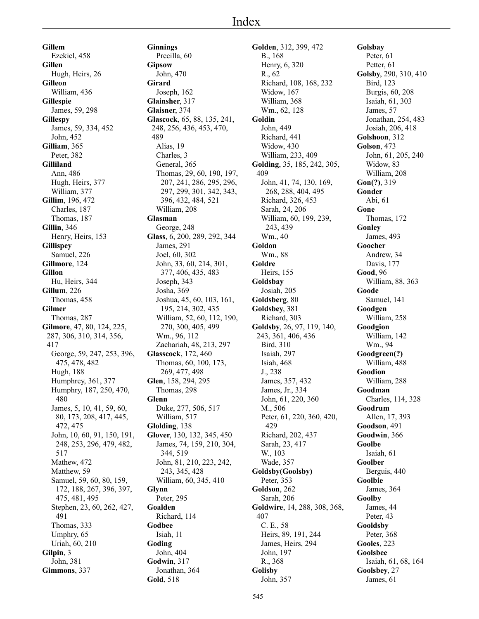**Gillem** Ezekiel, 458 **Gillen** Hugh, Heirs, 26 **Gilleon** William, 436 **Gillespie** James, 59, 298 **Gillespy** James, 59, 334, 452 John, 452 **Gilliam**, 365 Peter, 382 **Gilliland** Ann, 486 Hugh, Heirs, 377 William, 377 **Gillim**, 196, 472 Charles, 187 Thomas, 187 **Gillin**, 346 Henry, Heirs, 153 **Gillispey** Samuel, 226 **Gillmore**, 124 **Gillon** Hu, Heirs, 344 **Gillum**, 226 Thomas, 458 **Gilmer** Thomas, 287 **Gilmore**, 47, 80, 124, 225, 287, 306, 310, 314, 356, 417 George, 59, 247, 253, 396, 475, 478, 482 Hugh, 188 Humphrey, 361, 377 Humphry, 187, 250, 470, 480 James, 5, 10, 41, 59, 60, 80, 173, 208, 417, 445, 472, 475 John, 10, 60, 91, 150, 191, 248, 253, 296, 479, 482, 517 Mathew, 472 Matthew, 59 Samuel, 59, 60, 80, 159, 172, 188, 267, 396, 397, 475, 481, 495 Stephen, 23, 60, 262, 427, 491 Thomas, 333 Umphry, 65 Uriah, 60, 210 **Gilpin**, 3 John, 381 **Gimmons**, 337

**Ginnings** Precilla, 60 **Gipsow** John, 470 **Girard** Joseph, 162 **Glainsher**, 317 **Glaisner**, 374 **Glascock**, 65, 88, 135, 241, 248, 256, 436, 453, 470, 489 Alias, 19 Charles, 3 General, 365 Thomas, 29, 60, 190, 197, 207, 241, 286, 295, 296, 297, 299, 301, 342, 343, 396, 432, 484, 521 William, 208 **Glasman** George, 248 **Glass**, 6, 200, 289, 292, 344 James, 291 Joel, 60, 302 John, 33, 60, 214, 301, 377, 406, 435, 483 Joseph, 343 Josha, 369 Joshua, 45, 60, 103, 161, 195, 214, 302, 435 William, 52, 60, 112, 190, 270, 300, 405, 499 Wm., 96, 112 Zachariah, 48, 213, 297 **Glasscock**, 172, 460 Thomas, 60, 100, 173, 269, 477, 498 **Glen**, 158, 294, 295 Thomas, 298 **Glenn** Duke, 277, 506, 517 William, 517 **Glolding**, 138 **Glover**, 130, 132, 345, 450 James, 74, 159, 210, 304, 344, 519 John, 81, 210, 223, 242, 243, 345, 428 William, 60, 345, 410 **Glynn** Peter, 295 **Goalden** Richard, 114 **Godbee** Isiah, 11 **Goding** John, 404 **Godwin**, 317 Jonathan, 364 **Gold**, 518

**Golden**, 312, 399, 472 B., 168 Henry, 6, 320 R., 62 Richard, 108, 168, 232 Widow, 167 William, 368 Wm., 62, 128 **Goldin** John, 449 Richard, 441 Widow, 430 William, 233, 409 **Golding**, 35, 185, 242, 305, 409 John, 41, 74, 130, 169, 268, 288, 404, 495 Richard, 326, 453 Sarah, 24, 206 William, 60, 199, 239, 243, 439 Wm., 40 **Goldon** Wm., 88 **Goldre** Heirs, 155 **Goldsbay** Josiah, 205 **Goldsberg**, 80 **Goldsbey**, 381 Richard, 303 **Goldsby**, 26, 97, 119, 140, 243, 361, 406, 436 Bird, 310 Isaiah, 297 Isiah, 468 J., 238 James, 357, 432 James, Jr., 334 John, 61, 220, 360 M., 506 Peter, 61, 220, 360, 420, 429 Richard, 202, 437 Sarah, 23, 417 W., 103 Wade, 357 **Goldsby(Goolsby)** Peter, 353 **Goldson**, 262 Sarah, 206 **Goldwire**, 14, 288, 308, 368, 407 C. E., 58 Heirs, 89, 191, 244 James, Heirs, 294 John, 197 R., 368 **Golisby** John, 357

**Golsbay** Peter, 61 Petter, 61 **Golsby**, 290, 310, 410 Bird, 123 Burgis, 60, 208 Isaiah, 61, 303 James, 57 Jonathan, 254, 483 Josiah, 206, 418 **Golshoon**, 312 **Golson**, 473 John, 61, 205, 240 Widow, 83 William, 208 **Gon(?)**, 319 **Gonder** Abi, 61 **Gone** Thomas, 172 **Gonley** James, 493 **Goocher** Andrew, 34 Davis, 177 **Good**, 96 William, 88, 363 **Goode** Samuel, 141 **Goodgen** William, 258 **Goodgion** William, 142 Wm., 94 **Goodgreen(?)** William, 488 **Goodion** William, 288 **Goodman** Charles, 114, 328 **Goodrum** Allen, 17, 393 **Goodson**, 491 **Goodwin**, 366 **Goolbe** Isaiah, 61 **Goolber** Berguis, 440 **Goolbie** James, 364 **Goolby** James, 44 Peter, 43 **Gooldsby** Peter, 368 **Gooles**, 223 **Goolsbee** Isaiah, 61, 68, 164 **Goolsbey**, 27 James, 61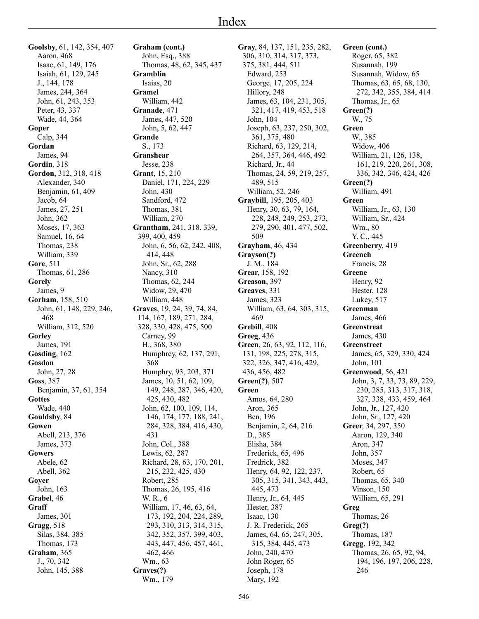**Goolsby**, 61, 142, 354, 407 Aaron, 468 Isaac, 61, 149, 176 Isaiah, 61, 129, 245 J., 144, 178 James, 244, 364 John, 61, 243, 353 Peter, 43, 337 Wade, 44, 364 **Goper** Calp, 344 **Gordan** James, 94 **Gordin**, 318 **Gordon**, 312, 318, 418 Alexander, 340 Benjamin, 61, 409 Jacob, 64 James, 27, 251 John, 362 Moses, 17, 363 Samuel, 16, 64 Thomas, 238 William, 339 **Gore**, 511 Thomas, 61, 286 **Gorely** James, 9 **Gorham**, 158, 510 John, 61, 148, 229, 246, 468 William, 312, 520 **Gorley** James, 191 **Gosding**, 162 **Gosdon** John, 27, 28 **Goss**, 387 Benjamin, 37, 61, 354 **Gottes** Wade, 440 **Gouldsby**, 84 **Gowen** Abell, 213, 376 James, 373 **Gowers** Abele, 62 Abell, 362 **Goyer** John, 163 **Grabel**, 46 **Graff** James, 301 **Gragg**, 518 Silas, 384, 385 Thomas, 173 **Graham**, 365 J., 70, 342 John, 145, 388

**Graham (cont.)** John, Esq., 388 Thomas, 48, 62, 345, 437 **Gramblin** Isaias, 20 **Gramel** William, 442 **Granade**, 471 James, 447, 520 John, 5, 62, 447 **Grande** S., 173 **Granshear** Jesse, 238 **Grant**, 15, 210 Daniel, 171, 224, 229 John, 430 Sandford, 472 Thomas, 381 William, 270 **Grantham**, 241, 318, 339, 399, 400, 459 John, 6, 56, 62, 242, 408, 414, 448 John, Sr., 62, 288 Nancy, 310 Thomas, 62, 244 Widow, 29, 470 William, 448 **Graves**, 19, 24, 39, 74, 84, 114, 167, 189, 271, 284, 328, 330, 428, 475, 500 Carney, 99 H., 368, 380 Humphrey, 62, 137, 291, 368 Humphry, 93, 203, 371 James, 10, 51, 62, 109, 149, 248, 287, 346, 420, 425, 430, 482 John, 62, 100, 109, 114, 146, 174, 177, 188, 241, 284, 328, 384, 416, 430, 431 John, Col., 388 Lewis, 62, 287 Richard, 28, 63, 170, 201, 215, 232, 425, 430 Robert, 285 Thomas, 26, 195, 416 W. R., 6 William, 17, 46, 63, 64, 173, 192, 204, 224, 289, 293, 310, 313, 314, 315, 342, 352, 357, 399, 403, 443, 447, 456, 457, 461, 462, 466 Wm., 63 **Graves(?)** Wm., 179

**Gray**, 84, 137, 151, 235, 282, 306, 310, 314, 317, 373, 375, 381, 444, 511 Edward, 253 George, 17, 205, 224 Hillory, 248 James, 63, 104, 231, 305, 321, 417, 419, 453, 518 John, 104 Joseph, 63, 237, 250, 302, 361, 375, 480 Richard, 63, 129, 214, 264, 357, 364, 446, 492 Richard, Jr., 44 Thomas, 24, 59, 219, 257, 489, 515 William, 52, 246 **Graybill**, 195, 205, 403 Henry, 30, 63, 79, 164, 228, 248, 249, 253, 273, 279, 290, 401, 477, 502, 509 **Grayham**, 46, 434 **Grayson(?)** J. M., 184 **Grear**, 158, 192 **Greason**, 397 **Greaves**, 331 James, 323 William, 63, 64, 303, 315, 469 **Grebill**, 408 **Greeg**, 436 **Green**, 26, 63, 92, 112, 116, 131, 198, 225, 278, 315, 322, 326, 347, 416, 429, 436, 456, 482 **Green(?)**, 507 **Green** Amos, 64, 280 Aron, 365 Ben, 196 Benjamin, 2, 64, 216 D., 385 Elisha, 384 Frederick, 65, 496 Fredrick, 382 Henry, 64, 92, 122, 237, 305, 315, 341, 343, 443, 445, 473 Henry, Jr., 64, 445 Hester, 387 Isaac, 130 J. R. Frederick, 265 James, 64, 65, 247, 305, 315, 384, 445, 473 John, 240, 470 John Roger, 65 Joseph, 178 Mary, 192

**Green (cont.)** Roger, 65, 382 Susannah, 199 Susannah, Widow, 65 Thomas, 63, 65, 68, 130, 272, 342, 355, 384, 414 Thomas, Jr., 65 **Green(?)** W., 75 **Green** W., 385 Widow, 406 William, 21, 126, 138, 161, 219, 220, 261, 308, 336, 342, 346, 424, 426 **Green(?)** William, 491 **Green** William, Jr., 63, 130 William, Sr., 424 Wm., 80 Y. C., 445 **Greenberry**, 419 **Greench** Francis, 28 **Greene** Henry, 92 Hester, 128 Lukey, 517 **Greenman** James, 466 **Greenstreat** James, 430 **Greenstreet** James, 65, 329, 330, 424 John, 101 **Greenwood**, 56, 421 John, 3, 7, 33, 73, 89, 229, 230, 285, 313, 317, 318, 327, 338, 433, 459, 464 John, Jr., 127, 420 John, Sr., 127, 420 **Greer**, 34, 297, 350 Aaron, 129, 340 Aron, 347 John, 357 Moses, 347 Robert, 65 Thomas, 65, 340 Vinson, 150 William, 65, 291 **Greg** Thomas, 26 **Greg(?)** Thomas, 187 **Gregg**, 192, 342 Thomas, 26, 65, 92, 94, 194, 196, 197, 206, 228, 246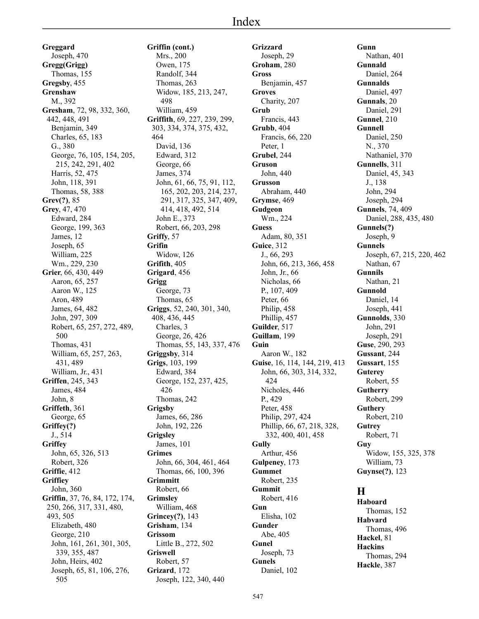**Greggard** Joseph, 470 **Gregg(Grigg)** Thomas, 155 **Gregsby**, 455 **Grenshaw** M., 392 **Gresham**, 72, 98, 332, 360, 442, 448, 491 Benjamin, 349 Charles, 65, 183 G., 380 George, 76, 105, 154, 205, 215, 242, 291, 402 Harris, 52, 475 John, 118, 391 Thomas, 58, 388 **Grev(?)**, 85 **Grey**, 47, 470 Edward, 284 George, 199, 363 James, 12 Joseph, 65 William, 225 Wm., 229, 230 **Grier**, 66, 430, 449 Aaron, 65, 257 Aaron W., 125 Aron, 489 James, 64, 482 John, 297, 309 Robert, 65, 257, 272, 489, 500 Thomas, 431 William, 65, 257, 263, 431, 489 William, Jr., 431 **Griffen**, 245, 343 James, 484 John, 8 **Griffeth**, 361 George, 65 **Griffey(?)** J., 514 **Griffey** John, 65, 326, 513 Robert, 326 **Griffie**, 412 **Griffiey** John, 360 **Griffin**, 37, 76, 84, 172, 174, 250, 266, 317, 331, 480, 493, 505 Elizabeth, 480 George, 210 John, 161, 261, 301, 305, 339, 355, 487 John, Heirs, 402 Joseph, 65, 81, 106, 276, 505

**Griffin (cont.)** Mrs., 200 Owen, 175 Randolf, 344 Thomas, 263 Widow, 185, 213, 247, 498 William, 459 **Griffith**, 69, 227, 239, 299, 303, 334, 374, 375, 432, 464 David, 136 Edward, 312 George, 66 James, 374 John, 61, 66, 75, 91, 112, 165, 202, 203, 214, 237, 291, 317, 325, 347, 409, 414, 418, 492, 514 John E., 373 Robert, 66, 203, 298 **Griffy**, 57 **Grifin** Widow, 126 **Grifith**, 405 **Grigard**, 456 **Grigg** George, 73 Thomas, 65 **Griggs**, 52, 240, 301, 340, 408, 436, 445 Charles, 3 George, 26, 426 Thomas, 55, 143, 337, 476 **Griggsby**, 314 **Grigs**, 103, 199 Edward, 384 George, 152, 237, 425, 426 Thomas, 242 **Grigsby** James, 66, 286 John, 192, 226 **Grigsley** James, 101 **Grimes** John, 66, 304, 461, 464 Thomas, 66, 100, 396 **Grimmitt** Robert, 66 **Grimsley** William, 468 **Grincey(?)**, 143 **Grisham**, 134 **Grissom** Little B., 272, 502 **Griswell** Robert, 57 **Grizard**, 172 Joseph, 122, 340, 440

**Grizzard** Joseph, 29 **Groham**, 280 **Gross** Benjamin, 457 **Groves** Charity, 207 **Grub** Francis, 443 **Grubb**, 404 Francis, 66, 220 Peter, 1 **Grubel**, 244 **Gruson** John, 440 **Grusson** Abraham, 440 **Grymse**, 469 **Gudgeon** Wm., 224 **Guess** Adam, 80, 351 **Guice**, 312 J., 66, 293 John, 66, 213, 366, 458 John, Jr., 66 Nicholas, 66 P., 107, 409 Peter, 66 Philip, 458 Phillip, 457 **Guilder**, 517 **Guillam**, 199 **Guin** Aaron W., 182 **Guise**, 16, 114, 144, 219, 413 John, 66, 303, 314, 332, 424 Nicholes, 446 P., 429 Peter, 458 Philip, 297, 424 Phillip, 66, 67, 218, 328, 332, 400, 401, 458 **Gully** Arthur, 456 **Gulpeney**, 173 **Gummet** Robert, 235 **Gummit** Robert, 416 **Gun** Elisha, 102 **Gunder** Abe, 405 **Gunel** Joseph, 73 **Gunels** Daniel, 102

**Gunn** Nathan, 401 **Gunnald** Daniel, 264 **Gunnalds** Daniel, 497 **Gunnals**, 20 Daniel, 291 **Gunnel**, 210 **Gunnell** Daniel, 250 N., 370 Nathaniel, 370 **Gunnells**, 311 Daniel, 45, 343 J., 138 John, 294 Joseph, 294 **Gunnels**, 74, 409 Daniel, 288, 435, 480 **Gunnels(?)** Joseph, 9 **Gunnels** Joseph, 67, 215, 220, 462 Nathan, 67 **Gunnils** Nathan, 21 **Gunnold** Daniel, 14 Joseph, 441 **Gunnolds**, 330 John, 291 Joseph, 291 **Guse**, 290, 293 **Gussant**, 244 **Gussart**, 155 **Guterey** Robert, 55 **Gutherry** Robert, 299 **Guthery** Robert, 210 **Gutrey** Robert, 71 **Guy** Widow, 155, 325, 378 William, 73 **Guynse(?)**, 123

## **H**

**Haboard** Thomas, 152 **Habvard** Thomas, 496 **Hackel**, 81 **Hackins** Thomas, 294 **Hackle**, 387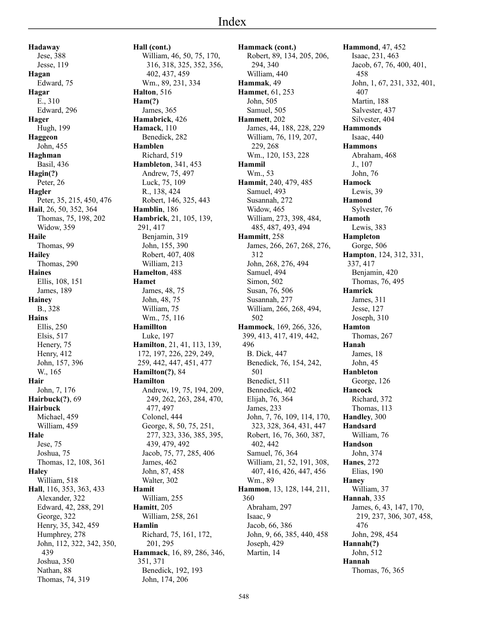**Hadaway** Jese, 388 Jesse, 119 **Hagan** Edward, 75 **Hagar** E., 310 Edward, 296 **Hager** Hugh, 199 **Haggeon** John, 455 **Haghman** Basil, 436 **Hagin(?)** Peter, 26 **Hagler** Peter, 35, 215, 450, 476 **Hail**, 26, 50, 352, 364 Thomas, 75, 198, 202 Widow, 359 **Haile** Thomas, 99 **Hailey** Thomas, 290 **Haines** Ellis, 108, 151 James, 189 **Hainey** B., 328 **Hains** Ellis, 250 Elsis, 517 Henery, 75 Henry, 412 John, 157, 396 W., 165 **Hair** John, 7, 176 **Hairbuck(?)**, 69 **Hairbuck** Michael, 459 William, 459 **Hale** Jese, 75 Joshua, 75 Thomas, 12, 108, 361 **Haley** William, 518 **Hall**, 116, 353, 363, 433 Alexander, 322 Edward, 42, 288, 291 George, 322 Henry, 35, 342, 459 Humphrey, 278 John, 112, 322, 342, 350, 439 Joshua, 350 Nathan, 88

Thomas, 74, 319

**Hall (cont.)** William, 46, 50, 75, 170, 316, 318, 325, 352, 356, 402, 437, 459 Wm., 89, 231, 334 **Halton**, 516 **Ham(?)** James, 365 **Hamabrick**, 426 **Hamack**, 110 Benedick, 282 **Hamblen** Richard, 519 **Hambleton**, 341, 453 Andrew, 75, 497 Luck, 75, 109 R., 138, 424 Robert, 146, 325, 443 **Hamblin**, 186 **Hambrick**, 21, 105, 139, 291, 417 Benjamin, 319 John, 155, 390 Robert, 407, 408 William, 213 **Hamelton**, 488 **Hamet** James, 48, 75 John, 48, 75 William, 75 Wm., 75, 116 **Hamillton** Luke, 197 **Hamilton**, 21, 41, 113, 139, 172, 197, 226, 229, 249, 259, 442, 447, 451, 477 **Hamilton(?)**, 84 **Hamilton** Andrew, 19, 75, 194, 209, 249, 262, 263, 284, 470, 477, 497 Colonel, 444 George, 8, 50, 75, 251, 277, 323, 336, 385, 395, 439, 479, 492 Jacob, 75, 77, 285, 406 James, 462 John, 87, 458 Walter, 302 **Hamit** William, 255 **Hamitt**, 205 William, 258, 261 **Hamlin** Richard, 75, 161, 172, 201, 295 **Hammack**, 16, 89, 286, 346, 351, 371 Benedick, 192, 193 John, 174, 206

**Hammack (cont.)** Robert, 89, 134, 205, 206, 294, 340 William, 440 **Hammak**, 49 **Hammet**, 61, 253 John, 505 Samuel, 505 **Hammett**, 202 James, 44, 188, 228, 229 William, 76, 119, 207, 229, 268 Wm., 120, 153, 228 **Hammil** Wm., 53 **Hammit**, 240, 479, 485 Samuel, 493 Susannah, 272 Widow, 465 William, 273, 398, 484, 485, 487, 493, 494 **Hammitt**, 258 James, 266, 267, 268, 276, 312 John, 268, 276, 494 Samuel, 494 Simon, 502 Susan, 76, 506 Susannah, 277 William, 266, 268, 494, 502 **Hammock**, 169, 266, 326, 399, 413, 417, 419, 442, 496 B. Dick, 447 Benedick, 76, 154, 242, 501 Benedict, 511 Bennedick, 402 Elijah, 76, 364 James, 233 John, 7, 76, 109, 114, 170, 323, 328, 364, 431, 447 Robert, 16, 76, 360, 387, 402, 442 Samuel, 76, 364 William, 21, 52, 191, 308, 407, 416, 426, 447, 456 Wm., 89 **Hammon**, 13, 128, 144, 211, 360 Abraham, 297 Isaac, 9 Jacob, 66, 386 John, 9, 66, 385, 440, 458 Joseph, 429 Martin, 14

**Hammond**, 47, 452 Isaac, 231, 463 Jacob, 67, 76, 400, 401, 458 John, 1, 67, 231, 332, 401, 407 Martin, 188 Salvester, 437 Silvester, 404 **Hammonds** Isaac, 440 **Hammons** Abraham, 468 J., 107 John, 76 **Hamock** Lewis, 39 **Hamond** Sylvester, 76 **Hamoth** Lewis, 383 **Hampleton** Gorge, 506 **Hampton**, 124, 312, 331, 337, 417 Benjamin, 420 Thomas, 76, 495 **Hamrick** James, 311 Jesse, 127 Joseph, 310 **Hamton** Thomas, 267 **Hanah** James, 18 John, 45 **Hanbleton** George, 126 **Hancock** Richard, 372 Thomas, 113 **Handley**, 300 **Handsard** William, 76 **Handson** John, 374 **Hanes**, 272 Elias, 190 **Haney** William, 37 **Hannah**, 335 James, 6, 43, 147, 170, 219, 237, 306, 307, 458, 476 John, 298, 454 **Hannah(?)** John, 512 **Hannah** Thomas, 76, 365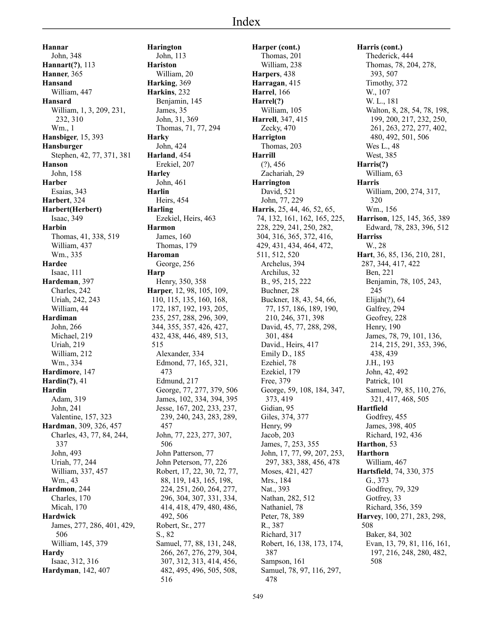**Hannar** John, 348 **Hannart(?)**, 113 **Hanner**, 365 **Hansand** William, 447 **Hansard** William, 1, 3, 209, 231, 232, 310 Wm., 1 **Hansbiger**, 15, 393 **Hansburger** Stephen, 42, 77, 371, 381 **Hanson** John, 158 **Harber** Esaias, 343 **Harbert**, 324 **Harbert(Herbert)** Isaac, 349 **Harbin** Thomas, 41, 338, 519 William, 437 Wm., 335 **Hardee** Isaac, 111 **Hardeman**, 397 Charles, 242 Uriah, 242, 243 William, 44 **Hardiman** John, 266 Michael, 219 Uriah, 219 William, 212 Wm., 334 **Hardimore**, 147 **Hardin(?)**, 41 **Hardin** Adam, 319 John, 241 Valentine, 157, 323 **Hardman**, 309, 326, 457 Charles, 43, 77, 84, 244, 337 John, 493 Uriah, 77, 244 William, 337, 457 Wm., 43 **Hardmon**, 244 Charles, 170 Micah, 170 **Hardwick** James, 277, 286, 401, 429, 506 William, 145, 379 **Hardy** Isaac, 312, 316 **Hardyman**, 142, 407

**Harington** John, 113 **Hariston** William, 20 **Harking**, 369 **Harkins**, 232 Benjamin, 145 James, 35 John, 31, 369 Thomas, 71, 77, 294 **Harky** John, 424 **Harland**, 454 Erekiel, 207 **Harley** John, 461 **Harlin** Heirs, 454 **Harling** Ezekiel, Heirs, 463 **Harmon** James, 160 Thomas, 179 **Haroman** George, 256 **Harp** Henry, 350, 358 **Harper**, 12, 98, 105, 109, 110, 115, 135, 160, 168, 172, 187, 192, 193, 205, 235, 257, 288, 296, 309, 344, 355, 357, 426, 427, 432, 438, 446, 489, 513, 515 Alexander, 334 Edmond, 77, 165, 321, 473 Edmund, 217 George, 77, 277, 379, 506 James, 102, 334, 394, 395 Jesse, 167, 202, 233, 237, 239, 240, 243, 283, 289, 457 John, 77, 223, 277, 307, 506 John Patterson, 77 John Peterson, 77, 226 Robert, 17, 22, 30, 72, 77, 88, 119, 143, 165, 198, 224, 251, 260, 264, 277, 296, 304, 307, 331, 334, 414, 418, 479, 480, 486, 492, 506 Robert, Sr., 277 S., 82 Samuel, 77, 88, 131, 248, 266, 267, 276, 279, 304, 307, 312, 313, 414, 456, 482, 495, 496, 505, 508, 516

**Harper (cont.)** Thomas, 201 William, 238 **Harpers**, 438 **Harragan**, 415 **Harrel**, 166 **Harrel(?)** William, 105 **Harrell**, 347, 415 Zecky, 470 **Harrigton** Thomas, 203 **Harrill** (?), 456 Zachariah, 29 **Harrington** David, 521 John, 77, 229 **Harris**, 25, 44, 46, 52, 65, 74, 132, 161, 162, 165, 225, 228, 229, 241, 250, 282, 304, 316, 365, 372, 416, 429, 431, 434, 464, 472, 511, 512, 520 Archelus, 394 Archilus, 32 B., 95, 215, 222 Buchner, 28 Buckner, 18, 43, 54, 66, 77, 157, 186, 189, 190, 210, 246, 371, 398 David, 45, 77, 288, 298, 301, 484 David., Heirs, 417 Emily D., 185 Ezehiel, 78 Ezekiel, 179 Free, 379 George, 59, 108, 184, 347, 373, 419 Gidian, 95 Giles, 374, 377 Henry, 99 Jacob, 203 James, 7, 253, 355 John, 17, 77, 99, 207, 253, 297, 383, 388, 456, 478 Moses, 421, 427 Mrs., 184 Nat., 393 Nathan, 282, 512 Nathaniel, 78 Peter, 78, 389 R., 387 Richard, 317 Robert, 16, 138, 173, 174, 387 Sampson, 161 Samuel, 78, 97, 116, 297, 478

**Harris (cont.)** Thederick, 444 Thomas, 78, 204, 278, 393, 507 Timothy, 372 W., 107 W. L., 181 Walton, 8, 28, 54, 78, 198, 199, 200, 217, 232, 250, 261, 263, 272, 277, 402, 480, 492, 501, 506 Wes L., 48 West, 385 **Harris(?)** William, 63 **Harris** William, 200, 274, 317, 320 Wm., 156 **Harrison**, 125, 145, 365, 389 Edward, 78, 283, 396, 512 **Harriss** W., 28 **Hart**, 36, 85, 136, 210, 281, 287, 344, 417, 422 Ben, 221 Benjamin, 78, 105, 243, 245 Elijah(?), 64 Galfrey, 294 Geofrey, 228 Henry, 190 James, 78, 79, 101, 136, 214, 215, 291, 353, 396, 438, 439 J.H., 193 John, 42, 492 Patrick, 101 Samuel, 79, 85, 110, 276, 321, 417, 468, 505 **Hartfield** Godfrey, 455 James, 398, 405 Richard, 192, 436 **Harthon**, 53 **Harthorn** William, 467 **Hartsfield**, 74, 330, 375 G., 373 Godfrey, 79, 329 Gotfrey, 33 Richard, 356, 359 **Harvey**, 100, 271, 283, 298, 508 Baker, 84, 302 Evan, 13, 79, 81, 116, 161, 197, 216, 248, 280, 482, 508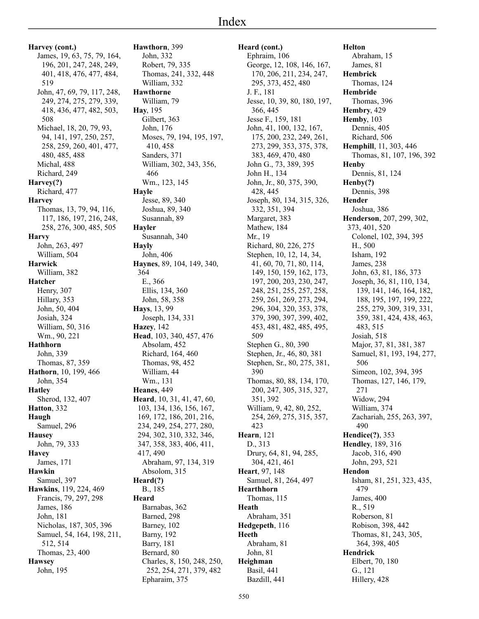**Harvey (cont.)** James, 19, 63, 75, 79, 164, 196, 201, 247, 248, 249, 401, 418, 476, 477, 484, 519 John, 47, 69, 79, 117, 248, 249, 274, 275, 279, 339, 418, 436, 477, 482, 503, 508 Michael, 18, 20, 79, 93, 94, 141, 197, 250, 257, 258, 259, 260, 401, 477, 480, 485, 488 Michal, 488 Richard, 249 **Harvey(?)** Richard, 477 **Harvey** Thomas, 13, 79, 94, 116, 117, 186, 197, 216, 248, 258, 276, 300, 485, 505 **Harvy** John, 263, 497 William, 504 **Harwick** William, 382 **Hatcher** Henry, 307 Hillary, 353 John, 50, 404 Josiah, 324 William, 50, 316 Wm., 90, 221 **Hathhorn** John, 339 Thomas, 87, 359 **Hathorn**, 10, 199, 466 John, 354 **Hatley** Sherod, 132, 407 **Hatton**, 332 **Haugh** Samuel, 296 **Hausey** John, 79, 333 **Havey** James, 171 **Hawkin** Samuel, 397 **Hawkins**, 119, 224, 469 Francis, 79, 297, 298 James, 186 John, 181 Nicholas, 187, 305, 396 Samuel, 54, 164, 198, 211, 512, 514 Thomas, 23, 400 **Hawsey** John, 195

**Hawthorn**, 399 John, 332 Robert, 79, 335 Thomas, 241, 332, 448 William, 332 **Hawthorne** William, 79 **Hay**, 195 Gilbert, 363 John, 176 Moses, 79, 194, 195, 197, 410, 458 Sanders, 371 William, 302, 343, 356, 466 Wm., 123, 145 **Hayle** Jesse, 89, 340 Joshua, 89, 340 Susannah, 89 **Hayler** Susannah, 340 **Hayly** John, 406 **Haynes**, 89, 104, 149, 340, 364 E., 366 Ellis, 134, 360 John, 58, 358 **Hays**, 13, 99 Joseph, 134, 331 **Hazey**, 142 **Head**, 103, 340, 457, 476 Absolam, 452 Richard, 164, 460 Thomas, 98, 452 William, 44 Wm., 131 **Heanes**, 449 **Heard**, 10, 31, 41, 47, 60, 103, 134, 136, 156, 167, 169, 172, 186, 201, 216, 234, 249, 254, 277, 280, 294, 302, 310, 332, 346, 347, 358, 383, 406, 411, 417, 490 Abraham, 97, 134, 319 Absolom, 315 **Heard(?)** B., 185 **Heard** Barnabas, 362 Barned, 298 Barney, 102 Barny, 192 Barry, 181 Bernard, 80 Charles, 8, 150, 248, 250, 252, 254, 271, 379, 482 Epharaim, 375

**Heard (cont.)** Ephraim, 106 George, 12, 108, 146, 167, 170, 206, 211, 234, 247, 295, 373, 452, 480 J. F., 181 Jesse, 10, 39, 80, 180, 197, 366, 445 Jesse F., 159, 181 John, 41, 100, 132, 167, 175, 200, 232, 249, 261, 273, 299, 353, 375, 378, 383, 469, 470, 480 John G., 73, 389, 395 John H., 134 John, Jr., 80, 375, 390, 428, 445 Joseph, 80, 134, 315, 326, 332, 351, 394 Margaret, 383 Mathew, 184 Mr., 19 Richard, 80, 226, 275 Stephen, 10, 12, 14, 34, 41, 60, 70, 71, 80, 114, 149, 150, 159, 162, 173, 197, 200, 203, 230, 247, 248, 251, 255, 257, 258, 259, 261, 269, 273, 294, 296, 304, 320, 353, 378, 379, 390, 397, 399, 402, 453, 481, 482, 485, 495, 509 Stephen G., 80, 390 Stephen, Jr., 46, 80, 381 Stephen, Sr., 80, 275, 381, 390 Thomas, 80, 88, 134, 170, 200, 247, 305, 315, 327, 351, 392 William, 9, 42, 80, 252, 254, 269, 275, 315, 357, 423 **Hearn**, 121 D., 313 Drury, 64, 81, 94, 285, 304, 421, 461 **Heart**, 97, 148 Samuel, 81, 264, 497 **Hearthhorn** Thomas, 115 **Heath** Abraham, 351 **Hedgepeth**, 116 **Heeth** Abraham, 81 John, 81 **Heighman** Basil, 441 Bazdill, 441

**Helton** Abraham, 15 James, 81 **Hembrick** Thomas, 124 **Hembride** Thomas, 396 **Hembry**, 429 **Hemby**, 103 Dennis, 405 Richard, 506 **Hemphill**, 11, 303, 446 Thomas, 81, 107, 196, 392 **Henby** Dennis, 81, 124 **Henby(?)** Dennis, 398 **Hender** Joshua, 386 **Henderson**, 207, 299, 302, 373, 401, 520 Colonel, 102, 394, 395 H., 500 Isham, 192 James, 238 John, 63, 81, 186, 373 Joseph, 36, 81, 110, 134, 139, 141, 146, 164, 182, 188, 195, 197, 199, 222, 255, 279, 309, 319, 331, 359, 381, 424, 438, 463, 483, 515 Josiah, 518 Major, 37, 81, 381, 387 Samuel, 81, 193, 194, 277, 506 Simeon, 102, 394, 395 Thomas, 127, 146, 179, 271 Widow, 294 William, 374 Zachariah, 255, 263, 397, 490 **Hendice(?)**, 353 **Hendley**, 189, 316 Jacob, 316, 490 John, 293, 521 **Hendon** Isham, 81, 251, 323, 435, 479 James, 400 R., 519 Roberson, 81 Robison, 398, 442 Thomas, 81, 243, 305, 364, 398, 405 **Hendrick** Elbert, 70, 180 G., 121 Hillery, 428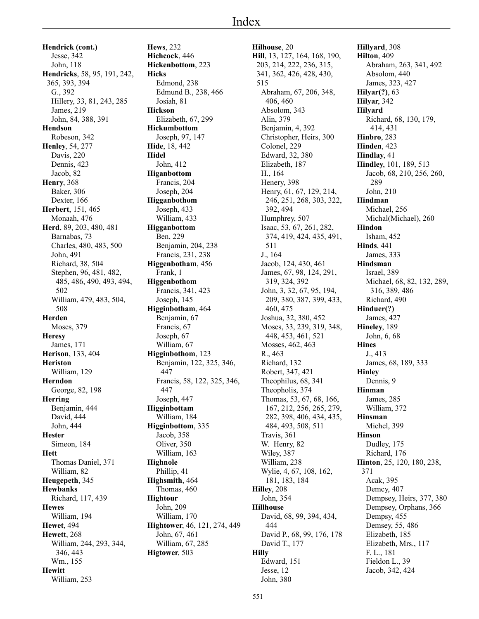**Hendrick (cont.)** Jesse, 342 John, 118 **Hendricks**, 58, 95, 191, 242, 365, 393, 394 G., 392 Hillery, 33, 81, 243, 285 James, 219 John, 84, 388, 391 **Hendson** Robeson, 342 **Henley**, 54, 277 Davis, 220 Dennis, 423 Jacob, 82 **Henry**, 368 Baker, 306 Dexter, 166 **Herbert**, 151, 465 Monaah, 476 **Herd**, 89, 203, 480, 481 Barnabas, 73 Charles, 480, 483, 500 John, 491 Richard, 38, 504 Stephen, 96, 481, 482, 485, 486, 490, 493, 494, 502 William, 479, 483, 504, 508 **Herden** Moses, 379 **Heresy** James, 171 **Herison**, 133, 404 **Heriston** William, 129 **Herndon** George, 82, 198 **Herring** Benjamin, 444 David, 444 John, 444 **Hester** Simeon, 184 **Hett** Thomas Daniel, 371 William, 82 **Heugepeth**, 345 **Hewbanks** Richard, 117, 439 **Hewes** William, 194 **Hewet**, 494 **Hewett**, 268 William, 244, 293, 344, 346, 443 Wm., 155 **Hewitt** William, 253

**Hews**, 232 **Hichcock**, 446 **Hickenbottom**, 223 **Hicks** Edmond, 238 Edmund B., 238, 466 Josiah, 81 **Hickson** Elizabeth, 67, 299 **Hickumbottom** Joseph, 97, 147 **Hide**, 18, 442 **Hidel** John, 412 **Higanbottom** Francis, 204 Joseph, 204 **Higganbothom** Joseph, 433 William, 433 **Higganbottom** Ben, 229 Benjamin, 204, 238 Francis, 231, 238 **Higgenbotham**, 456 Frank, 1 **Higgenbothom** Francis, 341, 423 Joseph, 145 **Higginbotham**, 464 Benjamin, 67 Francis, 67 Joseph, 67 William, 67 **Higginbothom**, 123 Benjamin, 122, 325, 346, 447 Francis, 58, 122, 325, 346, 447 Joseph, 447 **Higginbottam** William, 184 **Higginbottom**, 335 Jacob, 358 Oliver, 350 William, 163 **Highnole** Phillip, 41 **Highsmith**, 464 Thomas, 460 **Hightour** John, 209 William, 170 **Hightower**, 46, 121, 274, 449 John, 67, 461 William, 67, 285 **Higtower**, 503

**Hilhouse**, 20 **Hill**, 13, 127, 164, 168, 190, 203, 214, 222, 236, 315, 341, 362, 426, 428, 430, 515 Abraham, 67, 206, 348, 406, 460 Absolom, 343 Alin, 379 Benjamin, 4, 392 Christopher, Heirs, 300 Colonel, 229 Edward, 32, 380 Elizabeth, 187 H., 164 Henery, 398 Henry, 61, 67, 129, 214, 246, 251, 268, 303, 322, 392, 494 Humphrey, 507 Isaac, 53, 67, 261, 282, 374, 419, 424, 435, 491, 511 J., 164 Jacob, 124, 430, 461 James, 67, 98, 124, 291, 319, 324, 392 John, 3, 32, 67, 95, 194, 209, 380, 387, 399, 433, 460, 475 Joshua, 32, 380, 452 Moses, 33, 239, 319, 348, 448, 453, 461, 521 Mosses, 462, 463 R., 463 Richard, 132 Robert, 347, 421 Theophilus, 68, 341 Theopholis, 374 Thomas, 53, 67, 68, 166, 167, 212, 256, 265, 279, 282, 398, 406, 434, 435, 484, 493, 508, 511 Travis, 361 W. Henry, 82 Wiley, 387 William, 238 Wylie, 4, 67, 108, 162, 181, 183, 184 **Hilley**, 208 John, 354 **Hillhouse** David, 68, 99, 394, 434, 444 David P., 68, 99, 176, 178 David T., 177 **Hilly** Edward, 151 Jesse, 12 John, 380

**Hillyard**, 308 **Hilton**, 409 Abraham, 263, 341, 492 Absolom, 440 James, 323, 427 **Hilyar(?)**, 63 **Hilyar**, 342 **Hilyard** Richard, 68, 130, 179, 414, 431 **Hinbro**, 283 **Hinden**, 423 **Hindlay**, 41 **Hindley**, 101, 189, 513 Jacob, 68, 210, 256, 260, 289 John, 210 **Hindman** Michael, 256 Michal(Michael), 260 **Hindon** Isham, 452 **Hinds**, 441 James, 333 **Hindsman** Israel, 389 Michael, 68, 82, 132, 289, 316, 389, 486 Richard, 490 **Hinduer(?)** James, 427 **Hineley**, 189 John, 6, 68 **Hines** J., 413 James, 68, 189, 333 **Hinley** Dennis, 9 **Hinman** James, 285 William, 372 **Hinsman** Michel, 399 **Hinson** Dudley, 175 Richard, 176 **Hinton**, 25, 120, 180, 238, 371 Acak, 395 Demcy, 407 Dempsey, Heirs, 377, 380 Dempsey, Orphans, 366 Dempsy, 455 Demsey, 55, 486 Elizabeth, 185 Elizabeth, Mrs., 117 F. L., 181 Fieldon L., 39 Jacob, 342, 424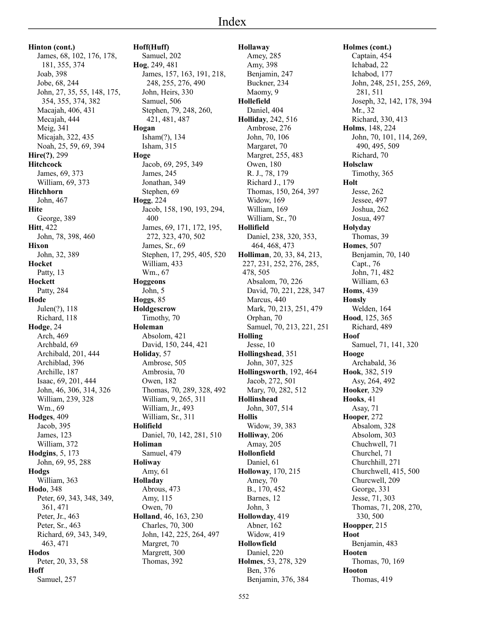**Hinton (cont.)** James, 68, 102, 176, 178, 181, 355, 374 Joab, 398 Jobe, 68, 244 John, 27, 35, 55, 148, 175, 354, 355, 374, 382 Macajah, 406, 431 Mecajah, 444 Meig, 341 Micajah, 322, 435 Noah, 25, 59, 69, 394 **Hire(?)**, 299 **Hitchcock** James, 69, 373 William, 69, 373 **Hitchhorn** John, 467 **Hite** George, 389 **Hitt**, 422 John, 78, 398, 460 **Hixon** John, 32, 389 **Hocket** Patty, 13 **Hockett** Patty, 284 **Hode** Julen(?), 118 Richard, 118 **Hodge**, 24 Arch, 469 Archbald, 69 Archibald, 201, 444 Archiblad, 396 Archille, 187 Isaac, 69, 201, 444 John, 46, 306, 314, 326 William, 239, 328 Wm., 69 **Hodges**, 409 Jacob, 395 James, 123 William, 372 **Hodgins**, 5, 173 John, 69, 95, 288 **Hodgs** William, 363 **Hodo**, 348 Peter, 69, 343, 348, 349, 361, 471 Peter, Jr., 463 Peter, Sr., 463 Richard, 69, 343, 349, 463, 471 **Hodos** Peter, 20, 33, 58 **Hoff** Samuel, 257

**Hoff(Huff)** Samuel, 202 **Hog**, 249, 481 James, 157, 163, 191, 218, 248, 255, 276, 490 John, Heirs, 330 Samuel, 506 Stephen, 79, 248, 260, 421, 481, 487 **Hogan** Isham(?), 134 Isham, 315 **Hoge** Jacob, 69, 295, 349 James, 245 Jonathan, 349 Stephen, 69 **Hogg**, 224 Jacob, 158, 190, 193, 294, 400 James, 69, 171, 172, 195, 272, 323, 470, 502 James, Sr., 69 Stephen, 17, 295, 405, 520 William, 433 Wm., 67 **Hoggeons** John, 5 **Hoggs**, 85 **Holdgescrow** Timothy, 70 **Holeman** Absolom, 421 David, 150, 244, 421 **Holiday**, 57 Ambrose, 505 Ambrosia, 70 Owen, 182 Thomas, 70, 289, 328, 492 William, 9, 265, 311 William, Jr., 493 William, Sr., 311 **Holifield** Daniel, 70, 142, 281, 510 **Holiman** Samuel, 479 **Holiway** Amy, 61 **Holladay** Abrous, 473 Amy, 115 Owen, 70 **Holland**, 46, 163, 230 Charles, 70, 300 John, 142, 225, 264, 497 Margret, 70 Margrett, 300 Thomas, 392

**Hollaway** Amey, 285 Amy, 398 Benjamin, 247 Buckner, 234 Maomy, 9 **Hollefield** Daniel, 404 **Holliday**, 242, 516 Ambrose, 276 John, 70, 106 Margaret, 70 Margret, 255, 483 Owen, 180 R. J., 78, 179 Richard J., 179 Thomas, 150, 264, 397 Widow, 169 William, 169 William, Sr., 70 **Hollifield** Daniel, 238, 320, 353, 464, 468, 473 **Holliman**, 20, 33, 84, 213, 227, 231, 252, 276, 285, 478, 505 Absalom, 70, 226 David, 70, 221, 228, 347 Marcus, 440 Mark, 70, 213, 251, 479 Orphan, 70 Samuel, 70, 213, 221, 251 **Holling** Jesse, 10 **Hollingshead**, 351 John, 307, 325 **Hollingsworth**, 192, 464 Jacob, 272, 501 Mary, 70, 282, 512 **Hollinshead** John, 307, 514 **Hollis** Widow, 39, 383 **Holliway**, 206 Amay, 205 **Hollonfield** Daniel, 61 **Holloway**, 170, 215 Amey, 70 B., 170, 452 Barnes, 12 John, 3 **Hollowday**, 419 Abner, 162 Widow, 419 **Hollowfield** Daniel, 220 **Holmes**, 53, 278, 329 Ben, 376 Benjamin, 376, 384

**Holmes (cont.)** Captain, 454 Ichabad, 22 Ichabod, 177 John, 248, 251, 255, 269, 281, 511 Joseph, 32, 142, 178, 394 Mr., 32 Richard, 330, 413 **Holms**, 148, 224 John, 70, 101, 114, 269, 490, 495, 509 Richard, 70 **Holsclaw** Timothy, 365 **Holt** Jesse, 262 Jessee, 497 Joshua, 262 Josua, 497 **Holyday** Thomas, 39 **Homes**, 507 Benjamin, 70, 140 Capt., 76 John, 71, 482 William, 63 **Homs**, 439 **Honsly** Welden, 164 **Hood**, 125, 365 Richard, 489 **Hoof** Samuel, 71, 141, 320 **Hooge** Archabald, 36 **Hook**, 382, 519 Asy, 264, 492 **Hooker**, 329 **Hooks**, 41 Asay, 71 **Hooper**, 272 Absalom, 328 Absolom, 303 Chuchwell, 71 Churchel, 71 Churchhill, 271 Churchwell, 415, 500 Churcwell, 209 George, 331 Jesse, 71, 303 Thomas, 71, 208, 270, 330, 500 **Hoopper**, 215 **Hoot** Benjamin, 483 **Hooten** Thomas, 70, 169 **Hooton** Thomas, 419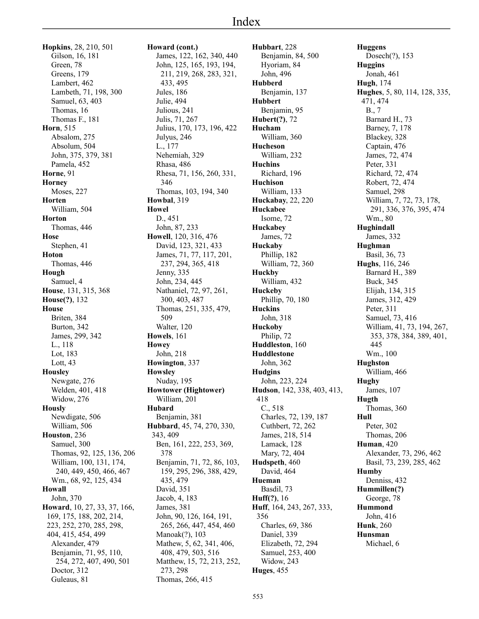**Hopkins**, 28, 210, 501 Gilson, 16, 181 Green, 78 Greens, 179 Lambert, 462 Lambeth, 71, 198, 300 Samuel, 63, 403 Thomas, 16 Thomas F., 181 **Horn**, 515 Absalom, 275 Absolum, 504 John, 375, 379, 381 Pamela, 452 **Horne**, 91 **Horney** Moses, 227 **Horten** William, 504 **Horton** Thomas, 446 **Hose** Stephen, 41 **Hoton** Thomas, 446 **Hough** Samuel, 4 **House**, 131, 315, 368 **House(?)**, 132 **House** Briten, 384 Burton, 342 James, 299, 342 L., 118 Lot, 183 Lott, 43 **Housley** Newgate, 276 Welden, 401, 418 Widow, 276 **Hously** Newdigate, 506 William, 506 **Houston**, 236 Samuel, 300 Thomas, 92, 125, 136, 206 William, 100, 131, 174, 240, 449, 450, 466, 467 Wm., 68, 92, 125, 434 **Howall** John, 370 **Howard**, 10, 27, 33, 37, 166, 169, 175, 188, 202, 214, 223, 252, 270, 285, 298, 404, 415, 454, 499 Alexander, 479 Benjamin, 71, 95, 110, 254, 272, 407, 490, 501 Doctor, 312

Guleaus, 81

**Howard (cont.)** James, 122, 162, 340, 440 John, 125, 165, 193, 194, 211, 219, 268, 283, 321, 433, 495 Jules, 186 Julie, 494 Julious, 241 Julis, 71, 267 Julius, 170, 173, 196, 422 Julyus, 246 L., 177 Nehemiah, 329 Rhasa, 486 Rhesa, 71, 156, 260, 331, 346 Thomas, 103, 194, 340 **Howbal**, 319 **Howel** D., 451 John, 87, 233 **Howell**, 120, 316, 476 David, 123, 321, 433 James, 71, 77, 117, 201, 237, 294, 365, 418 Jenny, 335 John, 234, 445 Nathaniel, 72, 97, 261, 300, 403, 487 Thomas, 251, 335, 479, 509 Walter, 120 **Howels**, 161 **Howey** John, 218 **Howington**, 337 **Howsley** Nuday, 195 **Howtower (Hightower)** William, 201 **Hubard** Benjamin, 381 **Hubbard**, 45, 74, 270, 330, 343, 409 Ben, 161, 222, 253, 369, 378 Benjamin, 71, 72, 86, 103, 159, 295, 296, 388, 429, 435, 479 David, 351 Jacob, 4, 183 James, 381 John, 90, 126, 164, 191, 265, 266, 447, 454, 460 Manoak(?), 103 Mathew, 5, 62, 341, 406, 408, 479, 503, 516 Matthew, 15, 72, 213, 252, 273, 298 Thomas, 266, 415

**Hubbart**, 228 Benjamin, 84, 500 Hyoriam, 84 John, 496 **Hubberd** Benjamin, 137 **Hubbert** Benjamin, 95 **Hubert(?)**, 72 **Hucham** William, 360 **Hucheson** William, 232 **Huchins** Richard, 196 **Huchison** William, 133 **Huckabay**, 22, 220 **Huckabee** Isome, 72 **Huckabey** James, 72 **Huckaby** Phillip, 182 William, 72, 360 **Huckby** William, 432 **Huckeby** Phillip, 70, 180 **Huckins** John, 318 **Huckoby** Philip, 72 **Huddleston**, 160 **Huddlestone** John, 362 **Hudgins** John, 223, 224 **Hudson**, 142, 338, 403, 413, 418 C., 518 Charles, 72, 139, 187 Cuthbert, 72, 262 James, 218, 514 Lamack, 128 Mary, 72, 404 **Hudspeth**, 460 David, 464 **Hueman** Basdil, 73 **Huff(?)**, 16 **Huff**, 164, 243, 267, 333, 356 Charles, 69, 386 Daniel, 339 Elizabeth, 72, 294 Samuel, 253, 400 Widow, 243 **Huges**, 455

**Huggens** Dosech(?), 153 **Huggins** Jonah, 461 **Hugh**, 174 **Hughes**, 5, 80, 114, 128, 335, 471, 474 B., 7 Barnard H., 73 Barney, 7, 178 Blackey, 328 Captain, 476 James, 72, 474 Peter, 331 Richard, 72, 474 Robert, 72, 474 Samuel, 298 William, 7, 72, 73, 178, 291, 336, 376, 395, 474 Wm., 80 **Hughindall** James, 332 **Hughman** Basil, 36, 73 **Hughs**, 116, 246 Barnard H., 389 Buck, 345 Elijah, 134, 315 James, 312, 429 Peter, 311 Samuel, 73, 416 William, 41, 73, 194, 267, 353, 378, 384, 389, 401, 445 Wm., 100 **Hughston** William, 466 **Hughy** James, 107 **Hugth** Thomas, 360 **Hull** Peter, 302 Thomas, 206 **Human**, 420 Alexander, 73, 296, 462 Basil, 73, 239, 285, 462 **Humby** Denniss, 432 **Hummillen(?)** George, 78 **Hummond** John, 416 **Hunk**, 260 **Hunsman** Michael, 6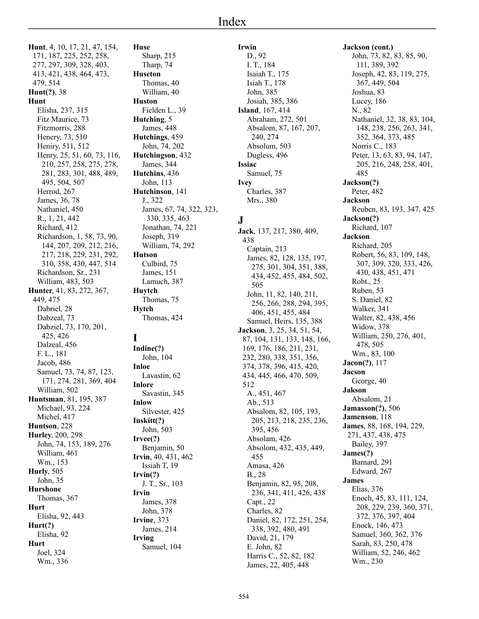**Hunt**, 4, 10, 17, 21, 47, 154, 171, 187, 225, 252, 258, 277, 297, 309, 328, 403, 413, 421, 438, 464, 473, 479, 514 **Hunt(?)**, 38 **Hunt** Elisha, 237, 315 Fitz Maurice, 73 Fitzmorris, 288 Henery, 73, 510 Heniry, 511, 512 Henry, 25, 51, 60, 73, 116, 210, 257, 258, 275, 278, 281, 283, 301, 488, 489, 495, 504, 507 Herrod, 267 James, 36, 78 Nathaniel, 450 R., 1, 21, 442 Richard, 412 Richardson, 1, 58, 73, 90, 144, 207, 209, 212, 216, 217, 218, 229, 231, 292, 310, 358, 430, 447, 514 Richardson, Sr., 231 William, 483, 503 **Hunter**, 41, 83, 272, 367, 449, 475 Dabriel, 28 Dabzeal, 73 Dabziel, 73, 170, 201, 425, 426 Dalzeal, 456 F. L., 181 Jacob, 486 Samuel, 73, 74, 87, 123, 171, 274, 281, 369, 404 William, 502 **Huntsman**, 81, 195, 387 Michael, 93, 224 Michel, 417 **Huntson**, 228 **Hurley**, 200, 298 John, 74, 153, 189, 276 William, 461 Wm., 153 **Hurly**, 505 John, 35 **Hurshone** Thomas, 367 **Hurt** Elisha, 92, 443 **Hurt(?)** Elisha, 92 **Hurt** Joel, 324 Wm., 336

**Huse** Sharp, 215 Tharp, 74 **Huseton** Thomas, 40 William, 40 **Huston** Fielden L., 39 **Hutching**, 5 James, 448 **Hutchings**, 459 John, 74, 202 **Hutchingson**, 432 James, 344 **Hutchins**, 436 John, 113 **Hutchinson**, 141 J., 322 James, 67, 74, 322, 323, 330, 335, 463 Jonathan, 74, 221 Joseph, 319 William, 74, 292 **Hutson** Culbird, 75 James, 151 Lamuch, 387 **Huytch** Thomas, 75 **Hytch** Thomas, 424 **I Indine(?)** John, 104 **Inloe** Lavastin, 62 **Inlore** Savastin, 345 **Inlow** Silvester, 425 **Inskitt(?)** John, 503 **Irvee(?)** Benjamin, 50 **Irvin**, 40, 431, 462 Issiah T, 19 **Irvin(?)** J. T., Sr., 103 **Irvin**

James, 378 John, 378 **Irvine**, 373 James, 214

Samuel, 104

**Irving**

## **Irwin**

D., 92 I. T., 184 Isaiah T., 175 Isiah T., 178 John, 385 Josiah, 385, 386 **Island**, 167, 414 Abraham, 272, 501 Absalom, 87, 167, 207, 240, 274 Absolum, 503 Dugless, 496 **Issiac** Samuel, 75 **Ivey** Charles, 387 Mrs., 380

## **J**

**Jack**, 137, 217, 380, 409, 438 Captain, 213 James, 82, 128, 135, 197, 275, 301, 304, 351, 388, 434, 452, 455, 484, 502, 505 John, 11, 82, 140, 211, 256, 266, 288, 294, 395, 406, 451, 455, 484 Samuel, Heirs, 135, 388 **Jackson**, 3, 25, 34, 51, 54, 87, 104, 131, 133, 148, 166, 169, 176, 186, 211, 231, 232, 280, 338, 351, 356, 374, 378, 396, 415, 420, 434, 445, 466, 470, 509, 512 A., 451, 467 Ab., 513 Absalom, 82, 105, 193, 205, 213, 218, 235, 236, 395, 456 Absolam, 426 Absolom, 432, 435, 449, 455 Amasa, 426 B., 28 Benjamin, 82, 95, 208, 236, 341, 411, 426, 438 Capt., 22 Charles, 82 Daniel, 82, 172, 251, 254, 338, 392, 480, 491 David, 21, 179 E. John, 82 Harris C., 52, 82, 182 James, 22, 405, 448

**Jackson (cont.)** John, 73, 82, 83, 85, 90, 111, 389, 392 Joseph, 42, 83, 119, 275, 367, 449, 504 Joshua, 83 Lucey, 186 N., 82 Nathaniel, 32, 38, 83, 104, 148, 238, 256, 263, 341, 352, 364, 373, 485 Norris C., 183 Peter, 13, 63, 83, 94, 147, 205, 216, 248, 258, 401, 485 **Jackson(?)** Peter, 482 **Jackson** Reuben, 83, 193, 347, 425 **Jackson(?)** Richard, 107 **Jackson** Richard, 205 Robert, 56, 83, 109, 148, 307, 309, 320, 333, 426, 430, 438, 451, 471 Robt., 25 Ruben, 53 S. Daniel, 82 Walker, 341 Walter, 82, 438, 456 Widow, 378 William, 250, 276, 401, 478, 505 Wm., 83, 100 **Jacon(?)**, 117 **Jacson** George, 40 **Jakson** Absalom, 21 **Jamasson(?)**, 506 **Jamenson**, 118 **James**, 88, 168, 194, 229, 271, 437, 438, 475 Bailey, 397 **James(?)** Barnard, 291 Edward, 267 **James** Elias, 376 Enoch, 45, 83, 111, 124, 208, 229, 239, 360, 371, 372, 376, 397, 404 Enock, 146, 473 Samuel, 360, 362, 376 Sarah, 83, 250, 478 William, 52, 246, 462 Wm., 230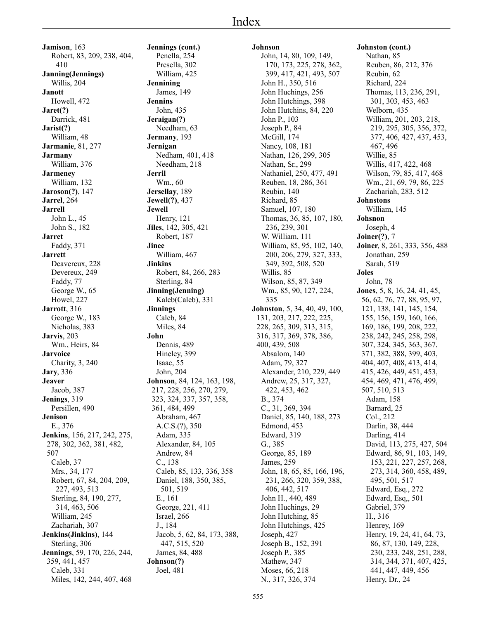**Jamison**, 163 Robert, 83, 209, 238, 404, 410 **Janning(Jennings)** Willis, 204 **Janott** Howell, 472 **Jaret(?)** Darrick, 481 **Jarist(?)** William, 48 **Jarmanie**, 81, 277 **Jarmany** William, 376 **Jarmeney** William, 132 **Jaroson(?)**, 147 **Jarrel**, 264 **Jarrell** John L., 45 John S., 182 **Jarret** Faddy, 371 **Jarrett** Deavereux, 228 Devereux, 249 Faddy, 77 George W., 65 Howel, 227 **Jarrott**, 316 George W., 183 Nicholas, 383 **Jarvis**, 203 Wm., Heirs, 84 **Jarvoice** Charity, 3, 240 **Jary**, 336 **Jeaver** Jacob, 387 **Jenings**, 319 Persillen, 490 **Jenison** E., 376 **Jenkins**, 156, 217, 242, 275, 278, 302, 362, 381, 482, 507 Caleb, 37 Mrs., 34, 177 Robert, 67, 84, 204, 209, 227, 493, 513 Sterling, 84, 190, 277, 314, 463, 506 William, 245 Zachariah, 307 **Jenkins(Jinkins)**, 144 Sterling, 306 **Jennings**, 59, 170, 226, 244, 359, 441, 457 Caleb, 331 Miles, 142, 244, 407, 468

**Jennings (cont.)** Penella, 254 Presella, 302 William, 425 **Jennining** James, 149 **Jennins** John, 435 **Jeraigan(?)** Needham, 63 **Jermany**, 193 **Jernigan** Nedham, 401, 418 Needham, 218 **Jerril** Wm., 60 **Jersellay**, 189 **Jewell(?)**, 437 **Jewell** Henry, 121 **Jiles**, 142, 305, 421 Robert, 187 **Jinee** William, 467 **Jinkins** Robert, 84, 266, 283 Sterling, 84 **Jinning(Jenning)** Kaleb(Caleb), 331 **Jinnings** Caleb, 84 Miles, 84 **John** Dennis, 489 Hineley, 399 Isaac, 55 John, 204 **Johnson**, 84, 124, 163, 198, 217, 228, 256, 270, 279, 323, 324, 337, 357, 358, 361, 484, 499 Abraham, 467 A.C.S.(?), 350 Adam, 335 Alexander, 84, 105 Andrew, 84 C., 138 Caleb, 85, 133, 336, 358 Daniel, 188, 350, 385, 501, 519 E., 161 George, 221, 411 Israel, 266 J., 184 Jacob, 5, 62, 84, 173, 388, 447, 515, 520 James, 84, 488 **Johnson(?)** Joel, 481

## **Johnson** John, 14, 80, 109, 149, 170, 173, 225, 278, 362, 399, 417, 421, 493, 507 John H., 350, 516 John Huchings, 256 John Hutchings, 398 John Hutchins, 84, 220 John P., 103 Joseph P., 84 McGill, 174 Nancy, 108, 181 Nathan, 126, 299, 305 Nathan, Sr., 299 Nathaniel, 250, 477, 491 Reuben, 18, 286, 361 Reubin, 140 Richard, 85 Samuel, 107, 180 Thomas, 36, 85, 107, 180, 236, 239, 301 W. William, 111 William, 85, 95, 102, 140, 200, 206, 279, 327, 333, 349, 392, 508, 520 Willis, 85 Wilson, 85, 87, 349 Wm., 85, 90, 127, 224, 335 **Johnston**, 5, 34, 40, 49, 100, 131, 203, 217, 222, 225, 228, 265, 309, 313, 315, 316, 317, 369, 378, 386, 400, 439, 508 Absalom, 140 Adam, 79, 327 Alexander, 210, 229, 449 Andrew, 25, 317, 327, 422, 453, 462 B., 374 C., 31, 369, 394 Daniel, 85, 140, 188, 273 Edmond, 453 Edward, 319 G., 385 George, 85, 189 James, 259 John, 18, 65, 85, 166, 196, 231, 266, 320, 359, 388, 406, 442, 517 John H., 440, 489 John Huchings, 29 John Hutching, 85 John Hutchings, 425 Joseph, 427 Joseph B., 152, 391 Joseph P., 385 Mathew, 347 Moses, 66, 218 N., 317, 326, 374

**Johnston (cont.)** Nathan, 85 Reuben, 86, 212, 376 Reubin, 62 Richard, 224 Thomas, 113, 236, 291, 301, 303, 453, 463 Welborn, 435 William, 201, 203, 218, 219, 295, 305, 356, 372, 377, 406, 427, 437, 453, 467, 496 Willie, 85 Willis, 417, 422, 468 Wilson, 79, 85, 417, 468 Wm., 21, 69, 79, 86, 225 Zachariah, 283, 512 **Johnstons** William, 145 **Johsnon** Joseph, 4 **Joiner(?)**, 7 **Joiner**, 8, 261, 333, 356, 488 Jonathan, 259 Sarah, 519 **Joles** John, 78 **Jones**, 5, 8, 16, 24, 41, 45, 56, 62, 76, 77, 88, 95, 97, 121, 138, 141, 145, 154, 155, 156, 159, 160, 166, 169, 186, 199, 208, 222, 238, 242, 245, 258, 298, 307, 324, 345, 363, 367, 371, 382, 388, 399, 403, 404, 407, 408, 413, 414, 415, 426, 449, 451, 453, 454, 469, 471, 476, 499, 507, 510, 513 Adam, 158 Barnard, 25 Col., 212 Darlin, 38, 444 Darling, 414 David, 113, 275, 427, 504 Edward, 86, 91, 103, 149, 153, 221, 227, 257, 268, 273, 314, 360, 458, 489, 495, 501, 517 Edward, Esq., 272 Edward, Esq,, 501 Gabriel, 379 H., 316 Henrey, 169 Henry, 19, 24, 41, 64, 73, 86, 87, 130, 149, 228, 230, 233, 248, 251, 288, 314, 344, 371, 407, 425, 441, 447, 449, 456

Henry, Dr., 24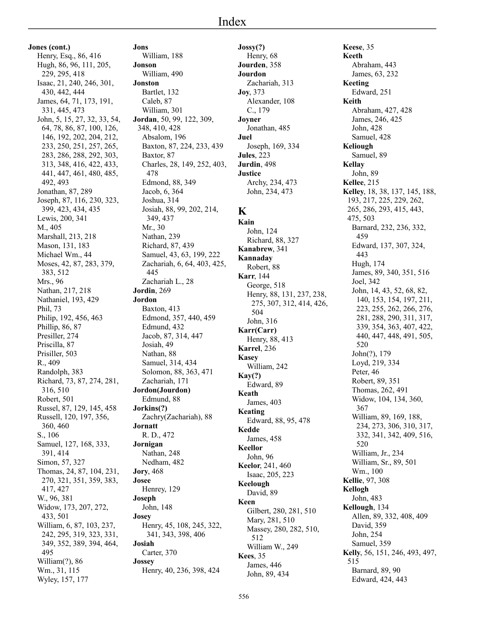**Jones (cont.)** Henry, Esq., 86, 416 Hugh, 86, 96, 111, 205, 229, 295, 418 Isaac, 21, 240, 246, 301, 430, 442, 444 James, 64, 71, 173, 191, 331, 445, 473 John, 5, 15, 27, 32, 33, 54, 64, 78, 86, 87, 100, 126, 146, 192, 202, 204, 212, 233, 250, 251, 257, 265, 283, 286, 288, 292, 303, 313, 348, 416, 422, 433, 441, 447, 461, 480, 485, 492, 493 Jonathan, 87, 289 Joseph, 87, 116, 230, 323, 399, 423, 434, 435 Lewis, 200, 341 M., 405 Marshall, 213, 218 Mason, 131, 183 Michael Wm., 44 Moses, 42, 87, 283, 379, 383, 512 Mrs., 96 Nathan, 217, 218 Nathaniel, 193, 429 Phil, 73 Philip, 192, 456, 463 Phillip, 86, 87 Presiller, 274 Priscilla, 87 Prisiller, 503 R., 409 Randolph, 383 Richard, 73, 87, 274, 281, 316, 510 Robert, 501 Russel, 87, 129, 145, 458 Russell, 120, 197, 356, 360, 460 S., 106 Samuel, 127, 168, 333, 391, 414 Simon, 57, 327 Thomas, 24, 87, 104, 231, 270, 321, 351, 359, 383, 417, 427 W., 96, 381 Widow, 173, 207, 272, 433, 501 William, 6, 87, 103, 237, 242, 295, 319, 323, 331, 349, 352, 389, 394, 464, 495 William(?), 86 Wm., 31, 115

Wyley, 157, 177

**Jons** William, 188 **Jonson** William, 490 **Jonston** Bartlet, 132 Caleb, 87 William, 301 **Jordan**, 50, 99, 122, 309, 348, 410, 428 Absalom, 196 Baxton, 87, 224, 233, 439 Baxtor, 87 Charles, 28, 149, 252, 403, 478 Edmond, 88, 349 Jacob, 6, 364 Joshua, 314 Josiah, 88, 99, 202, 214, 349, 437 Mr., 30 Nathan, 239 Richard, 87, 439 Samuel, 43, 63, 199, 222 Zachariah, 6, 64, 403, 425, 445 Zachariah L., 28 **Jordin**, 269 **Jordon** Baxton, 413 Edmond, 357, 440, 459 Edmund, 432 Jacob, 87, 314, 447 Josiah, 49 Nathan, 88 Samuel, 314, 434 Solomon, 88, 363, 471 Zachariah, 171 **Jordon(Jourdon)** Edmund, 88 **Jorkins(?)** Zachry(Zachariah), 88 **Jornatt** R. D., 472 **Jornigan** Nathan, 248 Nedham, 482 **Jory**, 468 **Josee** Henrey, 129 **Joseph** John, 148 **Josey** Henry, 45, 108, 245, 322, 341, 343, 398, 406 **Josiah** Carter, 370 **Jossey** Henry, 40, 236, 398, 424

**Jossy(?)** Henry, 68 **Jourden**, 358 **Jourdon** Zachariah, 313 **Joy**, 373 Alexander, 108 C., 179 **Joyner** Jonathan, 485 **Juel** Joseph, 169, 334 **Jules**, 223 **Jurdin**, 498 **Justice** Archy, 234, 473 John, 234, 473

## **K**

**Kain** John, 124 Richard, 88, 327 **Kanabrew**, 341 **Kannaday** Robert, 88 **Karr**, 144 George, 518 Henry, 88, 131, 237, 238, 275, 307, 312, 414, 426, 504 John, 316 **Karr(Carr)** Henry, 88, 413 **Karrel**, 236 **Kasey** William, 242 **Kay(?)** Edward, 89 **Keath** James, 403 **Keating** Edward, 88, 95, 478 **Kedde** James, 458 **Keellor** John, 96 **Keelor**, 241, 460 Isaac, 205, 223 **Keelough** David, 89 **Keen** Gilbert, 280, 281, 510 Mary, 281, 510 Massey, 280, 282, 510, 512 William W., 249 **Kees**, 35 James, 446 John, 89, 434

**Keese**, 35 **Keeth** Abraham, 443 James, 63, 232 **Keeting** Edward, 251 **Keith** Abraham, 427, 428 James, 246, 425 John, 428 Samuel, 428 **Keliough** Samuel, 89 **Kellay** John, 89 **Kellee**, 215 **Kelley**, 18, 38, 137, 145, 188, 193, 217, 225, 229, 262, 265, 286, 293, 415, 443, 475, 503 Barnard, 232, 236, 332, 459 Edward, 137, 307, 324, 443 Hugh, 174 James, 89, 340, 351, 516 Joel, 342 John, 14, 43, 52, 68, 82, 140, 153, 154, 197, 211, 223, 255, 262, 266, 276, 281, 288, 290, 311, 317, 339, 354, 363, 407, 422, 440, 447, 448, 491, 505, 520 John(?), 179 Loyd, 219, 334 Peter, 46 Robert, 89, 351 Thomas, 262, 491 Widow, 104, 134, 360, 367 William, 89, 169, 188, 234, 273, 306, 310, 317, 332, 341, 342, 409, 516, 520 William, Jr., 234 William, Sr., 89, 501 Wm., 100 **Kellie**, 97, 308 **Kellogh** John, 483 **Kellough**, 134 Allen, 89, 332, 408, 409 David, 359 John, 254 Samuel, 359 **Kelly**, 56, 151, 246, 493, 497, 515 Barnard, 89, 90 Edward, 424, 443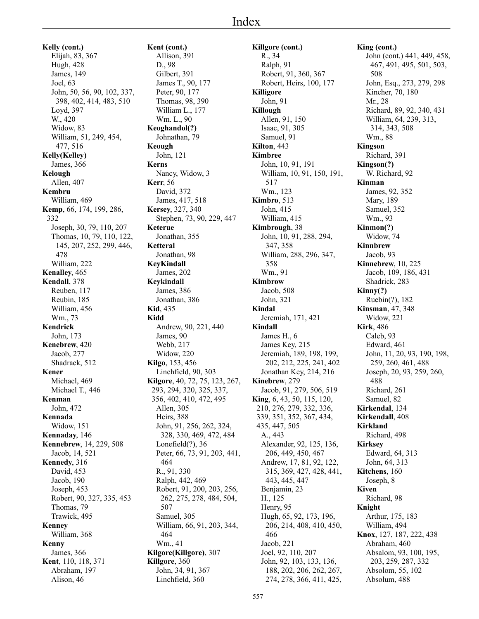**Kelly (cont.)** Elijah, 83, 367 Hugh, 428 James, 149 Joel, 63 John, 50, 56, 90, 102, 337, 398, 402, 414, 483, 510 Loyd, 397 W., 420 Widow, 83 William, 51, 249, 454, 477, 516 **Kelly(Kelley)** James, 366 **Kelough** Allen, 407 **Kembru** William, 469 **Kemp**, 66, 174, 199, 286, 332 Joseph, 30, 79, 110, 207 Thomas, 10, 79, 110, 122, 145, 207, 252, 299, 446, 478 William, 222 **Kenalley**, 465 **Kendall**, 378 Reuben, 117 Reubin, 185 William, 456 Wm., 73 **Kendrick** John, 173 **Kenebrew**, 420 Jacob, 277 Shadrack, 512 **Kener** Michael, 469 Michael T., 446 **Kenman** John, 472 **Kennada** Widow, 151 **Kennaday**, 146 **Kennebrew**, 14, 229, 508 Jacob, 14, 521 **Kennedy**, 316 David, 453 Jacob, 190 Joseph, 453 Robert, 90, 327, 335, 453 Thomas, 79 Trawick, 495 **Kenney** William, 368 **Kenny** James, 366 **Kent**, 110, 118, 371 Abraham, 197 Alison, 46

**Kent (cont.)** Allison, 391 D., 98 Gilbert, 391 James T., 90, 177 Peter, 90, 177 Thomas, 98, 390 William L., 177 Wm. L., 90 **Keoghandol(?)** Johnathan, 79 **Keough** John, 121 **Kerns** Nancy, Widow, 3 **Kerr**, 56 David, 372 James, 417, 518 **Kersey**, 327, 340 Stephen, 73, 90, 229, 447 **Keterue** Jonathan, 355 **Ketteral** Jonathan, 98 **KeyKindall** James, 202 **Keykindall** James, 386 Jonathan, 386 **Kid**, 435 **Kidd** Andrew, 90, 221, 440 James, 90 Webb, 217 Widow, 220 **Kilgo**, 153, 456 Linchfield, 90, 303 **Kilgore**, 40, 72, 75, 123, 267, 293, 294, 320, 325, 337, 356, 402, 410, 472, 495 Allen, 305 Heirs, 388 John, 91, 256, 262, 324, 328, 330, 469, 472, 484 Lonefield $(?)$ , 36 Peter, 66, 73, 91, 203, 441, 464 R., 91, 330 Ralph, 442, 469 Robert, 91, 200, 203, 256, 262, 275, 278, 484, 504, 507 Samuel, 305 William, 66, 91, 203, 344, 464 Wm., 41 **Kilgore(Killgore)**, 307 **Killgore**, 360 John, 34, 91, 367 Linchfield, 360

**Killgore (cont.)** R., 34 Ralph, 91 Robert, 91, 360, 367 Robert, Heirs, 100, 177 **Killigore** John, 91 **Killough** Allen, 91, 150 Isaac, 91, 305 Samuel, 91 **Kilton**, 443 **Kimbree** John, 10, 91, 191 William, 10, 91, 150, 191, 517 Wm., 123 **Kimbro**, 513 John, 415 William, 415 **Kimbrough**, 38 John, 10, 91, 288, 294, 347, 358 William, 288, 296, 347, 358 Wm., 91 **Kimbrow** Jacob, 508 John, 321 **Kindal** Jeremiah, 171, 421 **Kindall** James H., 6 James Key, 215 Jeremiah, 189, 198, 199, 202, 212, 225, 241, 402 Jonathan Key, 214, 216 **Kinebrew**, 279 Jacob, 91, 279, 506, 519 **King**, 6, 43, 50, 115, 120, 210, 276, 279, 332, 336, 339, 351, 352, 367, 434, 435, 447, 505 A., 443 Alexander, 92, 125, 136, 206, 449, 450, 467 Andrew, 17, 81, 92, 122, 315, 369, 427, 428, 441, 443, 445, 447 Benjamin, 23 H., 125 Henry, 95 Hugh, 65, 92, 173, 196, 206, 214, 408, 410, 450, 466 Jacob, 221 Joel, 92, 110, 207 John, 92, 103, 133, 136, 188, 202, 206, 262, 267, 274, 278, 366, 411, 425,

**King (cont.)** John (cont.) 441, 449, 458, 467, 491, 495, 501, 503, 508 John, Esq., 273, 279, 298 Kincher, 70, 180 Mr., 28 Richard, 89, 92, 340, 431 William, 64, 239, 313, 314, 343, 508 Wm., 88 **Kingson** Richard, 391 **Kingson(?)** W. Richard, 92 **Kinman** James, 92, 352 Mary, 189 Samuel, 352 Wm., 93 **Kinmon(?)** Widow, 74 **Kinnbrew** Jacob, 93 **Kinnebrew**, 10, 225 Jacob, 109, 186, 431 Shadrick, 283 **Kinny(?)** Ruebin(?), 182 **Kinsman**, 47, 348 Widow, 221 **Kirk**, 486 Caleb, 93 Edward, 461 John, 11, 20, 93, 190, 198, 259, 260, 461, 488 Joseph, 20, 93, 259, 260, 488 Richard, 261 Samuel, 82 **Kirkendal**, 134 **Kirkendall**, 408 **Kirkland** Richard, 498 **Kirksey** Edward, 64, 313 John, 64, 313 **Kitchens**, 160 Joseph, 8 **Kiven** Richard, 98 **Knight** Arthur, 175, 183 William, 494 **Knox**, 127, 187, 222, 438 Abraham, 460 Absalom, 93, 100, 195, 203, 259, 287, 332 Absolom, 55, 102 Absolum, 488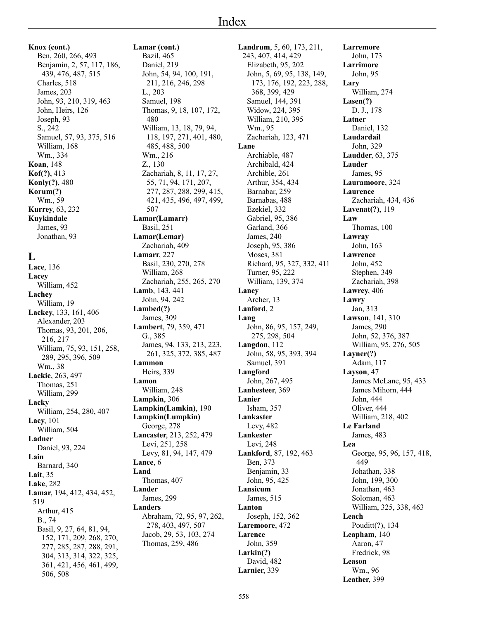**Knox (cont.)** Ben, 260, 266, 493 Benjamin, 2, 57, 117, 186, 439, 476, 487, 515 Charles, 518 James, 203 John, 93, 210, 319, 463 John, Heirs, 126 Joseph, 93 S., 242 Samuel, 57, 93, 375, 516 William, 168 Wm., 334 **Koan**, 148 **Kof(?)**, 413 **Konly(?)**, 480 **Korum(?)** Wm., 59 **Kurrey**, 63, 232 **Kuykindale** James, 93 Jonathan, 93

### **L**

**Lace**, 136 **Lacey** William, 452 **Lachey** William, 19 **Lackey**, 133, 161, 406 Alexander, 203 Thomas, 93, 201, 206, 216, 217 William, 75, 93, 151, 258, 289, 295, 396, 509 Wm., 38 **Lackie**, 263, 497 Thomas, 251 William, 299 **Lacky** William, 254, 280, 407 **Lacy**, 101 William, 504 **Ladner** Daniel, 93, 224 **Lain** Barnard, 340 **Lait**, 35 **Lake**, 282 **Lamar**, 194, 412, 434, 452, 519 Arthur, 415 B., 74 Basil, 9, 27, 64, 81, 94, 152, 171, 209, 268, 270, 277, 285, 287, 288, 291, 304, 313, 314, 322, 325, 361, 421, 456, 461, 499, 506, 508

**Lamar (cont.)** Bazil, 465 Daniel, 219 John, 54, 94, 100, 191, 211, 216, 246, 298 L., 203 Samuel, 198 Thomas, 9, 18, 107, 172, 480 William, 13, 18, 79, 94, 118, 197, 271, 401, 480, 485, 488, 500 Wm., 216 Z., 130 Zachariah, 8, 11, 17, 27, 55, 71, 94, 171, 207, 277, 287, 288, 299, 415, 421, 435, 496, 497, 499, 507 **Lamar(Lamarr)** Basil, 251 **Lamar(Lemar)** Zachariah, 409 **Lamarr**, 227 Basil, 230, 270, 278 William, 268 Zachariah, 255, 265, 270 **Lamb**, 143, 441 John, 94, 242 **Lambed(?)** James, 309 **Lambert**, 79, 359, 471 G., 385 James, 94, 133, 213, 223, 261, 325, 372, 385, 487 **Lammon** Heirs, 339 **Lamon** William, 248 **Lampkin**, 306 **Lampkin(Lamkin)**, 190 **Lampkin(Lumpkin)** George, 278 **Lancaster**, 213, 252, 479 Levi, 251, 258 Levy, 81, 94, 147, 479 **Lance**, 6 **Land** Thomas, 407 **Lander** James, 299 **Landers** Abraham, 72, 95, 97, 262, 278, 403, 497, 507 Jacob, 29, 53, 103, 274 Thomas, 259, 486

**Landrum**, 5, 60, 173, 211, 243, 407, 414, 429 Elizabeth, 95, 202 John, 5, 69, 95, 138, 149, 173, 176, 192, 223, 288, 368, 399, 429 Samuel, 144, 391 Widow, 224, 395 William, 210, 395 Wm., 95 Zachariah, 123, 471 **Lane** Archiable, 487 Archibald, 424 Archible, 261 Arthur, 354, 434 Barnabar, 259 Barnabas, 488 Ezekiel, 332 Gabriel, 95, 386 Garland, 366 James, 240 Joseph, 95, 386 Moses, 381 Richard, 95, 327, 332, 411 Turner, 95, 222 William, 139, 374 **Laney** Archer, 13 **Lanford**, 2 **Lang** John, 86, 95, 157, 249, 275, 298, 504 **Langdon**, 112 John, 58, 95, 393, 394 Samuel, 391 **Langford** John, 267, 495 **Lanhesteer**, 369 **Lanier** Isham, 357 **Lankaster** Levy, 482 **Lankester** Levi, 248 **Lankford**, 87, 192, 463 Ben, 373 Benjamin, 33 John, 95, 425 **Lansicum** James, 515 **Lanton** Joseph, 152, 362 **Laremoore**, 472 **Larence** John, 359 **Larkin(?)** David, 482 **Larnier**, 339

**Larremore** John, 173 **Larrimore** John, 95 **Lary** William, 274 **Lasen(?)** D. J., 178 **Latner** Daniel, 132 **Laudardail** John, 329 **Laudder**, 63, 375 **Lauder** James, 95 **Lauramoore**, 324 **Laurence** Zachariah, 434, 436 **Lavenat(?)**, 119 **Law** Thomas, 100 **Lawray** John, 163 **Lawrence** John, 452 Stephen, 349 Zachariah, 398 **Lawrey**, 406 **Lawry** Jan, 313 **Lawson**, 141, 310 James, 290 John, 52, 376, 387 William, 95, 276, 505 **Layner(?)** Adam, 117 **Layson**, 47 James McLane, 95, 433 James Mihorn, 444 John, 444 Oliver, 444 William, 218, 402 **Le Farland** James, 483 **Lea** George, 95, 96, 157, 418, 449 Johathan, 338 John, 199, 300 Jonathan, 463 Soloman, 463 William, 325, 338, 463 **Leach** Pouditt(?), 134 **Leapham**, 140 Aaron, 47 Fredrick, 98 **Leason** Wm., 96 **Leather**, 399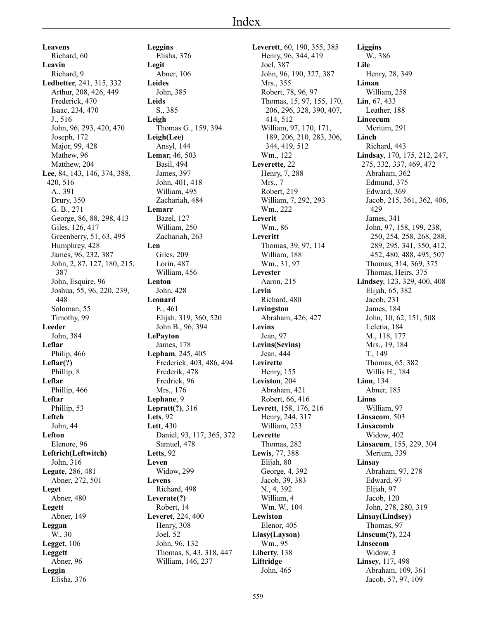**Leavens** Richard, 60 **Leavin** Richard, 9 **Ledbetter**, 241, 315, 332 Arthur, 208, 426, 449 Frederick, 470 Isaac, 234, 470 J., 516 John, 96, 293, 420, 470 Joseph, 172 Major, 99, 428 Mathew, 96 Matthew, 204 **Lee**, 84, 143, 146, 374, 388, 420, 516 A., 391 Drury, 350 G. B., 271 George, 86, 88, 298, 413 Giles, 126, 417 Greenberry, 51, 63, 495 Humphrey, 428 James, 96, 232, 387 John, 2, 87, 127, 180, 215, 387 John, Esquire, 96 Joshua, 55, 96, 220, 239, 448 Soloman, 55 Timothy, 99 **Leeder** John, 384 **Leflar** Philip, 466 **Leflar(?)** Phillip, 8 **Leflar** Phillip, 466 **Leftar** Phillip, 53 **Leftch** John, 44 **Lefton** Elenore, 96 **Leftrich(Leftwitch)** John, 316 **Legate**, 286, 481 Abner, 272, 501 **Leget** Abner, 480 **Legett** Abner, 149 **Leggan** W., 30 **Legget**, 106 **Leggett** Abner, 96 **Leggin** Elisha, 376

**Leggins** Elisha, 376 **Legit** Abner, 106 **Leides** John, 385 **Leids** S., 385 **Leigh** Thomas G., 159, 394 **Leigh(Lee)** Ansyl, 144 **Lemar**, 46, 503 Basil, 494 James, 397 John, 401, 418 William, 495 Zachariah, 484 **Lemarr** Bazel, 127 William, 250 Zachariah, 263 **Len** Giles, 209 Lorin, 487 William, 456 **Lenton** John, 428 **Leonard** E., 461 Elijah, 319, 360, 520 John B., 96, 394 **LePayton** James, 178 **Lepham**, 245, 405 Frederick, 403, 486, 494 Frederik, 478 Fredrick, 96 Mrs., 176 **Lephane**, 9 **Lepratt(?)**, 316 **Lets**, 92 **Lett**, 430 Daniel, 93, 117, 365, 372 Samuel, 478 **Letts**, 92 **Leven** Widow, 299 **Levens** Richard, 498 **Leverate(?)** Robert, 14 **Leveret**, 224, 400 Henry, 308 Joel, 52 John, 96, 132 Thomas, 8, 43, 318, 447 William, 146, 237

**Leverett**, 60, 190, 355, 385 Henry, 96, 344, 419 Joel, 387 John, 96, 190, 327, 387 Mrs., 355 Robert, 78, 96, 97 Thomas, 15, 97, 155, 170, 206, 296, 328, 390, 407, 414, 512 William, 97, 170, 171, 189, 206, 210, 283, 306, 344, 419, 512 Wm., 122 **Leverette**, 22 Henry, 7, 288 Mrs., 7 Robert, 219 William, 7, 292, 293 Wm., 222 **Leverit** Wm., 86 **Leveritt** Thomas, 39, 97, 114 William, 188 Wm., 31, 97 **Levester** Aaron, 215 **Levin** Richard, 480 **Levingston** Abraham, 426, 427 **Levins** Jean, 97 **Levins(Sevins)** Jean, 444 **Levirette** Henry, 155 **Leviston**, 204 Abraham, 421 Robert, 66, 416 **Levrett**, 158, 176, 216 Henry, 244, 317 William, 253 **Levrette** Thomas, 282 **Lewis**, 77, 388 Elijah, 80 George, 4, 392 Jacob, 39, 383 N., 4, 392 William, 4 Wm. W., 104 **Lewiston** Elenor, 405 **Liasy(Layson)** Wm., 95 **Liberty**, 138 **Liftridge** John, 465

**Liggins** W., 386 **Lile** Henry, 28, 349 **Liman** William, 258 **Lin**, 67, 433 Leather, 188 **Lincecum** Merium, 291 **Linch** Richard, 443 **Lindsay**, 170, 175, 212, 247, 275, 332, 337, 469, 472 Abraham, 362 Edmund, 375 Edward, 369 Jacob, 215, 361, 362, 406, 429 James, 341 John, 97, 158, 199, 238, 250, 254, 258, 268, 288, 289, 295, 341, 350, 412, 452, 480, 488, 495, 507 Thomas, 314, 369, 375 Thomas, Heirs, 375 **Lindsey**, 123, 329, 400, 408 Elijah, 65, 382 Jacob, 231 James, 184 John, 10, 62, 151, 508 Leletia, 184 M., 118, 177 Mrs., 19, 184 T., 149 Thomas, 65, 382 Willis H., 184 **Linn**, 134 Abner, 185 **Linns** William, 97 **Linsacom**, 503 **Linsacomb** Widow, 402 **Linsacum**, 155, 229, 304 Merium, 339 **Linsay** Abraham, 97, 278 Edward, 97 Elijah, 97 Jacob, 120 John, 278, 280, 319 **Linsay(Lindsey)** Thomas, 97 **Linscum(?)**, 224 **Linsecom** Widow, 3 **Linsey**, 117, 498 Abraham, 109, 361 Jacob, 57, 97, 109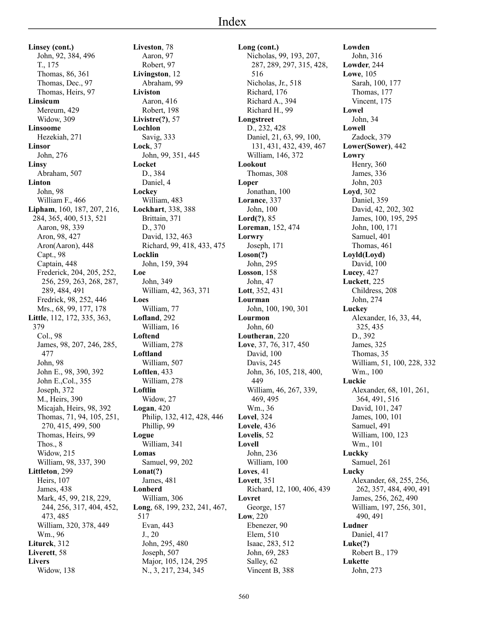**Linsey (cont.)** John, 92, 384, 496 T., 175 Thomas, 86, 361 Thomas, Dec., 97 Thomas, Heirs, 97 **Linsicum** Mereum, 429 Widow, 309 **Linsoome** Hezekiah, 271 **Linsor** John, 276 **Linsy** Abraham, 507 **Linton** John, 98 William F., 466 **Lipham**, 160, 187, 207, 216, 284, 365, 400, 513, 521 Aaron, 98, 339 Aron, 98, 427 Aron(Aaron), 448 Capt., 98 Captain, 448 Frederick, 204, 205, 252, 256, 259, 263, 268, 287, 289, 484, 491 Fredrick, 98, 252, 446 Mrs., 68, 99, 177, 178 **Little**, 112, 172, 335, 363, 379 Col., 98 James, 98, 207, 246, 285, 477 John, 98 John E., 98, 390, 392 John E.,Col., 355 Joseph, 372 M., Heirs, 390 Micajah, Heirs, 98, 392 Thomas, 71, 94, 105, 251, 270, 415, 499, 500 Thomas, Heirs, 99 Thos., 8 Widow, 215 William, 98, 337, 390 **Littleton**, 299 Heirs, 107 James, 438 Mark, 45, 99, 218, 229, 244, 256, 317, 404, 452, 473, 485 William, 320, 378, 449 Wm., 96 **Liturck**, 312 **Liverett**, 58 **Livers** Widow, 138

**Liveston**, 78 Aaron, 97 Robert, 97 **Livingston**, 12 Abraham, 99 **Liviston** Aaron, 416 Robert, 198 **Livistre(?)**, 57 **Lochlon** Savig, 333 **Lock**, 37 John, 99, 351, 445 **Locket** D., 384 Daniel, 4 **Lockey** William, 483 **Lockhart**, 338, 388 Brittain, 371 D., 370 David, 132, 463 Richard, 99, 418, 433, 475 **Locklin** John, 159, 394 **Loe** John, 349 William, 42, 363, 371 **Loes** William, 77 **Lofland**, 292 William, 16 **Loftend** William, 278 **Loftland** William, 507 **Loftlen**, 433 William, 278 **Loftlin** Widow, 27 **Logan**, 420 Philip, 132, 412, 428, 446 Phillip, 99 **Logue** William, 341 **Lomas** Samuel, 99, 202 **Lonat(?)** James, 481 **Lonberd** William, 306 **Long**, 68, 199, 232, 241, 467, 517 Evan, 443 J., 20 John, 295, 480 Joseph, 507 Major, 105, 124, 295 N., 3, 217, 234, 345

**Long (cont.)** Nicholas, 99, 193, 207, 287, 289, 297, 315, 428, 516 Nicholas, Jr., 518 Richard, 176 Richard A., 394 Richard H., 99 **Longstreet** D., 232, 428 Daniel, 21, 63, 99, 100, 131, 431, 432, 439, 467 William, 146, 372 **Lookout** Thomas, 308 **Loper** Jonathan, 100 **Lorance**, 337 John, 100 **Lord(?)**, 85 **Loreman**, 152, 474 **Lorwry** Joseph, 171 **Loson(?)** John, 295 **Losson**, 158 John, 47 **Lott**, 352, 431 **Lourman** John, 100, 190, 301 **Lourmon** John, 60 **Loutheran**, 220 **Love**, 37, 76, 317, 450 David, 100 Davis, 245 John, 36, 105, 218, 400, 449 William, 46, 267, 339, 469, 495 Wm., 36 **Lovel**, 324 **Lovele**, 436 **Lovelis**, 52 **Lovell** John, 236 William, 100 **Loves**, 41 **Lovett**, 351 Richard, 12, 100, 406, 439 **Lovret** George, 157 **Low**, 220 Ebenezer, 90 Elem, 510 Isaac, 283, 512 John, 69, 283 Salley, 62 Vincent B, 388

**Lowden** John, 316 **Lowder**, 244 **Lowe**, 105 Sarah, 100, 177 Thomas, 177 Vincent, 175 **Lowel** John, 34 **Lowell** Zadock, 379 **Lower(Sower)**, 442 **Lowry** Henry, 360 James, 336 John, 203 **Loyd**, 302 Daniel, 359 David, 42, 202, 302 James, 100, 195, 295 John, 100, 171 Samuel, 401 Thomas, 461 **Loyld(Loyd)** David, 100 **Lucey**, 427 **Luckett**, 225 Childress, 208 John, 274 **Luckey** Alexander, 16, 33, 44, 325, 435 D., 392 James, 325 Thomas, 35 William, 51, 100, 228, 332 Wm., 100 **Luckie** Alexander, 68, 101, 261, 364, 491, 516 David, 101, 247 James, 100, 101 Samuel, 491 William, 100, 123 Wm., 101 **Luckky** Samuel, 261 **Lucky** Alexander, 68, 255, 256, 262, 357, 484, 490, 491 James, 256, 262, 490 William, 197, 256, 301, 490, 491 **Ludner** Daniel, 417 **Luke(?)** Robert B., 179 **Lukette** John, 273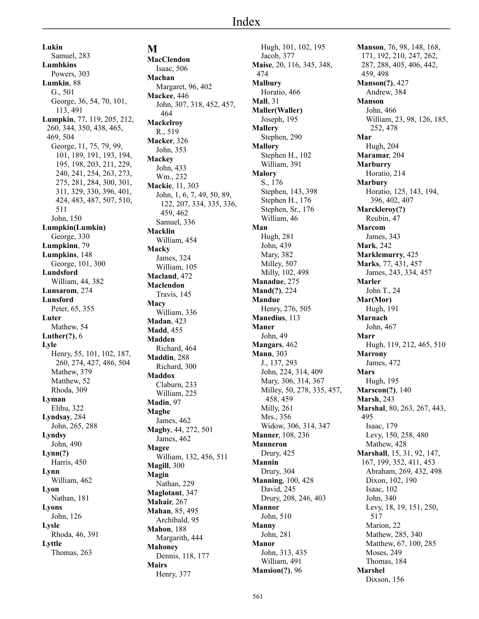**Lukin** Samuel, 283 **Lumbkins** Powers, 303 **Lumkin**, 88 G., 501 George, 36, 54, 70, 101, 113, 491 **Lumpkin**, 77, 119, 205, 212, 260, 344, 350, 438, 465, 469, 504 George, 11, 75, 79, 99, 101, 189, 191, 193, 194, 195, 198, 203, 211, 229, 240, 241, 254, 263, 273, 275, 281, 284, 300, 301, 311, 329, 330, 396, 401, 424, 483, 487, 507, 510, 511 John, 150 **Lumpkin(Lumkin)** George, 330 **Lumpkinn**, 79 **Lumpkins**, 148 George, 101, 300 **Lundsford** William, 44, 382 **Lunsarom**, 274 **Lunsford** Peter, 65, 355 **Luter** Mathew, 54 **Luther(?)**, 6 **Lyle** Henry, 55, 101, 102, 187, 260, 274, 427, 486, 504 Mathew, 379 Matthew, 52 Rhoda, 309 **Lyman** Elihu, 322 **Lyndsay**, 284 John, 265, 288 **Lyndsy** John, 490 **Lynn(?)** Harris, 450 **Lynn** William, 462 **Lyon** Nathan, 181 **Lyons** John, 126 **Lysle** Rhoda, 46, 391 **Lyttle** Thomas, 263

# **M**

**MacClendon** Isaac, 506 **Machan** Margaret, 96, 402 **Mackee**, 446 John, 307, 318, 452, 457, 464 **Mackelroy** R., 519 **Macker**, 326 John, 353 **Mackey** John, 433 Wm., 232 **Mackie**, 11, 303 John, 1, 6, 7, 49, 50, 89, 122, 207, 334, 335, 336, 459, 462 Samuel, 336 **Macklin** William, 454 **Macky** James, 324 William, 105 **Macland**, 472 **Maclendon** Travis, 145 **Macy** William, 336 **Madan**, 423 **Madd**, 455 **Madden** Richard, 464 **Maddin**, 288 Richard, 300 **Maddox** Claburn, 233 William, 225 **Madin**, 97 **Magbe** James, 462 **Magby**, 44, 272, 501 James, 462 **Magee** William, 132, 456, 511 **Magill**, 300 **Magin** Nathan, 229 **Maglotant**, 347 **Mahair**, 267 **Mahan**, 85, 495 Archibald, 95 **Mahon**, 188 Margarith, 444 **Mahoney** Dennis, 118, 177 **Mairs** Henry, 377

Hugh, 101, 102, 195 Jacob, 377 **Maise**, 20, 116, 345, 348, 474 **Malbury** Horatio, 466 **Mall**, 31 **Maller(Waller)** Joseph, 195 **Mallery** Stephen, 290 **Mallory** Stephen H., 102 William, 391 **Malory** S., 176 Stephen, 143, 398 Stephen H., 176 Stephen, Sr., 176 William, 46 **Man** Hugh, 281 John, 439 Mary, 382 Milley, 507 Milly, 102, 498 **Manadue**, 275 **Mand(?)**, 224 **Mandue** Henry, 276, 505 **Manedius**, 113 **Maner** John, 49 **Mangars**, 462 **Mann**, 303 J., 137, 293 John, 224, 314, 409 Mary, 306, 314, 367 Milley, 50, 278, 335, 457, 458, 459 Milly, 261 Mrs., 356 Widow, 306, 314, 347 **Manner**, 108, 236 **Manneron** Drury, 425 **Mannin** Drury, 304 **Manning**, 100, 428 David, 245 Drury, 208, 246, 403 **Mannor** John, 510 **Manny** John, 281 **Manor** John, 313, 435 William, 491 **Mansion(?)**, 96

**Manson**, 76, 98, 148, 168, 171, 192, 210, 247, 262, 287, 288, 405, 406, 442, 459, 498 **Manson(?)**, 427 Andrew, 384 **Manson** John, 466 William, 23, 98, 126, 185, 252, 478 **Mar** Hugh, 204 **Maramar**, 204 **Marburry** Horatio, 214 **Marbury** Horatio, 125, 143, 194, 396, 402, 407 **Marckleroy(?)** Reubin, 47 **Marcom** James, 343 **Mark**, 242 **Marklemurry**, 425 **Marks**, 77, 431, 457 James, 243, 334, 457 **Marler** John T., 24 **Mar(Mor)** Hugh, 191 **Marnach** John, 467 **Marr** Hugh, 119, 212, 465, 510 **Marrony** James, 472 **Mars** Hugh, 195 **Marscon(?)**, 140 **Marsh**, 243 **Marshal**, 80, 263, 267, 443, 495 Isaac, 179 Levy, 150, 258, 480 Mathew, 428 **Marshall**, 15, 31, 92, 147, 167, 199, 352, 411, 453 Abraham, 269, 432, 498 Dixon, 102, 190 Isaac, 102 John, 340 Levy, 18, 19, 151, 250, 517 Marion, 22 Mathew, 285, 340 Matthew, 67, 100, 285 Moses, 249 Thomas, 184 **Marshel** Dixson, 156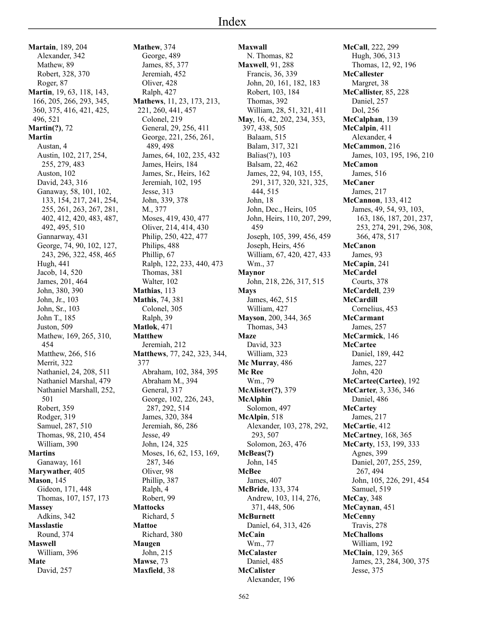**Martain**, 189, 204 Alexander, 342 Mathew, 89 Robert, 328, 370 Roger, 87 **Martin**, 19, 63, 118, 143, 166, 205, 266, 293, 345, 360, 375, 416, 421, 425, 496, 521 **Martin(?)**, 72 **Martin** Austan, 4 Austin, 102, 217, 254, 255, 279, 483 Auston, 102 David, 243, 316 Ganaway, 58, 101, 102, 133, 154, 217, 241, 254, 255, 261, 263, 267, 281, 402, 412, 420, 483, 487, 492, 495, 510 Gannarway, 431 George, 74, 90, 102, 127, 243, 296, 322, 458, 465 Hugh, 441 Jacob, 14, 520 James, 201, 464 John, 380, 390 John, Jr., 103 John, Sr., 103 John T., 185 Juston, 509 Mathew, 169, 265, 310, 454 Matthew, 266, 516 Merrit, 322 Nathaniel, 24, 208, 511 Nathaniel Marshal, 479 Nathaniel Marshall, 252, 501 Robert, 359 Rodger, 319 Samuel, 287, 510 Thomas, 98, 210, 454 William, 390 **Martins** Ganaway, 161 **Marywather**, 405 **Mason**, 145 Gideon, 171, 448 Thomas, 107, 157, 173 **Massey** Adkins, 342 **Masslastie** Round, 374 **Maswell** William, 396 **Mate** David, 257

**Mathew**, 374 George, 489 James, 85, 377 Jeremiah, 452 Oliver, 428 Ralph, 427 **Mathews**, 11, 23, 173, 213, 221, 260, 441, 457 Colonel, 219 General, 29, 256, 411 George, 221, 256, 261, 489, 498 James, 64, 102, 235, 432 James, Heirs, 184 James, Sr., Heirs, 162 Jeremiah, 102, 195 Jesse, 313 John, 339, 378 M., 377 Moses, 419, 430, 477 Oliver, 214, 414, 430 Philip, 250, 422, 477 Philips, 488 Phillip, 67 Ralph, 122, 233, 440, 473 Thomas, 381 Walter, 102 **Mathias**, 113 **Mathis**, 74, 381 Colonel, 305 Ralph, 39 **Matlok**, 471 **Matthew** Jeremiah, 212 **Matthews**, 77, 242, 323, 344, 377 Abraham, 102, 384, 395 Abraham M., 394 General, 317 George, 102, 226, 243, 287, 292, 514 James, 320, 384 Jeremiah, 86, 286 Jesse, 49 John, 124, 325 Moses, 16, 62, 153, 169, 287, 346 Oliver, 98 Phillip, 387 Ralph, 4 Robert, 99 **Mattocks** Richard, 5 **Mattoe** Richard, 380 **Maugen** John, 215 **Mawse**, 73 **Maxfield**, 38

**Maxwall** N. Thomas, 82 **Maxwell**, 91, 288 Francis, 36, 339 John, 20, 161, 182, 183 Robert, 103, 184 Thomas, 392 William, 28, 51, 321, 411 **May**, 16, 42, 202, 234, 353, 397, 438, 505 Balaam, 515 Balam, 317, 321 Balias(?), 103 Balsam, 22, 462 James, 22, 94, 103, 155, 291, 317, 320, 321, 325, 444, 515 John, 18 John, Dec., Heirs, 105 John, Heirs, 110, 207, 299, 459 Joseph, 105, 399, 456, 459 Joseph, Heirs, 456 William, 67, 420, 427, 433 Wm., 37 **Maynor** John, 218, 226, 317, 515 **Mays** James, 462, 515 William, 427 **Mayson**, 200, 344, 365 Thomas, 343 **Maze** David, 323 William, 323 **Mc Murray**, 486 **Mc Ree** Wm., 79 **McAlister(?)**, 379 **McAlphin** Solomon, 497 **McAlpin**, 518 Alexander, 103, 278, 292, 293, 507 Solomon, 263, 476 **McBeas(?)** John, 145 **McBee** James, 407 **McBride**, 133, 374 Andrew, 103, 114, 276, 371, 448, 506 **McBurnett** Daniel, 64, 313, 426 **McCain** Wm., 77 **McCalaster** Daniel, 485 **McCalister** Alexander, 196

**McCall**, 222, 299 Hugh, 306, 313 Thomas, 12, 92, 196 **McCallester** Margret, 38 **McCallister**, 85, 228 Daniel, 257 Dol, 256 **McCalphan**, 139 **McCalpin**, 411 Alexander, 4 **McCammon**, 216 James, 103, 195, 196, 210 **McCamon** James, 516 **McCaner** James, 217 **McCannon**, 133, 412 James, 49, 54, 93, 103, 163, 186, 187, 201, 237, 253, 274, 291, 296, 308, 366, 478, 517 **McCanon** James, 93 **McCapin**, 241 **McCardel** Courts, 378 **McCardell**, 239 **McCardill** Cornelius, 453 **McCarmant** James, 257 **McCarmick**, 146 **McCartee** Daniel, 189, 442 James, 227 John, 420 **McCartee(Cartee)**, 192 **McCarter**, 3, 336, 346 Daniel, 486 **McCartey** James, 217 **McCartie**, 412 **McCartney**, 168, 365 **McCarty**, 153, 199, 333 Agnes, 399 Daniel, 207, 255, 259, 267, 494 John, 105, 226, 291, 454 Samuel, 519 **McCay**, 348 **McCaynan**, 451 **McCenny** Travis, 278 **McChallons** William, 192 **McClain**, 129, 365 James, 23, 284, 300, 375 Jesse, 375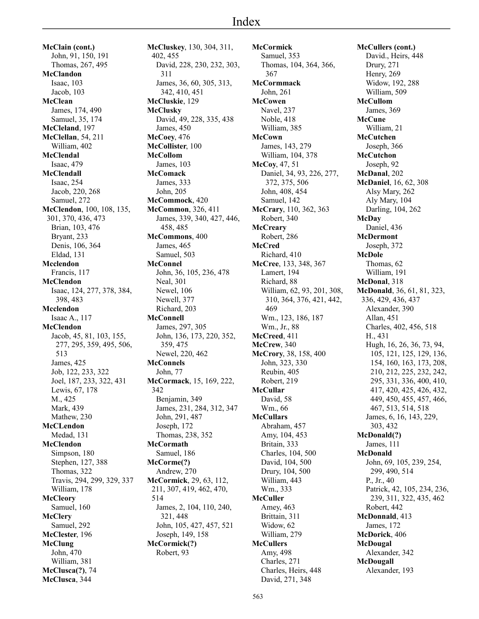**McClain (cont.)** John, 91, 150, 191 Thomas, 267, 495 **McClandon** Isaac, 103 Jacob, 103 **McClean** James, 174, 490 Samuel, 35, 174 **McCleland**, 197 **McClellan**, 54, 211 William, 402 **McClendal** Isaac, 479 **McClendall** Isaac, 254 Jacob, 220, 268 Samuel, 272 **McClendon**, 100, 108, 135, 301, 370, 436, 473 Brian, 103, 476 Bryant, 233 Denis, 106, 364 Eldad, 131 **Mcclendon** Francis, 117 **McClendon** Isaac, 124, 277, 378, 384, 398, 483 **Mcclendon** Isaac A., 117 **McClendon** Jacob, 45, 81, 103, 155, 277, 295, 359, 495, 506, 513 James, 425 Job, 122, 233, 322 Joel, 187, 233, 322, 431 Lewis, 67, 178 M., 425 Mark, 439 Mathew, 230 **McCLendon** Medad, 131 **McClendon** Simpson, 180 Stephen, 127, 388 Thomas, 322 Travis, 294, 299, 329, 337 William, 178 **McCleory** Samuel, 160 **McClery** Samuel, 292 **McClester**, 196 **McClung** John, 470 William, 381 **McClusca(?)**, 74 **McClusca**, 344

**McCluskey**, 130, 304, 311, 402, 455 David, 228, 230, 232, 303, 311 James, 36, 60, 305, 313, 342, 410, 451 **McCluskie**, 129 **McClusky** David, 49, 228, 335, 438 James, 450 **McCoey**, 476 **McCollister**, 100 **McCollom** James, 103 **McComack** James, 333 John, 205 **McCommock**, 420 **McCommon**, 326, 411 James, 339, 340, 427, 446, 458, 485 **McCommons**, 400 James, 465 Samuel, 503 **McConnel** John, 36, 105, 236, 478 Neal, 301 Newel, 106 Newell, 377 Richard, 203 **McConnell** James, 297, 305 John, 136, 173, 220, 352, 359, 475 Newel, 220, 462 **McConnels** John, 77 **McCormack**, 15, 169, 222, 342 Benjamin, 349 James, 231, 284, 312, 347 John, 291, 487 Joseph, 172 Thomas, 238, 352 **McCormath** Samuel, 186 **McCorme(?)** Andrew, 270 **McCormick**, 29, 63, 112, 211, 307, 419, 462, 470, 514 James, 2, 104, 110, 240, 321, 448 John, 105, 427, 457, 521 Joseph, 149, 158 **McCormick(?)** Robert, 93

**McCormick** Samuel, 353 Thomas, 104, 364, 366, 367 **McCormmack** John, 261 **McCowen** Navel, 237 Noble, 418 William, 385 **McCown** James, 143, 279 William, 104, 378 **McCoy**, 47, 51 Daniel, 34, 93, 226, 277, 372, 375, 506 John, 408, 454 Samuel, 142 **McCrary**, 110, 362, 363 Robert, 340 **McCreary** Robert, 286 **McCred** Richard, 410 **McCree**, 133, 348, 367 Lamert, 194 Richard, 88 William, 62, 93, 201, 308, 310, 364, 376, 421, 442, 469 Wm., 123, 186, 187 Wm., Jr., 88 **McCreed**, 411 **McCrew**, 340 **McCrory**, 38, 158, 400 John, 323, 330 Reubin, 405 Robert, 219 **McCullar** David, 58 Wm., 66 **McCullars** Abraham, 457 Amy, 104, 453 Britain, 333 Charles, 104, 500 David, 104, 500 Drury, 104, 500 William, 443 Wm., 333 **McCuller** Amey, 463 Brittain, 311 Widow, 62 William, 279 **McCullers** Amy, 498 Charles, 271 Charles, Heirs, 448 David, 271, 348

**McCullers (cont.)** David., Heirs, 448 Drury, 271 Henry, 269 Widow, 192, 288 William, 509 **McCullom** James, 369 **McCune** William, 21 **McCutchen** Joseph, 366 **McCutchon** Joseph, 92 **McDanal**, 202 **McDaniel**, 16, 62, 308 Alsy Mary, 262 Aly Mary, 104 Darling, 104, 262 **McDay** Daniel, 436 **McDermont** Joseph, 372 **McDole** Thomas, 62 William, 191 **McDonal**, 318 **McDonald**, 36, 61, 81, 323, 336, 429, 436, 437 Alexander, 390 Allan, 451 Charles, 402, 456, 518 H., 431 Hugh, 16, 26, 36, 73, 94, 105, 121, 125, 129, 136, 154, 160, 163, 173, 208, 210, 212, 225, 232, 242, 295, 331, 336, 400, 410, 417, 420, 425, 426, 432, 449, 450, 455, 457, 466, 467, 513, 514, 518 James, 6, 16, 143, 229, 303, 432 **McDonald(?)** James, 111 **McDonald** John, 69, 105, 239, 254, 299, 490, 514 P., Jr., 40 Patrick, 42, 105, 234, 236, 239, 311, 322, 435, 462 Robert, 442 **McDonnald**, 413 James, 172 **McDorick**, 406 **McDougal** Alexander, 342 **McDougall** Alexander, 193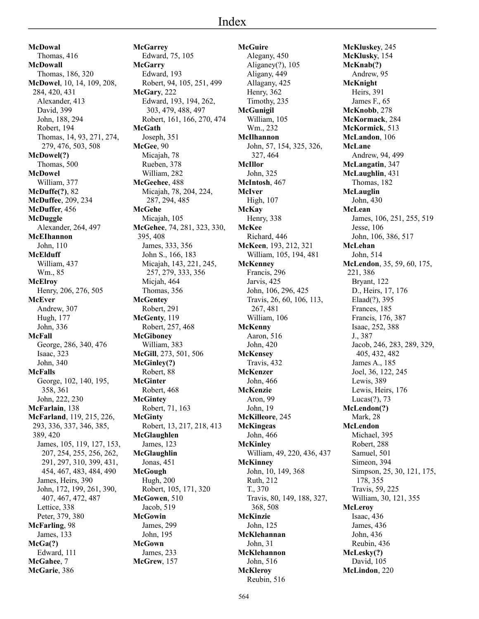# Index

**McDowal** Thomas, 416 **McDowall** Thomas, 186, 320 **McDowel**, 10, 14, 109, 208, 284, 420, 431 Alexander, 413 David, 399 John, 188, 294 Robert, 194 Thomas, 14, 93, 271, 274, 279, 476, 503, 508 **McDowel(?)** Thomas, 500 **McDowel** William, 377 **McDuffe(?)**, 82 **McDuffee**, 209, 234 **McDuffer**, 456 **McDuggle** Alexander, 264, 497 **McEIhannon** John, 110 **McElduff** William, 437 Wm., 85 **McElroy** Henry, 206, 276, 505 **McEver** Andrew, 307 Hugh, 177 John, 336 **McFall** George, 286, 340, 476 Isaac, 323 John, 340 **McFalls** George, 102, 140, 195, 358, 361 John, 222, 230 **McFarlain**, 138 **McFarland**, 119, 215, 226, 293, 336, 337, 346, 385, 389, 420 James, 105, 119, 127, 153, 207, 254, 255, 256, 262, 291, 297, 310, 399, 431, 454, 467, 483, 484, 490 James, Heirs, 390 John, 172, 199, 261, 390, 407, 467, 472, 487 Lettice, 338 Peter, 379, 380 **McFarling**, 98 James, 133 **McGa(?)** Edward, 111 **McGahee**, 7

**McGarie**, 386

**McGarrey** Edward, 75, 105 **McGarry** Edward, 193 Robert, 94, 105, 251, 499 **McGary**, 222 Edward, 193, 194, 262, 303, 479, 488, 497 Robert, 161, 166, 270, 474 **McGath** Joseph, 351 **McGee**, 90 Micajah, 78 Rueben, 378 William, 282 **McGeehee**, 488 Micajah, 78, 204, 224, 287, 294, 485 **McGehe** Micajah, 105 **McGehee**, 74, 281, 323, 330, 395, 408 James, 333, 356 John S., 166, 183 Micajah, 143, 221, 245, 257, 279, 333, 356 Micjah, 464 Thomas, 356 **McGentey** Robert, 291 **McGenty**, 119 Robert, 257, 468 **McGiboney** William, 383 **McGill**, 273, 501, 506 **McGinley(?)** Robert, 88 **McGinter** Robert, 468 **McGintey** Robert, 71, 163 **McGinty** Robert, 13, 217, 218, 413 **McGlaughlen** James, 123 **McGlaughlin** Jonas, 451 **McGough** Hugh, 200 Robert, 105, 171, 320 **McGowen**, 510 Jacob, 519 **McGowin** James, 299 John, 195 **McGown** James, 233 **McGrew**, 157

**McGuire** Alegany, 450 Aliganey(?), 105 Aligany, 449 Allagany, 425 Henry, 362 Timothy, 235 **McGunigil** William, 105 Wm., 232 **McIlhannon** John, 57, 154, 325, 326, 327, 464 **McIllor** John, 325 **McIntosh**, 467 **McIver** High, 107 **McKay** Henry, 338 **McKee** Richard, 446 **McKeen**, 193, 212, 321 William, 105, 194, 481 **McKenney** Francis, 296 Jarvis, 425 John, 106, 296, 425 Travis, 26, 60, 106, 113, 267, 481 William, 106 **McKenny** Aaron, 516 John, 420 **McKensey** Travis, 432 **McKenzer** John, 466 **McKenzie** Aron, 99 John, 19 **McKilleore**, 245 **McKingeas** John, 466 **McKinley** William, 49, 220, 436, 437 **McKinney** John, 10, 149, 368 Ruth, 212 T., 370 Travis, 80, 149, 188, 327, 368, 508 **McKinzie** John, 125 **McKlehannan** John, 31 **McKlehannon** John, 516 **McKleroy**

**McKluskey**, 245 **McKlusky**, 154 **McKnab(?)** Andrew, 95 **McKnight** Heirs, 391 James F., 65 **McKnobb**, 278 **McKormack**, 284 **McKormick**, 513 **McLandon**, 106 **McLane** Andrew, 94, 499 **McLangatin**, 347 **McLaughlin**, 431 Thomas, 182 **McLauglin** John, 430 **McLean** James, 106, 251, 255, 519 Jesse, 106 John, 106, 386, 517 **McLehan** John, 514 **McLendon**, 35, 59, 60, 175, 221, 386 Bryant, 122 D., Heirs, 17, 176 Elaad(?), 395 Frances, 185 Francis, 176, 387 Isaac, 252, 388 J., 387 Jacob, 246, 283, 289, 329, 405, 432, 482 James A., 185 Joel, 36, 122, 245 Lewis, 389 Lewis, Heirs, 176 Lucas(?), 73 **McLendon(?)** Mark, 28 **McLendon** Michael, 395 Robert, 288 Samuel, 501 Simeon, 394 Simpson, 25, 30, 121, 175, 178, 355 Travis, 59, 225 William, 30, 121, 355 **McLeroy** Isaac, 436 James, 436 John, 436 Reubin, 436 **McLesky(?)** David, 105 **McLindon**, 220

Reubin, 516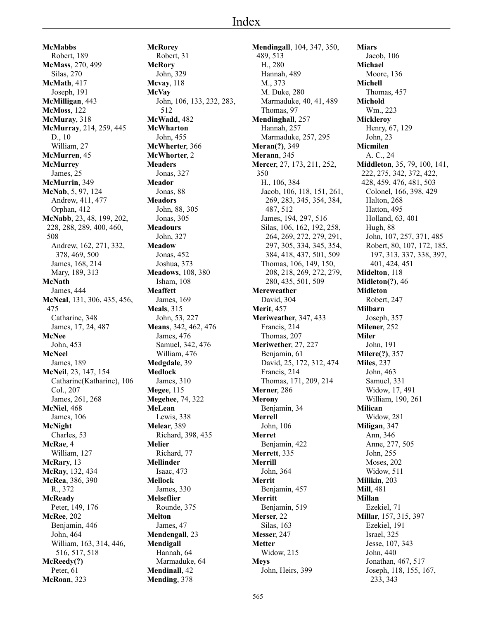**McMabbs** Robert, 189 **McMass**, 270, 499 Silas, 270 **McMath**, 417 Joseph, 191 **McMilligan**, 443 **McMoss**, 122 **McMuray**, 318 **McMurray**, 214, 259, 445 D., 10 William, 27 **McMurren**, 45 **McMurrey** James, 25 **McMurrin**, 349 **McNab**, 5, 97, 124 Andrew, 411, 477 Orphan, 412 **McNabb**, 23, 48, 199, 202, 228, 288, 289, 400, 460, 508 Andrew, 162, 271, 332, 378, 469, 500 James, 168, 214 Mary, 189, 313 **McNath** James, 444 **McNeal**, 131, 306, 435, 456, 475 Catharine, 348 James, 17, 24, 487 **McNee** John, 453 **McNeel** James, 189 **McNeil**, 23, 147, 154 Catharine(Katharine), 106 Col., 207 James, 261, 268 **McNiel**, 468 James, 106 **McNight** Charles, 53 **McRae**, 4 William, 127 **McRary**, 13 **McRay**, 132, 434 **McRea**, 386, 390 R., 372 **McReady** Peter, 149, 176 **McRee**, 202 Benjamin, 446 John, 464 William, 163, 314, 446, 516, 517, 518 **McReedy(?)** Peter, 61

**McRoan**, 323

**McRorey** Robert, 31 **McRory** John, 329 **Mcvay**, 118 **McVay** John, 106, 133, 232, 283, 512 **McWadd**, 482 **McWharton** John, 455 **McWherter**, 366 **McWhorter**, 2 **Meaders** Jonas, 327 **Meador** Jonas, 88 **Meadors** John, 88, 305 Jonas, 305 **Meadours** John, 327 **Meadow** Jonas, 452 Joshua, 373 **Meadows**, 108, 380 Isham, 108 **Meaffett** James, 169 **Meals**, 315 John, 53, 227 **Means**, 342, 462, 476 James, 476 Samuel, 342, 476 William, 476 **Medgdale**, 39 **Medlock** James, 310 **Megee**, 115 **Megehee**, 74, 322 **MeLean** Lewis, 338 **Melear**, 389 Richard, 398, 435 **Melier** Richard, 77 **Mellinder** Isaac, 473 **Mellock** James, 330 **Melseflier** Rounde, 375 **Melton** James, 47 **Mendengall**, 23 **Mendigall** Hannah, 64 Marmaduke, 64 **Mendinall**, 42 **Mending**, 378

**Mendingall**, 104, 347, 350, 489, 513 H., 280 Hannah, 489 M., 373 M. Duke, 280 Marmaduke, 40, 41, 489 Thomas, 97 **Mendinghall**, 257 Hannah, 257 Marmaduke, 257, 295 **Meran(?)**, 349 **Merann**, 345 **Mercer**, 27, 173, 211, 252, 350 H., 106, 384 Jacob, 106, 118, 151, 261, 269, 283, 345, 354, 384, 487, 512 James, 194, 297, 516 Silas, 106, 162, 192, 258, 264, 269, 272, 279, 291, 297, 305, 334, 345, 354, 384, 418, 437, 501, 509 Thomas, 106, 149, 150, 208, 218, 269, 272, 279, 280, 435, 501, 509 **Mereweather** David, 304 **Merit**, 457 **Meriweather**, 347, 433 Francis, 214 Thomas, 207 **Meriwether**, 27, 227 Benjamin, 61 David, 25, 172, 312, 474 Francis, 214 Thomas, 171, 209, 214 **Merner**, 286 **Merony** Benjamin, 34 **Merrell** John, 106 **Merret** Benjamin, 422 **Merrett**, 335 **Merrill** John, 364 **Merrit** Benjamin, 457 **Merritt** Benjamin, 519 **Merser**, 22 Silas, 163 **Messer**, 247 **Metter** Widow, 215 **Meys** John, Heirs, 399

**Miars** Jacob, 106 **Michael** Moore, 136 **Michell** Thomas, 457 **Michold** Wm., 223 **Mickleroy** Henry, 67, 129 John, 23 **Micmilen** A. C., 24 **Middleton**, 35, 79, 100, 141, 222, 275, 342, 372, 422, 428, 459, 476, 481, 503 Colonel, 166, 398, 429 Halton, 268 Hatton, 495 Holland, 63, 401 Hugh, 88 John, 107, 257, 371, 485 Robert, 80, 107, 172, 185, 197, 313, 337, 338, 397, 401, 424, 451 **Midelton**, 118 **Midleton(?)**, 46 **Midleton** Robert, 247 **Milbarn** Joseph, 357 **Milener**, 252 **Miler** John, 191 **Milere(?)**, 357 **Miles**, 237 John, 463 Samuel, 331 Widow, 17, 491 William, 190, 261 **Milican** Widow, 281 **Miligan**, 347 Ann, 346 Anne, 277, 505 John, 255 Moses, 202 Widow, 511 **Milikin**, 203 **Mill**, 481 **Millan** Ezekiel, 71 **Millar**, 157, 315, 397 Ezekiel, 191 Israel, 325 Jesse, 107, 343 John, 440 Jonathan, 467, 517 Joseph, 118, 155, 167, 233, 343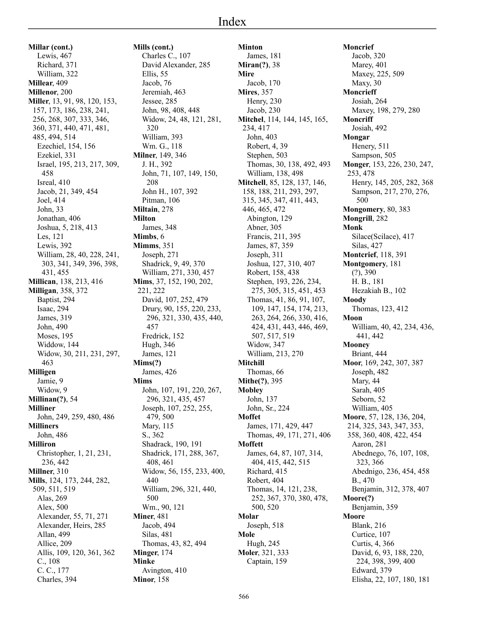**Millar (cont.)** Lewis, 467 Richard, 371 William, 322 **Millear**, 409 **Millenor**, 200 **Miller**, 13, 91, 98, 120, 153, 157, 173, 186, 238, 241, 256, 268, 307, 333, 346, 360, 371, 440, 471, 481, 485, 494, 514 Ezechiel, 154, 156 Ezekiel, 331 Israel, 195, 213, 217, 309, 458 Isreal, 410 Jacob, 21, 349, 454 Joel, 414 John, 33 Jonathan, 406 Joshua, 5, 218, 413 Les, 121 Lewis, 392 William, 28, 40, 228, 241, 303, 341, 349, 396, 398, 431, 455 **Millican**, 138, 213, 416 **Milligan**, 358, 372 Baptist, 294 Isaac, 294 James, 319 John, 490 Moses, 195 Widdow, 144 Widow, 30, 211, 231, 297, 463 **Milligen** Jamie, 9 Widow, 9 **Millinan(?)**, 54 **Milliner** John, 249, 259, 480, 486 **Milliners** John, 486 **Milliron** Christopher, 1, 21, 231, 236, 442 **Millner**, 310 **Mills**, 124, 173, 244, 282, 509, 511, 519 Alas, 269 Alex, 500 Alexander, 55, 71, 271 Alexander, Heirs, 285 Allan, 499 Allice, 209 Allis, 109, 120, 361, 362 C., 108 C. C., 177 Charles, 394

**Mills (cont.)** Charles C., 107 David Alexander, 285 Ellis, 55 Jacob, 76 Jeremiah, 463 Jessee, 285 John, 98, 408, 448 Widow, 24, 48, 121, 281, 320 William, 393 Wm. G., 118 **Milner**, 149, 346 J. H., 392 John, 71, 107, 149, 150, 208 John H., 107, 392 Pitman, 106 **Miltain**, 278 **Milton** James, 348 **Mimbs**, 6 **Mimms**, 351 Joseph, 271 Shadrick, 9, 49, 370 William, 271, 330, 457 **Mims**, 37, 152, 190, 202, 221, 222 David, 107, 252, 479 Drury, 90, 155, 220, 233, 296, 321, 330, 435, 440, 457 Fredrick, 152 Hugh, 346 James, 121 **Mims(?)** James, 426 **Mims** John, 107, 191, 220, 267, 296, 321, 435, 457 Joseph, 107, 252, 255, 479, 500 Mary, 115 S., 362 Shadrack, 190, 191 Shadrick, 171, 288, 367, 408, 461 Widow, 56, 155, 233, 400, 440 William, 296, 321, 440, 500 Wm., 90, 121 **Miner**, 481 Jacob, 494 Silas, 481 Thomas, 43, 82, 494 **Minger**, 174 **Minke** Avington, 410 **Minor**, 158

**Minton** James, 181 **Miran(?)**, 38 **Mire** Jacob, 170 **Mires**, 357 Henry, 230 Jacob, 230 **Mitchel**, 114, 144, 145, 165, 234, 417 John, 403 Robert, 4, 39 Stephen, 503 Thomas, 30, 138, 492, 493 William, 138, 498 **Mitchell**, 85, 128, 137, 146, 158, 188, 211, 293, 297, 315, 345, 347, 411, 443, 446, 465, 472 Abington, 129 Abner, 305 Francis, 211, 395 James, 87, 359 Joseph, 311 Joshua, 127, 310, 407 Robert, 158, 438 Stephen, 193, 226, 234, 275, 305, 315, 451, 453 Thomas, 41, 86, 91, 107, 109, 147, 154, 174, 213, 263, 264, 266, 330, 416, 424, 431, 443, 446, 469, 507, 517, 519 Widow, 347 William, 213, 270 **Mitchill** Thomas, 66 **Mithe(?)**, 395 **Mobley** John, 137 John, Sr., 224 **Moffet** James, 171, 429, 447 Thomas, 49, 171, 271, 406 **Moffett** James, 64, 87, 107, 314, 404, 415, 442, 515 Richard, 415 Robert, 404 Thomas, 14, 121, 238, 252, 367, 370, 380, 478, 500, 520 **Molar** Joseph, 518 **Mole** Hugh, 245 **Moler**, 321, 333 Captain, 159

**Moncrief** Jacob, 320 Marey, 401 Maxey, 225, 509 Maxy, 30 **Moncrieff** Josiah, 264 Maxey, 198, 279, 280 **Moncriff** Josiah, 492 **Mongar** Henery, 511 Sampson, 505 **Monger**, 153, 226, 230, 247, 253, 478 Henry, 145, 205, 282, 368 Sampson, 217, 270, 276, 500 **Mongomery**, 80, 383 **Mongrill**, 282 **Monk** Silace(Scilace), 417 Silas, 427 **Montcrief**, 118, 391 **Montgomery**, 181 (?), 390 H. B., 181 Hezakiah B., 102 **Moody** Thomas, 123, 412 **Moon** William, 40, 42, 234, 436, 441, 442 **Mooney** Briant, 444 **Moor**, 169, 242, 307, 387 Joseph, 482 Mary, 44 Sarah, 405 Seborn, 52 William, 405 **Moore**, 57, 128, 136, 204, 214, 325, 343, 347, 353, 358, 360, 408, 422, 454 Aaron, 281 Abednego, 76, 107, 108, 323, 366 Abednigo, 236, 454, 458 B., 470 Benjamin, 312, 378, 407 **Moore(?)** Benjamin, 359 **Moore** Blank, 216 Curtice, 107 Curtis, 4, 366 David, 6, 93, 188, 220, 224, 398, 399, 400 Edward, 379

Elisha, 22, 107, 180, 181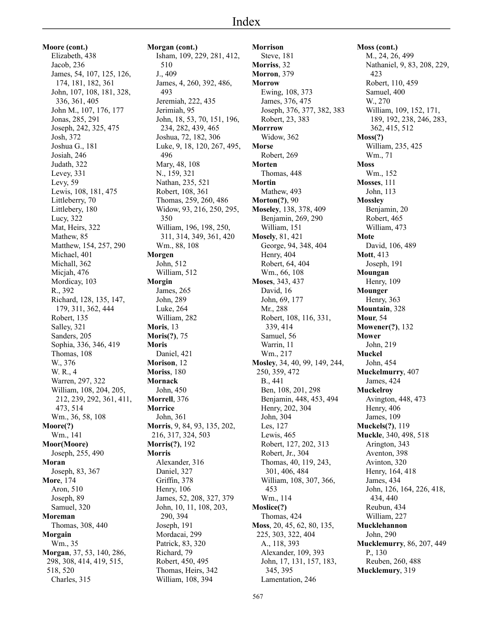**Moore (cont.)** Elizabeth, 438 Jacob, 236 James, 54, 107, 125, 126, 174, 181, 182, 361 John, 107, 108, 181, 328, 336, 361, 405 John M., 107, 176, 177 Jonas, 285, 291 Joseph, 242, 325, 475 Josh, 372 Joshua G., 181 Josiah, 246 Judath, 322 Levey, 331 Levy, 59 Lewis, 108, 181, 475 Littleberry, 70 Littlebery, 180 Lucy, 322 Mat, Heirs, 322 Mathew, 85 Matthew, 154, 257, 290 Michael, 401 Michall, 362 Micjah, 476 Mordicay, 103 R., 392 Richard, 128, 135, 147, 179, 311, 362, 444 Robert, 135 Salley, 321 Sanders, 205 Sophia, 336, 346, 419 Thomas, 108 W., 376 W. R., 4 Warren, 297, 322 William, 108, 204, 205, 212, 239, 292, 361, 411, 473, 514 Wm., 36, 58, 108 **Moore(?)** Wm., 141 **Moor(Moore)** Joseph, 255, 490 **Moran** Joseph, 83, 367 **More**, 174 Aron, 510 Joseph, 89 Samuel, 320 **Moreman** Thomas, 308, 440 **Morgain** Wm., 35 **Morgan**, 37, 53, 140, 286, 298, 308, 414, 419, 515, 518, 520 Charles, 315

**Morgan (cont.)** Isham, 109, 229, 281, 412, 510 J., 409 James, 4, 260, 392, 486, 493 Jeremiah, 222, 435 Jerimiah, 95 John, 18, 53, 70, 151, 196, 234, 282, 439, 465 Joshua, 72, 182, 306 Luke, 9, 18, 120, 267, 495, 496 Mary, 48, 108 N., 159, 321 Nathan, 235, 521 Robert, 108, 361 Thomas, 259, 260, 486 Widow, 93, 216, 250, 295, 350 William, 196, 198, 250, 311, 314, 349, 361, 420 Wm., 88, 108 **Morgen** John, 512 William, 512 **Morgin** James, 265 John, 289 Luke, 264 William, 282 **Moris**, 13 **Moris(?)**, 75 **Moris** Daniel, 421 **Morison**, 12 **Moriss**, 180 **Mornack** John, 450 **Morrell**, 376 **Morrice** John, 361 **Morris**, 9, 84, 93, 135, 202, 216, 317, 324, 503 **Morris(?)**, 192 **Morris** Alexander, 316 Daniel, 327 Griffin, 378 Henry, 106 James, 52, 208, 327, 379 John, 10, 11, 108, 203, 290, 394 Joseph, 191 Mordacai, 299 Patrick, 83, 320 Richard, 79 Robert, 450, 495 Thomas, Heirs, 342 William, 108, 394

**Morrison** Steve, 181 **Morriss**, 32 **Morron**, 379 **Morrow** Ewing, 108, 373 James, 376, 475 Joseph, 376, 377, 382, 383 Robert, 23, 383 **Morrrow** Widow, 362 **Morse** Robert, 269 **Morten** Thomas, 448 **Mortin** Mathew, 493 **Morton(?)**, 90 **Moseley**, 138, 378, 409 Benjamin, 269, 290 William, 151 **Mosely**, 81, 421 George, 94, 348, 404 Henry, 404 Robert, 64, 404 Wm., 66, 108 **Moses**, 343, 437 David, 16 John, 69, 177 Mr., 288 Robert, 108, 116, 331, 339, 414 Samuel, 56 Warrin, 11 Wm., 217 **Mosley**, 34, 40, 99, 149, 244, 250, 359, 472 B., 441 Ben, 108, 201, 298 Benjamin, 448, 453, 494 Henry, 202, 304 John, 304 Les, 127 Lewis, 465 Robert, 127, 202, 313 Robert, Jr., 304 Thomas, 40, 119, 243, 301, 406, 484 William, 108, 307, 366, 453 Wm., 114 **Moslice(?)** Thomas, 424 **Moss**, 20, 45, 62, 80, 135, 225, 303, 322, 404 A., 118, 393 Alexander, 109, 393 John, 17, 131, 157, 183, 345, 395 Lamentation, 246

**Moss (cont.)** M., 24, 26, 499 Nathaniel, 9, 83, 208, 229, 423 Robert, 110, 459 Samuel, 400 W., 270 William, 109, 152, 171, 189, 192, 238, 246, 283, 362, 415, 512 **Moss(?)** William, 235, 425 Wm., 71 **Moss** Wm., 152 **Mosses**, 111 John, 113 **Mossley** Benjamin, 20 Robert, 465 William, 473 **Mote** David, 106, 489 **Mott**, 413 Joseph, 191 **Moungan** Henry, 109 **Mounger** Henry, 363 **Mountain**, 328 **Mour**, 54 **Mowener(?)**, 132 **Mower** John, 219 **Muckel** John, 454 **Muckelmurry**, 407 James, 424 **Muckelroy** Avington, 448, 473 Henry, 406 James, 109 **Muckels(?)**, 119 **Muckle**, 340, 498, 518 Arington, 343 Aventon, 398 Avinton, 320 Henry, 164, 418 James, 434 John, 126, 164, 226, 418, 434, 440 Reubun, 434 William, 227 **Mucklehannon** John, 290 **Mucklemurry**, 86, 207, 449 P., 130 Reuben, 260, 488 **Mucklemury**, 319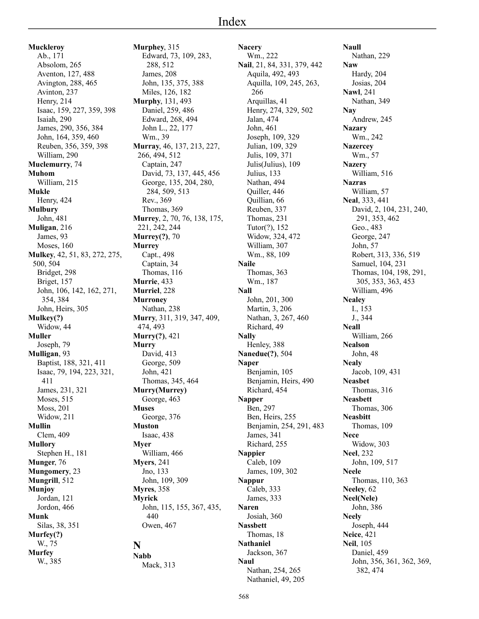**Muckleroy** Ab., 171 Absolom, 265 Aventon, 127, 488 Avington, 288, 465 Avinton, 237 Henry, 214 Isaac, 159, 227, 359, 398 Isaiah, 290 James, 290, 356, 384 John, 164, 359, 460 Reuben, 356, 359, 398 William, 290 **Muclemurry**, 74 **Muhom** William, 215 **Mukle** Henry, 424 **Mulbury** John, 481 **Muligan**, 216 James, 93 Moses, 160 **Mulkey**, 42, 51, 83, 272, 275, 500, 504 Bridget, 298 Briget, 157 John, 106, 142, 162, 271, 354, 384 John, Heirs, 305 **Mulkey(?)** Widow, 44 **Muller** Joseph, 79 **Mulligan**, 93 Baptist, 188, 321, 411 Isaac, 79, 194, 223, 321, 411 James, 231, 321 Moses, 515 Moss, 201 Widow, 211 **Mullin** Clem, 409 **Mullory** Stephen H., 181 **Munger**, 76 **Mungomery**, 23 **Mungrill**, 512 **Munjoy** Jordan, 121 Jordon, 466 **Munk** Silas, 38, 351 **Murfey(?)** W., 75 **Murfey** W., 385

**Murphey**, 315 Edward, 73, 109, 283, 288, 512 James, 208 John, 135, 375, 388 Miles, 126, 182 **Murphy**, 131, 493 Daniel, 259, 486 Edward, 268, 494 John L., 22, 177 Wm., 39 **Murray**, 46, 137, 213, 227, 266, 494, 512 Captain, 247 David, 73, 137, 445, 456 George, 135, 204, 280, 284, 509, 513 Rev., 369 Thomas, 369 **Murrey**, 2, 70, 76, 138, 175, 221, 242, 244 **Murrey(?)**, 70 **Murrey** Capt., 498 Captain, 34 Thomas, 116 **Murrie**, 433 **Murriel**, 228 **Murroney** Nathan, 238 **Murry**, 311, 319, 347, 409, 474, 493 **Murry(?)**, 421 **Murry** David, 413 George, 509 John, 421 Thomas, 345, 464 **Murry(Murrey)** George, 463 **Muses** George, 376 **Muston** Isaac, 438 **Myer** William, 466 **Myers**, 241 Jno, 133 John, 109, 309 **Myres**, 358 **Myrick** John, 115, 155, 367, 435, 440 Owen, 467 **Nabb** Mack, 313

**N**

**Nacery** Wm., 222 **Nail**, 21, 84, 331, 379, 442 Aquila, 492, 493 Aquilla, 109, 245, 263, 266 Arquillas, 41 Henry, 274, 329, 502 Jalan, 474 John, 461 Joseph, 109, 329 Julian, 109, 329 Julis, 109, 371 Julis(Julius), 109 Julius, 133 Nathan, 494 Quiller, 446 Quillian, 66 Reuben, 337 Thomas, 231 Tutor(?), 152 Widow, 324, 472 William, 307 Wm., 88, 109 **Naile** Thomas, 363 Wm., 187 **Nall** John, 201, 300 Martin, 3, 206 Nathan, 3, 267, 460 Richard, 49 **Nally** Henley, 388 **Nanedue(?)**, 504 **Naper** Benjamin, 105 Benjamin, Heirs, 490 Richard, 454 **Napper** Ben, 297 Ben, Heirs, 255 Benjamin, 254, 291, 483 James, 341 Richard, 255 **Nappier** Caleb, 109 James, 109, 302 **Nappur** Caleb, 333 James, 333 **Naren** Josiah, 360 **Nassbett** Thomas, 18 **Nathaniel** Jackson, 367 **Naul** Nathan, 254, 265 Nathaniel, 49, 205

**Naull** Nathan, 229 **Naw** Hardy, 204 Josias, 204 **Nawl**, 241 Nathan, 349 **Nay** Andrew, 245 **Nazary** Wm., 242 **Nazercey** Wm., 57 **Nazery** William, 516 **Nazras** William, 57 **Neal**, 333, 441 David, 2, 104, 231, 240, 291, 353, 462 Geo., 483 George, 247 John, 57 Robert, 313, 336, 519 Samuel, 104, 231 Thomas, 104, 198, 291, 305, 353, 363, 453 William, 496 **Nealey** I., 153 J., 344 **Neall** William, 266 **Nealson** John, 48 **Nealy** Jacob, 109, 431 **Neasbet** Thomas, 316 **Neasbett** Thomas, 306 **Neasbitt** Thomas, 109 **Nece** Widow, 303 **Neel**, 232 John, 109, 517 **Neele** Thomas, 110, 363 **Neeley**, 62 **Neel(Nele)** John, 386 **Neely** Joseph, 444 **Neice**, 421 **Neil**, 105 Daniel, 459 John, 356, 361, 362, 369, 382, 474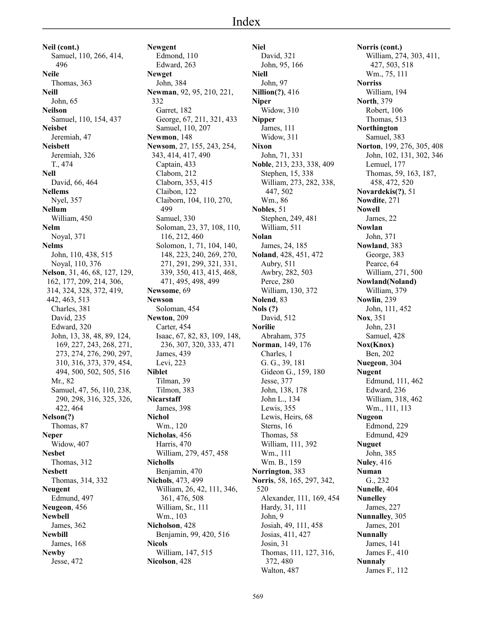**Neil (cont.)** Samuel, 110, 266, 414, 496 **Neile** Thomas, 363 **Neill** John, 65 **Neilson** Samuel, 110, 154, 437 **Neisbet** Jeremiah, 47 **Neisbett** Jeremiah, 326 T., 474 **Nell** David, 66, 464 **Nellems** Nyel, 357 **Nellum** William, 450 **Nelm** Noyal, 371 **Nelms** John, 110, 438, 515 Noyal, 110, 376 **Nelson**, 31, 46, 68, 127, 129, 162, 177, 209, 214, 306, 314, 324, 328, 372, 419, 442, 463, 513 Charles, 381 David, 235 Edward, 320 John, 13, 38, 48, 89, 124, 169, 227, 243, 268, 271, 273, 274, 276, 290, 297, 310, 316, 373, 379, 454, 494, 500, 502, 505, 516 Mr., 82 Samuel, 47, 56, 110, 238, 290, 298, 316, 325, 326, 422, 464 **Nelson(?)** Thomas, 87 **Neper** Widow, 407 **Nesbet** Thomas, 312 **Nesbett** Thomas, 314, 332 **Neugent** Edmund, 497 **Neugeon**, 456 **Newbell** James, 362 **Newbill** James, 168 **Newby**

Jesse, 472

**Newgent** Edmond, 110 Edward, 263 **Newget** John, 384 **Newman**, 92, 95, 210, 221, 332 Garret, 182 George, 67, 211, 321, 433 Samuel, 110, 207 **Newmon**, 148 **Newsom**, 27, 155, 243, 254, 343, 414, 417, 490 Captain, 433 Clabom, 212 Claborn, 353, 415 Claibon, 122 Claiborn, 104, 110, 270, 499 Samuel, 330 Soloman, 23, 37, 108, 110, 116, 212, 460 Solomon, 1, 71, 104, 140, 148, 223, 240, 269, 270, 271, 291, 299, 321, 331, 339, 350, 413, 415, 468, 471, 495, 498, 499 **Newsome**, 69 **Newson** Soloman, 454 **Newton**, 209 Carter, 454 Isaac, 67, 82, 83, 109, 148, 236, 307, 320, 333, 471 James, 439 Levi, 223 **Niblet** Tilman, 39 Tilmon, 383 **Nicarstaff** James, 398 **Nichol** Wm., 120 **Nicholas**, 456 Harris, 470 William, 279, 457, 458 **Nicholls** Benjamin, 470 **Nichols**, 473, 499 William, 26, 42, 111, 346, 361, 476, 508 William, Sr., 111 Wm., 103 **Nicholson**, 428 Benjamin, 99, 420, 516 **Nicols** William, 147, 515 **Nicolson**, 428

**Niel** David, 321 John, 95, 166 **Niell** John, 97 **Nillion(?)**, 416 **Niper** Widow, 310 **Nipper** James, 111 Widow, 311 **Nixon** John, 71, 331 **Noble**, 213, 233, 338, 409 Stephen, 15, 338 William, 273, 282, 338, 447, 502 Wm., 86 **Nobles**, 51 Stephen, 249, 481 William, 511 **Nolan** James, 24, 185 **Noland**, 428, 451, 472 Aubry, 511 Awbry, 282, 503 Perce, 280 William, 130, 372 **Nolend**, 83 **Nols (?)** David, 512 **Norilie** Abraham, 375 **Norman**, 149, 176 Charles, 1 G. G., 39, 181 Gideon G., 159, 180 Jesse, 377 John, 138, 178 John L., 134 Lewis, 355 Lewis, Heirs, 68 Sterns, 16 Thomas, 58 William, 111, 392 Wm., 111 Wm. B., 159 **Norrington**, 383 **Norris**, 58, 165, 297, 342, 520 Alexander, 111, 169, 454 Hardy, 31, 111 John, 9 Josiah, 49, 111, 458 Josias, 411, 427 Josin, 31 Thomas, 111, 127, 316, 372, 480 Walton, 487

**Norris (cont.)** William, 274, 303, 411, 427, 503, 518 Wm., 75, 111 **Norriss** William, 194 **North**, 379 Robert, 106 Thomas, 513 **Northington** Samuel, 383 **Norton**, 199, 276, 305, 408 John, 102, 131, 302, 346 Lemuel, 177 Thomas, 59, 163, 187, 458, 472, 520 **Novardekis(?)**, 51 **Nowdite**, 271 **Nowell** James, 22 **Nowlan** John, 371 **Nowland**, 383 George, 383 Pearce, 64 William, 271, 500 **Nowland(Noland)** William, 379 **Nowlin**, 239 John, 111, 452 **Nox**, 351 John, 231 Samuel, 428 **Nox(Knox)** Ben, 202 **Nuegeon**, 304 **Nugent** Edmund, 111, 462 Edward, 236 William, 318, 462 Wm., 111, 113 **Nugeon** Edmond, 229 Edmund, 429 **Nuguet** John, 385 **Nuley**, 416 **Numan** G., 232 **Nunelle**, 404 **Nunelley** James, 227 **Nunnalley**, 305 James, 201 **Nunnally** James, 141 James F., 410 **Nunnaly** James F., 112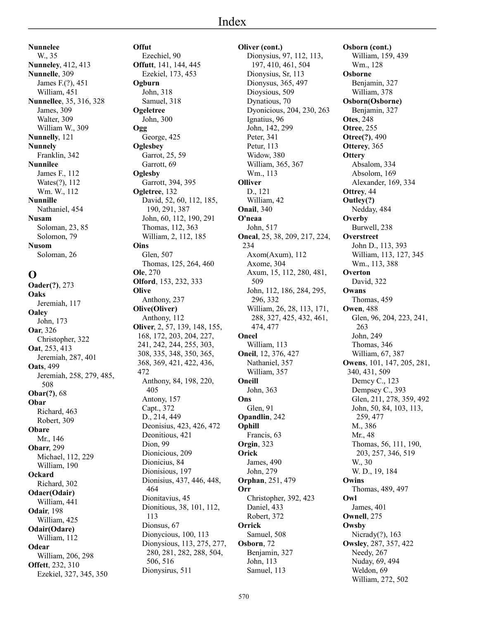**Nunnelee** W., 35 **Nunneley**, 412, 413 **Nunnelle**, 309 James F.(?), 451 William, 451 **Nunnellee**, 35, 316, 328 James, 309 Walter, 309 William W., 309 **Nunnelly**, 121 **Nunnely** Franklin, 342 **Nunnilee** James F., 112 Wates(?), 112 Wm. W., 112 **Nunnille** Nathaniel, 454 **Nusam** Soloman, 23, 85 Solomon, 79 **Nusom** Soloman, 26

#### **O**

**Oader(?)**, 273 **Oaks** Jeremiah, 117 **Oaley** John, 173 **Oar**, 326 Christopher, 322 **Oat**, 253, 413 Jeremiah, 287, 401 **Oats**, 499 Jeremiah, 258, 279, 485, 508 **Obar(?)**, 68 **Obar** Richard, 463 Robert, 309 **Obare** Mr., 146 **Obarr**, 299 Michael, 112, 229 William, 190 **Ockard** Richard, 302 **Odaer(Odair)** William, 441 **Odair**, 198 William, 425 **Odair(Odare)** William, 112 **Odear** William, 206, 298 **Offett**, 232, 310 Ezekiel, 327, 345, 350

**Offut** Ezechiel, 90 **Offutt**, 141, 144, 445 Ezekiel, 173, 453 **Ogburn** John, 318 Samuel, 318 **Ogeletree** John, 300 **Ogg** George, 425 **Oglesbey** Garrot, 25, 59 Garrott, 69 **Oglesby** Garrott, 394, 395 **Ogletree**, 132 David, 52, 60, 112, 185, 190, 291, 387 John, 60, 112, 190, 291 Thomas, 112, 363 William, 2, 112, 185 **Oins** Glen, 507 Thomas, 125, 264, 460 **Ole**, 270 **Olford**, 153, 232, 333 **Olive** Anthony, 237 **Olive(Oliver)** Anthony, 112 **Oliver**, 2, 57, 139, 148, 155, 168, 172, 203, 204, 227, 241, 242, 244, 255, 303, 308, 335, 348, 350, 365, 368, 369, 421, 422, 436, 472 Anthony, 84, 198, 220, 405 Antony, 157 Capt., 372 D., 214, 449 Deonisius, 423, 426, 472 Deonitious, 421 Dion, 99 Dionicious, 209 Dionicius, 84 Dionisious, 197 Dionisius, 437, 446, 448, 464 Dionitavius, 45 Dionitious, 38, 101, 112, 113 Dionsus, 67 Dionycious, 100, 113 Dionysious, 113, 275, 277, 280, 281, 282, 288, 504, 506, 516 Dionysirus, 511

**Oliver (cont.)** Dionysius, 97, 112, 113, 197, 410, 461, 504 Dionysius, Sr, 113 Dionysus, 365, 497 Dioysious, 509 Dynatious, 70 Dyonicious, 204, 230, 263 Ignatius, 96 John, 142, 299 Peter, 341 Petur, 113 Widow, 380 William, 365, 367 Wm., 113 **Olliver** D., 121 William, 42 **Onail**, 340 **O'neaa** John, 517 **Oneal**, 25, 38, 209, 217, 224, 234 Axom(Axum), 112 Axome, 304 Axum, 15, 112, 280, 481, 509 John, 112, 186, 284, 295, 296, 332 William, 26, 28, 113, 171, 288, 327, 425, 432, 461, 474, 477 **Oneel** William, 113 **Oneil**, 12, 376, 427 Nathaniel, 357 William, 357 **Oneill** John, 363 **Ons** Glen, 91 **Opandlin**, 242 **Ophill** Francis, 63 **Orgin**, 323 **Orick** James, 490 John, 279 **Orphan**, 251, 479 **Orr** Christopher, 392, 423 Daniel, 433 Robert, 372 **Orrick** Samuel, 508 **Osborn**, 72 Benjamin, 327 John, 113 Samuel, 113

**Osborn (cont.)** William, 159, 439 Wm., 128 **Osborne** Benjamin, 327 William, 378 **Osborn(Osborne)** Benjamin, 327 **Otes**, 248 **Otree**, 255 **Otree(?)**, 490 **Otterey**, 365 **Ottery** Absalom, 334 Absolom, 169 Alexander, 169, 334 **Ottrey**, 44 **Outley(?)** Nedday, 484 **Overby** Burwell, 238 **Overstreet** John D., 113, 393 William, 113, 127, 345 Wm., 113, 388 **Overton** David, 322 **Owans** Thomas, 459 **Owen**, 488 Glen, 96, 204, 223, 241, 263 John, 249 Thomas, 346 William, 67, 387 **Owens**, 101, 147, 205, 281, 340, 431, 509 Demcy C., 123 Dempsey C., 393 Glen, 211, 278, 359, 492 John, 50, 84, 103, 113, 259, 477 M., 386 Mr., 48 Thomas, 56, 111, 190, 203, 257, 346, 519 W., 30 W. D., 19, 184 **Owins** Thomas, 489, 497 **Owl** James, 401 **Ownell**, 275 **Owsby** Nicrady(?), 163 **Owsley**, 287, 357, 422 Needy, 267 Nuday, 69, 494 Weldon, 69 William, 272, 502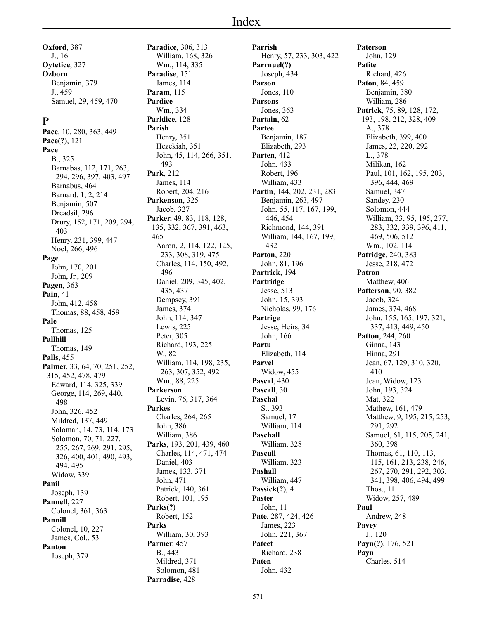**Oxford**, 387 J., 16 **Oytetice**, 327 **Ozborn** Benjamin, 379 J., 459 Samuel, 29, 459, 470

#### **P**

**Pace**, 10, 280, 363, 449 **Pace(?)**, 121 **Pace** B., 325 Barnabas, 112, 171, 263, 294, 296, 397, 403, 497 Barnabus, 464 Barnard, 1, 2, 214 Benjamin, 507 Dreadsil, 296 Drury, 152, 171, 209, 294, 403 Henry, 231, 399, 447 Noel, 266, 496 **Page** John, 170, 201 John, Jr., 209 **Pagen**, 363 **Pain**, 41 John, 412, 458 Thomas, 88, 458, 459 **Pale** Thomas, 125 **Pallhill** Thomas, 149 **Palls**, 455 **Palmer**, 33, 64, 70, 251, 252, 315, 452, 478, 479 Edward, 114, 325, 339 George, 114, 269, 440, 498 John, 326, 452 Mildred, 137, 449 Soloman, 14, 73, 114, 173 Solomon, 70, 71, 227, 255, 267, 269, 291, 295, 326, 400, 401, 490, 493, 494, 495 Widow, 339 **Panil** Joseph, 139 **Pannell**, 227 Colonel, 361, 363 **Pannill** Colonel, 10, 227 James, Col., 53 **Panton** Joseph, 379

**Paradice**, 306, 313 William, 168, 326 Wm., 114, 335 **Paradise**, 151 James, 114 **Param**, 115 **Pardice** Wm., 334 **Paridice**, 128 **Parish** Henry, 351 Hezekiah, 351 John, 45, 114, 266, 351, 493 **Park**, 212 James, 114 Robert, 204, 216 **Parkenson**, 325 Jacob, 327 **Parker**, 49, 83, 118, 128, 135, 332, 367, 391, 463, 465 Aaron, 2, 114, 122, 125, 233, 308, 319, 475 Charles, 114, 150, 492, 496 Daniel, 209, 345, 402, 435, 437 Dempsey, 391 James, 374 John, 114, 347 Lewis, 225 Peter, 305 Richard, 193, 225 W., 82 William, 114, 198, 235, 263, 307, 352, 492 Wm., 88, 225 **Parkerson** Levin, 76, 317, 364 **Parkes** Charles, 264, 265 John, 386 William, 386 **Parks**, 193, 201, 439, 460 Charles, 114, 471, 474 Daniel, 403 James, 133, 371 John, 471 Patrick, 140, 361 Robert, 101, 195 **Parks(?)** Robert, 152 **Parks** William, 30, 393 **Parmer**, 457 B., 443 Mildred, 371 Solomon, 481 **Parradise**, 428

**Parrish** Henry, 57, 233, 303, 422 **Parrnuel(?)** Joseph, 434 **Parson** Jones, 110 **Parsons** Jones, 363 **Partain**, 62 **Partee** Benjamin, 187 Elizabeth, 293 **Parten**, 412 John, 433 Robert, 196 William, 433 **Partin**, 144, 202, 231, 283 Benjamin, 263, 497 John, 55, 117, 167, 199, 446, 454 Richmond, 144, 391 William, 144, 167, 199, 432 **Parton**, 220 John, 81, 196 **Partrick**, 194 **Partridge** Jesse, 513 John, 15, 393 Nicholas, 99, 176 **Partrige** Jesse, Heirs, 34 John, 166 **Partu** Elizabeth, 114 **Parvel** Widow, 455 **Pascal**, 430 **Pascall**, 30 **Paschal** S., 393 Samuel, 17 William, 114 **Paschall** William, 328 **Pascull** William, 323 **Pashall** William, 447 **Passick(?)**, 4 **Paster** John, 11 **Pate**, 287, 424, 426 James, 223 John, 221, 367 **Pateet** Richard, 238 **Paten** John, 432

**Paterson** John, 129 **Patite** Richard, 426 **Paton**, 84, 459 Benjamin, 380 William, 286 **Patrick**, 75, 89, 128, 172, 193, 198, 212, 328, 409 A., 378 Elizabeth, 399, 400 James, 22, 220, 292 L., 378 Milikan, 162 Paul, 101, 162, 195, 203, 396, 444, 469 Samuel, 347 Sandey, 230 Solomon, 444 William, 33, 95, 195, 277, 283, 332, 339, 396, 411, 469, 506, 512 Wm., 102, 114 **Patridge**, 240, 383 Jesse, 218, 472 **Patron** Matthew, 406 **Patterson**, 90, 382 Jacob, 324 James, 374, 468 John, 155, 165, 197, 321, 337, 413, 449, 450 **Patton**, 244, 260 Ginna, 143 Hinna, 291 Jean, 67, 129, 310, 320, 410 Jean, Widow, 123 John, 193, 324 Mat, 322 Mathew, 161, 479 Matthew, 9, 195, 215, 253, 291, 292 Samuel, 61, 115, 205, 241, 360, 398 Thomas, 61, 110, 113, 115, 161, 213, 238, 246, 267, 270, 291, 292, 303, 341, 398, 406, 494, 499 Thos., 11 Widow, 257, 489 **Paul** Andrew, 248 **Pavey** J., 120 **Payn(?)**, 176, 521 **Payn** Charles, 514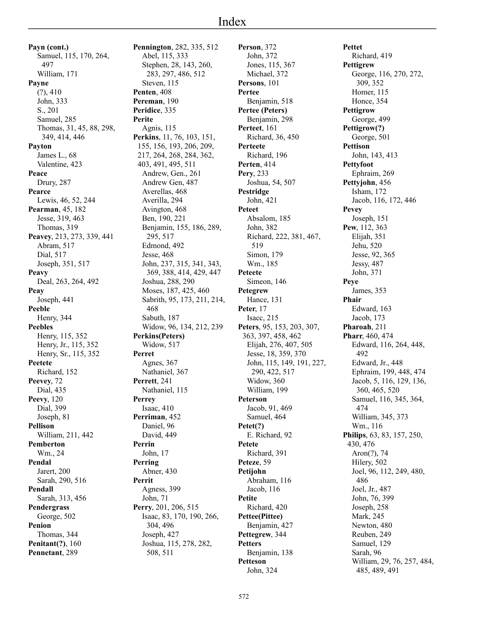**Payn (cont.)** Samuel, 115, 170, 264, 497 William, 171 **Payne**  $(?)$ , 410 John, 333 S., 201 Samuel, 285 Thomas, 31, 45, 88, 298, 349, 414, 446 **Payton** James L., 68 Valentine, 423 **Peace** Drury, 287 **Pearce** Lewis, 46, 52, 244 **Pearman**, 45, 182 Jesse, 319, 463 Thomas, 319 **Peavey**, 213, 273, 339, 441 Abram, 517 Dial, 517 Joseph, 351, 517 **Peavy** Deal, 263, 264, 492 **Peay** Joseph, 441 **Peeble** Henry, 344 **Peebles** Henry, 115, 352 Henry, Jr., 115, 352 Henry, Sr., 115, 352 **Peetete** Richard, 152 **Peevey**, 72 Dial, 435 **Peevy**, 120 Dial, 399 Joseph, 81 **Pellison** William, 211, 442 **Pemberton** Wm., 24 **Pendal** Jarert, 200 Sarah, 290, 516 **Pendall** Sarah, 313, 456 **Pendergrass** George, 502 **Penion** Thomas, 344 **Penitant(?)**, 160 **Pennetant**, 289

**Pennington**, 282, 335, 512 Abel, 115, 333 Stephen, 28, 143, 260, 283, 297, 486, 512 Steven, 115 **Penten**, 408 **Pereman**, 190 **Peridice**, 335 **Perite** Agnis, 115 **Perkins**, 11, 76, 103, 151, 155, 156, 193, 206, 209, 217, 264, 268, 284, 362, 403, 491, 495, 511 Andrew, Gen., 261 Andrew Gen, 487 Averellas, 468 Averilla, 294 Avington, 468 Ben, 190, 221 Benjamin, 155, 186, 289, 295, 517 Edmond, 492 Jesse, 468 John, 237, 315, 341, 343, 369, 388, 414, 429, 447 Joshua, 288, 290 Moses, 187, 425, 460 Sabrith, 95, 173, 211, 214, 468 Sabuth, 187 Widow, 96, 134, 212, 239 **Perkins(Peters)** Widow, 517 **Perret** Agnes, 367 Nathaniel, 367 **Perrett**, 241 Nathaniel, 115 **Perrey** Isaac, 410 **Perriman**, 452 Daniel, 96 David, 449 **Perrin** John, 17 **Perring** Abner, 430 **Perrit** Agness, 399 John, 71 **Perry**, 201, 206, 515 Isaac, 83, 170, 190, 266, 304, 496 Joseph, 427 Joshua, 115, 278, 282, 508, 511

**Person**, 372 John, 372 Jones, 115, 367 Michael, 372 **Persons**, 101 **Pertee** Benjamin, 518 **Pertee (Peters)** Benjamin, 298 **Perteet**, 161 Richard, 36, 450 **Perteete** Richard, 196 **Perten**, 414 **Pery**, 233 Joshua, 54, 507 **Pestridge** John, 421 **Peteet** Absalom, 185 John, 382 Richard, 222, 381, 467, 519 Simon, 179 Wm., 185 **Peteete** Simeon, 146 **Petegrew** Hance, 131 **Peter**, 17 Isacc, 215 **Peters**, 95, 153, 203, 307, 363, 397, 458, 462 Elijah, 276, 407, 505 Jesse, 18, 359, 370 John, 115, 149, 191, 227, 290, 422, 517 Widow, 360 William, 199 **Peterson** Jacob, 91, 469 Samuel, 464 **Petet(?)** E. Richard, 92 **Petete** Richard, 391 **Peteze**, 59 **Petijohn** Abraham, 116 Jacob, 116 **Petite** Richard, 420 **Pettee(Pittee)** Benjamin, 427 **Pettegrew**, 344 **Petters** Benjamin, 138 **Petteson** John, 324

**Pettet** Richard, 419 **Pettigrew** George, 116, 270, 272, 309, 352 Homer, 115 Honce, 354 **Pettigrow** George, 499 **Pettigrow(?)** George, 501 **Pettison** John, 143, 413 **Pettyfoot** Ephraim, 269 **Pettyjohn**, 456 Isham, 172 Jacob, 116, 172, 446 **Pevey** Joseph, 151 **Pew**, 112, 363 Elijah, 351 Jehu, 520 Jesse, 92, 365 Jessy, 487 John, 371 **Peye** James, 353 **Phair** Edward, 163 Jacob, 173 **Pharoah**, 211 **Pharr**, 460, 474 Edward, 116, 264, 448, 492 Edward, Jr., 448 Ephraim, 199, 448, 474 Jacob, 5, 116, 129, 136, 360, 465, 520 Samuel, 116, 345, 364, 474 William, 345, 373 Wm., 116 **Philips**, 63, 83, 157, 250, 430, 476 Aron(?), 74 Hilery, 502 Joel, 96, 112, 249, 480, 486 Joel, Jr., 487 John, 76, 399 Joseph, 258 Mark, 245 Newton, 480 Reuben, 249 Samuel, 129 Sarah, 96 William, 29, 76, 257, 484, 485, 489, 491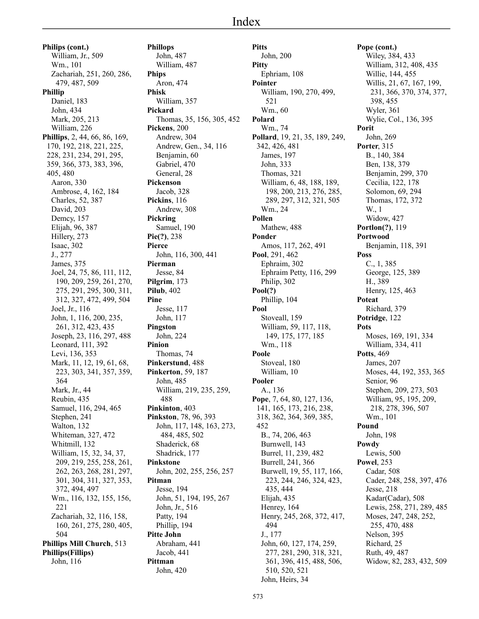# Index

**Philips (cont.)** William, Jr., 509 Wm., 101 Zachariah, 251, 260, 286, 479, 487, 509 **Phillip** Daniel, 183 John, 434 Mark, 205, 213 William, 226 **Phillips**, 2, 44, 66, 86, 169, 170, 192, 218, 221, 225, 228, 231, 234, 291, 295, 359, 366, 373, 383, 396, 405, 480 Aaron, 330 Ambrose, 4, 162, 184 Charles, 52, 387 David, 203 Demcy, 157 Elijah, 96, 387 Hillery, 273 Isaac, 302 J., 277 James, 375 Joel, 24, 75, 86, 111, 112, 190, 209, 259, 261, 270, 275, 291, 295, 300, 311, 312, 327, 472, 499, 504 Joel, Jr., 116 John, 1, 116, 200, 235, 261, 312, 423, 435 Joseph, 23, 116, 297, 488 Leonard, 111, 392 Levi, 136, 353 Mark, 11, 12, 19, 61, 68, 223, 303, 341, 357, 359, 364 Mark, Jr., 44 Reubin, 435 Samuel, 116, 294, 465 Stephen, 241 Walton, 132 Whiteman, 327, 472 Whitmill, 132 William, 15, 32, 34, 37, 209, 219, 255, 258, 261, 262, 263, 268, 281, 297, 301, 304, 311, 327, 353, 372, 494, 497 Wm., 116, 132, 155, 156, 221 Zachariah, 32, 116, 158, 160, 261, 275, 280, 405, 504 **Phillips Mill Church**, 513 **Phillips(Fillips)** John, 116

**Phillops** John, 487 William, 487 **Phips** Aron, 474 **Phisk** William, 357 **Pickard** Thomas, 35, 156, 305, 452 **Pickens**, 200 Andrew, 304 Andrew, Gen., 34, 116 Benjamin, 60 Gabriel, 470 General, 28 **Pickenson** Jacob, 328 **Pickins**, 116 Andrew, 308 **Pickring** Samuel, 190 **Pie(?)**, 238 **Pierce** John, 116, 300, 441 **Pierman** Jesse, 84 **Pilgrim**, 173 **Pilub**, 402 **Pine** Jesse, 117 John, 117 **Pingston** John, 224 **Pinion** Thomas, 74 **Pinkerstund**, 488 **Pinkerton**, 59, 187 John, 485 William, 219, 235, 259, 488 **Pinkinton**, 403 **Pinkston**, 78, 96, 393 John, 117, 148, 163, 273, 484, 485, 502 Shaderick, 68 Shadrick, 177 **Pinkstone** John, 202, 255, 256, 257 **Pitman** Jesse, 194 John, 51, 194, 195, 267 John, Jr., 516 Patty, 194 Phillip, 194 **Pitte John** Abraham, 441 Jacob, 441 **Pittman** John, 420

**Pitts** John, 200 **Pitty** Ephriam, 108 **Pointer** William, 190, 270, 499, 521 Wm., 60 **Polard** Wm., 74 **Pollard**, 19, 21, 35, 189, 249, 342, 426, 481 James, 197 John, 333 Thomas, 321 William, 6, 48, 188, 189, 198, 200, 213, 276, 285, 289, 297, 312, 321, 505 Wm., 24 **Pollen** Mathew, 488 **Ponder** Amos, 117, 262, 491 **Pool**, 291, 462 Ephraim, 302 Ephraim Petty, 116, 299 Philip, 302 **Pool(?)** Phillip, 104 **Pool** Stoveall, 159 William, 59, 117, 118, 149, 175, 177, 185 Wm., 118 **Poole** Stoveal, 180 William, 10 **Pooler** A., 136 **Pope**, 7, 64, 80, 127, 136, 141, 165, 173, 216, 238, 318, 362, 364, 369, 385, 452 B., 74, 206, 463 Burnwell, 143 Burrel, 11, 239, 482 Burrell, 241, 366 Burwell, 19, 55, 117, 166, 223, 244, 246, 324, 423, 435, 444 Elijah, 435 Henrey, 164 Henry, 245, 268, 372, 417, 494 J., 177 John, 60, 127, 174, 259, 277, 281, 290, 318, 321, 361, 396, 415, 488, 506, 510, 520, 521 John, Heirs, 34

**Pope (cont.)** Wiley, 384, 433 William, 312, 408, 435 Willie, 144, 455 Willis, 21, 67, 167, 199, 231, 366, 370, 374, 377, 398, 455 Wyler, 361 Wylie, Col., 136, 395 **Porit** John, 269 **Porter**, 315 B., 140, 384 Ben, 138, 379 Benjamin, 299, 370 Cecilia, 122, 178 Solomon, 69, 294 Thomas, 172, 372 W., 1 Widow, 427 **Portlon(?)**, 119 **Portwood** Benjamin, 118, 391 **Poss** C., 1, 385 George, 125, 389 H., 389 Henry, 125, 463 **Poteat** Richard, 379 **Potridge**, 122 **Pots** Moses, 169, 191, 334 William, 334, 411 **Potts**, 469 James, 207 Moses, 44, 192, 353, 365 Senior, 96 Stephen, 209, 273, 503 William, 95, 195, 209, 218, 278, 396, 507 Wm., 101 **Pound** John, 198 **Powdy** Lewis, 500 **Powel**, 253 Cadar, 508 Cader, 248, 258, 397, 476 Jesse, 218 Kadar(Cadar), 508 Lewis, 258, 271, 289, 485 Moses, 247, 248, 252, 255, 470, 488 Nelson, 395 Richard, 25 Ruth, 49, 487 Widow, 82, 283, 432, 509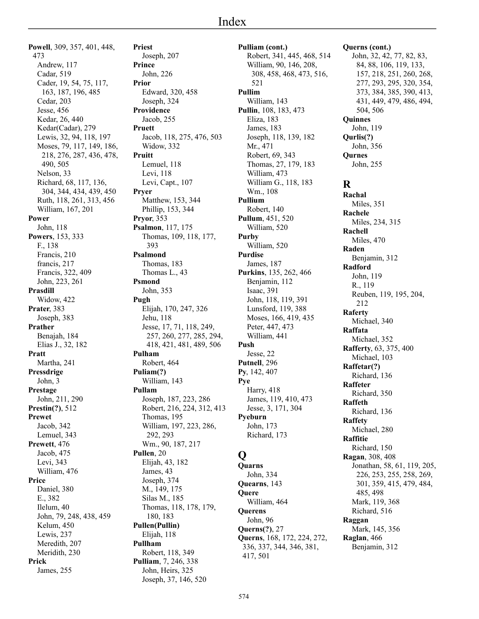**Powell**, 309, 357, 401, 448, 473 Andrew, 117 Cadar, 519 Cader, 19, 54, 75, 117, 163, 187, 196, 485 Cedar, 203 Jesse, 456 Kedar, 26, 440 Kedar(Cadar), 279 Lewis, 32, 94, 118, 197 Moses, 79, 117, 149, 186, 218, 276, 287, 436, 478, 490, 505 Nelson, 33 Richard, 68, 117, 136, 304, 344, 434, 439, 450 Ruth, 118, 261, 313, 456 William, 167, 201 **Power** John, 118 **Powers**, 153, 333 F., 138 Francis, 210 francis, 217 Francis, 322, 409 John, 223, 261 **Prasdill** Widow, 422 **Prater**, 383 Joseph, 383 **Prather** Benajah, 184 Elias J., 32, 182 **Pratt** Martha, 241 **Pressdrige** John, 3 **Prestage** John, 211, 290 **Prestin(?)**, 512 **Prewet** Jacob, 342 Lemuel, 343 **Prewett**, 476 Jacob, 475 Levi, 343 William, 476 **Price** Daniel, 380 E., 382 Ilelum, 40 John, 79, 248, 438, 459 Kelum, 450 Lewis, 237 Meredith, 207 Meridith, 230 **Prick** James, 255

**Priest** Joseph, 207 **Prince** John, 226 **Prior** Edward, 320, 458 Joseph, 324 **Providence** Jacob, 255 **Pruett** Jacob, 118, 275, 476, 503 Widow, 332 **Pruitt** Lemuel, 118 Levi, 118 Levi, Capt., 107 **Pryer** Matthew, 153, 344 Phillip, 153, 344 **Pryor**, 353 **Psalmon**, 117, 175 Thomas, 109, 118, 177, 393 **Psalmond** Thomas, 183 Thomas L., 43 **Psmond** John, 353 **Pugh** Elijah, 170, 247, 326 Jehu, 118 Jesse, 17, 71, 118, 249, 257, 260, 277, 285, 294, 418, 421, 481, 489, 506 **Pulham** Robert, 464 **Puliam(?)** William, 143 **Pullam** Joseph, 187, 223, 286 Robert, 216, 224, 312, 413 Thomas, 195 William, 197, 223, 286, 292, 293 Wm., 90, 187, 217 **Pullen**, 20 Elijah, 43, 182 James, 43 Joseph, 374 M., 149, 175 Silas M., 185 Thomas, 118, 178, 179, 180, 183 **Pullen(Pullin)** Elijah, 118 **Pullham** Robert, 118, 349 **Pulliam**, 7, 246, 338

John, Heirs, 325 Joseph, 37, 146, 520 **Pulliam (cont.)** Robert, 341, 445, 468, 514 William, 90, 146, 208, 308, 458, 468, 473, 516, 521 **Pullim** William, 143 **Pullin**, 108, 183, 473 Eliza, 183 James, 183 Joseph, 118, 139, 182 Mr., 471 Robert, 69, 343 Thomas, 27, 179, 183 William, 473 William G., 118, 183 Wm., 108 **Pullium** Robert, 140 **Pullum**, 451, 520 William, 520 **Purby** William, 520 **Purdise** James, 187 **Purkins**, 135, 262, 466 Benjamin, 112 Isaac, 391 John, 118, 119, 391 Lunsford, 119, 388 Moses, 166, 419, 435 Peter, 447, 473 William, 441 **Push** Jesse, 22 **Putnell**, 296 **Py**, 142, 407 **Pye** Harry, 418 James, 119, 410, 473 Jesse, 3, 171, 304 **Pyeburn** John, 173 Richard, 173 **Q Quarns** John, 334 **Quearns**, 143 **Quere** William, 464 **Querens** John, 96

**Querns (cont.)** John, 32, 42, 77, 82, 83, 84, 88, 106, 119, 133, 157, 218, 251, 260, 268, 277, 293, 295, 320, 354, 373, 384, 385, 390, 413, 431, 449, 479, 486, 494, 504, 506 **Quinnes** John, 119 **Qurlis(?)** John, 356 **Qurnes** John, 255 **R Rachal** Miles, 351 **Rachele** Miles, 234, 315 **Rachell** Miles, 470 **Raden** Benjamin, 312 **Radford** John, 119 R., 119 Reuben, 119, 195, 204, 212 **Raferty** Michael, 340 **Raffata** Michael, 352 **Rafferty**, 63, 375, 400 Michael, 103 **Raffetar(?)** Richard, 136 **Raffeter** Richard, 350 **Raffeth** Richard, 136 **Raffety** Michael, 280 **Raffitie** Richard, 150 **Ragan**, 308, 408 Jonathan, 58, 61, 119, 205, 226, 253, 255, 258, 269, 301, 359, 415, 479, 484, 485, 498 Mark, 119, 368 Richard, 516 **Raggan** Mark, 145, 356 **Raglan**, 466 Benjamin, 312

**Querns(?)**, 27

417, 501

**Querns**, 168, 172, 224, 272, 336, 337, 344, 346, 381,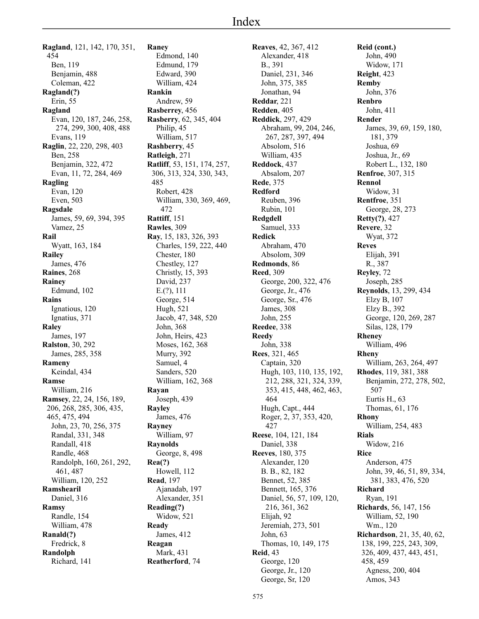**Ragland**, 121, 142, 170, 351, 454 Ben, 119 Benjamin, 488 Coleman, 422 **Ragland(?)** Erin, 55 **Ragland** Evan, 120, 187, 246, 258, 274, 299, 300, 408, 488 Evans, 119 **Raglin**, 22, 220, 298, 403 Ben, 258 Benjamin, 322, 472 Evan, 11, 72, 284, 469 **Ragling** Evan, 120 Even, 503 **Ragsdale** James, 59, 69, 394, 395 Vamez, 25 **Rail** Wyatt, 163, 184 **Railey** James, 476 **Raines**, 268 **Rainey** Edmund, 102 **Rains** Ignatious, 120 Ignatius, 371 **Raley** James, 197 **Ralston**, 30, 292 James, 285, 358 **Rameny** Keindal, 434 **Ramse** William, 216 **Ramsey**, 22, 24, 156, 189, 206, 268, 285, 306, 435, 465, 475, 494 John, 23, 70, 256, 375 Randal, 331, 348 Randall, 418 Randle, 468 Randolph, 160, 261, 292, 461, 487 William, 120, 252 **Ramshearil** Daniel, 316 **Ramsy** Randle, 154 William, 478 **Ranald(?)** Fredrick, 8 **Randolph** Richard, 141

**Raney** Edmond, 140 Edmund, 179 Edward, 390 William, 424 **Rankin** Andrew, 59 **Rasberrey**, 456 **Rasberry**, 62, 345, 404 Philip, 45 William, 517 **Rashberry**, 45 **Ratleigh**, 271 **Ratliff**, 53, 151, 174, 257, 306, 313, 324, 330, 343, 485 Robert, 428 William, 330, 369, 469, 472 **Rattiff**, 151 **Rawles**, 309 **Ray**, 15, 183, 326, 393 Charles, 159, 222, 440 Chester, 180 Chestley, 127 Christly, 15, 393 David, 237 E.(?), 111 George, 514 Hugh, 521 Jacob, 47, 348, 520 John, 368 John, Heirs, 423 Moses, 162, 368 Murry, 392 Samuel, 4 Sanders, 520 William, 162, 368 **Rayan** Joseph, 439 **Rayley** James, 476 **Rayney** William, 97 **Raynolds** George, 8, 498 **Rea(?)** Howell, 112 **Read**, 197 Ajanadab, 197 Alexander, 351 **Reading(?)** Widow, 521 **Ready** James, 412 **Reagan** Mark, 431 **Reatherford**, 74

**Reaves**, 42, 367, 412 Alexander, 418 B., 391 Daniel, 231, 346 John, 375, 385 Jonathan, 94 **Reddar**, 221 **Redden**, 405 **Reddick**, 297, 429 Abraham, 99, 204, 246, 267, 287, 397, 494 Absolom, 516 William, 435 **Reddock**, 437 Absalom, 207 **Rede**, 375 **Redford** Reuben, 396 Rubin, 101 **Redgdell** Samuel, 333 **Redick** Abraham, 470 Absolom, 309 **Redmonds**, 86 **Reed**, 309 George, 200, 322, 476 George, Jr., 476 George, Sr., 476 James, 308 John, 255 **Reedee**, 338 **Reedy** John, 338 **Rees**, 321, 465 Captain, 320 Hugh, 103, 110, 135, 192, 212, 288, 321, 324, 339, 353, 415, 448, 462, 463, 464 Hugh, Capt., 444 Roger, 2, 37, 353, 420, 427 **Reese**, 104, 121, 184 Daniel, 338 **Reeves**, 180, 375 Alexander, 120 B. B., 82, 182 Bennet, 52, 385 Bennett, 165, 376 Daniel, 56, 57, 109, 120, 216, 361, 362 Elijah, 92 Jeremiah, 273, 501 John, 63 Thomas, 10, 149, 175 **Reid**, 43 George, 120 George, Jr., 120 George, Sr, 120

**Reid (cont.)** John, 490 Widow, 171 **Reight**, 423 **Remby** John, 376 **Renbro** John, 411 **Render** James, 39, 69, 159, 180, 181, 379 Joshua, 69 Joshua, Jr., 69 Robert L., 132, 180 **Renfroe**, 307, 315 **Rennol** Widow, 31 **Rentfroe**, 351 George, 28, 273 **Retty(?)**, 427 **Revere**, 32 Wyat, 372 **Reves** Elijah, 391 R., 387 **Reyley**, 72 Joseph, 285 **Reynolds**, 13, 299, 434 Elzy B, 107 Elzy B., 392 George, 120, 269, 287 Silas, 128, 179 **Rheney** William, 496 **Rheny** William, 263, 264, 497 **Rhodes**, 119, 381, 388 Benjamin, 272, 278, 502, 507 Eurtis H., 63 Thomas, 61, 176 **Rhony** William, 254, 483 **Rials** Widow, 216 **Rice** Anderson, 475 John, 39, 46, 51, 89, 334, 381, 383, 476, 520 **Richard** Ryan, 191 **Richards**, 56, 147, 156 William, 52, 190 Wm., 120 **Richardson**, 21, 35, 40, 62, 138, 199, 225, 243, 309, 326, 409, 437, 443, 451, 458, 459 Agness, 200, 404

Amos, 343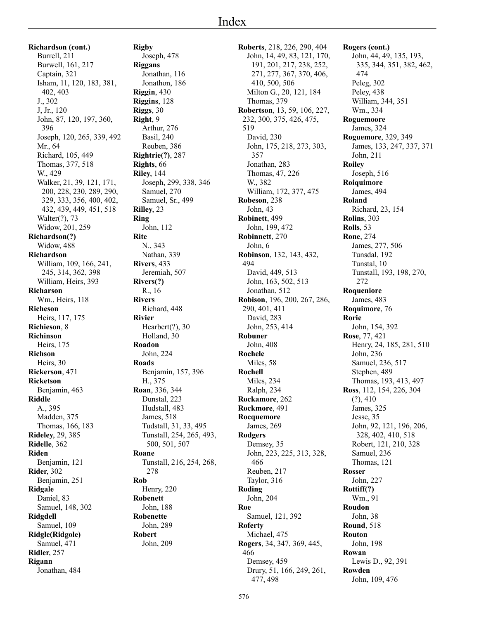**Richardson (cont.)** Burrell, 211 Burwell, 161, 217 Captain, 321 Isham, 11, 120, 183, 381, 402, 403 J., 302 J, Jr., 120 John, 87, 120, 197, 360, 396 Joseph, 120, 265, 339, 492 Mr., 64 Richard, 105, 449 Thomas, 377, 518 W., 429 Walker, 21, 39, 121, 171, 200, 228, 230, 289, 290, 329, 333, 356, 400, 402, 432, 439, 449, 451, 518 Walter(?), 73 Widow, 201, 259 **Richardson(?)** Widow, 488 **Richardson** William, 109, 166, 241, 245, 314, 362, 398 William, Heirs, 393 **Richarson** Wm., Heirs, 118 **Richeson** Heirs, 117, 175 **Richieson**, 8 **Richinson** Heirs, 175 **Richson** Heirs, 30 **Rickerson**, 471 **Ricketson** Benjamin, 463 **Riddle** A., 395 Madden, 375 Thomas, 166, 183 **Rideley**, 29, 385 **Ridelle**, 362 **Riden** Benjamin, 121 **Rider**, 302 Benjamin, 251 **Ridgale** Daniel, 83 Samuel, 148, 302 **Ridgdell** Samuel, 109 **Ridgle(Ridgole)** Samuel, 471 **Ridler**, 257 **Rigann** Jonathan, 484

**Rigby** Joseph, 478 **Riggans** Jonathan, 116 Jonathon, 186 **Riggin**, 430 **Riggins**, 128 **Riggs**, 30 **Right**, 9 Arthur, 276 Basil, 240 Reuben, 386 **Rightrie(?)**, 287 **Rights**, 66 **Riley**, 144 Joseph, 299, 338, 346 Samuel, 270 Samuel, Sr., 499 **Rilley**, 23 **Ring** John, 112 **Rite** N., 343 Nathan, 339 **Rivers**, 433 Jeremiah, 507 **Rivers(?)** R., 16 **Rivers** Richard, 448 **Rivier** Hearbert(?), 30 Holland, 30 **Roadon** John, 224 **Roads** Benjamin, 157, 396 H., 375 **Roan**, 336, 344 Dunstal, 223 Hudstall, 483 James, 518 Tudstall, 31, 33, 495 Tunstall, 254, 265, 493, 500, 501, 507 **Roane** Tunstall, 216, 254, 268, 278 **Rob** Henry, 220 **Robenett** John, 188 **Robenette** John, 289 **Robert** John, 209

**Roberts**, 218, 226, 290, 404 John, 14, 49, 83, 121, 170, 191, 201, 217, 238, 252, 271, 277, 367, 370, 406, 410, 500, 506 Milton G., 20, 121, 184 Thomas, 379 **Robertson**, 13, 59, 106, 227, 232, 300, 375, 426, 475, 519 David, 230 John, 175, 218, 273, 303, 357 Jonathan, 283 Thomas, 47, 226 W., 382 William, 172, 377, 475 **Robeson**, 238 John, 43 **Robinett**, 499 John, 199, 472 **Robinnett**, 270 John, 6 **Robinson**, 132, 143, 432, 494 David, 449, 513 John, 163, 502, 513 Jonathan, 512 **Robison**, 196, 200, 267, 286, 290, 401, 411 David, 283 John, 253, 414 **Robuner** John, 408 **Rochele** Miles, 58 **Rochell** Miles, 234 Ralph, 234 **Rockamore**, 262 **Rockmore**, 491 **Rocquemore** James, 269 **Rodgers** Demsey, 35 John, 223, 225, 313, 328, 466 Reuben, 217 Taylor, 316 **Roding** John, 204 **Roe** Samuel, 121, 392 **Roferty** Michael, 475 **Rogers**, 34, 347, 369, 445, 466 Demsey, 459 Drury, 51, 166, 249, 261, 477, 498

**Rogers (cont.)** John, 44, 49, 135, 193, 335, 344, 351, 382, 462, 474 Peleg, 302 Peley, 438 William, 344, 351 Wm., 334 **Roguemoore** James, 324 **Roguemore**, 329, 349 James, 133, 247, 337, 371 John, 211 **Roiley** Joseph, 516 **Roiquimore** James, 494 **Roland** Richard, 23, 154 **Rolins**, 303 **Rolls**, 53 **Rone**, 274 James, 277, 506 Tunsdal, 192 Tunstal, 10 Tunstall, 193, 198, 270, 272 **Roqueniore** James, 483 **Roquimore**, 76 **Rorie** John, 154, 392 **Rose**, 77, 421 Henry, 24, 185, 281, 510 John, 236 Samuel, 236, 517 Stephen, 489 Thomas, 193, 413, 497 **Ross**, 112, 154, 226, 304  $(?)$ , 410 James, 325 Jesse, 35 John, 92, 121, 196, 206, 328, 402, 410, 518 Robert, 121, 210, 328 Samuel, 236 Thomas, 121 **Rosser** John, 227 **Rottiff(?)** Wm., 91 **Roudon** John, 38 **Round**, 518 **Routon** John, 198 **Rowan** Lewis D., 92, 391 **Rowden** John, 109, 476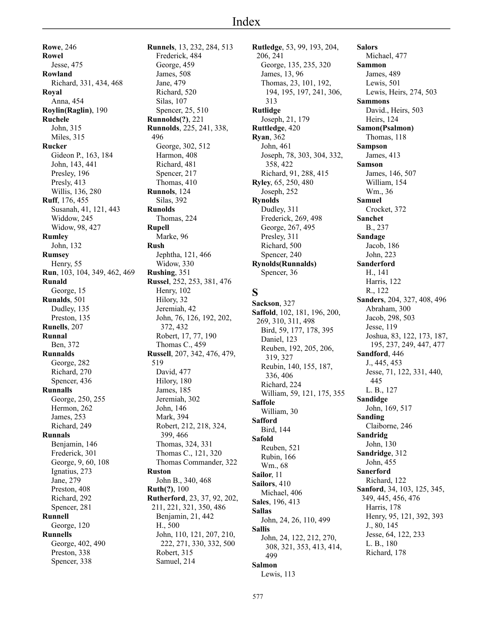**Rowe**, 246 **Rowel** Jesse, 475 **Rowland** Richard, 331, 434, 468 **Royal** Anna, 454 **Roylin(Raglin)**, 190 **Ruchele** John, 315 Miles, 315 **Rucker** Gideon P., 163, 184 John, 143, 441 Presley, 196 Presly, 413 Willis, 136, 280 **Ruff**, 176, 455 Susanah, 41, 121, 443 Widdow, 245 Widow, 98, 427 **Rumley** John, 132 **Rumsey** Henry, 55 **Run**, 103, 104, 349, 462, 469 **Runald** George, 15 **Runalds**, 501 Dudley, 135 Preston, 135 **Runells**, 207 **Runnal** Ben, 372 **Runnalds** George, 282 Richard, 270 Spencer, 436 **Runnalls** George, 250, 255 Hermon, 262 James, 253 Richard, 249 **Runnals** Benjamin, 146 Frederick, 301 George, 9, 60, 108 Ignatius, 273 Jane, 279 Preston, 408 Richard, 292 Spencer, 281 **Runnell** George, 120 **Runnells** George, 402, 490 Preston, 338 Spencer, 338

**Runnels**, 13, 232, 284, 513 Frederick, 484 George, 459 James, 508 Jane, 479 Richard, 520 Silas, 107 Spencer, 25, 510 **Runnolds(?)**, 221 **Runnolds**, 225, 241, 338, 496 George, 302, 512 Harmon, 408 Richard, 481 Spencer, 217 Thomas, 410 **Runnols**, 124 Silas, 392 **Runolds** Thomas, 224 **Rupell** Marke, 96 **Rush** Jephtha, 121, 466 Widow, 330 **Rushing**, 351 **Russel**, 252, 253, 381, 476 Henry, 102 Hilory, 32 Jeremiah, 42 John, 76, 126, 192, 202, 372, 432 Robert, 17, 77, 190 Thomas C., 459 **Russell**, 207, 342, 476, 479, 519 David, 477 Hilory, 180 James, 185 Jeremiah, 302 John, 146 Mark, 394 Robert, 212, 218, 324, 399, 466 Thomas, 324, 331 Thomas C., 121, 320 Thomas Commander, 322 **Ruston** John B., 340, 468 **Ruth(?)**, 100 **Rutherford**, 23, 37, 92, 202, 211, 221, 321, 350, 486 Benjamin, 21, 442 H., 500 John, 110, 121, 207, 210, 222, 271, 330, 332, 500 Robert, 315 Samuel, 214

**Rutledge**, 53, 99, 193, 204, 206, 241 George, 135, 235, 320 James, 13, 96 Thomas, 23, 101, 192, 194, 195, 197, 241, 306, 313 **Rutlidge** Joseph, 21, 179 **Ruttledge**, 420 **Ryan**, 362 John, 461 Joseph, 78, 303, 304, 332, 358, 422 Richard, 91, 288, 415 **Ryley**, 65, 250, 480 Joseph, 252 **Rynolds** Dudley, 311 Frederick, 269, 498 George, 267, 495 Presley, 311 Richard, 500 Spencer, 240 **Rynolds(Runnalds)** Spencer, 36 **S Sackson**, 327 **Saffold**, 102, 181, 196, 200, 269, 310, 311, 498

Bird, 59, 177, 178, 395 Daniel, 123 Reuben, 192, 205, 206, 319, 327 Reubin, 140, 155, 187, 336, 406 Richard, 224 William, 59, 121, 175, 355 **Saffole** William, 30 **Safford** Bird, 144 **Safold** Reuben, 521 Rubin, 166 Wm., 68 **Sailor**, 11 **Sailors**, 410 Michael, 406 **Sales**, 196, 413 **Sallas** John, 24, 26, 110, 499 **Sallis** John, 24, 122, 212, 270, 308, 321, 353, 413, 414, 499 **Salmon**

**Salors** Michael, 477 **Sammon** James, 489 Lewis, 501 Lewis, Heirs, 274, 503 **Sammons** David., Heirs, 503 Heirs, 124 **Samon(Psalmon)** Thomas, 118 **Sampson** James, 413 **Samson** James, 146, 507 William, 154 Wm., 36 **Samuel** Crocket, 372 **Sanchet** B., 237 **Sandage** Jacob, 186 John, 223 **Sanderford** H., 141 Harris, 122 R., 122 **Sanders**, 204, 327, 408, 496 Abraham, 300 Jacob, 298, 503 Jesse, 119 Joshua, 83, 122, 173, 187, 195, 237, 249, 447, 477 **Sandford**, 446 J., 445, 453 Jesse, 71, 122, 331, 440, 445 L. B., 127 **Sandidge** John, 169, 517 **Sanding** Claiborne, 246 **Sandridg** John, 130 **Sandridge**, 312 John, 455 **Sanerford** Richard, 122 **Sanford**, 34, 103, 125, 345, 349, 445, 456, 476 Harris, 178 Henry, 95, 121, 392, 393 J., 80, 145 Jesse, 64, 122, 233 L. B., 180 Richard, 178

Lewis, 113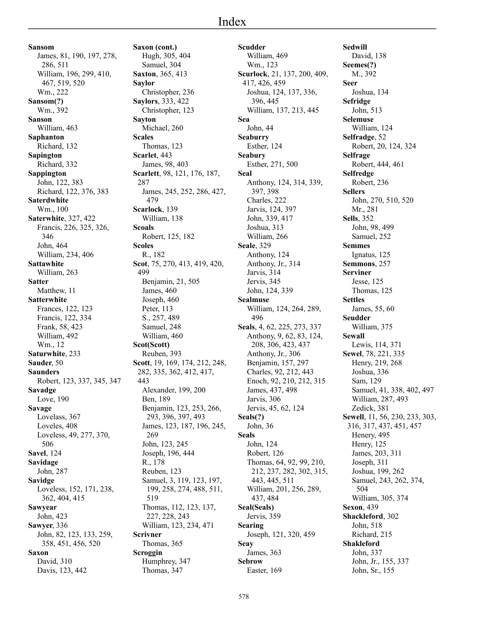**Sansom** James, 81, 190, 197, 278, 286, 511 William, 196, 299, 410, 467, 519, 520 Wm., 222 **Sansom(?)** Wm., 392 **Sanson** William, 463 **Saphanton** Richard, 132 **Sapington** Richard, 332 **Sappington** John, 122, 383 Richard, 122, 376, 383 **Saterdwhite** Wm., 100 **Saterwhite**, 327, 422 Francis, 226, 325, 326, 346 John, 464 William, 234, 406 **Sattawhite** William, 263 **Satter** Matthew, 11 **Satterwhite** Frances, 122, 123 Francis, 122, 334 Frank, 58, 423 William, 492 Wm., 12 **Saturwhite**, 233 **Sauder**, 50 **Saunders** Robert, 123, 337, 345, 347 **Savadge** Love, 190 **Savage** Lovelass, 367 Loveles, 408 Loveless, 49, 277, 370, 506 **Savel**, 124 **Savidage** John, 287 **Savidge** Loveless, 152, 171, 238, 362, 404, 415 **Sawyear** John, 423 **Sawyer**, 336 John, 82, 123, 133, 259, 358, 451, 456, 520 **Saxon** David, 310

Davis, 123, 442

**Saxon (cont.)** Hugh, 305, 404 Samuel, 304 **Saxton**, 365, 413 **Saylor** Christopher, 236 **Saylors**, 333, 422 Christopher, 123 **Sayton** Michael, 260 **Scales** Thomas, 123 **Scarlet**, 443 James, 98, 403 **Scarlett**, 98, 121, 176, 187, 287 James, 245, 252, 286, 427, 479 **Scarlock**, 139 William, 138 **Scoals** Robert, 125, 182 **Scoles** R., 182 **Scot**, 75, 270, 413, 419, 420, Benjamin, 21, 505 James, 460 Joseph, 460 Peter, 113 S., 257, 489 Samuel, 248 William, 460 **Scot(Scott)** Reuben, 393 **Scott**, 19, 169, 174, 212, 248, 282, 335, 362, 412, 417, 443 Alexander, 199, 200 Ben, 189 Benjamin, 123, 253, 266, 293, 396, 397, 493 James, 123, 187, 196, 245, 269 John, 123, 245 Joseph, 196, 444 R., 178 Reuben, 123 Samuel, 3, 119, 123, 197, 199, 258, 274, 488, 511, 519 Thomas, 112, 123, 137, 227, 228, 243 William, 123, 234, 471 **Scrivner** Thomas, 365 **Scroggin** Humphrey, 347 Thomas, 347

499

**Scudder** William, 469 Wm., 123 **Scurlock**, 21, 137, 200, 409, 417, 426, 459 Joshua, 124, 137, 336, 396, 445 William, 137, 213, 445 **Sea** John, 44 **Seaburry** Esther, 124 **Seabury** Esther, 271, 500 **Seal** Anthony, 124, 314, 339, 397, 398 Charles, 222 Jarvis, 124, 397 John, 339, 417 Joshua, 313 William, 266 **Seale**, 329 Anthony, 124 Anthony, Jr., 314 Jarvis, 314 Jervis, 345 John, 124, 339 **Sealmuse** William, 124, 264, 289, 496 **Seals**, 4, 62, 225, 273, 337 Anthony, 9, 62, 83, 124, 208, 306, 423, 437 Anthony, Jr., 306 Benjamin, 157, 297 Charles, 92, 212, 443 Enoch, 92, 210, 212, 315 James, 437, 498 Jarvis, 306 Jervis, 45, 62, 124 **Seals(?)** John, 36 **Seals** John, 124 Robert, 126 Thomas, 64, 92, 99, 210, 212, 237, 282, 302, 315, 443, 445, 511 William, 201, 256, 289, 437, 484 **Seal(Seals)** Jervis, 359 **Searing** Joseph, 121, 320, 459 **Seay** James, 363 **Sebrow** Easter, 169

**Sedwill** David, 138 **Seemes(?)** M., 392 **Seer** Joshua, 134 **Sefridge** John, 513 **Selemuse** William, 124 **Selfradge**, 52 Robert, 20, 124, 324 **Selfrage** Robert, 444, 461 **Selfredge** Robert, 236 **Sellers** John, 270, 510, 520 Mr., 281 **Sells**, 352 John, 98, 499 Samuel, 252 **Semmes** Ignatus, 125 **Semmons**, 257 **Serviner** Jesse, 125 Thomas, 125 **Settles** James, 55, 60 **Seudder** William, 375 **Sewall** Lewis, 114, 371 **Sewel**, 78, 221, 335 Henry, 219, 268 Joshua, 336 Sam, 129 Samuel, 41, 338, 402, 497 William, 287, 493 Zedick, 381 **Sewell**, 11, 56, 230, 233, 303, 316, 317, 437, 451, 457 Henery, 495 Henry, 125 James, 203, 311 Joseph, 311 Joshua, 199, 262 Samuel, 243, 262, 374, 504 William, 305, 374 **Sexon**, 439 **Shackleford**, 302 John, 518 Richard, 215 **Shakleford** John, 337 John, Jr., 155, 337 John, Sr., 155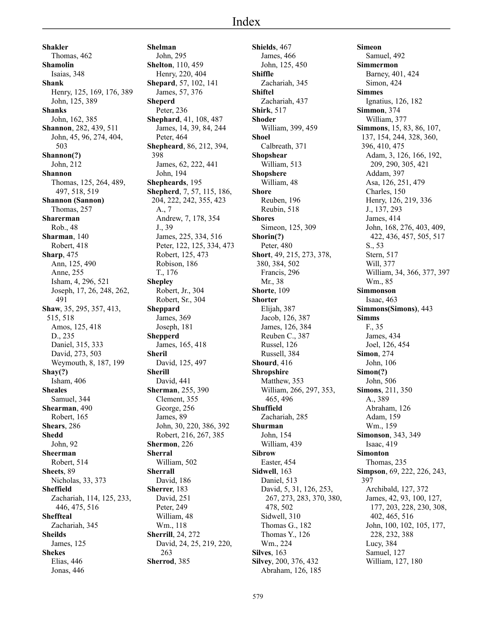**Shakler** Thomas, 462 **Shamolin** Isaias, 348 **Shank** Henry, 125, 169, 176, 389 John, 125, 389 **Shanks** John, 162, 385 **Shannon**, 282, 439, 511 John, 45, 96, 274, 404, 503 **Shannon(?)** John, 212 **Shannon** Thomas, 125, 264, 489, 497, 518, 519 **Shannon (Sannon)** Thomas, 257 **Sharerman** Rob., 48 **Sharman**, 140 Robert, 418 **Sharp**, 475 Ann, 125, 490 Anne, 255 Isham, 4, 296, 521 Joseph, 17, 26, 248, 262, 491 **Shaw**, 35, 295, 357, 413, 515, 518 Amos, 125, 418 D., 235 Daniel, 315, 333 David, 273, 503 Weymouth, 8, 187, 199 **Shay(?)** Isham, 406 **Sheales** Samuel, 344 **Shearman**, 490 Robert, 165 **Shears**, 286 **Shedd** John, 92 **Sheerman** Robert, 514 **Sheets**, 89 Nicholas, 33, 373 **Sheffield** Zachariah, 114, 125, 233, 446, 475, 516 **Sheffteal** Zachariah, 345 **Sheilds** James, 125 **Shekes** Elias, 446 Jonas, 446

**Shelman** John, 295 **Shelton**, 110, 459 Henry, 220, 404 **Shepard**, 57, 102, 141 James, 57, 376 **Sheperd** Peter, 236 **Shephard**, 41, 108, 487 James, 14, 39, 84, 244 Peter, 464 **Shepheard**, 86, 212, 394, 398 James, 62, 222, 441 John, 194 **Shepheards**, 195 **Shepherd**, 7, 57, 115, 186, 204, 222, 242, 355, 423 A., 7 Andrew, 7, 178, 354 J., 39 James, 225, 334, 516 Peter, 122, 125, 334, 473 Robert, 125, 473 Robison, 186 T., 176 **Shepley** Robert, Jr., 304 Robert, Sr., 304 **Sheppard** James, 369 Joseph, 181 **Shepperd** James, 165, 418 **Sheril** David, 125, 497 **Sherill** David, 441 **Sherman**, 255, 390 Clement, 355 George, 256 James, 89 John, 30, 220, 386, 392 Robert, 216, 267, 385 **Shermon**, 226 **Sherral** William, 502 **Sherrall** David, 186 **Sherrer**, 183 David, 251 Peter, 249 William, 48 Wm., 118 **Sherrill**, 24, 272 David, 24, 25, 219, 220, 263 **Sherrod**, 385

**Shields**, 467 James, 466 John, 125, 450 **Shiffle** Zachariah, 345 **Shiftel** Zachariah, 437 **Shirk**, 517 **Shoder** William, 399, 459 **Shoel** Calbreath, 371 **Shopshear** William, 513 **Shopshere** William, 48 **Shore** Reuben, 196 Reubin, 518 **Shores** Simeon, 125, 309 **Shorin(?)** Peter, 480 **Short**, 49, 215, 273, 378, 380, 384, 502 Francis, 296 Mr., 38 **Shorte**, 109 **Shorter** Elijah, 387 Jacob, 126, 387 James, 126, 384 Reuben C., 387 Russel, 126 Russell, 384 **Shourd**, 416 **Shropshire** Matthew, 353 William, 266, 297, 353, 465, 496 **Shuffield** Zachariah, 285 **Shurman** John, 154 William, 439 **Sibrow** Easter, 454 **Sidwell**, 163 Daniel, 513 David, 5, 31, 126, 253, 267, 273, 283, 370, 380, 478, 502 Sidwell, 310 Thomas G., 182 Thomas Y., 126 Wm., 224 **Silves**, 163 **Silvey**, 200, 376, 432 Abraham, 126, 185

**Simeon** Samuel, 492 **Simmermon** Barney, 401, 424 Simon, 424 **Simmes** Ignatius, 126, 182 **Simmon**, 374 William, 377 **Simmons**, 15, 83, 86, 107, 137, 154, 244, 328, 360, 396, 410, 475 Adam, 3, 126, 166, 192, 209, 290, 305, 421 Addam, 397 Asa, 126, 251, 479 Charles, 150 Henry, 126, 219, 336 J., 137, 293 James, 414 John, 168, 276, 403, 409, 422, 436, 457, 505, 517 S., 53 Stern, 517 Will, 377 William, 34, 366, 377, 397 Wm., 85 **Simmonson** Isaac, 463 **Simmons(Simons)**, 443 **Simms** F., 35 James, 434 Joel, 126, 454 **Simon**, 274 John, 106 **Simon(?)** John, 506 **Simons**, 211, 350 A., 389 Abraham, 126 Adam, 159 Wm., 159 **Simonson**, 343, 349 Isaac, 419 **Simonton** Thomas, 235 **Simpson**, 69, 222, 226, 243, 397 Archibald, 127, 372 James, 42, 93, 100, 127, 177, 203, 228, 230, 308, 402, 465, 516 John, 100, 102, 105, 177, 228, 232, 388 Lucy, 384 Samuel, 127 William, 127, 180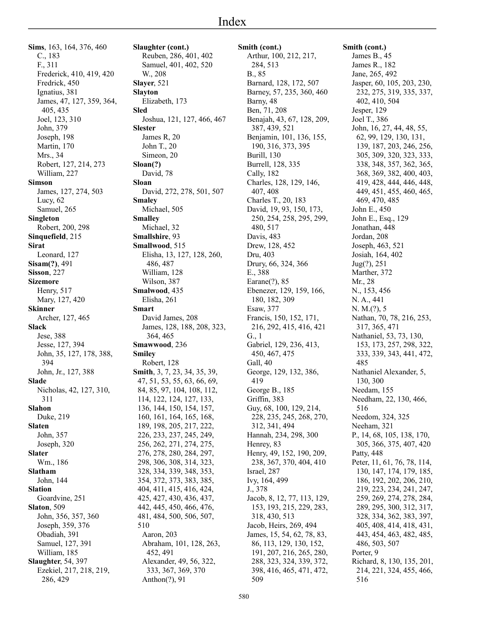**Sims**, 163, 164, 376, 460 C., 183 F., 311 Frederick, 410, 419, 420 Fredrick, 450 Ignatius, 381 James, 47, 127, 359, 364, 405, 435 Joel, 123, 310 John, 379 Joseph, 198 Martin, 170 Mrs., 34 Robert, 127, 214, 273 William, 227 **Simson** James, 127, 274, 503 Lucy, 62 Samuel, 265 **Singleton** Robert, 200, 298 **Sinquefield**, 215 **Sirat** Leonard, 127 **Sisam(?)**, 491 **Sisson**, 227 **Sizemore** Henry, 517 Mary, 127, 420 **Skinner** Archer, 127, 465 **Slack** Jese, 388 Jesse, 127, 394 John, 35, 127, 178, 388, 394 John, Jr., 127, 388 **Slade** Nicholas, 42, 127, 310, 311 **Slahon** Duke, 219 **Slaten** John, 357 Joseph, 320 **Slater** Wm., 186 **Slatham** John, 144 **Slation** Goardvine, 251 **Slaton**, 509 John, 356, 357, 360 Joseph, 359, 376 Obadiah, 391 Samuel, 127, 391 William, 185 **Slaughter**, 54, 397 Ezekiel, 217, 218, 219, 286, 429

**Slaughter (cont.)** Reuben, 286, 401, 402 Samuel, 401, 402, 520 W., 208 **Slayer**, 521 **Slayton** Elizabeth, 173 **Sled** Joshua, 121, 127, 466, 467 **Slester** James R, 20 John T., 20 Simeon, 20 **Sloan(?)** David, 78 **Sloan** David, 272, 278, 501, 507 **Smaley** Michael, 505 **Smalley** Michael, 32 **Smallshire**, 93 **Smallwood**, 515 Elisha, 13, 127, 128, 260, 486, 487 William, 128 Wilson, 387 **Smalwood**, 435 Elisha, 261 **Smart** David James, 208 James, 128, 188, 208, 323, 364, 465 **Smawwood**, 236 **Smiley** Robert, 128 **Smith**, 3, 7, 23, 34, 35, 39, 47, 51, 53, 55, 63, 66, 69, 84, 85, 97, 104, 108, 112, 114, 122, 124, 127, 133, 136, 144, 150, 154, 157, 160, 161, 164, 165, 168, 189, 198, 205, 217, 222, 226, 233, 237, 245, 249, 256, 262, 271, 274, 275, 276, 278, 280, 284, 297, 298, 306, 308, 314, 323, 328, 334, 339, 348, 353, 354, 372, 373, 383, 385, 404, 411, 415, 416, 424, 425, 427, 430, 436, 437, 442, 445, 450, 466, 476, 481, 484, 500, 506, 507, 510 Aaron, 203 Abraham, 101, 128, 263, 452, 491 Alexander, 49, 56, 322, 333, 367, 369, 370 Anthon(?), 91

**Smith (cont.)** Arthur, 100, 212, 217, 284, 513 B., 85 Barnard, 128, 172, 507 Barney, 57, 235, 360, 460 Barny, 48 Ben, 71, 208 Benajah, 43, 67, 128, 209, 387, 439, 521 Benjamin, 101, 136, 155, 190, 316, 373, 395 Burill, 130 Burrell, 128, 335 Cally, 182 Charles, 128, 129, 146, 407, 408 Charles T., 20, 183 David, 19, 93, 150, 173, 250, 254, 258, 295, 299, 480, 517 Davis, 483 Drew, 128, 452 Dru, 403 Drury, 66, 324, 366 E., 388 Earane(?), 85 Ebenezer, 129, 159, 166, 180, 182, 309 Esaw, 377 Francis, 150, 152, 171, 216, 292, 415, 416, 421 G., 1 Gabriel, 129, 236, 413, 450, 467, 475 Gall, 40 George, 129, 132, 386, 419 George B., 185 Griffin, 383 Guy, 68, 100, 129, 214, 228, 235, 245, 268, 270, 312, 341, 494 Hannah, 234, 298, 300 Henrey, 83 Henry, 49, 152, 190, 209, 238, 367, 370, 404, 410 Israel, 287 Ivy, 164, 499 J., 378 Jacob, 8, 12, 77, 113, 129, 153, 193, 215, 229, 283, 318, 430, 513 Jacob, Heirs, 269, 494 James, 15, 54, 62, 78, 83, 86, 113, 129, 130, 152, 191, 207, 216, 265, 280, 288, 323, 324, 339, 372, 398, 416, 465, 471, 472, 509

**Smith (cont.)** James B., 45 James R., 182 Jane, 265, 492 Jasper, 60, 105, 203, 230, 232, 275, 319, 335, 337, 402, 410, 504 Jesper, 129 Joel T., 386 John, 16, 27, 44, 48, 55, 62, 99, 129, 130, 131, 139, 187, 203, 246, 256, 305, 309, 320, 323, 333, 338, 348, 357, 362, 365, 368, 369, 382, 400, 403, 419, 428, 444, 446, 448, 449, 451, 455, 460, 465, 469, 470, 485 John E., 450 John E., Esq., 129 Jonathan, 448 Jordan, 208 Joseph, 463, 521 Josiah, 164, 402 Jug(?), 251 Marther, 372 Mr., 28 N., 153, 456 N. A., 441 N. M.(?), 5 Nathan, 70, 78, 216, 253, 317, 365, 471 Nathaniel, 53, 73, 130, 153, 173, 257, 298, 322, 333, 339, 343, 441, 472, 485 Nathaniel Alexander, 5, 130, 300 Needam, 155 Needham, 22, 130, 466, 516 Needom, 324, 325 Neeham, 321 P., 14, 68, 105, 138, 170, 305, 366, 375, 407, 420 Patty, 448 Peter, 11, 61, 76, 78, 114, 130, 147, 174, 179, 185, 186, 192, 202, 206, 210, 219, 223, 234, 241, 247, 259, 269, 274, 278, 284, 289, 295, 300, 312, 317, 328, 334, 362, 383, 397, 405, 408, 414, 418, 431, 443, 454, 463, 482, 485, 486, 503, 507 Porter, 9 Richard, 8, 130, 135, 201, 214, 221, 324, 455, 466, 516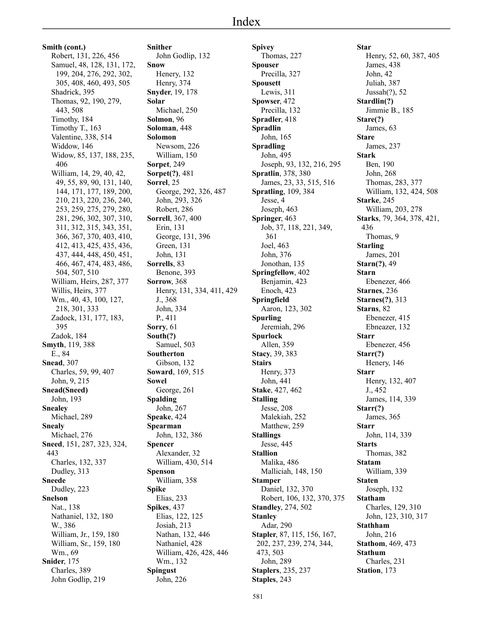**Smith (cont.)** Robert, 131, 226, 456 Samuel, 48, 128, 131, 172, 199, 204, 276, 292, 302, 305, 408, 460, 493, 505 Shadrick, 395 Thomas, 92, 190, 279, 443, 508 Timothy, 184 Timothy T., 163 Valentine, 338, 514 Widdow, 146 Widow, 85, 137, 188, 235, 406 William, 14, 29, 40, 42, 49, 55, 89, 90, 131, 140, 144, 171, 177, 189, 200, 210, 213, 220, 236, 240, 253, 259, 275, 279, 280, 281, 296, 302, 307, 310, 311, 312, 315, 343, 351, 366, 367, 370, 403, 410, 412, 413, 425, 435, 436, 437, 444, 448, 450, 451, 466, 467, 474, 483, 486, 504, 507, 510 William, Heirs, 287, 377 Willis, Heirs, 377 Wm., 40, 43, 100, 127, 218, 301, 333 Zadock, 131, 177, 183, 395 Zadok, 184 **Smyth**, 119, 388 E., 84 **Snead**, 307 Charles, 59, 99, 407 John, 9, 215 **Snead(Sneed)** John, 193 **Snealey** Michael, 289 **Snealy** Michael, 276 **Sneed**, 151, 287, 323, 324, 443 Charles, 132, 337 Dudley, 313 **Sneede** Dudley, 223 **Snelson** Nat., 138 Nathaniel, 132, 180 W., 386 William, Jr., 159, 180 William, Sr., 159, 180 Wm., 69 **Snider**, 175 Charles, 389 John Godlip, 219

**Snither** John Godlip, 132 **Snow** Henery, 132 Henry, 374 **Snyder**, 19, 178 **Solar** Michael, 250 **Solmon**, 96 **Soloman**, 448 **Solomon** Newsom, 226 William, 150 **Sorpet**, 249 **Sorpet(?)**, 481 **Sorrel**, 25 George, 292, 326, 487 John, 293, 326 Robert, 286 **Sorrell**, 367, 400 Erin, 131 George, 131, 396 Green, 131 John, 131 **Sorrells**, 83 Benone, 393 **Sorrow**, 368 Henry, 131, 334, 411, 429 J., 368 John, 334 P., 411 **Sorry**, 61 **South(?)** Samuel, 503 **Southerton** Gibson, 132 **Soward**, 169, 515 **Sowel** George, 261 **Spalding** John, 267 **Speake**, 424 **Spearman** John, 132, 386 **Spencer** Alexander, 32 William, 430, 514 **Spenson** William, 358 **Spike** Elias, 233 **Spikes**, 437 Elias, 122, 125 Josiah, 213 Nathan, 132, 446 Nathaniel, 428 William, 426, 428, 446 Wm., 132 **Spingust** John, 226

**Spivey** Thomas, 227 **Spouser** Precilla, 327 **Spousett** Lewis, 311 **Spowser**, 472 Precilla, 132 **Spradler**, 418 **Spradlin** John, 165 **Spradling** John, 495 Joseph, 93, 132, 216, 295 **Spratlin**, 378, 380 James, 23, 33, 515, 516 **Spratling**, 109, 384 Jesse, 4 Joseph, 463 **Springer**, 463 Job, 37, 118, 221, 349, 361 Joel, 463 John, 376 Jonothan, 135 **Springfellow**, 402 Benjamin, 423 Enoch, 423 **Springfield** Aaron, 123, 302 **Spurling** Jeremiah, 296 **Spurlock** Allen, 359 **Stacy**, 39, 383 **Stairs** Henry, 373 John, 441 **Stake**, 427, 462 **Stalling** Jesse, 208 Malekiah, 252 Matthew, 259 **Stallings** Jesse, 445 **Stallion** Malika, 486 Malliciah, 148, 150 **Stamper** Daniel, 132, 370 Robert, 106, 132, 370, 375 **Standley**, 274, 502 **Stanley** Adar, 290 **Stapler**, 87, 115, 156, 167, 202, 237, 239, 274, 344, 473, 503 John, 289 **Staplers**, 235, 237 **Staples**, 243

**Star** Henry, 52, 60, 387, 405 James, 438 John, 42 Juliah, 387 Jussah(?), 52 **Stardlin(?)** Jimmie B., 185 **Stare(?)** James, 63 **Stare** James, 237 **Stark** Ben, 190 John, 268 Thomas, 283, 377 William, 132, 424, 508 **Starke**, 245 William, 203, 278 **Starks**, 79, 364, 378, 421, 436 Thomas, 9 **Starling** James, 201 **Starn(?)**, 49 **Starn** Ebenezer, 466 **Starnes**, 236 **Starnes(?)**, 313 **Starns**, 82 Ebenezer, 415 Ebneazer, 132 **Starr** Ebenezer, 456 **Starr(?)** Henery, 146 **Starr** Henry, 132, 407 J., 452 James, 114, 339 **Starr(?)** James, 365 **Starr** John, 114, 339 **Starts** Thomas, 382 **Statam** William, 339 **Staten** Joseph, 132 **Statham** Charles, 129, 310 John, 123, 310, 317 **Stathham** John, 216 **Stathom**, 469, 473 **Stathum** Charles, 231 **Station**, 173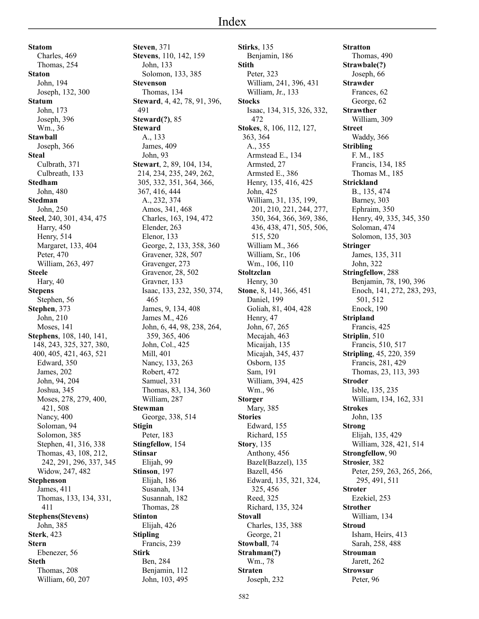**Statom** Charles, 469 Thomas, 254 **Staton** John, 194 Joseph, 132, 300 **Statum** John, 173 Joseph, 396 Wm., 36 **Stawball** Joseph, 366 **Steal** Culbrath, 371 Culbreath, 133 **Stedham** John, 480 **Stedman** John, 250 **Steel**, 240, 301, 434, 475 Harry, 450 Henry, 514 Margaret, 133, 404 Peter, 470 William, 263, 497 **Steele** Hary, 40 **Stepens** Stephen, 56 **Stephen**, 373 John, 210 Moses, 141 **Stephens**, 108, 140, 141, 148, 243, 325, 327, 380, 400, 405, 421, 463, 521 Edward, 350 James, 202 John, 94, 204 Joshua, 345 Moses, 278, 279, 400, 421, 508 Nancy, 400 Soloman, 94 Solomon, 385 Stephen, 41, 316, 338 Thomas, 43, 108, 212, 242, 291, 296, 337, 345 Widow, 247, 482 **Stephenson** James, 411 Thomas, 133, 134, 331, 411 **Stephens(Stevens)** John, 385 **Sterk**, 423 **Stern** Ebenezer, 56 **Steth** Thomas, 208 William, 60, 207

**Steven**, 371 **Stevens**, 110, 142, 159 John, 133 Solomon, 133, 385 **Stevenson** Thomas, 134 **Steward**, 4, 42, 78, 91, 396, 491 **Steward(?)**, 85 **Steward** A., 133 James, 409 John, 93 **Stewart**, 2, 89, 104, 134, 214, 234, 235, 249, 262, 305, 332, 351, 364, 366, 367, 416, 444 A., 232, 374 Amos, 341, 468 Charles, 163, 194, 472 Elender, 263 Elenor, 133 George, 2, 133, 358, 360 Gravener, 328, 507 Gravenger, 273 Gravenor, 28, 502 Gravner, 133 Isaac, 133, 232, 350, 374, 465 James, 9, 134, 408 James M., 426 John, 6, 44, 98, 238, 264, 359, 365, 406 John, Col., 425 Mill, 401 Nancy, 133, 263 Robert, 472 Samuel, 331 Thomas, 83, 134, 360 William, 287 **Stewman** George, 338, 514 **Stigin** Peter, 183 **Stingfellow**, 154 **Stinsar** Elijah, 99 **Stinson**, 197 Elijah, 186 Susanah, 134 Susannah, 182 Thomas, 28 **Stinton** Elijah, 426 **Stipling** Francis, 239 **Stirk** Ben, 284 Benjamin, 112 John, 103, 495

**Stirks**, 135 Benjamin, 186 **Stith** Peter, 323 William, 241, 396, 431 William, Jr., 133 **Stocks** Isaac, 134, 315, 326, 332, 472 **Stokes**, 8, 106, 112, 127, 363, 364 A., 355 Armstead E., 134 Armsted, 27 Armsted E., 386 Henry, 135, 416, 425 John, 425 William, 31, 135, 199, 201, 210, 221, 244, 277, 350, 364, 366, 369, 386, 436, 438, 471, 505, 506, 515, 520 William M., 366 William, Sr., 106 Wm., 106, 110 **Stoltzclan** Henry, 30 **Stone**, 8, 141, 366, 451 Daniel, 199 Goliah, 81, 404, 428 Henry, 47 John, 67, 265 Mecajah, 463 Micaijah, 135 Micajah, 345, 437 Osborn, 135 Sam, 191 William, 394, 425 Wm., 96 **Storger** Mary, 385 **Stories** Edward, 155 Richard, 155 **Story**, 135 Anthony, 456 BazeI(Bazzel), 135 Bazell, 456 Edward, 135, 321, 324, 325, 456 Reed, 325 Richard, 135, 324 **Stovall** Charles, 135, 388 George, 21 **Stowball**, 74 **Strahman(?)** Wm., 78 **Straten** Joseph, 232

**Stratton** Thomas, 490 **Strawbale(?)** Joseph, 66 **Strawder** Frances, 62 George, 62 **Strawther** William, 309 **Street** Waddy, 366 **Stribling** F. M., 185 Francis, 134, 185 Thomas M., 185 **Strickland** B., 135, 474 Barney, 303 Ephraim, 350 Henry, 49, 335, 345, 350 Soloman, 474 Solomon, 135, 303 **Stringer** James, 135, 311 John, 322 **Stringfellow**, 288 Benjamin, 78, 190, 396 Enoch, 141, 272, 283, 293, 501, 512 Enock, 190 **Stripland** Francis, 425 **Striplin**, 510 Francis, 510, 517 **Stripling**, 45, 220, 359 Francis, 281, 429 Thomas, 23, 113, 393 **Stroder** Isble, 135, 235 William, 134, 162, 331 **Strokes** John, 135 **Strong** Elijah, 135, 429 William, 328, 421, 514 **Strongfellow**, 90 **Strosier**, 382 Peter, 259, 263, 265, 266, 295, 491, 511 **Stroter** Ezekiel, 253 **Strother** William, 134 **Stroud** Isham, Heirs, 413 Sarah, 258, 488 **Strouman** Jarett, 262 **Strowsur** Peter, 96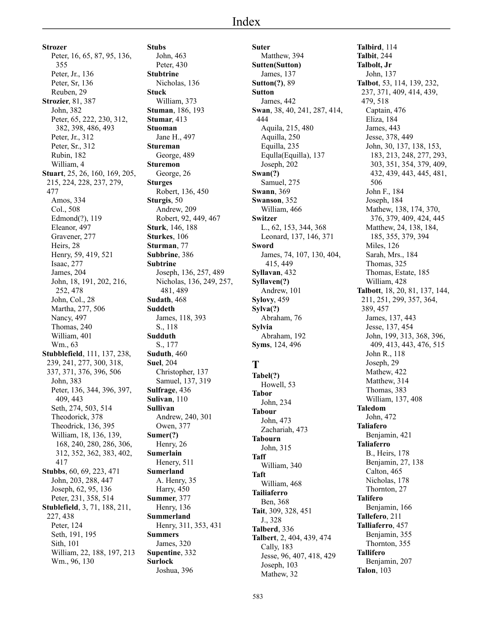# Index

**Strozer** Peter, 16, 65, 87, 95, 136, 355 Peter, Jr., 136 Peter, Sr, 136 Reuben, 29 **Strozier**, 81, 387 John, 382 Peter, 65, 222, 230, 312, 382, 398, 486, 493 Peter, Jr., 312 Peter, Sr., 312 Rubin, 182 William, 4 **Stuart**, 25, 26, 160, 169, 205, 215, 224, 228, 237, 279, 477 Amos, 334 Col., 508 Edmond(?), 119 Eleanor, 497 Gravener, 277 Heirs, 28 Henry, 59, 419, 521 Isaac, 277 James, 204 John, 18, 191, 202, 216, 252, 478 John, Col., 28 Martha, 277, 506 Nancy, 497 Thomas, 240 William, 401 Wm., 63 **Stubblefield**, 111, 137, 238, 239, 241, 277, 300, 318, 337, 371, 376, 396, 506 John, 383 Peter, 136, 344, 396, 397, 409, 443 Seth, 274, 503, 514 Theodorick, 378 Theodrick, 136, 395 William, 18, 136, 139, 168, 240, 280, 286, 306, 312, 352, 362, 383, 402, 417 **Stubbs**, 60, 69, 223, 471 John, 203, 288, 447 Joseph, 62, 95, 136 Peter, 231, 358, 514 **Stublefield**, 3, 71, 188, 211, 227, 438 Peter, 124 Seth, 191, 195 Sith, 101 William, 22, 188, 197, 213 Wm., 96, 130

**Stubs** John, 463 Peter, 430 **Stubtrine** Nicholas, 136 **Stuck** William, 373 **Stuman**, 186, 193 **Stumar**, 413 **Stuoman** Jane H., 497 **Stureman** George, 489 **Sturemon** George, 26 **Sturges** Robert, 136, 450 **Sturgis**, 50 Andrew, 209 Robert, 92, 449, 467 **Sturk**, 146, 188 **Sturkes**, 106 **Sturman**, 77 **Subbrine**, 386 **Subtrine** Joseph, 136, 257, 489 Nicholas, 136, 249, 257, 481, 489 **Sudath**, 468 **Suddeth** James, 118, 393 S., 118 **Sudduth** S., 177 **Suduth**, 460 **Suel**, 204 Christopher, 137 Samuel, 137, 319 **Sulfrage**, 436 **Sulivan**, 110 **Sullivan** Andrew, 240, 301 Owen, 377 **Sumer(?)** Henry, 26 **Sumerlain** Henery, 511 **Sumerland** A. Henry, 35 Harry, 450 **Summer**, 377 Henry, 136 **Summerland** Henry, 311, 353, 431 **Summers** James, 320 **Supentine**, 332 **Surlock** Joshua, 396

**Suter** Matthew, 394 **Sutten(Sutton)** James, 137 **Sutton(?)**, 89 **Sutton** James, 442 **Swan**, 38, 40, 241, 287, 414, 444 Aquila, 215, 480 Aquilla, 250 Equilla, 235 Equlla(Equilla), 137 Joseph, 202 **Swan(?)** Samuel, 275 **Swann**, 369 **Swanson**, 352 William, 466 **Switzer** L., 62, 153, 344, 368 Leonard, 137, 146, 371 **Sword** James, 74, 107, 130, 404, 415, 449 **Syllavan**, 432 **Syllaven(?)** Andrew, 101 **Sylovy**, 459 **Sylva(?)** Abraham, 76 **Sylvia** Abraham, 192 **Syms**, 124, 496 **T Tabel(?)** Howell, 53 **Tabor** John, 234 **Tabour** John, 473 Zachariah, 473 **Tabourn** John, 315 **Taff** William, 340 **Taft** William, 468 **Tailiaferro** Ben, 368 **Tait**, 309, 328, 451 J., 328 **Talberd**, 336 **Talbert**, 2, 404, 439, 474 Cally, 183 Jesse, 96, 407, 418, 429 Joseph, 103

**Talbird**, 114 **Talbit**, 244 **Talbolt, Jr** John, 137 **Talbot**, 53, 114, 139, 232, 237, 371, 409, 414, 439, 479, 518 Captain, 476 Eliza, 184 James, 443 Jesse, 378, 449 John, 30, 137, 138, 153, 183, 213, 248, 277, 293, 303, 351, 354, 379, 409, 432, 439, 443, 445, 481, 506 John F., 184 Joseph, 184 Mathew, 138, 174, 370, 376, 379, 409, 424, 445 Matthew, 24, 138, 184, 185, 355, 379, 394 Miles, 126 Sarah, Mrs., 184 Thomas, 325 Thomas, Estate, 185 William, 428 **Talbott**, 18, 20, 81, 137, 144, 211, 251, 299, 357, 364, 389, 457 James, 137, 443 Jesse, 137, 454 John, 199, 313, 368, 396, 409, 413, 443, 476, 515 John R., 118 Joseph, 29 Mathew, 422 Matthew, 314 Thomas, 383 William, 137, 408 **Taledom** John, 472 **Taliafero** Benjamin, 421 **Taliaferro** B., Heirs, 178 Benjamin, 27, 138 Calton, 465 Nicholas, 178 Thornton, 27 **Talifero** Benjamin, 166 **Tallefero**, 211 **Talliaferro**, 457 Benjamin, 355 Thornton, 355 **Tallifero** Benjamin, 207 **Talon**, 103

Mathew, 32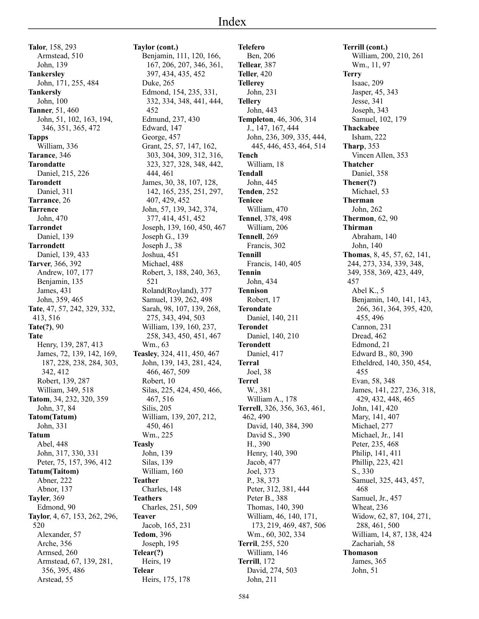**Talor**, 158, 293 Armstead, 510 John, 139 **Tankersley** John, 171, 255, 484 **Tankersly** John, 100 **Tanner**, 51, 460 John, 51, 102, 163, 194, 346, 351, 365, 472 **Tapps** William, 336 **Tarance**, 346 **Tarondatte** Daniel, 215, 226 **Tarondett** Daniel, 311 **Tarrance**, 26 **Tarrence** John, 470 **Tarrondet** Daniel, 139 **Tarrondett** Daniel, 139, 433 **Tarver**, 366, 392 Andrew, 107, 177 Benjamin, 135 James, 431 John, 359, 465 **Tate**, 47, 57, 242, 329, 332, 413, 516 **Tate(?)**, 90 **Tate** Henry, 139, 287, 413 James, 72, 139, 142, 169, 187, 228, 238, 284, 303, 342, 412 Robert, 139, 287 William, 349, 518 **Tatom**, 34, 232, 320, 359 John, 37, 84 **Tatom(Tatum)** John, 331 **Tatum** Abel, 448 John, 317, 330, 331 Peter, 75, 157, 396, 412 **Tatum(Taitom)** Abner, 222 Abnor, 137 **Tayler**, 369 Edmond, 90 **Taylor**, 4, 67, 153, 262, 296, 520 Alexander, 57 Arche, 356 Armsed, 260 Armstead, 67, 139, 281, 356, 395, 486 Arstead, 55

**Taylor (cont.)** Benjamin, 111, 120, 166, 167, 206, 207, 346, 361, 397, 434, 435, 452 Duke, 265 Edmond, 154, 235, 331, 332, 334, 348, 441, 444, 452 Edmund, 237, 430 Edward, 147 George, 457 Grant, 25, 57, 147, 162, 303, 304, 309, 312, 316, 323, 327, 328, 348, 442, 444, 461 James, 30, 38, 107, 128, 142, 165, 235, 251, 297, 407, 429, 452 John, 57, 139, 342, 374, 377, 414, 451, 452 Joseph, 139, 160, 450, 467 Joseph G., 139 Joseph J., 38 Joshua, 451 Michael, 488 Robert, 3, 188, 240, 363, 521 Roland(Royland), 377 Samuel, 139, 262, 498 Sarah, 98, 107, 139, 268, 275, 343, 494, 503 William, 139, 160, 237, 258, 343, 450, 451, 467 Wm., 63 **Teasley**, 324, 411, 450, 467 John, 139, 143, 281, 424, 466, 467, 509 Robert, 10 Silas, 225, 424, 450, 466, 467, 516 Silis, 205 William, 139, 207, 212, 450, 461 Wm., 225 **Teasly** John, 139 Silas, 139 William, 160 **Teather** Charles, 148 **Teathers** Charles, 251, 509 **Teaver** Jacob, 165, 231 **Tedom**, 396 Joseph, 195 **Telear(?)** Heirs, 19 **Telear** Heirs, 175, 178

**Telefero** Ben, 206 **Tellear**, 387 **Teller**, 420 **Tellerey** John, 231 **Tellery** John, 443 **Templeton**, 46, 306, 314 J., 147, 167, 444 John, 236, 309, 335, 444, 445, 446, 453, 464, 514 **Tench** William, 18 **Tendall** John, 445 **Tenden**, 252 **Tenicee** William, 470 **Tennel**, 378, 498 William, 206 **Tennell**, 269 Francis, 302 **Tennill** Francis, 140, 405 **Tennin** John, 434 **Tennison** Robert, 17 **Terondate** Daniel, 140, 211 **Terondet** Daniel, 140, 210 **Terondett** Daniel, 417 **Terral** Joel, 38 **Terrel** W., 381 William A., 178 **Terrell**, 326, 356, 363, 461, 462, 490 David, 140, 384, 390 David S., 390 H., 390 Henry, 140, 390 Jacob, 477 Joel, 373 P., 38, 373 Peter, 312, 381, 444 Peter B., 388 Thomas, 140, 390 William, 46, 140, 171, 173, 219, 469, 487, 506 Wm., 60, 302, 334 **Terril**, 255, 520 William, 146 **Terrill**, 172 David, 274, 503 John, 211

**Terrill (cont.)** William, 200, 210, 261 Wm., 11, 97 **Terry** Isaac, 209 Jasper, 45, 343 Jesse, 341 Joseph, 343 Samuel, 102, 179 **Thackabee** Isham, 222 **Tharp**, 353 Vincen Allen, 353 **Thatcher** Daniel, 358 **Thener(?)** Michael, 53 **Therman** John, 262 **Thermon**, 62, 90 **Thirman** Abraham, 140 John, 140 **Thomas**, 8, 45, 57, 62, 141, 244, 273, 334, 339, 348, 349, 358, 369, 423, 449, 457 Abel K., 5 Benjamin, 140, 141, 143, 266, 361, 364, 395, 420, 455, 496 Cannon, 231 Dread, 462 Edmond, 21 Edward B., 80, 390 Etheldred, 140, 350, 454, 455 Evan, 58, 348 James, 141, 227, 236, 318, 429, 432, 448, 465 John, 141, 420 Mary, 141, 407 Michael, 277 Michael, Jr., 141 Peter, 235, 468 Philip, 141, 411 Phillip, 223, 421 S., 330 Samuel, 325, 443, 457, 468 Samuel, Jr., 457 Wheat, 236 Widow, 62, 87, 104, 271, 288, 461, 500 William, 14, 87, 138, 424 Zachariah, 58 **Thomason** James, 365 John, 51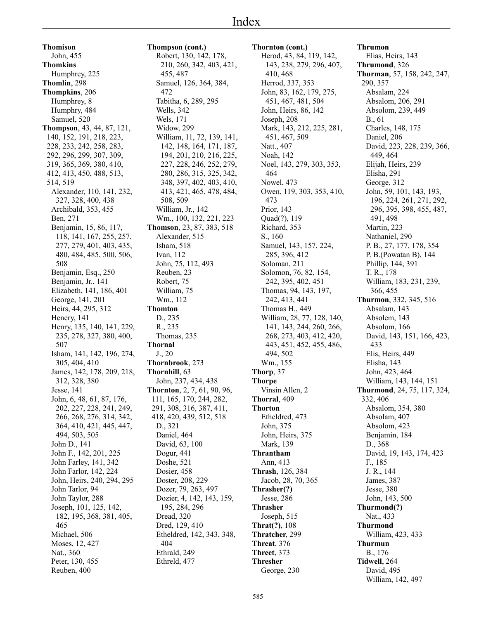**Thomison** John, 455 **Thomkins** Humphrey, 225 **Thomlin**, 298 **Thompkins**, 206 Humphrey, 8 Humphry, 484 Samuel, 520 **Thompson**, 43, 44, 87, 121, 140, 152, 191, 218, 223, 228, 233, 242, 258, 283, 292, 296, 299, 307, 309, 319, 365, 369, 380, 410, 412, 413, 450, 488, 513, 514, 519 Alexander, 110, 141, 232, 327, 328, 400, 438 Archibald, 353, 455 Ben, 271 Benjamin, 15, 86, 117, 118, 141, 167, 255, 257, 277, 279, 401, 403, 435, 480, 484, 485, 500, 506, 508 Benjamin, Esq., 250 Benjamin, Jr., 141 Elizabeth, 141, 186, 401 George, 141, 201 Heirs, 44, 295, 312 Henery, 141 Henry, 135, 140, 141, 229, 235, 278, 327, 380, 400, 507 Isham, 141, 142, 196, 274, 305, 404, 410 James, 142, 178, 209, 218, 312, 328, 380 Jesse, 141 John, 6, 48, 61, 87, 176, 202, 227, 228, 241, 249, 266, 268, 276, 314, 342, 364, 410, 421, 445, 447, 494, 503, 505 John D., 141 John F., 142, 201, 225 John Farley, 141, 342 John Farlor, 142, 224 John, Heirs, 240, 294, 295 John Tarlor, 94 John Taylor, 288 Joseph, 101, 125, 142, 182, 195, 368, 381, 405, 465 Michael, 506 Moses, 12, 427 Nat., 360 Peter, 130, 455 Reuben, 400

**Thompson (cont.)** Robert, 130, 142, 178, 210, 260, 342, 403, 421, 455, 487 Samuel, 126, 364, 384, 472 Tabitha, 6, 289, 295 Wells, 342 Wels, 171 Widow, 299 William, 11, 72, 139, 141, 142, 148, 164, 171, 187, 194, 201, 210, 216, 225, 227, 228, 246, 252, 279, 280, 286, 315, 325, 342, 348, 397, 402, 403, 410, 413, 421, 465, 478, 484, 508, 509 William, Jr., 142 Wm., 100, 132, 221, 223 **Thomson**, 23, 87, 383, 518 Alexander, 515 Isham, 518 Ivan, 112 John, 75, 112, 493 Reuben, 23 Robert, 75 William, 75 Wm., 112 **Thomton** D., 235 R., 235 Thomas, 235 **Thornal** J., 20 **Thornbrook**, 273 **Thornhill**, 63 John, 237, 434, 438 **Thornton**, 2, 7, 61, 90, 96, 111, 165, 170, 244, 282, 291, 308, 316, 387, 411, 418, 420, 439, 512, 518 D., 321 Daniel, 464 David, 63, 100 Dogur, 441 Doshe, 521 Dosier, 458 Doster, 208, 229 Dozer, 79, 263, 497 Dozier, 4, 142, 143, 159, 195, 284, 296 Dread, 320 Dred, 129, 410 Etheldred, 142, 343, 348, 404 Ethrald, 249 Ethreld, 477

**Thornton (cont.)** Herod, 43, 84, 119, 142, 143, 238, 279, 296, 407, 410, 468 Herrod, 337, 353 John, 83, 162, 179, 275, 451, 467, 481, 504 John, Heirs, 86, 142 Joseph, 208 Mark, 143, 212, 225, 281, 451, 467, 509 Natt., 407 Noah, 142 Noel, 143, 279, 303, 353, 464 Nowel, 473 Owen, 119, 303, 353, 410, 473 Prior, 143 Quad(?), 119 Richard, 353 S., 160 Samuel, 143, 157, 224, 285, 396, 412 Soloman, 211 Solomon, 76, 82, 154, 242, 395, 402, 451 Thomas, 94, 143, 197, 242, 413, 441 Thomas H., 449 William, 28, 77, 128, 140, 141, 143, 244, 260, 266, 268, 273, 403, 412, 420, 443, 451, 452, 455, 486, 494, 502 Wm., 155 **Thorp**, 37 **Thorpe** Vinsin Allen, 2 **Thorral**, 409 **Thorton** Etheldred, 473 John, 375 John, Heirs, 375 Mark, 139 **Thrantham** Ann, 413 **Thrash**, 126, 384 Jacob, 28, 70, 365 **Thrasher(?)** Jesse, 286 **Thrasher** Joseph, 515 **Thrat(?)**, 108 **Thratcher**, 299 **Threat**, 376 **Threet**, 373 **Thresher** George, 230

**Thrumon** Elias, Heirs, 143 **Thrumond**, 326 **Thurman**, 57, 158, 242, 247, 290, 357 Absalam, 224 Absalom, 206, 291 Absolom, 239, 449 B., 61 Charles, 148, 175 Daniel, 206 David, 223, 228, 239, 366, 449, 464 Elijah, Heirs, 239 Elisha, 291 George, 312 John, 59, 101, 143, 193, 196, 224, 261, 271, 292, 296, 395, 398, 455, 487, 491, 498 Martin, 223 Nathaniel, 290 P. B., 27, 177, 178, 354 P. B.(Powatan B), 144 Phillip, 144, 391 T. R., 178 William, 183, 231, 239, 366, 455 **Thurmon**, 332, 345, 516 Absalam, 143 Absolem, 143 Absolom, 166 David, 143, 151, 166, 423, 433 Elis, Heirs, 449 Elisha, 143 John, 423, 464 William, 143, 144, 151 **Thurmond**, 24, 75, 117, 324, 332, 406 Absalom, 354, 380 Absolam, 407 Absolom, 423 Benjamin, 184 D., 368 David, 19, 143, 174, 423 F., 185 J. R., 144 James, 387 Jesse, 380 John, 143, 500 **Thurmond(?)** Nat., 433 **Thurmond** William, 423, 433 **Thurmun**

B., 176 **Tidwell**, 264 David, 495 William, 142, 497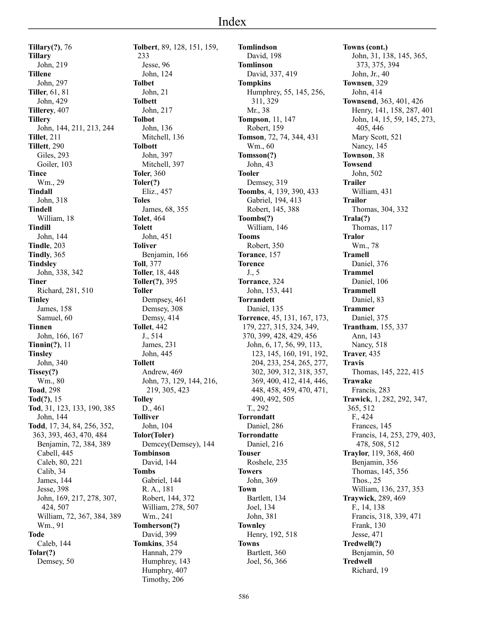**Tillary(?)**, 76 **Tillary** John, 219 **Tillene** John, 297 **Tiller**, 61, 81 John, 429 **Tillerey**, 407 **Tillery** John, 144, 211, 213, 244 **Tillet**, 211 **Tillett**, 290 Giles, 293 Goiler, 103 **Tince** Wm., 29 **Tindall** John, 318 **Tindell** William, 18 **Tindill** John, 144 **Tindle**, 203 **Tindly**, 365 **Tindsley** John, 338, 342 **Tiner** Richard, 281, 510 **Tinley** James, 158 Samuel, 60 **Tinnen** John, 166, 167 **Tinnin(?)**, 11 **Tinsley** John, 340 **Tissey(?)** Wm., 80 **Toad**, 298 **Tod(?)**, 15 **Tod**, 31, 123, 133, 190, 385 John, 144 **Todd**, 17, 34, 84, 256, 352, 363, 393, 463, 470, 484 Benjamin, 72, 384, 389 Cabell, 445 Caleb, 80, 221 Calib, 34 James, 144 Jesse, 398 John, 169, 217, 278, 307, 424, 507 William, 72, 367, 384, 389 Wm., 91 **Tode** Caleb, 144 **Tolar(?)** Demsey, 50

**Tolbert**, 89, 128, 151, 159, 233 Jesse, 96 John, 124 **Tolbet** John, 21 **Tolbett** John, 217 **Tolbot** John, 136 Mitchell, 136 **Tolbott** John, 397 Mitchell, 397 **Toler**, 360 **Toler(?)** Eliz., 457 **Toles** James, 68, 355 **Tolet**, 464 **Tolett** John, 451 **Toliver** Benjamin, 166 **Toll**, 377 **Toller**, 18, 448 **Toller(?)**, 395 **Toller** Dempsey, 461 Demsey, 308 Demsy, 414 **Tollet**, 442 J., 514 James, 231 John, 445 **Tollett** Andrew, 469 John, 73, 129, 144, 216, 219, 305, 423 **Tolley** D., 461 **Tolliver** John, 104 **Tolor(Toler)** Demcey(Demsey), 144 **Tombinson** David, 144 **Tombs** Gabriel, 144 R. A., 181 Robert, 144, 372 William, 278, 507 Wm., 241 **Tomherson(?)** David, 399 **Tomkins**, 354 Hannah, 279 Humphrey, 143 Humphry, 407

Timothy, 206

**Tomlindson** David, 198 **Tomlinson** David, 337, 419 **Tompkins** Humphrey, 55, 145, 256, 311, 329 Mr., 38 **Tompson**, 11, 147 Robert, 159 **Tomson**, 72, 74, 344, 431 Wm., 60 **Tomsson(?)** John, 43 **Tooler** Demsey, 319 **Toombs**, 4, 139, 390, 433 Gabriel, 194, 413 Robert, 145, 388 **Toombs(?)** William, 146 **Tooms** Robert, 350 **Torance**, 157 **Torence** J., 5 **Torrance**, 324 John, 153, 441 **Torrandett** Daniel, 135 **Torrence**, 45, 131, 167, 173, 179, 227, 315, 324, 349, 370, 399, 428, 429, 456 John, 6, 17, 56, 99, 113, 123, 145, 160, 191, 192, 204, 233, 254, 265, 277, 302, 309, 312, 318, 357, 369, 400, 412, 414, 446, 448, 458, 459, 470, 471, 490, 492, 505 T., 292 **Torrondatt** Daniel, 286 **Torrondatte** Daniel, 216 **Touser** Roshele, 235 **Towers** John, 369 **Town** Bartlett, 134 Joel, 134 John, 381 **Townley** Henry, 192, 518 **Towns** Bartlett, 360 Joel, 56, 366

**Towns (cont.)** John, 31, 138, 145, 365, 373, 375, 394 John, Jr., 40 **Townsen**, 329 John, 414 **Townsend**, 363, 401, 426 Henry, 141, 158, 287, 401 John, 14, 15, 59, 145, 273, 405, 446 Mary Scott, 521 Nancy, 145 **Townson**, 38 **Towsend** John, 502 **Trailer** William, 431 **Trailor** Thomas, 304, 332 **Trala(?)** Thomas, 117 **Tralor** Wm., 78 **Tramell** Daniel, 376 **Trammel** Daniel, 106 **Trammell** Daniel, 83 **Trammer** Daniel, 375 **Trantham**, 155, 337 Ann, 143 Nancy, 518 **Traver**, 435 **Travis** Thomas, 145, 222, 415 **Trawake** Francis, 283 **Trawick**, 1, 282, 292, 347, 365, 512 F., 424 Frances, 145 Francis, 14, 253, 279, 403, 478, 508, 512 **Traylor**, 119, 368, 460 Benjamin, 356 Thomas, 145, 356 Thos., 25 William, 136, 237, 353 **Traywick**, 289, 469 F., 14, 138 Francis, 318, 339, 471 Frank, 130 Jesse, 471 **Tredwell(?)** Benjamin, 50 **Tredwell** Richard, 19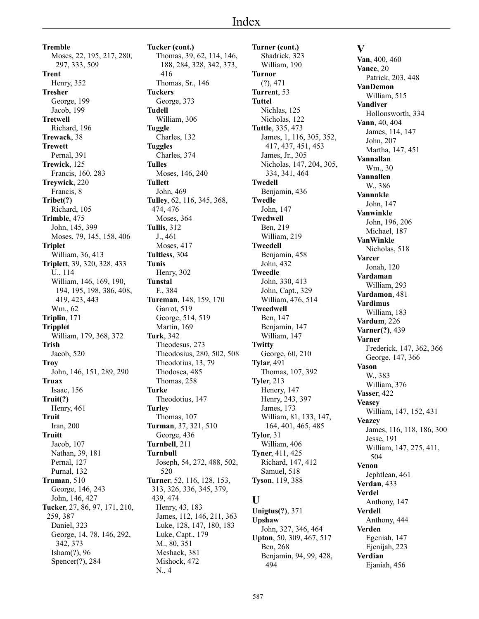**Tremble** Moses, 22, 195, 217, 280, 297, 333, 509 **Trent** Henry, 352 **Tresher** George, 199 Jacob, 199 **Tretwell** Richard, 196 **Trewack**, 38 **Trewett** Pernal, 391 **Trewick**, 125 Francis, 160, 283 **Treywick**, 220 Francis, 8 **Tribet(?)** Richard, 105 **Trimble**, 475 John, 145, 399 Moses, 79, 145, 158, 406 **Triplet** William, 36, 413 **Triplett**, 39, 320, 328, 433 U., 114 William, 146, 169, 190, 194, 195, 198, 386, 408, 419, 423, 443 Wm., 62 **Triplin**, 171 **Tripplet** William, 179, 368, 372 **Trish** Jacob, 520 **Troy** John, 146, 151, 289, 290 **Truax** Isaac, 156 **Truit(?)** Henry, 461 **Truit** Iran, 200 **Truitt** Jacob, 107 Nathan, 39, 181 Pernal, 127 Purnal, 132 **Truman**, 510 George, 146, 243 John, 146, 427 **Tucker**, 27, 86, 97, 171, 210, 259, 387 Daniel, 323 George, 14, 78, 146, 292, 342, 373 Isham(?), 96 Spencer(?), 284

**Tucker (cont.)** Thomas, 39, 62, 114, 146, 188, 284, 328, 342, 373, 416 Thomas, Sr., 146 **Tuckers** George, 373 **Tudell** William, 306 **Tuggle** Charles, 132 **Tuggles** Charles, 374 **Tulles** Moses, 146, 240 **Tullett** John, 469 **Tulley**, 62, 116, 345, 368, 474, 476 Moses, 364 **Tullis**, 312 J., 461 Moses, 417 **Tultless**, 304 **Tunis** Henry, 302 **Tunstal** F., 384 **Tureman**, 148, 159, 170 Garrot, 519 George, 514, 519 Martin, 169 **Turk**, 342 Theodesus, 273 Theodosius, 280, 502, 508 Theodotius, 13, 79 Thodosea, 485 Thomas, 258 **Turke** Theodotius, 147 **Turley** Thomas, 107 **Turman**, 37, 321, 510 George, 436 **Turnbell**, 211 **Turnbull** Joseph, 54, 272, 488, 502, 520 **Turner**, 52, 116, 128, 153, 313, 326, 336, 345, 379, 439, 474 Henry, 43, 183 James, 112, 146, 211, 363 Luke, 128, 147, 180, 183 Luke, Capt., 179 M., 80, 351 Meshack, 381 Mishock, 472

N., 4

**Turner (cont.)** Shadrick, 323 William, 190 **Turnor** (?), 471 **Turrent**, 53 **Tuttel** Nichlas, 125 Nicholas, 122 **Tuttle**, 335, 473 James, 1, 116, 305, 352, 417, 437, 451, 453 James, Jr., 305 Nicholas, 147, 204, 305, 334, 341, 464 **Twedell** Benjamin, 436 **Twedle** John, 147 **Twedwell** Ben, 219 William, 219 **Tweedell** Benjamin, 458 John, 432 **Tweedle** John, 330, 413 John, Capt., 329 William, 476, 514 **Tweedwell** Ben, 147 Benjamin, 147 William, 147 **Twitty** George, 60, 210 **Tylar**, 491 Thomas, 107, 392 **Tyler**, 213 Henery, 147 Henry, 243, 397 James, 173 William, 81, 133, 147, 164, 401, 465, 485 **Tylor**, 31 William, 406 **Tyner**, 411, 425 Richard, 147, 412 Samuel, 518 **Tyson**, 119, 388

# **U**

**Unigtus(?)**, 371 **Upshaw** John, 327, 346, 464 **Upton**, 50, 309, 467, 517 Ben, 268 Benjamin, 94, 99, 428, 494

# **V**

**Van**, 400, 460 **Vance**, 20 Patrick, 203, 448 **VanDemon** William, 515 **Vandiver** Hollonsworth, 334 **Vann**, 40, 404 James, 114, 147 John, 207 Martha, 147, 451 **Vannallan** Wm., 30 **Vannallen** W., 386 **Vannnkle** John, 147 **Vanwinkle** John, 196, 206 Michael, 187 **VanWinkle** Nicholas, 518 **Varcer** Jonah, 120 **Vardaman** William, 293 **Vardamon**, 481 **Vardimus** William, 183 **Vardum**, 226 **Varner(?)**, 439 **Varner** Frederick, 147, 362, 366 George, 147, 366 **Vason** W., 383 William, 376 **Vasser**, 422 **Veasey** William, 147, 152, 431 **Veazey** James, 116, 118, 186, 300 Jesse, 191 William, 147, 275, 411, 504 **Venon** Jephtlean, 461 **Verdan**, 433 **Verdel** Anthony, 147 **Verdell** Anthony, 444 **Verden** Egeniah, 147 Ejenijah, 223 **Verdian** Ejaniah, 456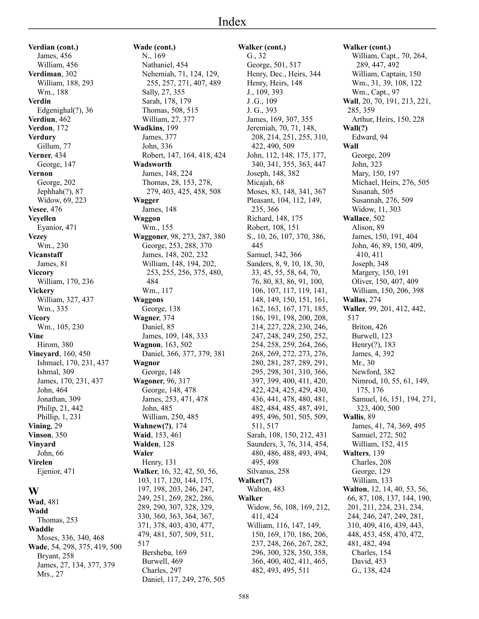**Verdian (cont.)** James, 456 William, 456 **Verdiman**, 302 William, 188, 293 Wm., 188 **Verdin** Edgenighal(?), 36 **Verdiun**, 462 **Verdon**, 172 **Verdury** Gillum, 77 **Verner**, 434 George, 147 **Vernon** George, 202 Jephhah(?), 87 Widow, 69, 223 **Vesee**, 476 **Veyellen** Eyanior, 471 **Vezey** Wm., 230 **Vicanstaff** James, 81 **Viccory** William, 170, 236 **Vickery** William, 327, 437 Wm., 335 **Vicory** Wm., 105, 230 **Vine** Hirom, 380 **Vineyard**, 160, 450 Ishmael, 170, 231, 437 Ishmal, 309 James, 170, 231, 437 John, 464 Jonathan, 309 Philip, 21, 442 Phillip, 1, 231 **Vining**, 29 **Vinson**, 350 **Vinyard** John, 66 **Virelen** Ejenior, 471

#### **W**

**Wad**, 481 **Wadd** Thomas, 253 **Waddle** Moses, 336, 340, 468 **Wade**, 54, 298, 375, 419, 500 Bryant, 258 James, 27, 134, 377, 379 Mrs., 27

**Wade (cont.)** N., 169 Nathaniel, 454 Nehemiah, 71, 124, 129, 255, 257, 271, 407, 489 Sally, 27, 355 Sarah, 178, 179 Thomas, 508, 515 William, 27, 377 **Wadkins**, 199 James, 377 John, 336 Robert, 147, 164, 418, 424 **Wadsworth** James, 148, 224 Thomas, 28, 153, 278, 279, 403, 425, 458, 508 **Wagger** James, 148 **Waggon** Wm., 155 **Waggoner**, 98, 273, 287, 380 George, 253, 288, 370 James, 148, 202, 232 William, 148, 194, 202, 253, 255, 256, 375, 480, 484 Wm., 117 **Waggons** George, 138 **Wagner**, 374 Daniel, 85 James, 109, 148, 333 **Wagnon**, 163, 502 Daniel, 366, 377, 379, 381 **Wagnor** George, 148 **Wagoner**, 96, 317 George, 148, 478 James, 253, 471, 478 John, 485 William, 250, 485 **Wahnew(?)**, 174 **Waid**, 153, 461 **Walden**, 128 **Waler** Henry, 131 **Walker**, 16, 32, 42, 50, 56, 103, 117, 120, 144, 175, 197, 198, 203, 246, 247, 249, 251, 269, 282, 286, 289, 290, 307, 328, 329, 330, 360, 363, 364, 367, 371, 378, 403, 430, 477, 479, 481, 507, 509, 511, 517 Bersheba, 169 Burwell, 469

Charles, 297

Daniel, 117, 249, 276, 505

**Walker (cont.)** G., 32 George, 501, 517 Henry, Dec., Heirs, 344 Henry, Heirs, 148 J., 109, 393 J .G., 109 J. G., 393 James, 169, 307, 355 Jeremiah, 70, 71, 148, 208, 214, 251, 255, 310, 422, 490, 509 John, 112, 148, 175, 177, 340, 341, 355, 363, 447 Joseph, 148, 382 Micajah, 68 Moses, 83, 148, 341, 367 Pleasant, 104, 112, 149, 235, 366 Richard, 148, 175 Robert, 108, 151 S., 10, 26, 107, 370, 386, 445 Samuel, 342, 366 Sanders, 8, 9, 10, 18, 30, 33, 45, 55, 58, 64, 70, 76, 80, 83, 86, 91, 100, 106, 107, 117, 119, 141, 148, 149, 150, 151, 161, 162, 163, 167, 171, 185, 186, 191, 198, 200, 208, 214, 227, 228, 230, 246, 247, 248, 249, 250, 252, 254, 258, 259, 264, 266, 268, 269, 272, 273, 276, 280, 281, 287, 289, 291, 295, 298, 301, 310, 366, 397, 399, 400, 411, 420, 422, 424, 425, 429, 430, 436, 441, 478, 480, 481, 482, 484, 485, 487, 491, 495, 496, 501, 505, 509, 511, 517 Sarah, 108, 150, 212, 431 Saunders, 3, 76, 314, 454, 480, 486, 488, 493, 494, 495, 498 Silvanus, 258 **Walker(?)** Walton, 483 **Walker** Widow, 56, 108, 169, 212, 411, 424 William, 116, 147, 149, 150, 169, 170, 186, 206, 237, 248, 266, 267, 282, 296, 300, 328, 350, 358, 366, 400, 402, 411, 465, 482, 493, 495, 511

**Walker (cont.)** William, Capt., 70, 264, 289, 447, 492 William, Captain, 150 Wm., 31, 39, 108, 122 Wm., Capt., 97 **Wall**, 20, 70, 191, 213, 221, 285, 359 Arthur, Heirs, 150, 228 **Wall(?)** Edward, 94 **Wall** George, 209 John, 323 Mary, 150, 197 Michael, Heirs, 276, 505 Susanah, 505 Susannah, 276, 509 Widow, 11, 303 **Wallace**, 502 Alison, 89 James, 150, 191, 404 John, 46, 89, 150, 409, 410, 411 Joseph, 348 Margery, 150, 191 Oliver, 150, 407, 409 William, 150, 206, 398 **Wallas**, 274 **Waller**, 99, 201, 412, 442, 517 Briton, 426 Burwell, 123 Henry(?), 183 James, 4, 392 Mr., 30 Newford, 382 Nimrod, 10, 55, 61, 149, 175, 176 Samuel, 16, 151, 194, 271, 323, 400, 500 **Wallis**, 89 James, 41, 74, 369, 495 Samuel, 272, 502 William, 152, 415 **Walters**, 139 Charles, 208 George, 129 William, 133 **Walton**, 12, 14, 40, 53, 56, 66, 87, 108, 137, 144, 190, 201, 211, 224, 231, 234, 244, 246, 247, 249, 281, 310, 409, 416, 439, 443, 448, 453, 458, 470, 472, 481, 482, 494 Charles, 154 David, 453 G., 138, 424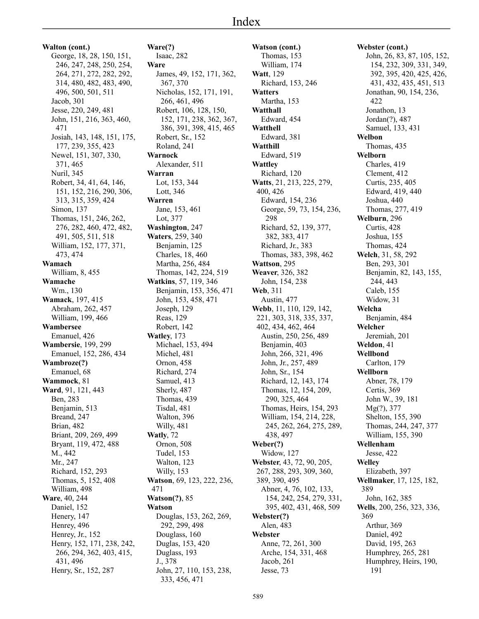# Index

**Walton (cont.)** George, 18, 28, 150, 151, 246, 247, 248, 250, 254, 264, 271, 272, 282, 292, 314, 480, 482, 483, 490, 496, 500, 501, 511 Jacob, 301 Jesse, 220, 249, 481 John, 151, 216, 363, 460, 471 Josiah, 143, 148, 151, 175, 177, 239, 355, 423 Newel, 151, 307, 330, 371, 465 Nuril, 345 Robert, 34, 41, 64, 146, 151, 152, 216, 290, 306, 313, 315, 359, 424 Simon, 137 Thomas, 151, 246, 262, 276, 282, 460, 472, 482, 491, 505, 511, 518 William, 152, 177, 371, 473, 474 **Wamach** William, 8, 455 **Wamache** Wm., 130 **Wamack**, 197, 415 Abraham, 262, 457 William, 199, 466 **Wambersee** Emanuel, 426 **Wambersie**, 199, 299 Emanuel, 152, 286, 434 **Wambroze(?)** Emanuel, 68 **Wammock**, 81 **Ward**, 91, 121, 443 Ben, 283 Benjamin, 513 Breand, 247 Brian, 482 Briant, 209, 269, 499 Bryant, 119, 472, 488 M., 442 Mr., 247 Richard, 152, 293 Thomas, 5, 152, 408 William, 498 **Ware**, 40, 244 Daniel, 152 Henery, 147 Henrey, 496 Henrey, Jr., 152 Henry, 152, 171, 238, 242, 266, 294, 362, 403, 415, 431, 496 Henry, Sr., 152, 287

**Ware(?)** Isaac, 282 **Ware** James, 49, 152, 171, 362, 367, 370 Nicholas, 152, 171, 191, 266, 461, 496 Robert, 106, 128, 150, 152, 171, 238, 362, 367, 386, 391, 398, 415, 465 Robert, Sr., 152 Roland, 241 **Warnock** Alexander, 511 **Warran** Lot, 153, 344 Lott, 346 **Warren** Jane, 153, 461 Lot, 377 **Washington**, 247 **Waters**, 259, 340 Benjamin, 125 Charles, 18, 460 Martha, 256, 484 Thomas, 142, 224, 519 **Watkins**, 57, 119, 346 Benjamin, 153, 356, 471 John, 153, 458, 471 Joseph, 129 Reas, 129 Robert, 142 **Watley**, 173 Michael, 153, 494 Michel, 481 Ornon, 458 Richard, 274 Samuel, 413 Sherly, 487 Thomas, 439 Tisdal, 481 Walton, 396 Willy, 481 **Watly**, 72 Ornon, 508 Tudel, 153 Walton, 123 Willy, 153 **Watson**, 69, 123, 222, 236, 471 **Watson(?)**, 85 **Watson** Douglas, 153, 262, 269, 292, 299, 498 Douglass, 160 Duglas, 153, 420 Duglass, 193 J., 378 John, 27, 110, 153, 238, 333, 456, 471

**Watson (cont.)** Thomas, 153 William, 174 **Watt**, 129 Richard, 153, 246 **Watters** Martha, 153 **Watthall** Edward, 454 **Watthell** Edward, 381 **Watthill** Edward, 519 **Wattley** Richard, 120 **Watts**, 21, 213, 225, 279, 400, 426 Edward, 154, 236 George, 59, 73, 154, 236, 298 Richard, 52, 139, 377, 382, 383, 417 Richard, Jr., 383 Thomas, 383, 398, 462 **Wattson**, 295 **Weaver**, 326, 382 John, 154, 238 **Web**, 311 Austin, 477 **Webb**, 11, 110, 129, 142, 221, 303, 318, 335, 337, 402, 434, 462, 464 Austin, 250, 256, 489 Benjamin, 403 John, 266, 321, 496 John, Jr., 257, 489 John, Sr., 154 Richard, 12, 143, 174 Thomas, 12, 154, 209, 290, 325, 464 Thomas, Heirs, 154, 293 William, 154, 214, 228, 245, 262, 264, 275, 289, 438, 497 **Weber(?)** Widow, 127 **Webster**, 43, 72, 90, 205, 267, 288, 293, 309, 360, 389, 390, 495 Abner, 4, 76, 102, 133, 154, 242, 254, 279, 331, 395, 402, 431, 468, 509 **Webster(?)** Alen, 483 **Webster** Anne, 72, 261, 300 Arche, 154, 331, 468 Jacob, 261 Jesse, 73

**Webster (cont.)** John, 26, 83, 87, 105, 152, 154, 232, 309, 331, 349, 392, 395, 420, 425, 426, 431, 432, 435, 451, 513 Jonathan, 90, 154, 236, 422 Jonathon, 13 Jordan(?), 487 Samuel, 133, 431 **Welbon** Thomas, 435 **Welborn** Charles, 419 Clement, 412 Curtis, 235, 405 Edward, 419, 440 Joshua, 440 Thomas, 277, 419 **Welburn**, 296 Curtis, 428 Joshua, 155 Thomas, 424 **Welch**, 31, 58, 292 Ben, 293, 301 Benjamin, 82, 143, 155, 244, 443 Caleb, 155 Widow, 31 **Welcha** Benjamin, 484 **Welcher** Jeremiah, 201 **Weldon**, 41 **Wellbond** Carlton, 179 **Wellborn** Abner, 78, 179 Certis, 369 John W., 39, 181 Mg(?), 377 Shelton, 155, 390 Thomas, 244, 247, 377 William, 155, 390 **Wellenham** Jesse, 422 **Welley** Elizabeth, 397 **Wellmaker**, 17, 125, 182, 389 John, 162, 385 **Wells**, 200, 256, 323, 336, 369 Arthur, 369 Daniel, 492 David, 195, 263 Humphrey, 265, 281 Humphrey, Heirs, 190, 191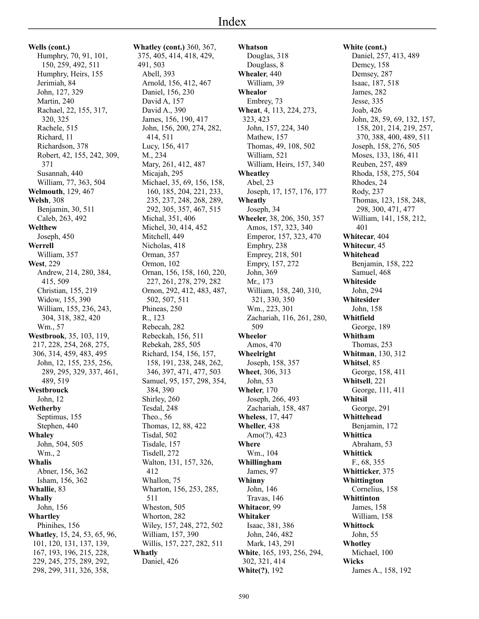**Wells (cont.)** Humphry, 70, 91, 101, 150, 259, 492, 511 Humphry, Heirs, 155 Jerimiah, 84 John, 127, 329 Martin, 240 Rachael, 22, 155, 317, 320, 325 Rachele, 515 Richard, 11 Richardson, 378 Robert, 42, 155, 242, 309, 371 Susannah, 440 William, 77, 363, 504 **Welmouth**, 129, 467 **Welsh**, 308 Benjamin, 30, 511 Caleb, 263, 492 **Welthew** Joseph, 450 **Werrell** William, 357 **West**, 229 Andrew, 214, 280, 384, 415, 509 Christian, 155, 219 Widow, 155, 390 William, 155, 236, 243, 304, 318, 382, 420 Wm., 57 **Westbrook**, 35, 103, 119, 217, 228, 254, 268, 275, 306, 314, 459, 483, 495 John, 12, 155, 235, 256, 289, 295, 329, 337, 461, 489, 519 **Westbrouck** John, 12 **Wetherby** Septimus, 155 Stephen, 440 **Whaley** John, 504, 505 Wm., 2 **Whalis** Abner, 156, 362 Isham, 156, 362 **Whallie**, 83 **Whally** John, 156 **Whartley** Phinihes, 156 **Whatley**, 15, 24, 53, 65, 96, 101, 120, 131, 137, 139, 167, 193, 196, 215, 228, 229, 245, 275, 289, 292, 298, 299, 311, 326, 358,

**Whatley (cont.)** 360, 367, 375, 405, 414, 418, 429, 491, 503 Abell, 393 Arnold, 156, 412, 467 Daniel, 156, 230 David A, 157 David A., 390 James, 156, 190, 417 John, 156, 200, 274, 282, 414, 511 Lucy, 156, 417 M., 234 Mary, 261, 412, 487 Micaiah, 295 Michael, 35, 69, 156, 158, 160, 185, 204, 221, 233, 235, 237, 248, 268, 289, 292, 305, 357, 467, 515 Michal, 351, 406 Michel, 30, 414, 452 Mitchell, 449 Nicholas, 418 Orman, 357 Ormon, 102 Ornan, 156, 158, 160, 220, 227, 261, 278, 279, 282 Ornon, 292, 412, 483, 487, 502, 507, 511 Phineas, 250 R., 123 Rebecah, 282 Rebeckah, 156, 511 Rebekah, 285, 505 Richard, 154, 156, 157, 158, 191, 238, 248, 262, 346, 397, 471, 477, 503 Samuel, 95, 157, 298, 354, 384, 390 Shirley, 260 Tesdal, 248 Theo., 56 Thomas, 12, 88, 422 Tisdal, 502 Tisdale, 157 Tisdell, 272 Walton, 131, 157, 326, 412 Whallon, 75 Wharton, 156, 253, 285, 511 Wheston, 505 Whorton, 282 Wiley, 157, 248, 272, 502 William, 157, 390 Willis, 157, 227, 282, 511 **Whatly** Daniel, 426

**Whatson** Douglas, 318 Douglass, 8 **Whealer**, 440 William, 39 **Whealor** Embrey, 73 **Wheat**, 4, 113, 224, 273, 323, 423 John, 157, 224, 340 Mathew, 157 Thomas, 49, 108, 502 William, 521 William, Heirs, 157, 340 **Wheatley** Abel, 23 Joseph, 17, 157, 176, 177 **Wheatly** Joseph, 34 **Wheeler**, 38, 206, 350, 357 Amos, 157, 323, 340 Emperor, 157, 323, 470 Emphry, 238 Emprey, 218, 501 Empry, 157, 272 John, 369 Mr., 173 William, 158, 240, 310, 321, 330, 350 Wm., 223, 301 Zachariah, 116, 261, 280, 509 **Wheelor** Amos, 470 **Wheelright** Joseph, 158, 357 **Wheet**, 306, 313 John, 53 **Wheler**, 170 Joseph, 266, 493 Zachariah, 158, 487 **Wheless**, 17, 447 **Wheller**, 438 Amo(?), 423 **Where** Wm., 104 **Whillingham** James, 97 **Whinny** John, 146 Travas, 146 **Whitacor**, 99 **Whitaker** Isaac, 381, 386 John, 246, 482 Mark, 143, 291 **White**, 165, 193, 256, 294, 302, 321, 414 **White(?)**, 192

**White (cont.)** Daniel, 257, 413, 489 Demcy, 158 Demsey, 287 Isaac, 187, 518 James, 282 Jesse, 335 Joab, 426 John, 28, 59, 69, 132, 157, 158, 201, 214, 219, 257, 370, 388, 400, 489, 511 Joseph, 158, 276, 505 Moses, 133, 186, 411 Reuben, 257, 489 Rhoda, 158, 275, 504 Rhodes, 24 Rody, 237 Thomas, 123, 158, 248, 298, 300, 471, 477 William, 141, 158, 212, 401 **Whitecar**, 404 **Whitecur**, 45 **Whitehead** Benjamin, 158, 222 Samuel, 468 **Whiteside** John, 294 **Whitesider** John, 158 **Whitfield** George, 189 **Whitham** Thomas, 253 **Whitman**, 130, 312 **Whitsel**, 85 George, 158, 411 **Whitsell**, 221 George, 111, 411 **Whitsil** George, 291 **Whittehead** Benjamin, 172 **Whittica** Abraham, 53 **Whittick** F., 68, 355 **Whitticker**, 375 **Whittington** Cornelius, 158 **Whittinton** James, 158 William, 158 **Whittock** John, 55 **Whotley** Michael, 100 **Wicks** James A., 158, 192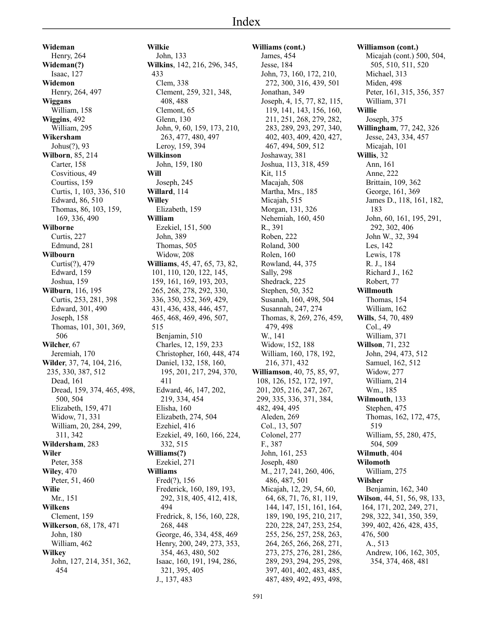**Wideman** Henry, 264 **Wideman(?)** Isaac, 127 **Widemon** Henry, 264, 497 **Wiggans** William, 158 **Wiggins**, 492 William, 295 **Wikersham** Johus(?), 93 **Wilborn**, 85, 214 Carter, 158 Cosvitious, 49 Courtiss, 159 Curtis, 1, 103, 336, 510 Edward, 86, 510 Thomas, 86, 103, 159, 169, 336, 490 **Wilborne** Curtis, 227 Edmund, 281 **Wilbourn** Curtis(?), 479 Edward, 159 Joshua, 159 **Wilburn**, 116, 195 Curtis, 253, 281, 398 Edward, 301, 490 Joseph, 158 Thomas, 101, 301, 369, 506 **Wilcher**, 67 Jeremiah, 170 **Wilder**, 37, 74, 104, 216, 235, 330, 387, 512 Dead, 161 Dread, 159, 374, 465, 498, 500, 504 Elizabeth, 159, 471 Widow, 71, 331 William, 20, 284, 299, 311, 342 **Wildersham**, 283 **Wiler** Peter, 358 **Wiley**, 470 Peter, 51, 460 **Wilie** Mr., 151 **Wilkens** Clement, 159 **Wilkerson**, 68, 178, 471 John, 180 William, 462 **Wilkey** John, 127, 214, 351, 362, 454

**Wilkie** John, 133 **Wilkins**, 142, 216, 296, 345, 433 Clem, 338 Clement, 259, 321, 348, 408, 488 Clemont, 65 Glenn, 130 John, 9, 60, 159, 173, 210, 263, 477, 480, 497 Leroy, 159, 394 **Wilkinson** John, 159, 180 **Will** Joseph, 245 **Willard**, 114 **Willey** Elizabeth, 159 **William** Ezekiel, 151, 500 John, 389 Thomas, 505 Widow, 208 **Williams**, 45, 47, 65, 73, 82, 101, 110, 120, 122, 145, 159, 161, 169, 193, 203, 265, 268, 278, 292, 330, 336, 350, 352, 369, 429, 431, 436, 438, 446, 457, 465, 468, 469, 496, 507, 515 Benjamin, 510 Charles, 12, 159, 233 Christopher, 160, 448, 474 Daniel, 132, 158, 160, 195, 201, 217, 294, 370, 411 Edward, 46, 147, 202, 219, 334, 454 Elisha, 160 Elizabeth, 274, 504 Ezehiel, 416 Ezekiel, 49, 160, 166, 224, 332, 515 **Williams(?)** Ezekiel, 271 **Williams** Fred(?), 156 Frederick, 160, 189, 193, 292, 318, 405, 412, 418, 494 Fredrick, 8, 156, 160, 228, 268, 448 George, 46, 334, 458, 469 Henry, 200, 249, 273, 353, 354, 463, 480, 502 Isaac, 160, 191, 194, 286, 321, 395, 405 J., 137, 483

591

**Williams (cont.)** James, 454 Jesse, 184 John, 73, 160, 172, 210, 272, 300, 316, 439, 501 Jonathan, 349 Joseph, 4, 15, 77, 82, 115, 119, 141, 143, 156, 160, 211, 251, 268, 279, 282, 283, 289, 293, 297, 340, 402, 403, 409, 420, 427, 467, 494, 509, 512 Joshaway, 381 Joshua, 113, 318, 459 Kit, 115 Macajah, 508 Martha, Mrs., 185 Micajah, 515 Morgan, 131, 326 Nehemiah, 160, 450 R., 391 Roben, 222 Roland, 300 Rolen, 160 Rowland, 44, 375 Sally, 298 Shedrack, 225 Stephen, 50, 352 Susanah, 160, 498, 504 Susannah, 247, 274 Thomas, 8, 269, 276, 459, 479, 498 W., 141 Widow, 152, 188 William, 160, 178, 192, 216, 371, 432 **Williamson**, 40, 75, 85, 97, 108, 126, 152, 172, 197, 201, 205, 216, 247, 267, 299, 335, 336, 371, 384, 482, 494, 495 Aleden, 269 Col., 13, 507 Colonel, 277 F., 387 John, 161, 253 Joseph, 480 M., 217, 241, 260, 406, 486, 487, 501 Micajah, 12, 29, 54, 60, 64, 68, 71, 76, 81, 119, 144, 147, 151, 161, 164, 189, 190, 195, 210, 217, 220, 228, 247, 253, 254, 255, 256, 257, 258, 263, 264, 265, 266, 268, 271, 273, 275, 276, 281, 286, 289, 293, 294, 295, 298, 397, 401, 402, 483, 485, 487, 489, 492, 493, 498,

#### **Williamson (cont.)** Micajah (cont.) 500, 504, 505, 510, 511, 520 Michael, 313 Miden, 498 Peter, 161, 315, 356, 357 William, 371 **Willie** Joseph, 375 **Willingham**, 77, 242, 326 Jesse, 243, 334, 457 Micajah, 101 **Willis**, 32 Ann, 161 Anne, 222 Brittain, 109, 362 George, 161, 369 James D., 118, 161, 182, 183 John, 60, 161, 195, 291, 292, 302, 406 John W., 32, 394 Les, 142 Lewis, 178 R. J., 184 Richard J., 162 Robert, 77 **Willmouth** Thomas, 154 William, 162 **Wills**, 54, 70, 489 Col., 49 William, 371 **Willson**, 71, 232 John, 294, 473, 512 Samuel, 162, 512 Widow, 277 William, 214 Wm., 185 **Wilmouth**, 133 Stephen, 475 Thomas, 162, 172, 475, 519 William, 55, 280, 475, 504, 509 **Wilmuth**, 404 **Wilomoth** William, 275 **Wilsher** Benjamin, 162, 340 **Wilson**, 44, 51, 56, 98, 133, 164, 171, 202, 249, 271, 298, 322, 341, 350, 359, 399, 402, 426, 428, 435, 476, 500 A., 513 Andrew, 106, 162, 305, 354, 374, 468, 481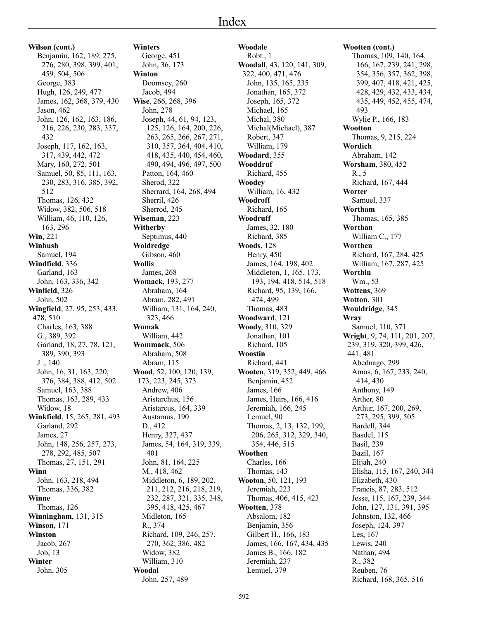# Index

**Wilson (cont.)** Benjamin, 162, 189, 275, 276, 280, 398, 399, 401, 459, 504, 506 George, 383 Hugh, 126, 249, 477 James, 162, 368, 379, 430 Jason, 462 John, 126, 162, 163, 186, 216, 226, 230, 283, 337, 432 Joseph, 117, 162, 163, 317, 439, 442, 472 Mary, 160, 272, 501 Samuel, 50, 85, 111, 163, 230, 283, 316, 385, 392, 512 Thomas, 126, 432 Widow, 382, 506, 518 William, 46, 110, 126, 163, 296 **Win**, 221 **Winbush** Samuel, 194 **Windfield**, 336 Garland, 163 John, 163, 336, 342 **Winfield**, 326 John, 502 **Wingfield**, 27, 95, 253, 433, 478, 510 Charles, 163, 388 G., 389, 392 Garland, 18, 27, 78, 121, 389, 390, 393 J ., 140 John, 16, 31, 163, 220, 376, 384, 388, 412, 502 Samuel, 163, 388 Thomas, 163, 289, 433 Widow, 18 **Winkfield**, 15, 265, 281, 493 Garland, 292 James, 27 John, 148, 256, 257, 273, 278, 292, 485, 507 Thomas, 27, 151, 291 **Winn** John, 163, 218, 494 Thomas, 336, 382 **Winne** Thomas, 126 **Winningham**, 131, 315 **Winson**, 171 **Winston** Jacob, 267 Job, 13 **Winter** John, 305

**Winters** George, 451 John, 36, 173 **Winton** Doomsey, 260 Jacob, 494 **Wise**, 266, 268, 396 John, 278 Joseph, 44, 61, 94, 123, 125, 126, 164, 200, 226, 263, 265, 266, 267, 271, 310, 357, 364, 404, 410, 418, 435, 440, 454, 460, 490, 494, 496, 497, 500 Patton, 164, 460 Sherod, 322 Sherrard, 164, 268, 494 Sherril, 426 Sherrod, 245 **Wiseman**, 223 **Witherby** Septimus, 440 **Woldredge** Gibson, 460 **Wollis** James, 268 **Womack**, 193, 277 Abraham, 164 Abram, 282, 491 William, 131, 164, 240, 323, 466 **Womak** William, 442 **Wommack**, 506 Abraham, 508 Abram, 115 **Wood**, 52, 100, 120, 139, 173, 223, 245, 373 Andrew, 406 Aristarchus, 156 Aristarcus, 164, 339 Austamus, 190 D., 412 Henry, 327, 437 James, 54, 164, 319, 339, 401 John, 81, 164, 225 M., 418, 462 Middleton, 6, 189, 202, 211, 212, 216, 218, 219, 232, 287, 321, 335, 348, 395, 418, 425, 467 Midleton, 165 R., 374 Richard, 109, 246, 257, 270, 362, 386, 482 Widow, 382 William, 310 **Woodal** John, 257, 489

**Woodale** Robt., 1 **Woodall**, 43, 120, 141, 309, 322, 400, 471, 476 John, 135, 165, 235 Jonathan, 165, 372 Joseph, 165, 372 Michael, 165 Michal, 380 Michal(Michael), 387 Robert, 347 William, 179 **Woodard**, 355 **Wooddruf** Richard, 455 **Woodey** William, 16, 432 **Woodroff** Richard, 165 **Woodruff** James, 32, 180 Richard, 385 **Woods**, 128 Henry, 450 James, 164, 198, 402 Middleton, 1, 165, 173, 193, 194, 418, 514, 518 Richard, 95, 139, 166, 474, 499 Thomas, 483 **Woodward**, 121 **Woody**, 310, 329 Jonathan, 101 Richard, 105 **Woostin** Richard, 441 **Wooten**, 319, 352, 449, 466 Benjamin, 452 James, 166 James, Heirs, 166, 416 Jeremiah, 166, 245 Lemuel, 90 Thomas, 2, 13, 132, 199, 206, 265, 312, 329, 340, 354, 446, 515 **Woothen** Charles, 166 Thomas, 143 **Wooton**, 50, 121, 193 Jeremiah, 223 Thomas, 406, 415, 423 **Wootten**, 378 Absalom, 182 Benjamin, 356 Gilbert H., 166, 183 James, 166, 167, 434, 435 James B., 166, 182 Jeremiah, 237 Lemuel, 379

**Wootten (cont.)** Thomas, 109, 140, 164, 166, 167, 239, 241, 298, 354, 356, 357, 362, 398, 399, 407, 418, 421, 425, 428, 429, 432, 433, 434, 435, 449, 452, 455, 474, 493 Wylie P., 166, 183 **Wootton** Thomas, 9, 215, 224 **Wordich** Abraham, 142 **Worsham**, 380, 452 R., 5 Richard, 167, 444 **Worter** Samuel, 337 **Wortham** Thomas, 165, 385 **Worthan** William C., 177 **Worthen** Richard, 167, 284, 425 William, 167, 287, 425 **Worthin** Wm., 53 **Wottens**, 369 **Wotton**, 301 **Wouldridge**, 345 **Wray** Samuel, 110, 371 **Wright**, 9, 74, 111, 201, 207, 239, 319, 320, 399, 426, 441, 481 Abednago, 299 Amos, 6, 167, 233, 240, 414, 430 Anthony, 149 Arther, 80 Arthur, 167, 200, 269, 273, 295, 399, 505 Bardell, 344 Basdel, 115 Basil, 239 Bazil, 167 Elijah, 240 Elisha, 115, 167, 240, 344 Elizabeth, 430 Francis, 87, 283, 512 Jesse, 115, 167, 239, 344 John, 127, 131, 391, 395 Johnston, 132, 466 Joseph, 124, 397 Les, 167 Lewis, 240 Nathan, 494 R., 382 Reuben, 76 Richard, 168, 365, 516